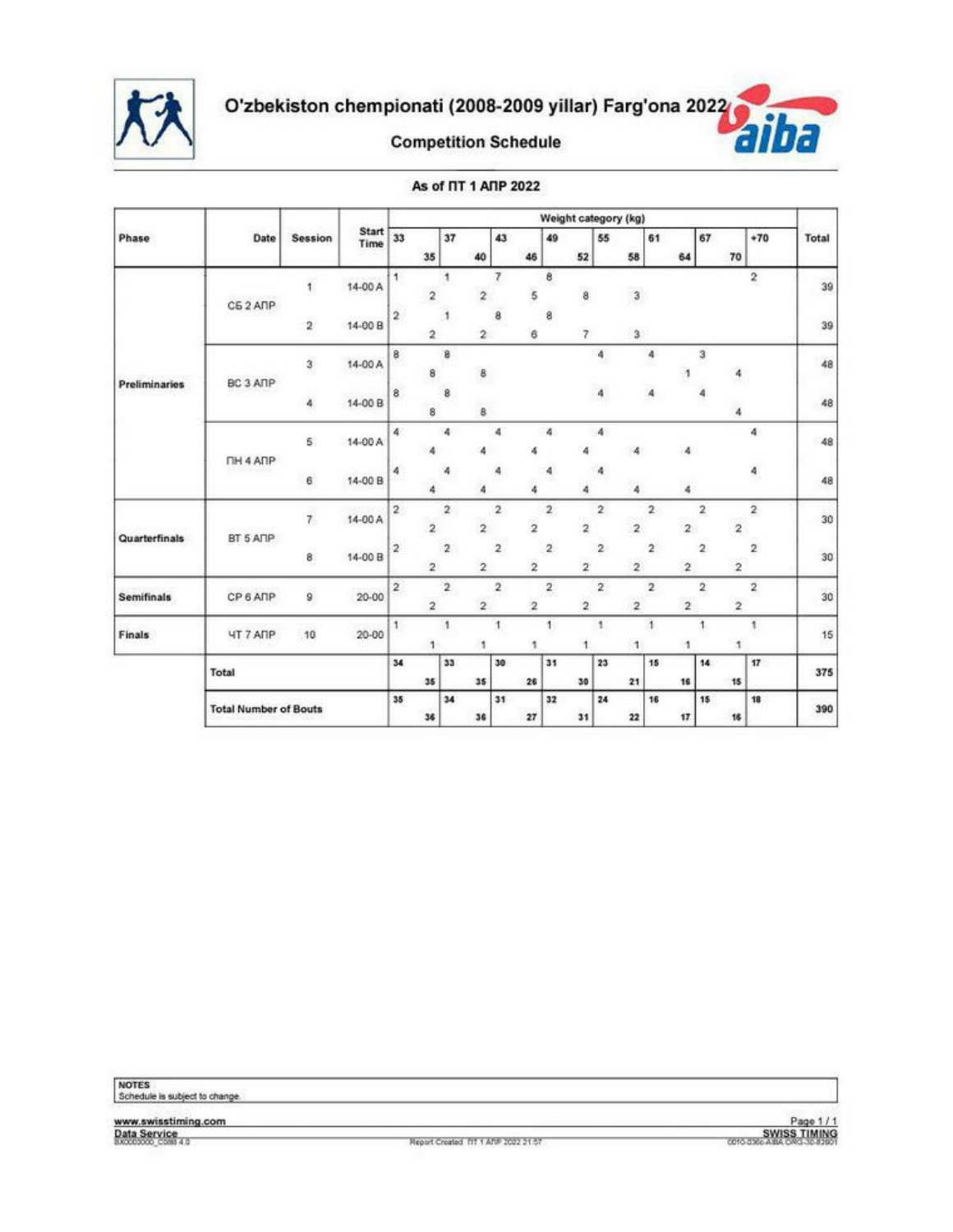



#### As of  $\Pi$  1 ANP 2022

|                   |                                 |                         |                      |                         |                         |                         |                         |                         |                         |                         | Weight category (kg)    |                         |                         |                         |                         |                          |                                           |                                        |       |    |
|-------------------|---------------------------------|-------------------------|----------------------|-------------------------|-------------------------|-------------------------|-------------------------|-------------------------|-------------------------|-------------------------|-------------------------|-------------------------|-------------------------|-------------------------|-------------------------|--------------------------|-------------------------------------------|----------------------------------------|-------|----|
| Phase             | Date                            | Session                 | <b>Start</b><br>Time | 33                      | 35                      | 37                      | 40                      | 43                      | 46                      | 49                      | 52                      | 55                      | 58                      | 61                      | 64                      | 67<br>70                 |                                           | $+70$                                  | Total |    |
|                   |                                 | ĩ.                      | 14-00 A              | 1                       | $\overline{2}$          | 1                       | 2                       | 7                       | 5                       | 8                       | 8                       |                         | $\sqrt{3}$              |                         |                         |                          | $\boldsymbol{2}$                          |                                        | 39    |    |
|                   | CE <sub>2</sub> A <sub>nP</sub> | $\overline{\mathbf{2}}$ | 14-00 B              | $\overline{\mathbf{c}}$ | $\overline{\mathbf{2}}$ | 1                       | 2                       | 8                       | 6                       | 8                       | 7                       |                         | $\mathbf{3}$            |                         |                         |                          |                                           |                                        | 39    |    |
|                   |                                 | 3                       | 14-00 A              | 8                       | 8                       | 8                       | 8                       |                         |                         |                         |                         | 4                       |                         | 4                       |                         | 3                        | 4                                         |                                        | 48    |    |
| Preliminaries     | BC 3 ANP                        | ä,                      | 14-00 B              | 8                       | 8                       | 8                       | 8                       |                         |                         |                         |                         | 4                       |                         | 4                       |                         |                          | 4                                         |                                        | 48    |    |
|                   | <b>FIH 4 AFP</b>                | 5.                      | 14-00 A              | 4                       |                         | 4                       |                         | 4                       |                         | ă.                      | 4                       | 4                       | 4                       |                         | 4                       |                          | 4                                         |                                        | 48    |    |
|                   |                                 | 6                       | 14-00 B              | 4                       |                         | 4                       |                         | 4                       | ۵                       | 4                       | 4                       | 4                       | 4                       |                         | 4                       |                          | 4                                         |                                        | 48    |    |
|                   | BT 5 ANP                        |                         | $\overline{r}$       | 14-00 A                 | 2                       | $\overline{\mathbf{2}}$ | $\overline{\mathbf{2}}$ | $\overline{2}$          | $\overline{\mathbf{2}}$ | $\overline{\mathbf{2}}$ | $\overline{\mathbf{2}}$ | $\overline{2}$          | $\boldsymbol{2}$        | $\bar{z}$               | $\overline{\mathbf{2}}$ | $\overline{2}$           | 2                                         | $\overline{\mathbf{2}}$<br>$\mathbf 2$ |       | 30 |
| Quarterfinals     |                                 |                         | 8                    | 14-00 B                 | $\overline{\mathbf{2}}$ | $\overline{2}$          | $\boldsymbol{2}$        | 2                       | $\overline{2}$          | $\overline{\mathbf{2}}$ | $\,$                    | $\overline{\mathbf{2}}$ | 2                       | $\overline{2}$          | $\mathbf 2$             | $\overline{2}$           | $\overline{\mathbf{2}}$                   | $\boldsymbol{2}$<br>$\mathbf 2$        |       | 30 |
| <b>Semifinals</b> | CP 6 ANP                        | 9                       | $20 - 00$            | $\overline{a}$          | $\overline{\mathbf{2}}$ | $\overline{a}$          | $\overline{2}$          | $\overline{\mathbf{2}}$ | $\overline{\mathbf{2}}$ | $\overline{\mathbf{2}}$ | $\overline{\mathbf{2}}$ | 2                       | $\overline{\mathbf{2}}$ | $\overline{\mathbf{2}}$ | $\overline{c}$          | $\overline{\phantom{a}}$ | $\overline{a}$<br>$\overline{\mathbf{2}}$ |                                        | 30    |    |
| Finals            | <b><i>UT 7 ANP</i></b>          | 10                      | $20 - 00$            | 1                       |                         | 1                       | f.                      | 1                       | 1                       | 1                       | 1                       | 1                       | 1                       | $\ddot{\phantom{1}}$    | 1                       | 1                        | 1                                         |                                        | 15    |    |
|                   | Total                           |                         |                      | 34                      | 35                      | 33                      | 35                      | 30                      | 26                      | 31                      | 30                      | 23                      | 21                      | 15                      | 16                      | 14                       | 17<br>15                                  |                                        | 375   |    |
|                   | <b>Total Number of Bouts</b>    |                         |                      | 35                      | 36                      | 34                      | 36                      | 31                      | 27                      | 32                      | 31                      | 24                      | 22                      | 16                      | 17                      | 15                       | 18<br>16                                  |                                        | 390   |    |

NOTES<br>Schedule is subject to change.

www.swisstiming.com<br>Data Service<br>8XXXXXXX COM 4.0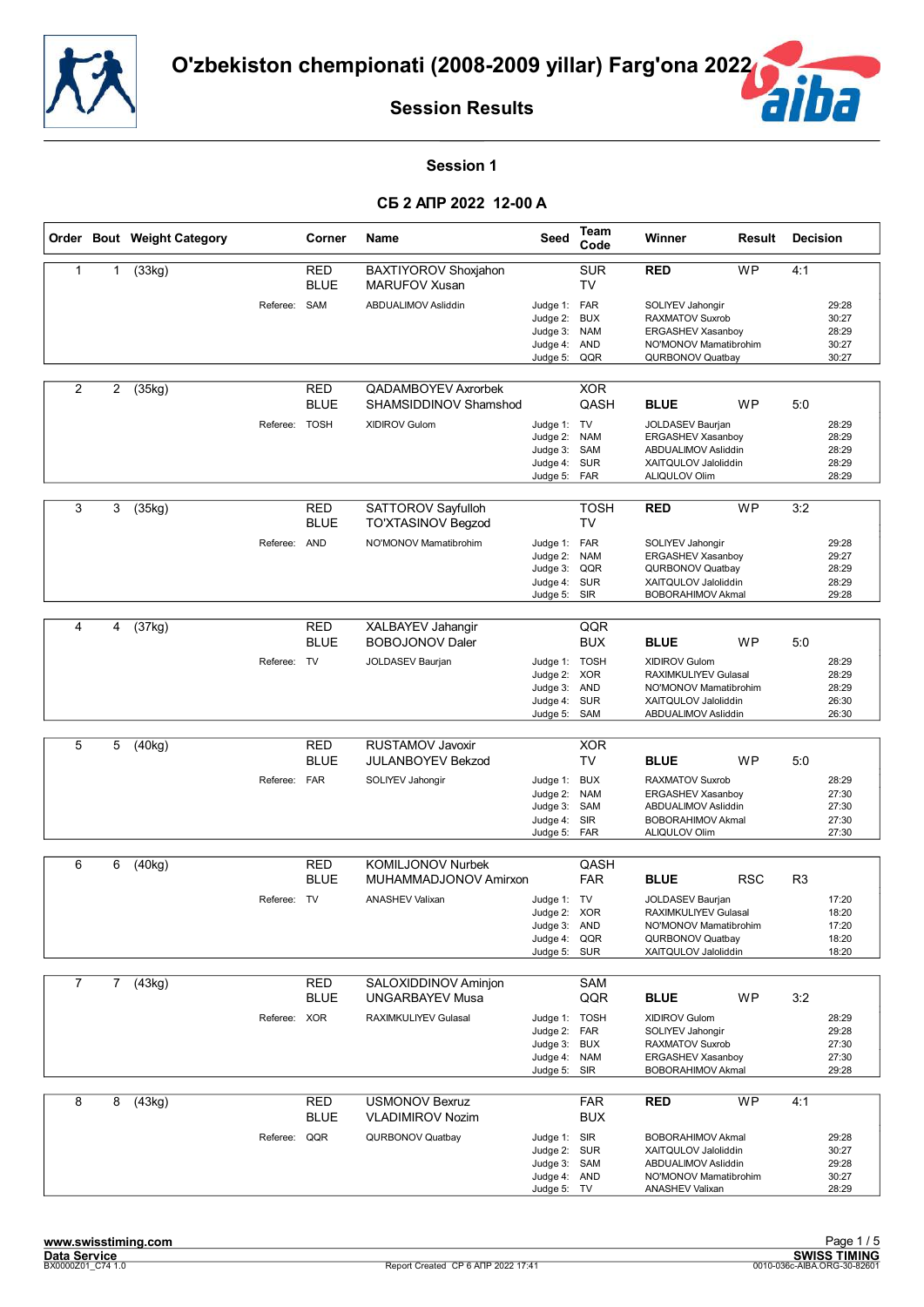



#### **Session 1**

|                |             | Order Bout Weight Category |               | Corner                    | Name                                              | Seed                                                                        | Team<br>Code                                  | Winner                                                                                                                     | Result     | <b>Decision</b> |                                           |
|----------------|-------------|----------------------------|---------------|---------------------------|---------------------------------------------------|-----------------------------------------------------------------------------|-----------------------------------------------|----------------------------------------------------------------------------------------------------------------------------|------------|-----------------|-------------------------------------------|
| 1              | 1           | (33kg)                     |               | RED<br><b>BLUE</b>        | BAXTIYOROV Shoxjahon<br>MARUFOV Xusan             |                                                                             | <b>SUR</b><br><b>TV</b>                       | <b>RED</b>                                                                                                                 | <b>WP</b>  | 4:1             |                                           |
|                |             |                            | Referee:      | SAM                       | ABDUALIMOV Asliddin                               | Judge 1: FAR<br>Judge 2:<br>Judge 3:<br>Judge $4$ :<br>Judge 5:             | <b>BUX</b><br><b>NAM</b><br>AND<br>QQR        | SOLIYEV Jahongir<br><b>RAXMATOV Suxrob</b><br><b>ERGASHEV Xasanboy</b><br>NO'MONOV Mamatibrohim<br><b>QURBONOV Quatbay</b> |            |                 | 29:28<br>30:27<br>28:29<br>30:27<br>30:27 |
| $\overline{2}$ | 2           | (35kg)                     |               | RED<br><b>BLUE</b>        | QADAMBOYEV Axrorbek<br>SHAMSIDDINOV Shamshod      |                                                                             | <b>XOR</b><br>QASH                            | <b>BLUE</b>                                                                                                                | <b>WP</b>  | 5:0             |                                           |
|                |             |                            | Referee: TOSH |                           | XIDIROV Gulom                                     | Judge 1: TV<br>Judge 2:<br>Judge 3: SAM<br>Judge 4:<br>Judge 5: FAR         | <b>NAM</b><br><b>SUR</b>                      | JOLDASEV Baurjan<br>ERGASHEV Xasanboy<br>ABDUALIMOV Asliddin<br>XAITQULOV Jaloliddin<br><b>ALIQULOV Olim</b>               |            |                 | 28:29<br>28:29<br>28:29<br>28:29<br>28:29 |
| 3              | 3           | $\overline{(35kg)}$        |               | <b>RED</b><br><b>BLUE</b> | SATTOROV Sayfulloh<br><b>TO'XTASINOV Begzod</b>   |                                                                             | <b>TOSH</b><br>TV                             | <b>RED</b>                                                                                                                 | <b>WP</b>  | 3:2             |                                           |
|                |             |                            | Referee:      | AND                       | NO'MONOV Mamatibrohim                             | Judge 1: FAR<br>Judge 2:<br>Judge 3:<br>Judge 4:<br>Judge 5:                | <b>NAM</b><br>QQR<br><b>SUR</b><br>SIR        | SOLIYEV Jahongir<br>ERGASHEV Xasanboy<br>QURBONOV Quatbay<br>XAITQULOV Jaloliddin<br><b>BOBORAHIMOV Akmal</b>              |            |                 | 29:28<br>29:27<br>28:29<br>28:29<br>29:28 |
|                |             |                            |               |                           |                                                   |                                                                             |                                               |                                                                                                                            |            |                 |                                           |
| 4              | 4           | (37kg)                     |               | <b>RED</b><br><b>BLUE</b> | XALBAYEV Jahangir<br><b>BOBOJONOV Daler</b>       |                                                                             | QQR<br><b>BUX</b>                             | <b>BLUE</b>                                                                                                                | <b>WP</b>  | 5:0             |                                           |
|                |             |                            | Referee: TV   |                           | JOLDASEV Baurjan                                  | Judge 1: TOSH<br>Judge 2: XOR<br>Judge 3: AND<br>Judge 4:<br>Judge 5:       | <b>SUR</b><br>SAM                             | <b>XIDIROV Gulom</b><br>RAXIMKULIYEV Gulasal<br>NO'MONOV Mamatibrohim<br>XAITQULOV Jaloliddin<br>ABDUALIMOV Asliddin       |            |                 | 28:29<br>28:29<br>28:29<br>26:30<br>26:30 |
|                |             |                            |               |                           |                                                   |                                                                             |                                               |                                                                                                                            |            |                 |                                           |
| 5              | 5           | (40kg)                     |               | RED<br><b>BLUE</b>        | RUSTAMOV Javoxir<br><b>JULANBOYEV Bekzod</b>      |                                                                             | <b>XOR</b><br><b>TV</b>                       | <b>BLUE</b>                                                                                                                | <b>WP</b>  | 5:0             |                                           |
|                |             |                            | Referee: FAR  |                           | SOLIYEV Jahongir                                  | Judge 1:<br>Judge 2:<br>Judge 3:<br>Judge 4:<br>Judge 5:                    | <b>BUX</b><br><b>NAM</b><br>SAM<br>SIR<br>FAR | <b>RAXMATOV Suxrob</b><br>ERGASHEV Xasanboy<br>ABDUALIMOV Asliddin<br><b>BOBORAHIMOV Akmal</b><br><b>ALIQULOV Olim</b>     |            |                 | 28:29<br>27:30<br>27:30<br>27:30<br>27:30 |
|                |             |                            |               |                           |                                                   |                                                                             |                                               |                                                                                                                            |            |                 |                                           |
| 6              | 6           | (40kg)                     |               | RED<br><b>BLUE</b>        | <b>KOMILJONOV Nurbek</b><br>MUHAMMADJONOV Amirxon |                                                                             | QASH<br><b>FAR</b>                            | <b>BLUE</b>                                                                                                                | <b>RSC</b> | R <sub>3</sub>  |                                           |
|                |             |                            | Referee: TV   |                           | <b>ANASHEV Valixan</b>                            | Judge 1: TV<br>Judge 2: XOR<br>Judge 3: AND<br>Judge 4: QQR<br>Judge 5: SUR |                                               | JOLDASEV Baurjan<br>RAXIMKULIYEV Gulasal<br>NO'MONOV Mamatibrohim<br>QURBONOV Quatbay<br>XAITQULOV Jaloliddin              |            |                 | 17:20<br>18:20<br>17:20<br>18:20<br>18:20 |
| $\overline{7}$ | $7^{\circ}$ | (43kg)                     |               | <b>RED</b>                | SALOXIDDINOV Aminjon                              |                                                                             | SAM                                           |                                                                                                                            |            |                 |                                           |
|                |             |                            |               | <b>BLUE</b>               | <b>UNGARBAYEV Musa</b>                            |                                                                             | QQR                                           | <b>BLUE</b>                                                                                                                | <b>WP</b>  | 3:2             |                                           |
|                |             |                            | Referee: XOR  |                           | RAXIMKULIYEV Gulasal                              | Judge 1: TOSH<br>Judge 2:<br>Judge 3: BUX<br>Judge 4:<br>Judge 5:           | FAR<br><b>NAM</b><br>SIR                      | XIDIROV Gulom<br>SOLIYEV Jahongir<br>RAXMATOV Suxrob<br><b>ERGASHEV Xasanboy</b><br><b>BOBORAHIMOV Akmal</b>               |            |                 | 28:29<br>29:28<br>27:30<br>27:30<br>29:28 |
| 8              | 8           | (43kg)                     |               | <b>RED</b>                | <b>USMONOV Bexruz</b>                             |                                                                             | <b>FAR</b>                                    | <b>RED</b>                                                                                                                 | <b>WP</b>  | 4:1             |                                           |
|                |             |                            | Referee: QQR  | <b>BLUE</b>               | <b>VLADIMIROV Nozim</b><br>QURBONOV Quatbay       | Judge 1: SIR<br>Judge 2: SUR<br>Judge 3: SAM<br>Judge 4: AND<br>Judge 5: TV | <b>BUX</b>                                    | <b>BOBORAHIMOV Akmal</b><br>XAITQULOV Jaloliddin<br>ABDUALIMOV Asliddin<br>NO'MONOV Mamatibrohim<br><b>ANASHEV Valixan</b> |            |                 | 29:28<br>30:27<br>29:28<br>30:27<br>28:29 |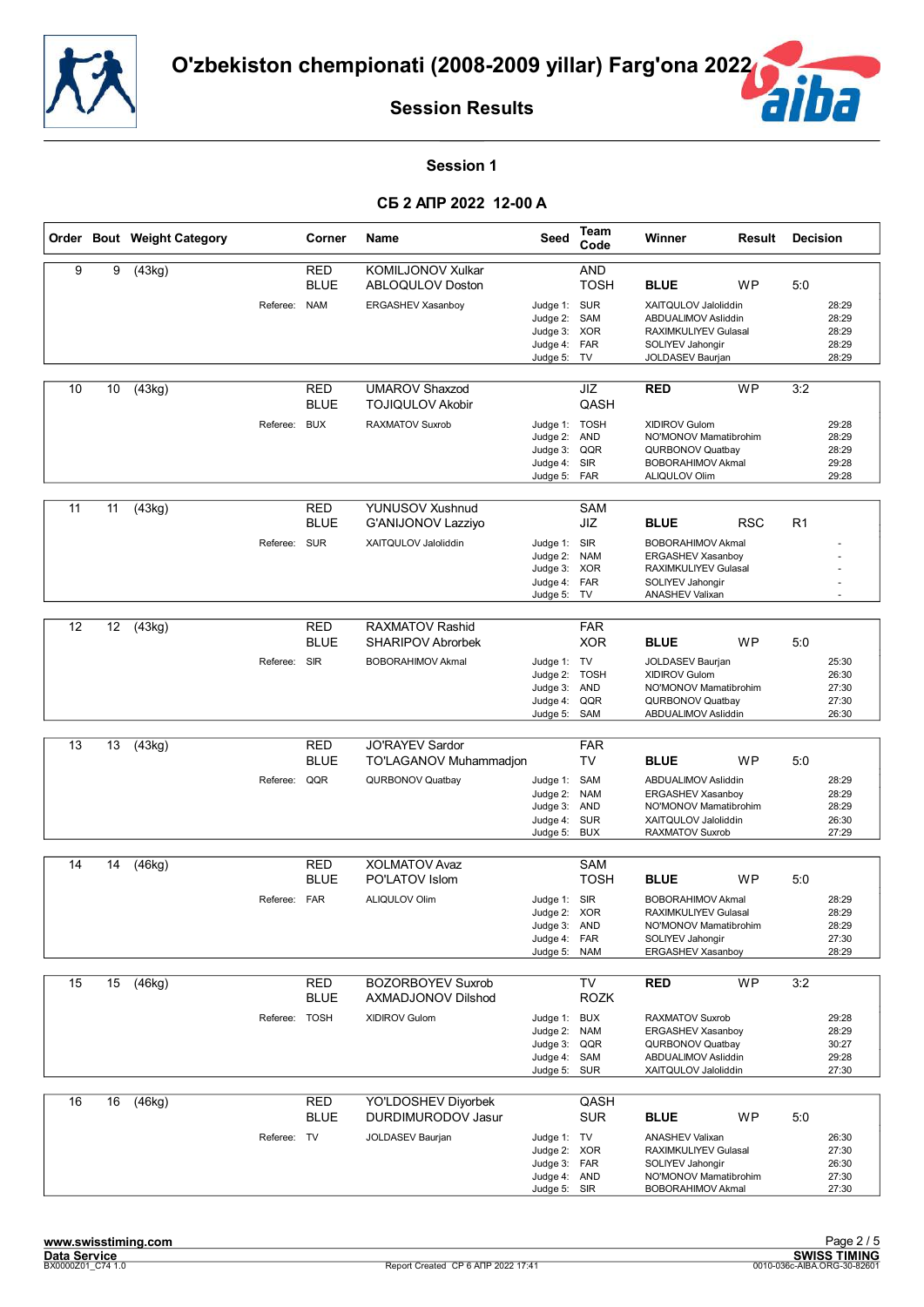



#### **Session 1**

|    |    | Order Bout Weight Category |               | Corner                           | Name                                                              | Seed                                                                          | Team<br>Code                                  | Winner                                                                                                                     | Result     | <b>Decision</b> |                                           |
|----|----|----------------------------|---------------|----------------------------------|-------------------------------------------------------------------|-------------------------------------------------------------------------------|-----------------------------------------------|----------------------------------------------------------------------------------------------------------------------------|------------|-----------------|-------------------------------------------|
| 9  | 9  | (43kg)                     | Referee:      | RED<br><b>BLUE</b><br><b>NAM</b> | <b>KOMILJONOV Xulkar</b><br>ABLOQULOV Doston<br>ERGASHEV Xasanboy | Judge 1: SUR                                                                  | <b>AND</b><br><b>TOSH</b>                     | <b>BLUE</b><br>XAITQULOV Jaloliddin                                                                                        | <b>WP</b>  | 5:0             | 28:29                                     |
|    |    |                            |               |                                  |                                                                   | Judge 2:<br>Judge 3: XOR<br>Judge 4: FAR<br>Judge 5: TV                       | SAM                                           | ABDUALIMOV Asliddin<br>RAXIMKULIYEV Gulasal<br>SOLIYEV Jahongir<br>JOLDASEV Baurjan                                        |            |                 | 28:29<br>28:29<br>28:29<br>28:29          |
| 10 | 10 | (43kg)                     |               | <b>RED</b><br><b>BLUE</b>        | <b>UMAROV Shaxzod</b><br><b>TOJIQULOV Akobir</b>                  |                                                                               | JIZ<br>QASH                                   | <b>RED</b>                                                                                                                 | <b>WP</b>  | 3:2             |                                           |
|    |    |                            | Referee:      | <b>BUX</b>                       | <b>RAXMATOV Suxrob</b>                                            | Judge 1: TOSH<br>Judge 2: AND<br>Judge 3: QQR<br>Judge 4: SIR<br>Judge 5: FAR |                                               | XIDIROV Gulom<br>NO'MONOV Mamatibrohim<br>QURBONOV Quatbay<br><b>BOBORAHIMOV Akmal</b><br>ALIQULOV Olim                    |            |                 | 29:28<br>28:29<br>28:29<br>29:28<br>29:28 |
| 11 | 11 | $\overline{(43kg)}$        |               | <b>RED</b><br><b>BLUE</b>        | <b>YUNUSOV Xushnud</b><br><b>G'ANIJONOV Lazzivo</b>               |                                                                               | <b>SAM</b><br>JIZ                             | <b>BLUE</b>                                                                                                                | <b>RSC</b> | R <sub>1</sub>  |                                           |
|    |    |                            | Referee:      | <b>SUR</b>                       | XAITQULOV Jaloliddin                                              | Judge 1: SIR<br>Judge 2:<br>Judge 3: XOR<br>Judge 4:<br>Judge 5: TV           | <b>NAM</b><br>FAR                             | <b>BOBORAHIMOV Akmal</b><br><b>ERGASHEV Xasanboy</b><br>RAXIMKULIYEV Gulasal<br>SOLIYEV Jahongir<br><b>ANASHEV Valixan</b> |            |                 |                                           |
|    |    |                            |               |                                  |                                                                   |                                                                               |                                               |                                                                                                                            |            |                 |                                           |
| 12 | 12 | (43kg)                     |               | <b>RED</b><br><b>BLUE</b>        | RAXMATOV Rashid<br><b>SHARIPOV Abrorbek</b>                       |                                                                               | <b>FAR</b><br><b>XOR</b>                      | <b>BLUE</b>                                                                                                                | <b>WP</b>  | 5:0             |                                           |
|    |    |                            | Referee: SIR  |                                  | <b>BOBORAHIMOV Akmal</b>                                          | Judge 1: TV<br>Judge 2: TOSH<br>Judge 3: AND<br>Judge 4:<br>Judge 5:          | QQR<br>SAM                                    | JOLDASEV Baurjan<br>XIDIROV Gulom<br>NO'MONOV Mamatibrohim<br>QURBONOV Quatbay<br>ABDUALIMOV Asliddin                      |            |                 | 25:30<br>26:30<br>27:30<br>27:30<br>26:30 |
|    |    |                            |               |                                  |                                                                   |                                                                               |                                               |                                                                                                                            |            |                 |                                           |
| 13 | 13 | (43kg)                     |               | RED<br><b>BLUE</b>               | <b>JO'RAYEV Sardor</b><br>TO'LAGANOV Muhammadjon                  |                                                                               | <b>FAR</b><br>TV                              | <b>BLUE</b>                                                                                                                | <b>WP</b>  | 5:0             |                                           |
|    |    |                            | Referee:      | QQR                              | QURBONOV Quatbay                                                  | Judge 1:<br>Judge 2:<br>Judge 3: AND<br>Judge 4:<br>Judge 5:                  | SAM<br><b>NAM</b><br><b>SUR</b><br><b>BUX</b> | ABDUALIMOV Asliddin<br>ERGASHEV Xasanboy<br>NO'MONOV Mamatibrohim<br>XAITQULOV Jaloliddin<br><b>RAXMATOV Suxrob</b>        |            |                 | 28:29<br>28:29<br>28:29<br>26:30<br>27:29 |
| 14 | 14 | (46kg)                     |               | RED                              | <b>XOLMATOV Avaz</b>                                              |                                                                               | SAM                                           |                                                                                                                            |            |                 |                                           |
|    |    |                            |               | <b>BLUE</b>                      | PO'LATOV Islom                                                    |                                                                               | <b>TOSH</b>                                   | <b>BLUE</b>                                                                                                                | WP         | 5:0             |                                           |
|    |    |                            | Referee: FAR  |                                  | <b>ALIQULOV Olim</b>                                              | Judge 1: SIR<br>Judge 2: XOR<br>Judge 3: AND<br>Judge 4: FAR<br>Judge 5:      | <b>NAM</b>                                    | <b>BOBORAHIMOV Akmal</b><br>RAXIMKULIYEV Gulasal<br>NO'MONOV Mamatibrohim<br>SOLIYEV Jahongir<br>ERGASHEV Xasanboy         |            |                 | 28:29<br>28:29<br>28:29<br>27:30<br>28:29 |
| 15 | 15 | (46kg)                     |               | <b>RED</b><br><b>BLUE</b>        | <b>BOZORBOYEV Suxrob</b><br>AXMADJONOV Dilshod                    |                                                                               | TV<br><b>ROZK</b>                             | <b>RED</b>                                                                                                                 | <b>WP</b>  | 3:2             |                                           |
|    |    |                            | Referee: TOSH |                                  | XIDIROV Gulom                                                     | Judge 1: BUX<br>Judge 2:<br>Judge 3: QQR<br>Judge 4:<br>Judge 5: SUR          | <b>NAM</b><br>SAM                             | <b>RAXMATOV Suxrob</b><br>ERGASHEV Xasanboy<br>QURBONOV Quatbay<br>ABDUALIMOV Asliddin<br>XAITQULOV Jaloliddin             |            |                 | 29:28<br>28:29<br>30:27<br>29:28<br>27:30 |
| 16 | 16 | (46kg)                     |               | <b>RED</b><br><b>BLUE</b>        | YO'LDOSHEV Diyorbek<br>DURDIMURODOV Jasur                         |                                                                               | QASH<br><b>SUR</b>                            | <b>BLUE</b>                                                                                                                | WP         | 5:0             |                                           |
|    |    |                            | Referee: TV   |                                  | JOLDASEV Baurjan                                                  | Judge 1: TV<br>Judge 2: XOR<br>Judge 3: FAR<br>Judge 4: AND<br>Judge 5: SIR   |                                               | <b>ANASHEV Valixan</b><br>RAXIMKULIYEV Gulasal<br>SOLIYEV Jahongir<br>NO'MONOV Mamatibrohim<br><b>BOBORAHIMOV Akmal</b>    |            |                 | 26:30<br>27:30<br>26:30<br>27:30<br>27:30 |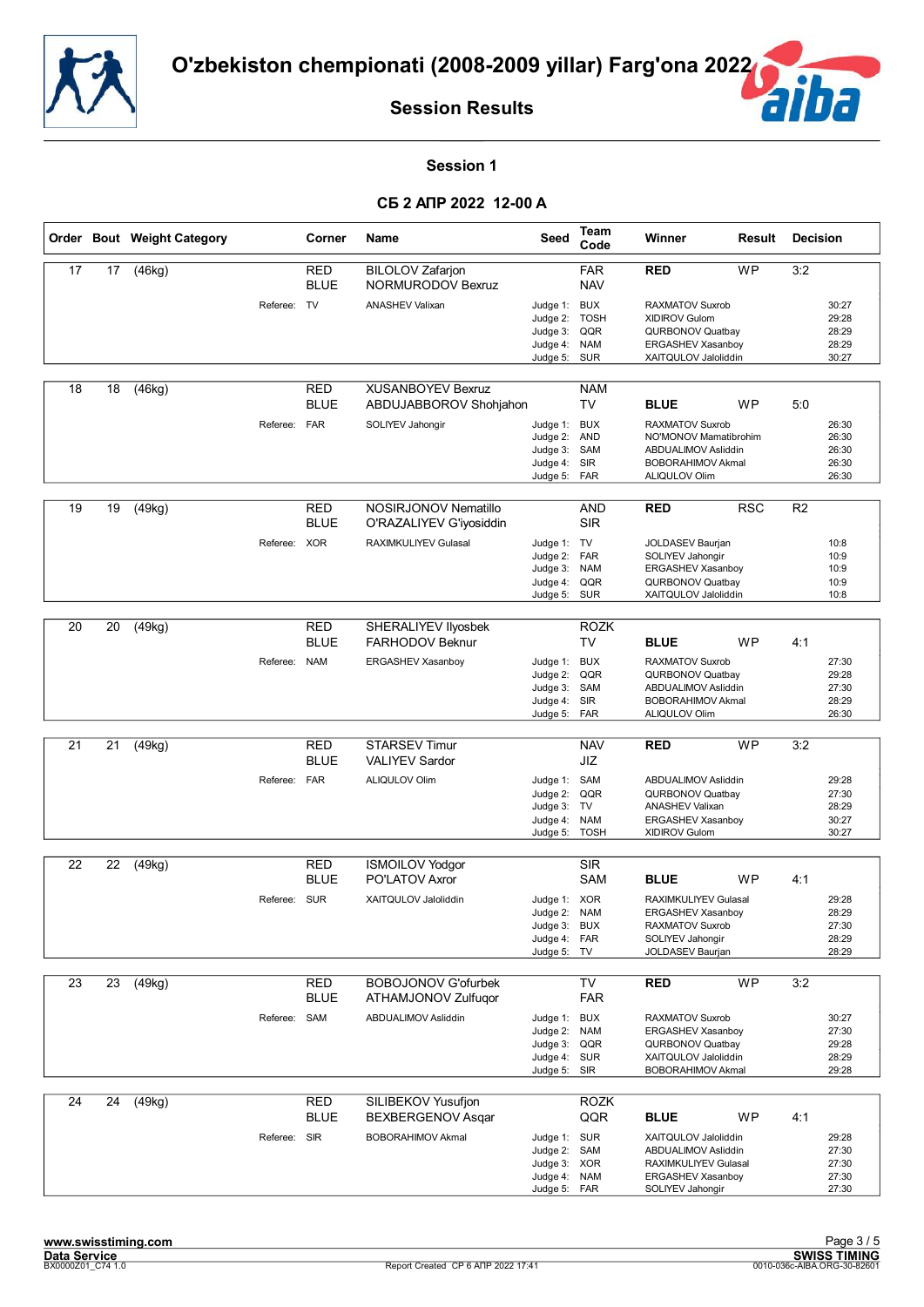



#### **Session 1**

|    |    | Order Bout Weight Category |              | Corner                    | <b>Name</b>                                        | Seed                                                                    | Team<br>Code                                  | Winner                                                                                                                           | Result     | <b>Decision</b> |                                           |
|----|----|----------------------------|--------------|---------------------------|----------------------------------------------------|-------------------------------------------------------------------------|-----------------------------------------------|----------------------------------------------------------------------------------------------------------------------------------|------------|-----------------|-------------------------------------------|
| 17 | 17 | (46kg)                     |              | <b>RED</b><br><b>BLUE</b> | <b>BILOLOV Zafarion</b><br>NORMURODOV Bexruz       |                                                                         | <b>FAR</b><br><b>NAV</b>                      | <b>RED</b>                                                                                                                       | <b>WP</b>  | 3:2             |                                           |
|    |    |                            | Referee: TV  |                           | <b>ANASHEV Valixan</b>                             | Judge 1: BUX<br>Judge 2:<br>Judge 3:<br>Judge 4:<br>Judge 5: SUR        | <b>TOSH</b><br>QQR<br><b>NAM</b>              | <b>RAXMATOV Suxrob</b><br><b>XIDIROV Gulom</b><br>QURBONOV Quatbay<br><b>ERGASHEV Xasanboy</b><br>XAITQULOV Jaloliddin           |            |                 | 30:27<br>29:28<br>28:29<br>28:29<br>30:27 |
| 18 | 18 | (46kg)                     |              | <b>RED</b><br><b>BLUE</b> | <b>XUSANBOYEV Bexruz</b><br>ABDUJABBOROV Shohjahon |                                                                         | <b>NAM</b><br><b>TV</b>                       | <b>BLUE</b>                                                                                                                      | <b>WP</b>  | 5:0             |                                           |
|    |    |                            | Referee:     | <b>FAR</b>                | SOLIYEV Jahongir                                   | Judge 1:<br>Judge 2:<br>Judge 3: SAM<br>Judge 4: SIR<br>Judge 5:        | <b>BUX</b><br><b>AND</b><br>FAR               | <b>RAXMATOV Suxrob</b><br>NO'MONOV Mamatibrohim<br>ABDUALIMOV Asliddin<br><b>BOBORAHIMOV Akmal</b><br><b>ALIQULOV Olim</b>       |            |                 | 26:30<br>26:30<br>26:30<br>26:30<br>26:30 |
| 19 | 19 | (49kg)                     |              | <b>RED</b><br><b>BLUE</b> | NOSIRJONOV Nematillo<br>O'RAZALIYEV G'iyosiddin    |                                                                         | <b>AND</b><br><b>SIR</b>                      | <b>RED</b>                                                                                                                       | <b>RSC</b> | R <sub>2</sub>  |                                           |
|    |    |                            | Referee: XOR |                           | RAXIMKULIYEV Gulasal                               | Judge 1: TV<br>Judge 2:<br>Judge 3:<br>Judge 4:<br>Judge 5:             | <b>FAR</b><br><b>NAM</b><br>QQR<br><b>SUR</b> | JOLDASEV Baurjan<br>SOLIYEV Jahongir<br>ERGASHEV Xasanboy<br>QURBONOV Quatbay<br>XAITQULOV Jaloliddin                            |            |                 | 10:8<br>10:9<br>10:9<br>10:9<br>10:8      |
|    |    |                            |              |                           |                                                    |                                                                         |                                               |                                                                                                                                  |            |                 |                                           |
| 20 | 20 | (49kg)                     |              | <b>RED</b><br><b>BLUE</b> | SHERALIYEV IIyosbek<br><b>FARHODOV Beknur</b>      |                                                                         | <b>ROZK</b><br><b>TV</b>                      | <b>BLUE</b>                                                                                                                      | <b>WP</b>  | 4:1             |                                           |
|    |    |                            | Referee:     | <b>NAM</b>                | ERGASHEV Xasanboy                                  | Judge 1:<br>Judge 2:<br>Judge 3: SAM<br>Judge 4: SIR<br>Judge 5:        | <b>BUX</b><br>QQR<br>FAR                      | RAXMATOV Suxrob<br><b>QURBONOV Quatbay</b><br>ABDUALIMOV Asliddin<br><b>BOBORAHIMOV Akmal</b><br><b>ALIQULOV Olim</b>            |            |                 | 27:30<br>29:28<br>27:30<br>28:29<br>26:30 |
|    |    |                            |              |                           |                                                    |                                                                         |                                               |                                                                                                                                  |            |                 |                                           |
| 21 | 21 | (49kg)                     |              | <b>RED</b><br><b>BLUE</b> | <b>STARSEV Timur</b><br><b>VALIYEV Sardor</b>      |                                                                         | <b>NAV</b><br>JIZ                             | <b>RED</b>                                                                                                                       | <b>WP</b>  | 3:2             |                                           |
|    |    |                            | Referee: FAR |                           | ALIQULOV Olim                                      | Judge 1: SAM<br>Judge 2: QQR<br>Judge 3:<br>Judge 4:<br>Judge 5:        | TV<br><b>NAM</b><br><b>TOSH</b>               | ABDUALIMOV Asliddin<br>QURBONOV Quatbay<br><b>ANASHEV Valixan</b><br>ERGASHEV Xasanboy<br>XIDIROV Gulom                          |            |                 | 29:28<br>27:30<br>28:29<br>30:27<br>30:27 |
| 22 | 22 | (49kg)                     |              | <b>RED</b>                | <b>ISMOILOV Yodgor</b>                             |                                                                         | <b>SIR</b>                                    |                                                                                                                                  |            |                 |                                           |
|    |    |                            |              | <b>BLUE</b>               | PO'LATOV Axror                                     |                                                                         | <b>SAM</b>                                    | <b>BLUE</b>                                                                                                                      | <b>WP</b>  | 4:1             |                                           |
|    |    |                            | Referee:     | SUR                       | XAITQULOV Jaloliddin                               | Judge 1: XOR<br>Judge 2:<br>Judge 3: BUX<br>Judge 4: FAR<br>Judge 5: TV | <b>NAM</b>                                    | <b>RAXIMKULIYEV Gulasal</b><br><b>ERGASHEV Xasanbov</b><br><b>RAXMATOV Suxrob</b><br>SOLIYEV Jahongir<br><b>JOLDASEV Baurjan</b> |            |                 | 29:28<br>28:29<br>27:30<br>28:29<br>28:29 |
| 23 | 23 | (49kg)                     |              | <b>RED</b>                | <b>BOBOJONOV G'ofurbek</b>                         |                                                                         | TV                                            | <b>RED</b>                                                                                                                       | <b>WP</b>  | 3:2             |                                           |
|    |    |                            |              | <b>BLUE</b>               | ATHAMJONOV Zulfuqor                                |                                                                         | <b>FAR</b>                                    |                                                                                                                                  |            |                 |                                           |
|    |    |                            | Referee: SAM |                           | ABDUALIMOV Asliddin                                | Judge 1: BUX<br>Judge 2:<br>Judge 3:<br>Judge 4: SUR<br>Judge 5:        | <b>NAM</b><br>QQR<br>SIR                      | RAXMATOV Suxrob<br><b>ERGASHEV Xasanboy</b><br>QURBONOV Quatbay<br>XAITQULOV Jaloliddin<br><b>BOBORAHIMOV Akmal</b>              |            |                 | 30:27<br>27:30<br>29:28<br>28:29<br>29:28 |
| 24 | 24 | (49kg)                     |              | RED<br><b>BLUE</b>        | SILIBEKOV Yusufjon<br>BEXBERGENOV Asqar            |                                                                         | <b>ROZK</b><br>QQR                            | <b>BLUE</b>                                                                                                                      | <b>WP</b>  | 4:1             |                                           |
|    |    |                            | Referee: SIR |                           | <b>BOBORAHIMOV Akmal</b>                           | Judge 1: SUR<br>Judge 2:<br>Judge 3: XOR<br>Judge 4:<br>Judge 5:        | SAM<br><b>NAM</b><br>FAR                      | XAITQULOV Jaloliddin<br>ABDUALIMOV Asliddin<br>RAXIMKULIYEV Gulasal<br>ERGASHEV Xasanboy<br>SOLIYEV Jahongir                     |            |                 | 29:28<br>27:30<br>27:30<br>27:30<br>27:30 |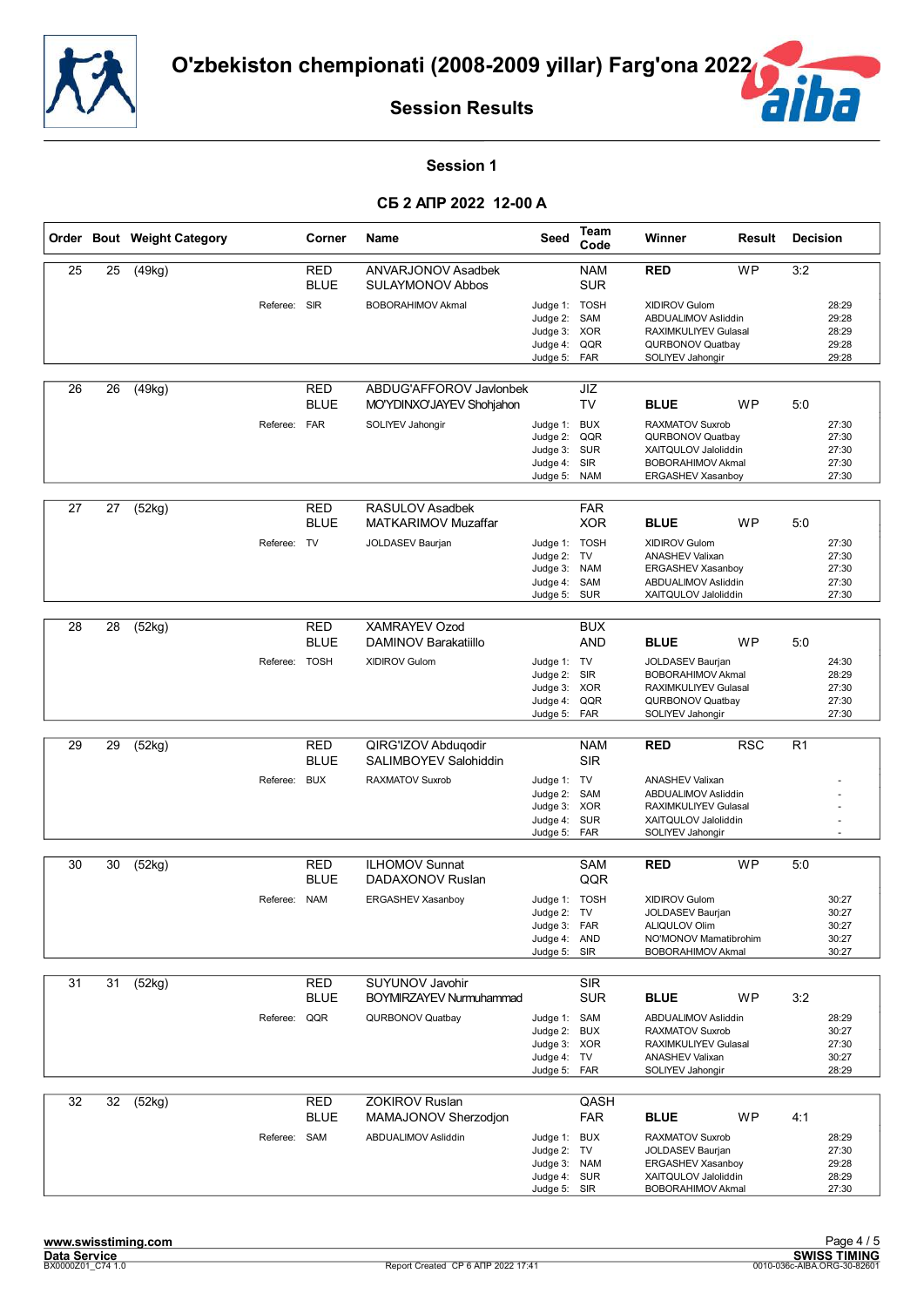



#### **Session 1**

|    |    | Order Bout Weight Category |               | Corner                    | Name                                                 | Seed                                                              | Team<br>Code                          | Winner                                                                                                              | Result     | <b>Decision</b> |                                           |
|----|----|----------------------------|---------------|---------------------------|------------------------------------------------------|-------------------------------------------------------------------|---------------------------------------|---------------------------------------------------------------------------------------------------------------------|------------|-----------------|-------------------------------------------|
| 25 | 25 | (49kg)                     |               | <b>RED</b><br><b>BLUE</b> | ANVARJONOV Asadbek<br><b>SULAYMONOV Abbos</b>        |                                                                   | <b>NAM</b><br><b>SUR</b>              | <b>RED</b>                                                                                                          | <b>WP</b>  | 3:2             |                                           |
|    |    |                            | Referee: SIR  |                           | <b>BOBORAHIMOV Akmal</b>                             | Judge 1: TOSH<br>Judge 2:<br>Judge 3:<br>Judge 4:<br>Judge 5: FAR | SAM<br><b>XOR</b><br>QQR              | XIDIROV Gulom<br>ABDUALIMOV Asliddin<br><b>RAXIMKULIYEV Gulasal</b><br>QURBONOV Quatbay<br>SOLIYEV Jahongir         |            |                 | 28:29<br>29:28<br>28:29<br>29:28<br>29:28 |
| 26 | 26 | (49kg)                     |               | <b>RED</b><br><b>BLUE</b> | ABDUG'AFFOROV Javlonbek<br>MO'YDINXO'JAYEV Shohjahon |                                                                   | JIZ<br><b>TV</b>                      | <b>BLUE</b>                                                                                                         | <b>WP</b>  | 5:0             |                                           |
|    |    |                            | Referee: FAR  |                           | SOLIYEV Jahongir                                     | Judge 1: BUX<br>Judge 2:<br>Judge 3: SUR<br>Judge 4:<br>Judge 5:  | QQR<br>SIR<br><b>NAM</b>              | <b>RAXMATOV Suxrob</b><br>QURBONOV Quatbay<br>XAITQULOV Jaloliddin<br><b>BOBORAHIMOV Akmal</b><br>ERGASHEV Xasanboy |            |                 | 27:30<br>27:30<br>27:30<br>27:30<br>27:30 |
| 27 | 27 | (52kg)                     |               | <b>RED</b><br><b>BLUE</b> | RASULOV Asadbek<br>MATKARIMOV Muzaffar               |                                                                   | <b>FAR</b><br><b>XOR</b>              | <b>BLUE</b>                                                                                                         | <b>WP</b>  | 5:0             |                                           |
|    |    |                            | Referee: TV   |                           | JOLDASEV Baurjan                                     | Judge 1: TOSH<br>Judge 2:<br>Judge 3:<br>Judge 4:<br>Judge 5:     | TV<br><b>NAM</b><br>SAM<br><b>SUR</b> | <b>XIDIROV Gulom</b><br><b>ANASHEV Valixan</b><br>ERGASHEV Xasanboy<br>ABDUALIMOV Asliddin<br>XAITQULOV Jaloliddin  |            |                 | 27:30<br>27:30<br>27:30<br>27:30<br>27:30 |
|    |    |                            |               |                           |                                                      |                                                                   |                                       |                                                                                                                     |            |                 |                                           |
| 28 | 28 | (52kg)                     |               | <b>RED</b><br><b>BLUE</b> | <b>XAMRAYEV Ozod</b><br>DAMINOV Barakatiillo         |                                                                   | <b>BUX</b><br><b>AND</b>              | <b>BLUE</b>                                                                                                         | <b>WP</b>  | 5:0             |                                           |
|    |    |                            | Referee: TOSH |                           | <b>XIDIROV Gulom</b>                                 | Judge 1: TV<br>Judge 2:<br>Judge 3: XOR<br>Judge 4:<br>Judge 5:   | <b>SIR</b><br>QQR<br>FAR              | <b>JOLDASEV Baurjan</b><br><b>BOBORAHIMOV Akmal</b><br>RAXIMKULIYEV Gulasal<br>QURBONOV Quatbay<br>SOLIYEV Jahongir |            |                 | 24:30<br>28:29<br>27:30<br>27:30<br>27:30 |
|    |    |                            |               |                           |                                                      |                                                                   |                                       |                                                                                                                     |            |                 |                                           |
| 29 | 29 | (52kg)                     |               | <b>RED</b><br><b>BLUE</b> | QIRG'IZOV Abduqodir<br><b>SALIMBOYEV Salohiddin</b>  |                                                                   | <b>NAM</b><br><b>SIR</b>              | <b>RED</b>                                                                                                          | <b>RSC</b> | R <sub>1</sub>  |                                           |
|    |    |                            | Referee: BUX  |                           | <b>RAXMATOV Suxrob</b>                               | Judge 1: TV                                                       |                                       | <b>ANASHEV Valixan</b>                                                                                              |            |                 |                                           |
|    |    |                            |               |                           |                                                      | Judge 2:<br>Judge 3: XOR                                          | SAM                                   | ABDUALIMOV Asliddin<br>RAXIMKULIYEV Gulasal                                                                         |            |                 |                                           |
|    |    |                            |               |                           |                                                      | Judge 4:<br>Judge 5:                                              | <b>SUR</b><br>FAR                     | XAITQULOV Jaloliddin<br>SOLIYEV Jahongir                                                                            |            |                 |                                           |
| 30 | 30 | (52kg)                     |               | <b>RED</b>                | <b>ILHOMOV Sunnat</b>                                |                                                                   | <b>SAM</b>                            | <b>RED</b>                                                                                                          | <b>WP</b>  | 5:0             |                                           |
|    |    |                            |               | <b>BLUE</b>               | DADAXONOV Ruslan                                     |                                                                   | QQR                                   |                                                                                                                     |            |                 |                                           |
|    |    |                            | Referee: NAM  |                           | ERGASHEV Xasanboy                                    | Judge 1: TOSH                                                     |                                       | <b>XIDIROV Gulom</b>                                                                                                |            |                 | 30:27                                     |
|    |    |                            |               |                           |                                                      | Judge 2: TV                                                       |                                       | <b>JOLDASEV Baurjan</b><br>ALIQULOV Olim                                                                            |            |                 | 30:27                                     |
|    |    |                            |               |                           |                                                      | Judge 3: FAR<br>Judge 4: AND                                      |                                       | NO'MONOV Mamatibrohim                                                                                               |            |                 | 30:27<br>30:27                            |
|    |    |                            |               |                           |                                                      | Judge 5: SIR                                                      |                                       | <b>BOBORAHIMOV Akmal</b>                                                                                            |            |                 | 30:27                                     |
| 31 | 31 | (52kg)                     |               | <b>RED</b>                | SUYUNOV Javohir                                      |                                                                   | <b>SIR</b>                            |                                                                                                                     |            |                 |                                           |
|    |    |                            |               | <b>BLUE</b>               | <b>BOYMIRZAYEV Nurmuhammad</b>                       |                                                                   | <b>SUR</b>                            | <b>BLUE</b>                                                                                                         | <b>WP</b>  | 3:2             |                                           |
|    |    |                            | Referee: QQR  |                           | QURBONOV Quatbay                                     | Judge 1: SAM                                                      |                                       | ABDUALIMOV Asliddin                                                                                                 |            |                 | 28:29                                     |
|    |    |                            |               |                           |                                                      | Judge 2: BUX<br>Judge 3: XOR                                      |                                       | <b>RAXMATOV Suxrob</b><br>RAXIMKULIYEV Gulasal                                                                      |            |                 | 30:27<br>27:30                            |
|    |    |                            |               |                           |                                                      | Judge 4: TV<br>Judge 5: FAR                                       |                                       | <b>ANASHEV Valixan</b><br>SOLIYEV Jahongir                                                                          |            |                 | 30:27<br>28:29                            |
| 32 | 32 | (52kg)                     |               | RED                       | <b>ZOKIROV Ruslan</b>                                |                                                                   | QASH                                  |                                                                                                                     |            |                 |                                           |
|    |    |                            |               | <b>BLUE</b>               | MAMAJONOV Sherzodjon                                 |                                                                   | <b>FAR</b>                            | <b>BLUE</b>                                                                                                         | <b>WP</b>  | 4:1             |                                           |
|    |    |                            | Referee: SAM  |                           | ABDUALIMOV Asliddin                                  | Judge 1: BUX<br>Judge 2: TV                                       |                                       | RAXMATOV Suxrob<br>JOLDASEV Baurjan                                                                                 |            |                 | 28:29<br>27:30                            |
|    |    |                            |               |                           |                                                      | Judge 3: NAM<br>Judge 4: SUR                                      |                                       | ERGASHEV Xasanboy                                                                                                   |            |                 | 29:28                                     |
|    |    |                            |               |                           |                                                      | Judge 5: SIR                                                      |                                       | XAITQULOV Jaloliddin<br><b>BOBORAHIMOV Akmal</b>                                                                    |            |                 | 28:29<br>27:30                            |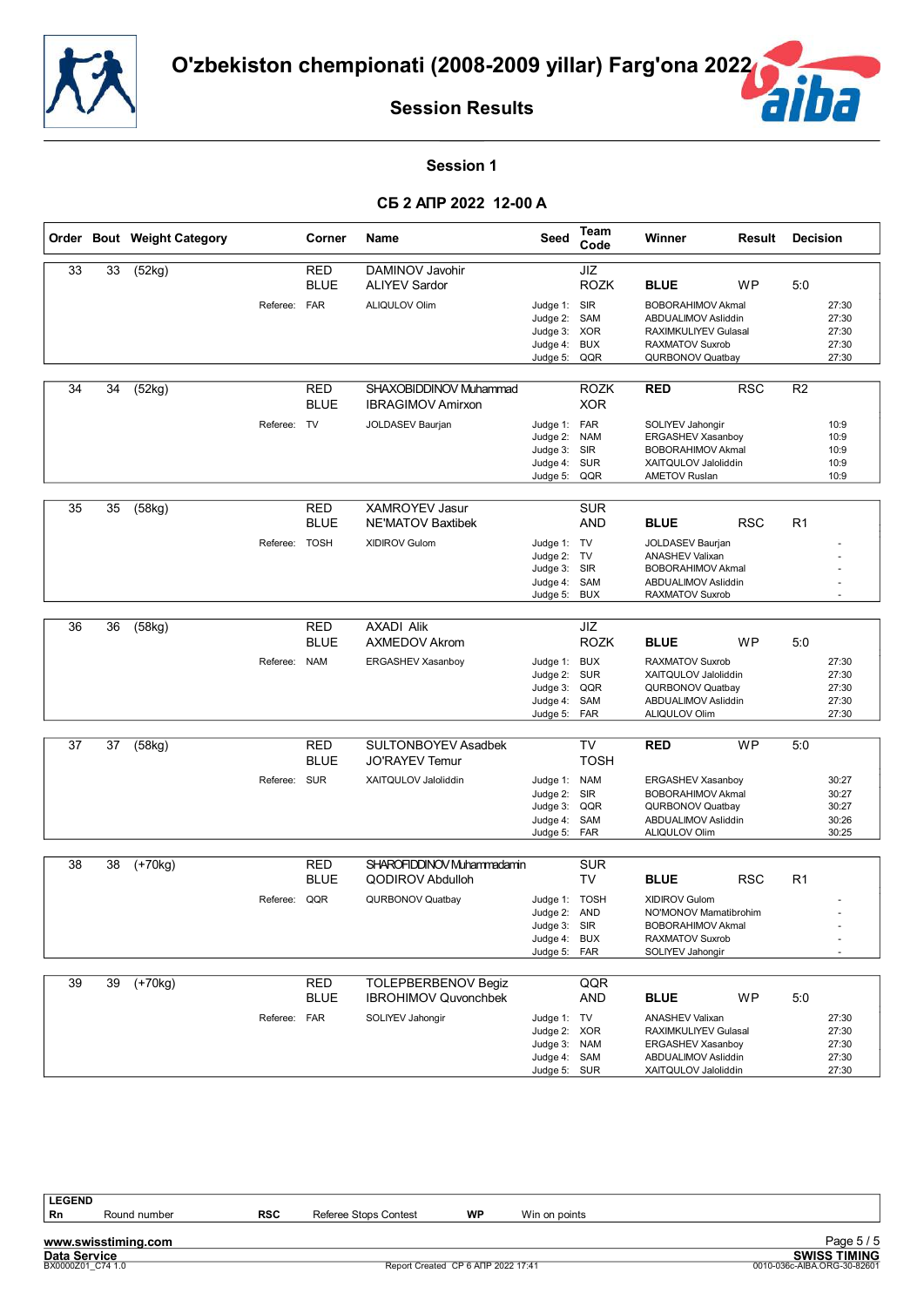



#### **Session 1**

#### **СБ 2 АПР 2022 12-00 A**

|    |    | Order Bout Weight Category |               | Corner                    | <b>Name</b>                                                                   | Seed                                                                    | Team<br>Code                                                        | Winner                                                                                                                                      | Result     | <b>Decision</b> |                                           |
|----|----|----------------------------|---------------|---------------------------|-------------------------------------------------------------------------------|-------------------------------------------------------------------------|---------------------------------------------------------------------|---------------------------------------------------------------------------------------------------------------------------------------------|------------|-----------------|-------------------------------------------|
| 33 | 33 | (52kg)                     | Referee: FAR  | RED<br><b>BLUE</b>        | DAMINOV Javohir<br><b>ALIYEV Sardor</b><br>ALIQULOV Olim                      | Judge 1: SIR<br>Judge 2:<br>Judge 3: XOR<br>Judge 4:<br>Judge 5:        | JIZ<br><b>ROZK</b><br>SAM<br><b>BUX</b><br>QQR                      | <b>BLUE</b><br><b>BOBORAHIMOV Akmal</b><br><b>ABDUALIMOV Asliddin</b><br>RAXIMKULIYEV Gulasal<br><b>RAXMATOV Suxrob</b><br>QURBONOV Quatbay | WP         | 5:0             | 27:30<br>27:30<br>27:30<br>27:30<br>27:30 |
| 34 | 34 | (52kg)                     | Referee: TV   | <b>RED</b><br><b>BLUE</b> | SHAXOBIDDINOV Muhammad<br><b>IBRAGIMOV Amirxon</b><br>JOLDASEV Baurjan        | Judge 1: FAR<br>Judge 2:<br>Judge 3:<br>Judge 4:<br>Judge 5:            | <b>ROZK</b><br><b>XOR</b><br><b>NAM</b><br>SIR<br><b>SUR</b><br>QQR | <b>RED</b><br>SOLIYEV Jahongir<br>ERGASHEV Xasanboy<br><b>BOBORAHIMOV Akmal</b><br>XAITQULOV Jaloliddin<br><b>AMETOV Ruslan</b>             | <b>RSC</b> | R <sub>2</sub>  | 10:9<br>10:9<br>10:9<br>10:9<br>10:9      |
| 35 | 35 | (58kg)                     | Referee: TOSH | <b>RED</b><br><b>BLUE</b> | <b>XAMROYEV Jasur</b><br><b>NE'MATOV Baxtibek</b><br>XIDIROV Gulom            | Judge 1: TV<br>Judge 2: TV<br>Judge 3:<br>Judge 4:<br>Judge 5:          | <b>SUR</b><br><b>AND</b><br>SIR<br>SAM<br><b>BUX</b>                | <b>BLUE</b><br>JOLDASEV Baurjan<br><b>ANASHEV Valixan</b><br><b>BOBORAHIMOV Akmal</b><br>ABDUALIMOV Asliddin<br>RAXMATOV Suxrob             | <b>RSC</b> | R1              |                                           |
| 36 | 36 | (58kg)                     | Referee: NAM  | <b>RED</b><br><b>BLUE</b> | <b>AXADI Alik</b><br>AXMEDOV Akrom<br>ERGASHEV Xasanboy                       | Judge 1: BUX<br>Judge 2:<br>Judge 3:<br>Judge 4:<br>Judge 5:            | <b>JIZ</b><br><b>ROZK</b><br><b>SUR</b><br>QQR<br>SAM<br>FAR        | <b>BLUE</b><br><b>RAXMATOV Suxrob</b><br>XAITQULOV Jaloliddin<br>QURBONOV Quatbay<br>ABDUALIMOV Asliddin<br>ALIQULOV Olim                   | WP.        | 5:0             | 27:30<br>27:30<br>27:30<br>27:30<br>27:30 |
| 37 | 37 | (58kg)                     | Referee: SUR  | RED<br><b>BLUE</b>        | <b>SULTONBOYEV Asadbek</b><br><b>JO'RAYEV Temur</b><br>XAITQULOV Jaloliddin   | Judge 1: NAM<br>Judge 2:<br>Judge 3:<br>Judge 4:<br>Judge 5: FAR        | <b>TV</b><br><b>TOSH</b><br>SIR<br>QQR<br>SAM                       | <b>RED</b><br>ERGASHEV Xasanboy<br><b>BOBORAHIMOV Akmal</b><br>QURBONOV Quatbay<br>ABDUALIMOV Asliddin<br>ALIQULOV Olim                     | <b>WP</b>  | 5:0             | 30:27<br>30:27<br>30:27<br>30:26<br>30:25 |
| 38 | 38 | $(+70kg)$                  | Referee: QQR  | <b>RED</b><br><b>BLUE</b> | SHAROFIDDINOV Muhammadamin<br><b>QODIROV Abdulloh</b><br>QURBONOV Quatbay     | Judge 1: TOSH<br>Judge 2: AND<br>Judge 3: SIR<br>Judge 4:<br>Judge 5:   | <b>SUR</b><br><b>TV</b><br><b>BUX</b><br>FAR                        | <b>BLUE</b><br><b>XIDIROV Gulom</b><br>NO'MONOV Mamatibrohim<br><b>BOBORAHIMOV Akmal</b><br><b>RAXMATOV Suxrob</b><br>SOLIYEV Jahongir      | <b>RSC</b> | R <sub>1</sub>  |                                           |
| 39 | 39 | $(+70kg)$                  | Referee: FAR  | <b>RED</b><br><b>BLUE</b> | <b>TOLEPBERBENOV Begiz</b><br><b>IBROHIMOV Quvonchbek</b><br>SOLIYEV Jahongir | Judge 1: TV<br>Judge 2: XOR<br>Judge 3:<br>Judge 4: SAM<br>Judge 5: SUR | QQR<br>AND<br><b>NAM</b>                                            | <b>BLUE</b><br><b>ANASHEV Valixan</b><br>RAXIMKULIYEV Gulasal<br>ERGASHEV Xasanboy<br>ABDUALIMOV Asliddin<br>XAITQULOV Jaloliddin           | <b>WP</b>  | 5:0             | 27:30<br>27:30<br>27:30<br>27:30<br>27:30 |

**LEGEND**<br>**Rn** Round number

**www.swisstiming.com**<br>Data Service<br>**BX0000201\_C74** 1.0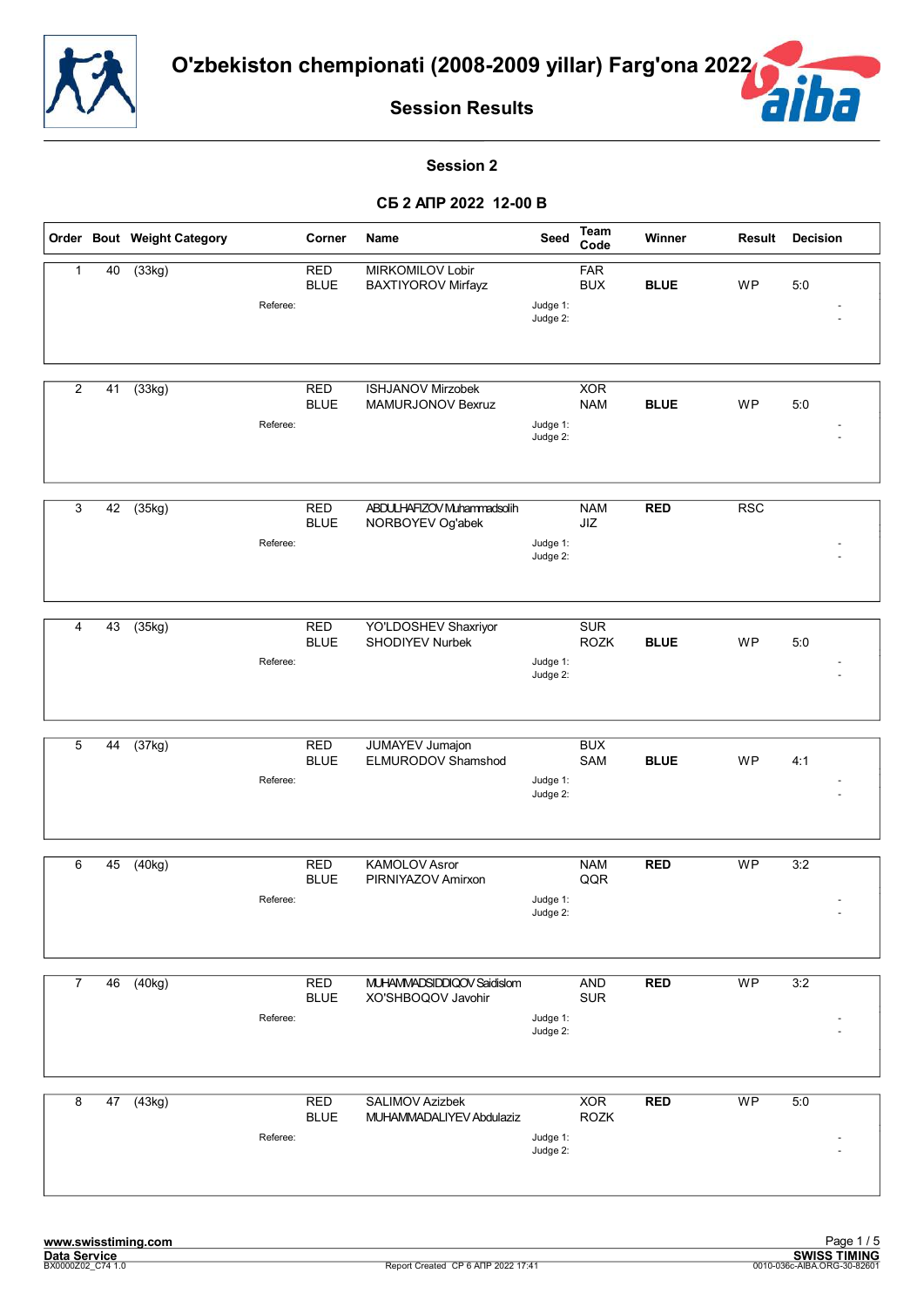



#### **Session 2**

|                |    | Order Bout Weight Category |          | Corner                    | Name                                               | Seed                 | <b>Team</b><br>Code       | Winner      | Result          | <b>Decision</b> |
|----------------|----|----------------------------|----------|---------------------------|----------------------------------------------------|----------------------|---------------------------|-------------|-----------------|-----------------|
| $\mathbf{1}$   | 40 | (33kg)                     | Referee: | <b>RED</b><br><b>BLUE</b> | MIRKOMILOV Lobir<br><b>BAXTIYOROV Mirfayz</b>      | Judge 1:<br>Judge 2: | <b>FAR</b><br><b>BUX</b>  | <b>BLUE</b> | WP              | 5:0             |
| $\overline{c}$ | 41 | (33kg)                     | Referee: | <b>RED</b><br><b>BLUE</b> | <b>ISHJANOV Mirzobek</b><br>MAMURJONOV Bexruz      | Judge 1:<br>Judge 2: | <b>XOR</b><br><b>NAM</b>  | <b>BLUE</b> | WP              | 5:0             |
| 3              | 42 | (35kg)                     | Referee: | <b>RED</b><br><b>BLUE</b> | ABDULHAFIZOV Muhammadsolih<br>NORBOYEV Og'abek     | Judge 1:<br>Judge 2: | <b>NAM</b><br>JIZ         | <b>RED</b>  | <b>RSC</b>      |                 |
| 4              | 43 | (35kg)                     | Referee: | <b>RED</b><br><b>BLUE</b> | YO'LDOSHEV Shaxriyor<br><b>SHODIYEV Nurbek</b>     | Judge 1:<br>Judge 2: | <b>SUR</b><br><b>ROZK</b> | <b>BLUE</b> | WP              | 5:0             |
| 5              | 44 | (37kg)                     | Referee: | <b>RED</b><br><b>BLUE</b> | <b>JUMAYEV Jumajon</b><br>ELMURODOV Shamshod       | Judge 1:<br>Judge 2: | <b>BUX</b><br>SAM         | <b>BLUE</b> | <b>WP</b>       | 4:1             |
| 6              | 45 | (40kg)                     | Referee: | <b>RED</b><br><b>BLUE</b> | <b>KAMOLOV Asror</b><br>PIRNIYAZOV Amirxon         | Judge 1:<br>Judge 2: | <b>NAM</b><br>QQR         | <b>RED</b>  | <b>WP</b>       | 3:2             |
| $\overline{7}$ | 46 | (40kg)                     | Referee: | <b>RED</b><br><b>BLUE</b> | MUHAMMADSIDDIQOV Saidislom<br>XO'SHBOQOV Javohir   | Judge 1:<br>Judge 2: | <b>AND</b><br>SUR         | <b>RED</b>  | $\overline{WP}$ | 3:2             |
| 8              |    | $47$ $(43kg)$              | Referee: | <b>RED</b><br><b>BLUE</b> | <b>SALIMOV Azizbek</b><br>MUHAMMADALIYEV Abdulaziz | Judge 1:<br>Judge 2: | <b>XOR</b><br><b>ROZK</b> | <b>RED</b>  | <b>WP</b>       | 5:0             |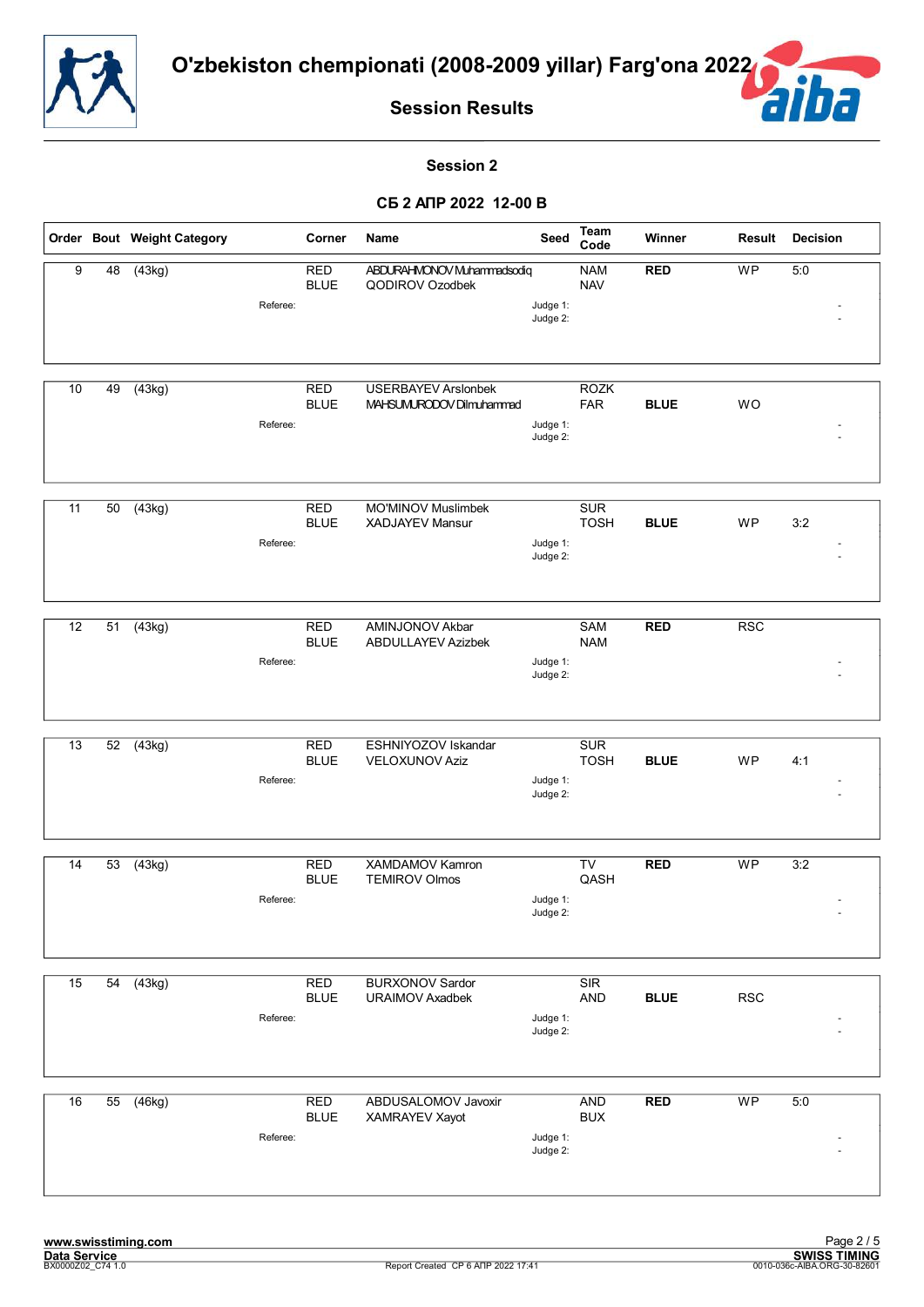



#### **Session 2**

|    |    | Order Bout Weight Category |          | Corner                    | Name                                                   | Seed                 | <b>Team</b><br>Code       | Winner      | Result                   | <b>Decision</b> |
|----|----|----------------------------|----------|---------------------------|--------------------------------------------------------|----------------------|---------------------------|-------------|--------------------------|-----------------|
| 9  | 48 | (43kg)                     |          | <b>RED</b><br><b>BLUE</b> | ABDURAHMONOV Muhammadsodiq<br>QODIROV Ozodbek          |                      | <b>NAM</b><br><b>NAV</b>  | <b>RED</b>  | WP                       | 5:0             |
|    |    |                            | Referee: |                           |                                                        | Judge 1:<br>Judge 2: |                           |             |                          |                 |
| 10 | 49 | (43kg)                     | Referee: | <b>RED</b><br><b>BLUE</b> | <b>USERBAYEV Arslonbek</b><br>MAHSUMURODOV Dilmuhammad | Judge 1:<br>Judge 2: | <b>ROZK</b><br><b>FAR</b> | <b>BLUE</b> | WO                       |                 |
| 11 | 50 | (43kg)                     | Referee: | <b>RED</b><br><b>BLUE</b> | MO'MINOV Muslimbek<br><b>XADJAYEV Mansur</b>           | Judge 1:<br>Judge 2: | <b>SUR</b><br><b>TOSH</b> | <b>BLUE</b> | WP                       | 3:2             |
| 12 | 51 | (43kg)                     | Referee: | <b>RED</b><br><b>BLUE</b> | <b>AMINJONOV Akbar</b><br><b>ABDULLAYEV Azizbek</b>    | Judge 1:<br>Judge 2: | <b>SAM</b><br><b>NAM</b>  | <b>RED</b>  | <b>RSC</b>               |                 |
| 13 | 52 | $\overline{(43kg)}$        | Referee: | <b>RED</b><br><b>BLUE</b> | ESHNIYOZOV Iskandar<br><b>VELOXUNOV Aziz</b>           | Judge 1:<br>Judge 2: | <b>SUR</b><br><b>TOSH</b> | <b>BLUE</b> | WP                       | 4:1             |
| 14 | 53 | (43kg)                     | Referee: | <b>RED</b><br><b>BLUE</b> | XAMDAMOV Kamron<br><b>TEMIROV Olmos</b>                | Judge 1:<br>Judge 2: | TV<br>QASH                | <b>RED</b>  | <b>WP</b>                | 3:2             |
| 15 | 54 | (43kg)                     | Referee: | <b>RED</b><br><b>BLUE</b> | <b>BURXONOV Sardor</b><br><b>URAIMOV Axadbek</b>       | Judge 1:<br>Judge 2: | SIR<br><b>AND</b>         | <b>BLUE</b> | <b>RSC</b>               |                 |
| 16 | 55 | (46kg)                     | Referee: | <b>RED</b><br><b>BLUE</b> | ABDUSALOMOV Javoxir<br>XAMRAYEV Xayot                  | Judge 1:<br>Judge 2: | <b>AND</b><br><b>BUX</b>  | <b>RED</b>  | $\overline{\mathsf{WP}}$ | 5:0             |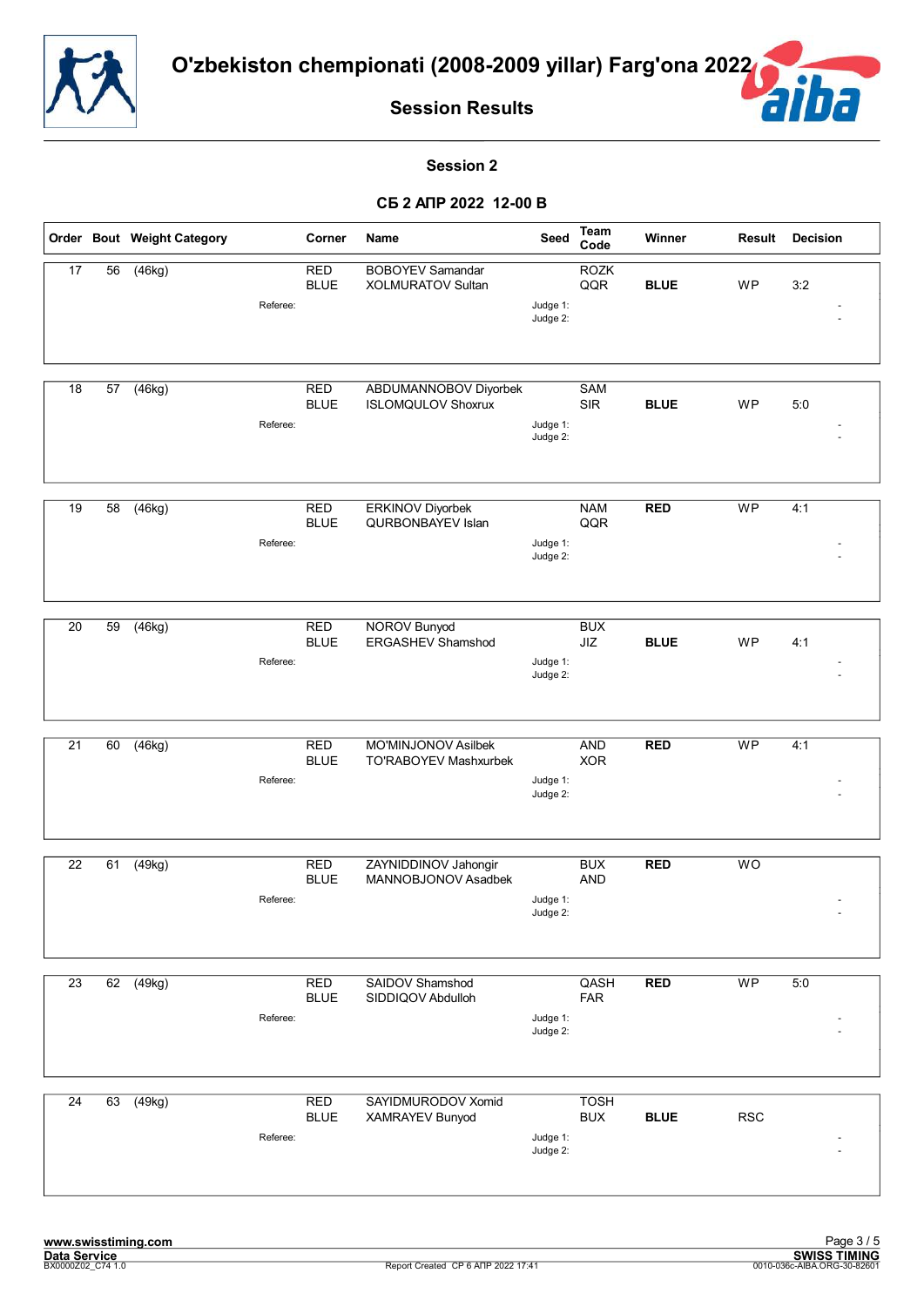



#### **Session 2**

|                 |                 | Order Bout Weight Category |          | Corner                    | Name                                                | Seed                 | <b>Team</b><br>Code                              | Winner      | <b>Result</b>  | <b>Decision</b> |
|-----------------|-----------------|----------------------------|----------|---------------------------|-----------------------------------------------------|----------------------|--------------------------------------------------|-------------|----------------|-----------------|
| $\overline{17}$ | $\overline{56}$ | (46kg)                     | Referee: | <b>RED</b><br><b>BLUE</b> | <b>BOBOYEV Samandar</b><br><b>XOLMURATOV Sultan</b> | Judge 1:<br>Judge 2: | <b>ROZK</b><br>QQR                               | <b>BLUE</b> | <b>WP</b>      | 3:2             |
| 18              | 57              | (46kg)                     | Referee: | <b>RED</b><br><b>BLUE</b> | ABDUMANNOBOV Diyorbek<br><b>ISLOMQULOV Shoxrux</b>  | Judge 1:<br>Judge 2: | SAM<br><b>SIR</b>                                | <b>BLUE</b> | <b>WP</b>      | 5:0             |
| 19              | 58              | (46kg)                     | Referee: | <b>RED</b><br><b>BLUE</b> | <b>ERKINOV Diyorbek</b><br>QURBONBAYEV Islan        | Judge 1:<br>Judge 2: | <b>NAM</b><br>QQR                                | RED         | <b>WP</b>      | 4:1             |
| $\overline{20}$ | 59              | (46kg)                     | Referee: | <b>RED</b><br><b>BLUE</b> | <b>NOROV Bunyod</b><br><b>ERGASHEV Shamshod</b>     | Judge 1:<br>Judge 2: | <b>BUX</b><br>$\mathsf{J} \mathsf{I} \mathsf{Z}$ | <b>BLUE</b> | WP             | 4:1             |
| 21              | 60              | (46kg)                     | Referee: | <b>RED</b><br><b>BLUE</b> | MO'MINJONOV Asilbek<br>TO'RABOYEV Mashxurbek        | Judge 1:<br>Judge 2: | <b>AND</b><br><b>XOR</b>                         | <b>RED</b>  | <b>WP</b>      | 4:1             |
| $\overline{22}$ | 61              | (49kg)                     | Referee: | <b>RED</b><br><b>BLUE</b> | ZAYNIDDINOV Jahongir<br>MANNOBJONOV Asadbek         | Judge 1:<br>Judge 2: | <b>BUX</b><br><b>AND</b>                         | <b>RED</b>  | WO             |                 |
| $\overline{23}$ | 62              | (49kg)                     | Referee: | <b>RED</b><br><b>BLUE</b> | SAIDOV Shamshod<br>SIDDIQOV Abdulloh                | Judge 1:<br>Judge 2: | QASH<br><b>FAR</b>                               | <b>RED</b>  | W <sub>P</sub> | 5:0             |
| 24              | 63              | (49kg)                     | Referee: | <b>RED</b><br><b>BLUE</b> | SAYIDMURODOV Xomid<br>XAMRAYEV Bunyod               | Judge 1:<br>Judge 2: | <b>TOSH</b><br><b>BUX</b>                        | <b>BLUE</b> | <b>RSC</b>     |                 |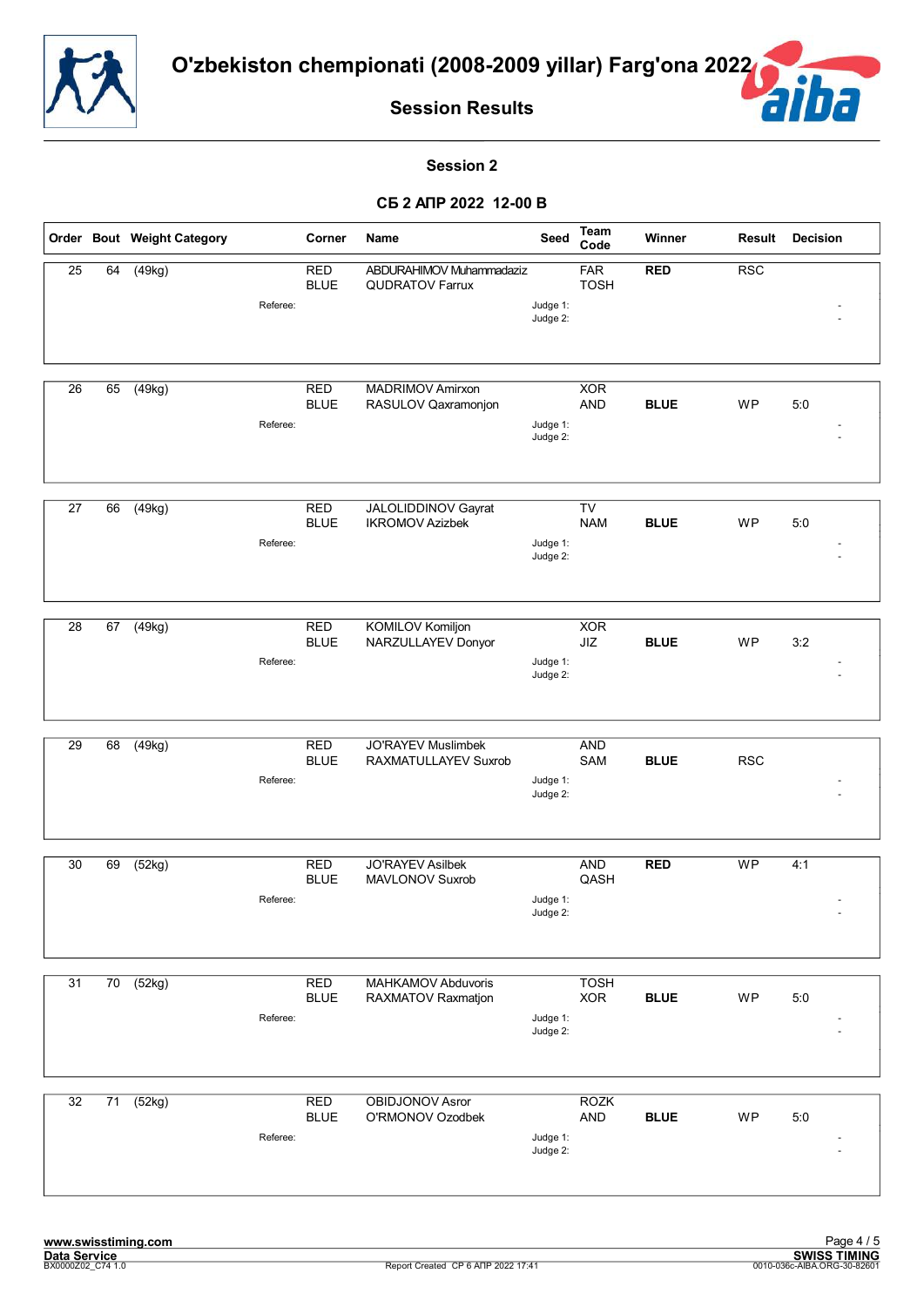



#### **Session 2**

|                 |                 | Order Bout Weight Category |          | Corner                    | Name                                               | Seed                 | Team<br>Code              | Winner      | Result     | <b>Decision</b> |
|-----------------|-----------------|----------------------------|----------|---------------------------|----------------------------------------------------|----------------------|---------------------------|-------------|------------|-----------------|
| $\overline{25}$ | 64              | (49kg)                     | Referee: | <b>RED</b><br><b>BLUE</b> | ABDURAHIMOV Muhammadaziz<br><b>QUDRATOV Farrux</b> | Judge 1:<br>Judge 2: | <b>FAR</b><br><b>TOSH</b> | <b>RED</b>  | RSC        |                 |
| $\overline{26}$ | 65              | $\overline{(49kg)}$        | Referee: | <b>RED</b><br><b>BLUE</b> | <b>MADRIMOV Amirxon</b><br>RASULOV Qaxramonjon     | Judge 1:<br>Judge 2: | <b>XOR</b><br><b>AND</b>  | <b>BLUE</b> | WP         | 5:0             |
| 27              | 66              | (49kg)                     | Referee: | <b>RED</b><br><b>BLUE</b> | JALOLIDDINOV Gayrat<br><b>IKROMOV Azizbek</b>      | Judge 1:<br>Judge 2: | TV<br><b>NAM</b>          | <b>BLUE</b> | WP         | 5:0             |
| $\overline{28}$ | 67              | (49kg)                     | Referee: | <b>RED</b><br><b>BLUE</b> | <b>KOMILOV Komiljon</b><br>NARZULLAYEV Donyor      | Judge 1:<br>Judge 2: | <b>XOR</b><br>JIZ         | <b>BLUE</b> | WP         | 3:2             |
| 29              | 68              | (49kg)                     | Referee: | <b>RED</b><br><b>BLUE</b> | <b>JO'RAYEV Muslimbek</b><br>RAXMATULLAYEV Suxrob  | Judge 1:<br>Judge 2: | <b>AND</b><br>SAM         | <b>BLUE</b> | <b>RSC</b> |                 |
| $\overline{30}$ | 69              | (52kg)                     | Referee: | <b>RED</b><br><b>BLUE</b> | <b>JO'RAYEV Asilbek</b><br>MAVLONOV Suxrob         | Judge 1:<br>Judge 2: | <b>AND</b><br>QASH        | <b>RED</b>  | <b>WP</b>  | 4:1             |
| 31              | $\overline{70}$ | (52kg)                     | Referee: | <b>RED</b><br><b>BLUE</b> | MAHKAMOV Abduvoris<br>RAXMATOV Raxmatjon           | Judge 1:<br>Judge 2: | <b>TOSH</b><br><b>XOR</b> | <b>BLUE</b> | WP         | 5:0             |
| $\overline{32}$ | 71              | (52kg)                     | Referee: | RED<br><b>BLUE</b>        | <b>OBIDJONOV Asror</b><br>O'RMONOV Ozodbek         | Judge 1:<br>Judge 2: | <b>ROZK</b><br>AND        | <b>BLUE</b> | WP         | 5:0             |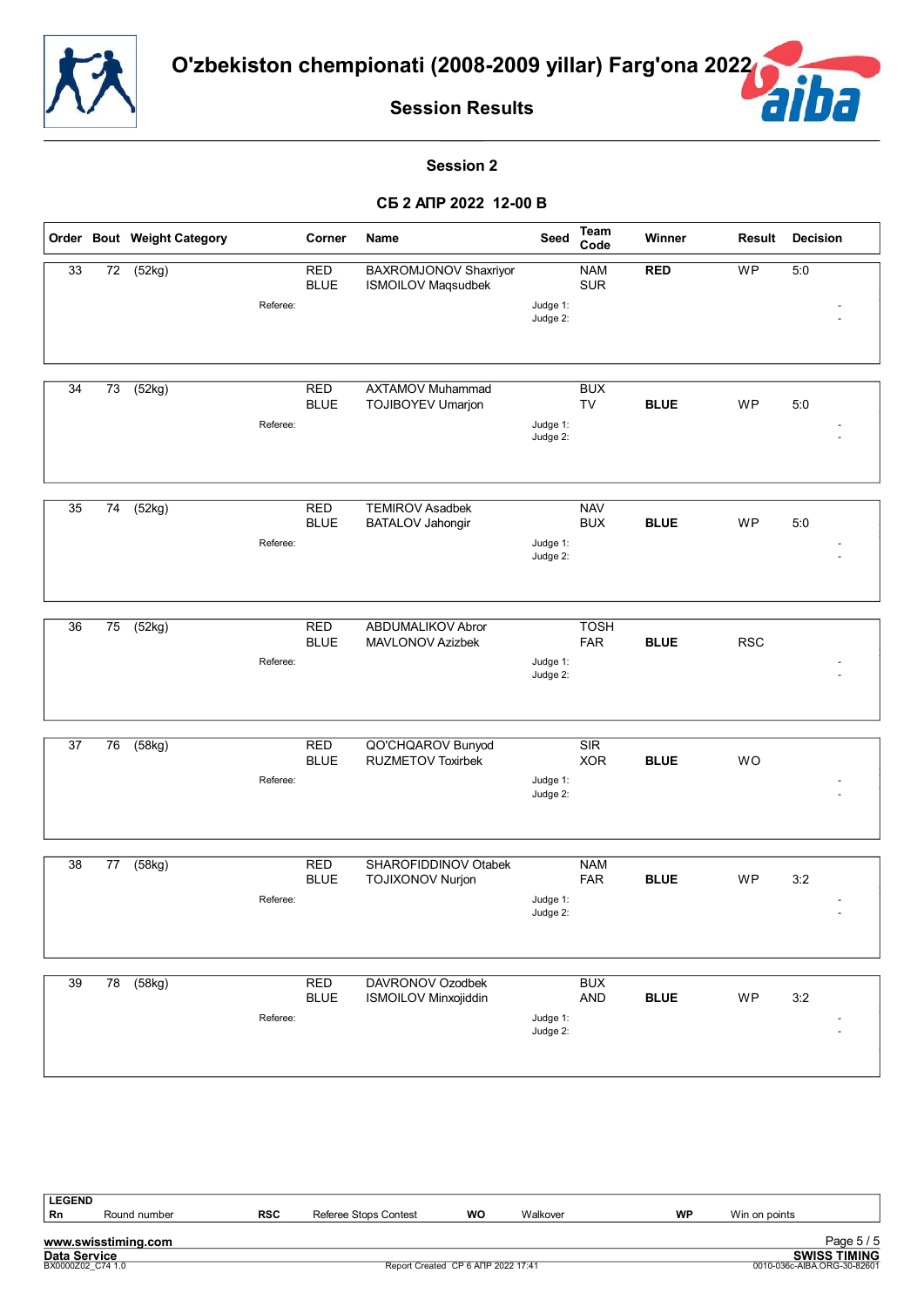



#### **Session 2**

|    |                 | Order Bout Weight Category |          | Corner                    | Name                                               | <b>Seed</b>          | Team<br>Code              | Winner      | Result     | <b>Decision</b> |
|----|-----------------|----------------------------|----------|---------------------------|----------------------------------------------------|----------------------|---------------------------|-------------|------------|-----------------|
| 33 | $\overline{72}$ | (52kg)                     |          | <b>RED</b><br><b>BLUE</b> | BAXROMJONOV Shaxriyor<br><b>ISMOILOV Maqsudbek</b> |                      | <b>NAM</b><br><b>SUR</b>  | <b>RED</b>  | WP         | 5:0             |
|    |                 |                            | Referee: |                           |                                                    | Judge 1:<br>Judge 2: |                           |             |            |                 |
|    |                 |                            |          |                           |                                                    |                      |                           |             |            |                 |
| 34 | 73              | (52kg)                     |          | <b>RED</b><br><b>BLUE</b> | <b>AXTAMOV Muhammad</b><br>TOJIBOYEV Umarjon       |                      | <b>BUX</b><br><b>TV</b>   | <b>BLUE</b> | <b>WP</b>  | 5:0             |
|    |                 |                            | Referee: |                           |                                                    | Judge 1:<br>Judge 2: |                           |             |            |                 |
| 35 | 74              | (52kg)                     |          | <b>RED</b>                | <b>TEMIROV Asadbek</b>                             |                      | <b>NAV</b>                |             |            |                 |
|    |                 |                            | Referee: | <b>BLUE</b>               | BATALOV Jahongir                                   | Judge 1:<br>Judge 2: | <b>BUX</b>                | <b>BLUE</b> | WP         | 5:0             |
|    |                 |                            |          |                           |                                                    |                      |                           |             |            |                 |
| 36 | 75              | (52kg)                     | Referee: | <b>RED</b><br><b>BLUE</b> | ABDUMALIKOV Abror<br>MAVLONOV Azizbek              | Judge 1:             | <b>TOSH</b><br><b>FAR</b> | <b>BLUE</b> | <b>RSC</b> |                 |
|    |                 |                            |          |                           |                                                    | Judge 2:             |                           |             |            |                 |
| 37 | 76              | (58kg)                     |          | <b>RED</b>                | QO'CHQAROV Bunyod                                  |                      | SIR                       |             |            |                 |
|    |                 |                            | Referee: | <b>BLUE</b>               | <b>RUZMETOV Toxirbek</b>                           | Judge 1:             | <b>XOR</b>                | <b>BLUE</b> | WO         |                 |
|    |                 |                            |          |                           |                                                    | Judge 2:             |                           |             |            |                 |
| 38 | 77              | (58kg)                     |          | <b>RED</b>                | SHAROFIDDINOV Otabek                               |                      | <b>NAM</b>                |             |            |                 |
|    |                 |                            | Referee: | <b>BLUE</b>               | <b>TOJIXONOV Nurjon</b>                            | Judge 1:<br>Judge 2: | <b>FAR</b>                | <b>BLUE</b> | <b>WP</b>  | 3:2             |
|    |                 |                            |          |                           |                                                    |                      |                           |             |            |                 |
| 39 | 78              | (58kg)                     |          | <b>RED</b><br><b>BLUE</b> | DAVRONOV Ozodbek<br><b>ISMOILOV Minxojiddin</b>    |                      | <b>BUX</b><br><b>AND</b>  | <b>BLUE</b> | WP         | 3:2             |
|    |                 |                            | Referee: |                           |                                                    | Judge 1:<br>Judge 2: |                           |             |            |                 |
|    |                 |                            |          |                           |                                                    |                      |                           |             |            |                 |

| <b>LEGEND</b>       |                     |            |                                    |    |          |                             |               |                     |
|---------------------|---------------------|------------|------------------------------------|----|----------|-----------------------------|---------------|---------------------|
| Rn                  | Round number        | <b>RSC</b> | Referee Stops Contest              | WO | Walkover | WP                          | Win on points |                     |
|                     |                     |            |                                    |    |          |                             |               |                     |
|                     | www.swisstiming.com |            |                                    |    |          |                             |               | Page 5/5            |
| <b>Data Service</b> |                     |            |                                    |    |          |                             |               | <b>SWISS TIMING</b> |
|                     | BX0000Z02 C74 1.0   |            | Report Created CP 6 ANP 2022 17:41 |    |          | 0010-036c-AIBA.ORG-30-82601 |               |                     |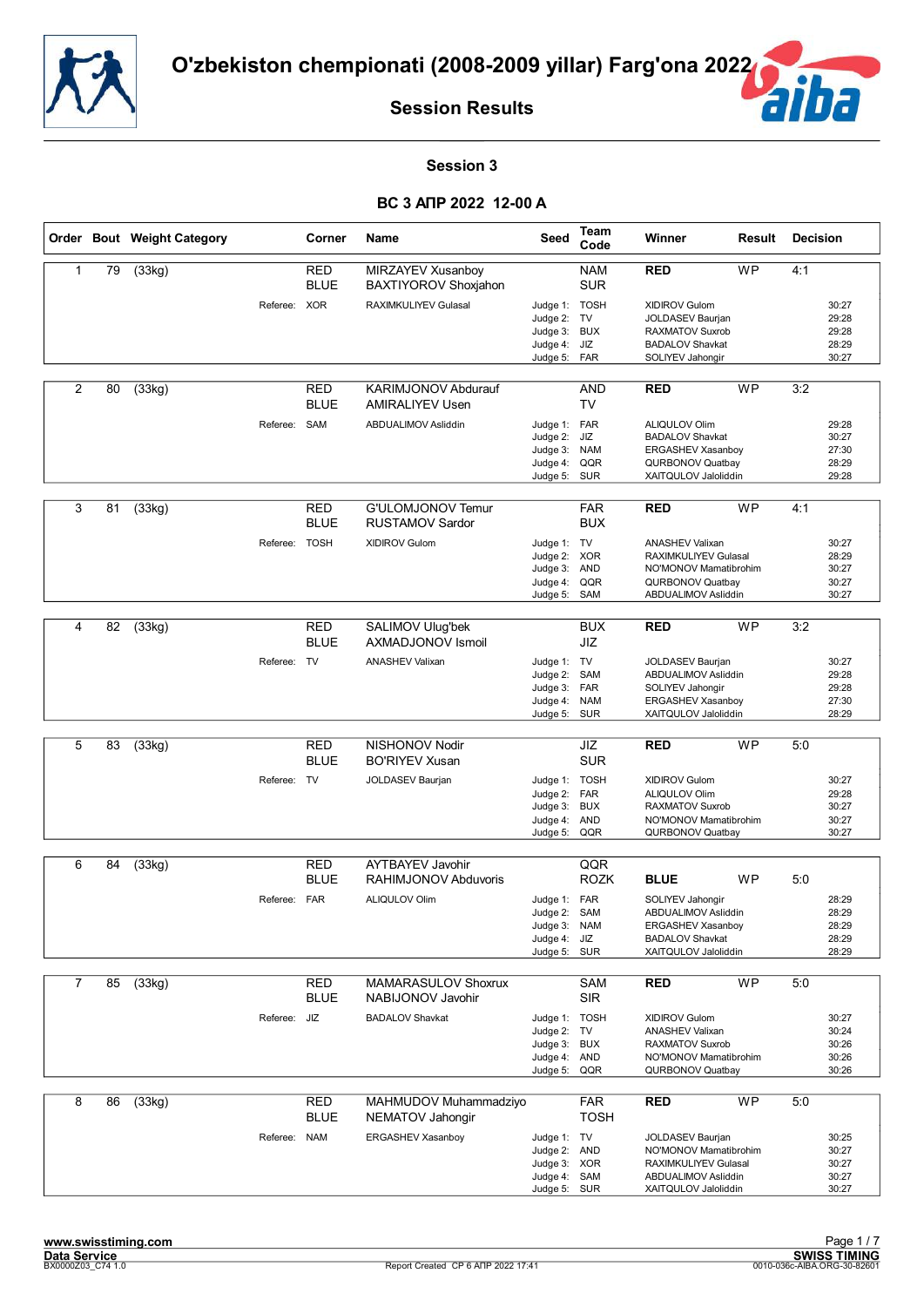



#### **Session 3**

|                |    | Order Bout Weight Category |              | Corner                    | Name                                             | Seed                                                                        | Team<br>Code                           | Winner                                                                                                                           | Result    | <b>Decision</b> |                                           |
|----------------|----|----------------------------|--------------|---------------------------|--------------------------------------------------|-----------------------------------------------------------------------------|----------------------------------------|----------------------------------------------------------------------------------------------------------------------------------|-----------|-----------------|-------------------------------------------|
| 1              | 79 | $\overline{(33kg)}$        |              | <b>RED</b><br><b>BLUE</b> | MIRZAYEV Xusanboy<br><b>BAXTIYOROV Shoxjahon</b> |                                                                             | <b>NAM</b><br><b>SUR</b>               | <b>RED</b>                                                                                                                       | <b>WP</b> | 4:1             |                                           |
|                |    |                            | Referee: XOR |                           | RAXIMKULIYEV Gulasal                             | Judge 1: TOSH<br>Judge 2: TV<br>Judge 3: BUX<br>Judge 4: JIZ<br>Judge 5:    | FAR                                    | <b>XIDIROV Gulom</b><br>JOLDASEV Baurjan<br><b>RAXMATOV Suxrob</b><br><b>BADALOV Shavkat</b><br>SOLIYEV Jahongir                 |           |                 | 30:27<br>29:28<br>29:28<br>28:29<br>30:27 |
| 2              | 80 | (33kg)                     |              | <b>RED</b><br><b>BLUE</b> | KARIMJONOV Abdurauf<br><b>AMIRALIYEV Usen</b>    |                                                                             | <b>AND</b><br>TV                       | <b>RED</b>                                                                                                                       | <b>WP</b> | 3:2             |                                           |
|                |    |                            | Referee: SAM |                           | ABDUALIMOV Asliddin                              | Judge 1: FAR<br>Judge 2:<br>Judge 3:<br>Judge 4:<br>Judge 5: SUR            | JIZ<br><b>NAM</b><br>QQR               | <b>ALIQULOV Olim</b><br><b>BADALOV Shavkat</b><br>ERGASHEV Xasanboy<br>QURBONOV Quatbay<br>XAITQULOV Jaloliddin                  |           |                 | 29:28<br>30:27<br>27:30<br>28:29<br>29:28 |
| 3              | 81 | (33kg)                     |              | RED<br><b>BLUE</b>        | G'ULOMJONOV Temur<br><b>RUSTAMOV Sardor</b>      |                                                                             | <b>FAR</b><br><b>BUX</b>               | <b>RED</b>                                                                                                                       | <b>WP</b> | 4:1             |                                           |
|                |    |                            | Referee:     | <b>TOSH</b>               | <b>XIDIROV Gulom</b>                             | Judge 1: TV<br>Judge 2:<br>Judge 3:<br>Judge 4:<br>Judge 5:                 | <b>XOR</b><br><b>AND</b><br>QQR<br>SAM | <b>ANASHEV Valixan</b><br><b>RAXIMKULIYEV Gulasal</b><br>NO'MONOV Mamatibrohim<br><b>QURBONOV Quatbay</b><br>ABDUALIMOV Asliddin |           |                 | 30:27<br>28:29<br>30:27<br>30:27<br>30:27 |
| 4              | 82 | (33kg)                     |              | <b>RED</b><br><b>BLUE</b> | SALIMOV Ulug'bek<br>AXMADJONOV Ismoil            |                                                                             | <b>BUX</b><br>JIZ                      | <b>RED</b>                                                                                                                       | <b>WP</b> | 3:2             |                                           |
|                |    |                            | Referee: TV  |                           | <b>ANASHEV Valixan</b>                           | Judge 1: TV<br>Judge 2:<br>Judge 3: FAR<br>Judge 4:<br>Judge 5:             | SAM<br><b>NAM</b><br><b>SUR</b>        | JOLDASEV Baurjan<br>ABDUALIMOV Asliddin<br>SOLIYEV Jahongir<br><b>ERGASHEV Xasanboy</b><br>XAITQULOV Jaloliddin                  |           |                 | 30:27<br>29:28<br>29:28<br>27:30<br>28:29 |
|                |    |                            |              |                           |                                                  |                                                                             |                                        |                                                                                                                                  |           |                 |                                           |
| 5              | 83 | (33kg)                     |              | <b>RED</b><br><b>BLUE</b> | NISHONOV Nodir<br><b>BO'RIYEV Xusan</b>          |                                                                             | JIZ<br><b>SUR</b>                      | <b>RED</b>                                                                                                                       | <b>WP</b> | 5:0             |                                           |
|                |    |                            | Referee: TV  |                           | JOLDASEV Baurjan                                 | Judge 1: TOSH<br>Judge 2: FAR<br>Judge 3:<br>Judge 4:<br>Judge 5:           | <b>BUX</b><br><b>AND</b><br>QQR        | <b>XIDIROV Gulom</b><br><b>ALIQULOV Olim</b><br><b>RAXMATOV Suxrob</b><br>NO'MONOV Mamatibrohim<br>QURBONOV Quatbay              |           |                 | 30:27<br>29:28<br>30:27<br>30:27<br>30:27 |
| 6              | 84 | (33kg)                     |              | <b>RED</b>                | <b>AYTBAYEV Javohir</b>                          |                                                                             | QQR                                    |                                                                                                                                  |           |                 |                                           |
|                |    |                            |              | <b>BLUE</b>               | RAHIMJONOV Abduvoris                             |                                                                             | <b>ROZK</b>                            | <b>BLUE</b>                                                                                                                      | <b>WP</b> | 5:0             |                                           |
|                |    |                            | Referee: FAR |                           | ALIQULOV Olim                                    | Judge 1: FAR<br>Judge 2:<br>Judge 3: NAM<br>Judge 4: JIZ<br>Judge 5: SUR    | SAM                                    | SOLIYEV Jahongir<br>ABDUALIMOV Asliddin<br>ERGASHEV Xasanboy<br><b>BADALOV Shavkat</b><br>XAITQULOV Jaloliddin                   |           |                 | 28:29<br>28:29<br>28:29<br>28:29<br>28:29 |
| $\overline{7}$ | 85 | (33kg)                     |              | <b>RED</b>                | <b>MAMARASULOV Shoxrux</b>                       |                                                                             | <b>SAM</b>                             | <b>RED</b>                                                                                                                       | <b>WP</b> | 5:0             |                                           |
|                |    |                            |              | <b>BLUE</b>               | NABIJONOV Javohir                                |                                                                             | SIR                                    |                                                                                                                                  |           |                 |                                           |
|                |    |                            | Referee:     | JIZ                       | <b>BADALOV Shavkat</b>                           | Judge 1: TOSH<br>Judge 2: TV<br>Judge 3: BUX<br>Judge 4:<br>Judge 5:        | AND<br>QQR                             | XIDIROV Gulom<br><b>ANASHEV Valixan</b><br>RAXMATOV Suxrob<br>NO'MONOV Mamatibrohim<br>QURBONOV Quatbay                          |           |                 | 30:27<br>30:24<br>30:26<br>30:26<br>30:26 |
| 8              | 86 | (33kg)                     |              | <b>RED</b><br><b>BLUE</b> | MAHMUDOV Muhammadziyo<br>NEMATOV Jahongir        |                                                                             | <b>FAR</b><br><b>TOSH</b>              | <b>RED</b>                                                                                                                       | WP        | 5:0             |                                           |
|                |    |                            | Referee: NAM |                           | ERGASHEV Xasanboy                                | Judge 1: TV<br>Judge 2: AND<br>Judge 3: XOR<br>Judge 4: SAM<br>Judge 5: SUR |                                        | JOLDASEV Baurjan<br>NO'MONOV Mamatibrohim<br>RAXIMKULIYEV Gulasal<br>ABDUALIMOV Asliddin<br>XAITQULOV Jaloliddin                 |           |                 | 30:25<br>30:27<br>30:27<br>30:27<br>30:27 |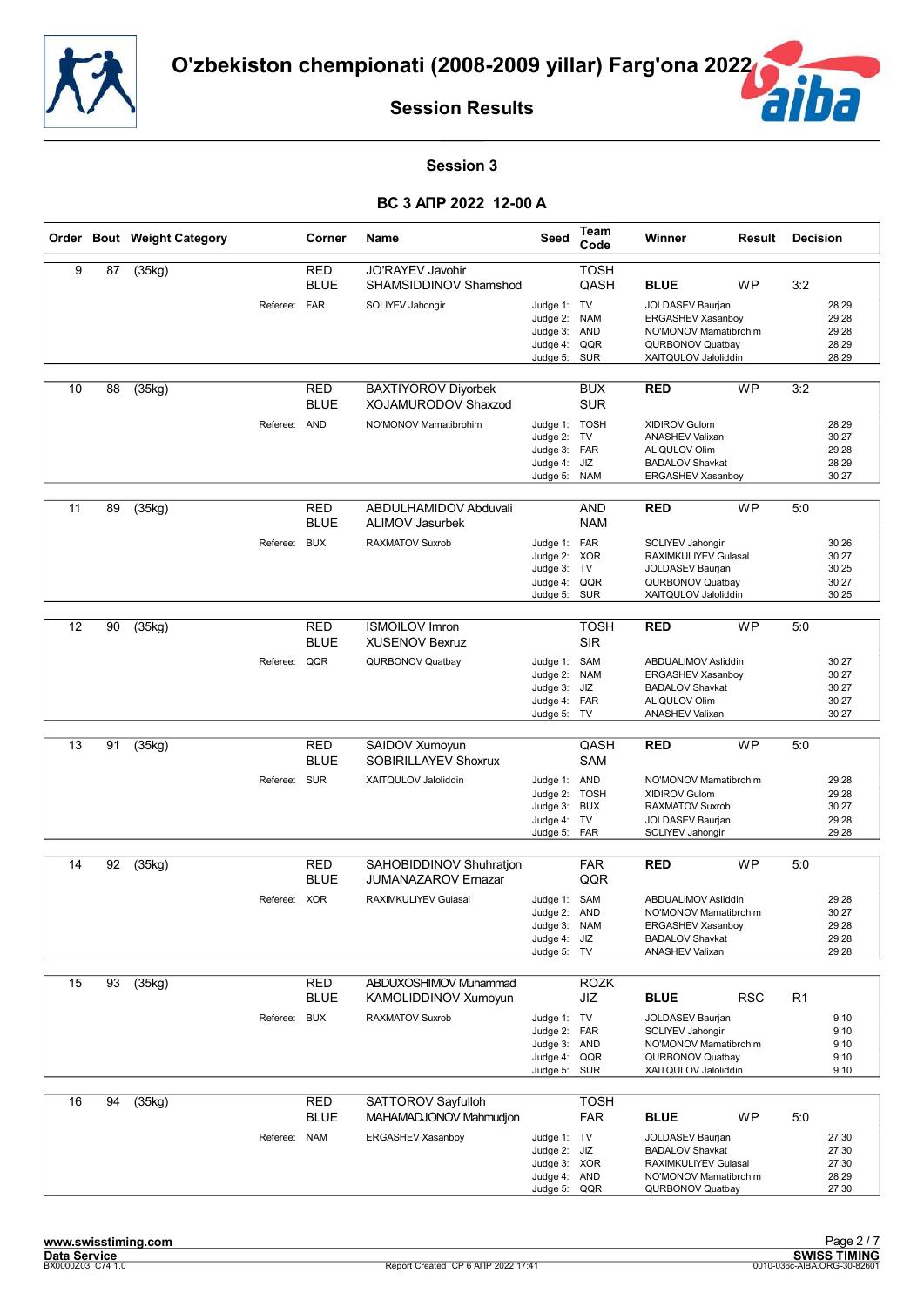![](_page_12_Picture_0.jpeg)

![](_page_12_Picture_2.jpeg)

#### **Session 3**

|    |    | Order Bout Weight Category |              | Corner                           | <b>Name</b>                                                                   | Seed                                                                        | Team<br>Code                           | Winner                                                                                                                              | Result     | <b>Decision</b> |                                           |
|----|----|----------------------------|--------------|----------------------------------|-------------------------------------------------------------------------------|-----------------------------------------------------------------------------|----------------------------------------|-------------------------------------------------------------------------------------------------------------------------------------|------------|-----------------|-------------------------------------------|
| 9  | 87 | (35kg)                     | Referee: FAR | <b>RED</b><br><b>BLUE</b>        | JO'RAYEV Javohir<br>SHAMSIDDINOV Shamshod<br>SOLIYEV Jahongir                 | Judge 1: TV<br>Judge 2: NAM<br>Judge 3: AND<br>Judge 4: QQR<br>Judge 5:     | <b>TOSH</b><br>QASH<br><b>SUR</b>      | <b>BLUE</b><br>JOLDASEV Baurjan<br>ERGASHEV Xasanboy<br>NO'MONOV Mamatibrohim<br>QURBONOV Quatbay<br>XAITQULOV Jaloliddin           | <b>WP</b>  | 3:2             | 28:29<br>29:28<br>29:28<br>28:29<br>28:29 |
| 10 | 88 | (35kg)                     | Referee: AND | <b>RED</b><br><b>BLUE</b>        | <b>BAXTIYOROV Divorbek</b><br>XOJAMURODOV Shaxzod<br>NO'MONOV Mamatibrohim    | Judge 1: TOSH<br>Judge 2: TV<br>Judge 3: FAR<br>Judge 4: JIZ<br>Judge 5:    | <b>BUX</b><br><b>SUR</b><br><b>NAM</b> | <b>RED</b><br>XIDIROV Gulom<br><b>ANASHEV Valixan</b><br>ALIQULOV Olim<br><b>BADALOV Shavkat</b><br>ERGASHEV Xasanboy               | WP         | 3:2             | 28:29<br>30:27<br>29:28<br>28:29<br>30:27 |
| 11 | 89 | (35kg)                     | Referee:     | RED<br><b>BLUE</b><br><b>BUX</b> | ABDULHAMIDOV Abduvali<br>ALIMOV Jasurbek<br><b>RAXMATOV Suxrob</b>            | Judge 1: FAR<br>Judge 2: XOR<br>Judge 3: TV<br>Judge 4:<br>Judge 5:         | <b>AND</b><br><b>NAM</b><br>QQR<br>SUR | <b>RED</b><br>SOLIYEV Jahongir<br><b>RAXIMKULIYEV Gulasal</b><br>JOLDASEV Baurjan<br>QURBONOV Quatbay<br>XAITQULOV Jaloliddin       | <b>WP</b>  | 5:0             | 30:26<br>30:27<br>30:25<br>30:27<br>30:25 |
| 12 | 90 | (35kg)                     | Referee: QQR | RED<br><b>BLUE</b>               | <b>ISMOILOV Imron</b><br><b>XUSENOV Bexruz</b><br><b>QURBONOV Quatbay</b>     | Judge 1: SAM<br>Judge 2: NAM<br>Judge 3:<br>Judge 4: FAR<br>Judge 5:        | <b>TOSH</b><br><b>SIR</b><br>JIZ<br>TV | <b>RED</b><br>ABDUALIMOV Asliddin<br>ERGASHEV Xasanboy<br><b>BADALOV Shavkat</b><br>ALIQULOV Olim<br><b>ANASHEV Valixan</b>         | <b>WP</b>  | 5:0             | 30:27<br>30:27<br>30:27<br>30:27<br>30:27 |
| 13 | 91 | (35kg)                     | Referee: SUR | RED<br><b>BLUE</b>               | SAIDOV Xumoyun<br>SOBIRILLAYEV Shoxrux<br>XAITQULOV Jaloliddin                | Judge 1: AND<br>Judge 2: TOSH<br>Judge 3: BUX<br>Judge 4: TV<br>Judge 5:    | QASH<br><b>SAM</b><br>FAR              | <b>RED</b><br>NO'MONOV Mamatibrohim<br><b>XIDIROV Gulom</b><br>RAXMATOV Suxrob<br>JOLDASEV Baurjan<br>SOLIYEV Jahongir              | <b>WP</b>  | 5:0             | 29:28<br>29:28<br>30:27<br>29:28<br>29:28 |
| 14 | 92 | (35kg)                     | Referee: XOR | RED<br><b>BLUE</b>               | SAHOBIDDINOV Shuhration<br><b>JUMANAZAROV Ernazar</b><br>RAXIMKULIYEV Gulasal | Judge 1: SAM<br>Judge 2: AND<br>Judge 3: NAM<br>Judge 4: JIZ<br>Judge 5: TV | <b>FAR</b><br>QQR                      | <b>RED</b><br>ABDUALIMOV Asliddin<br>NO'MONOV Mamatibrohim<br>ERGASHEV Xasanboy<br><b>BADALOV Shavkat</b><br><b>ANASHEV Valixan</b> | <b>WP</b>  | 5:0             | 29:28<br>30:27<br>29:28<br>29:28<br>29:28 |
| 15 | 93 | (35kg)                     | Referee:     | RED<br><b>BLUE</b><br><b>BUX</b> | ABDUXOSHIMOV Muhammad<br>KAMOLIDDINOV Xumoyun<br><b>RAXMATOV Suxrob</b>       | Judge 1: TV<br>Judge 2: FAR<br>Judge 3: AND<br>Judge 4:<br>Judge 5: SUR     | <b>ROZK</b><br>JIZ<br>QQR              | <b>BLUE</b><br>JOLDASEV Baurjan<br>SOLIYEV Jahongir<br>NO'MONOV Mamatibrohim<br>QURBONOV Quatbay<br>XAITQULOV Jaloliddin            | <b>RSC</b> | R <sub>1</sub>  | 9:10<br>9:10<br>9:10<br>9:10<br>9:10      |
| 16 | 94 | (35kg)                     | Referee: NAM | RED<br><b>BLUE</b>               | SATTOROV Sayfulloh<br>MAHAMADJONOV Mahmudjon<br>ERGASHEV Xasanboy             | Judge 1: TV<br>Judge 2: JIZ<br>Judge 3: XOR<br>Judge 4: AND<br>Judge 5: QQR | TOSH<br><b>FAR</b>                     | <b>BLUE</b><br>JOLDASEV Baurjan<br><b>BADALOV Shavkat</b><br>RAXIMKULIYEV Gulasal<br>NO'MONOV Mamatibrohim<br>QURBONOV Quatbay      | WP         | 5:0             | 27:30<br>27:30<br>27:30<br>28:29<br>27:30 |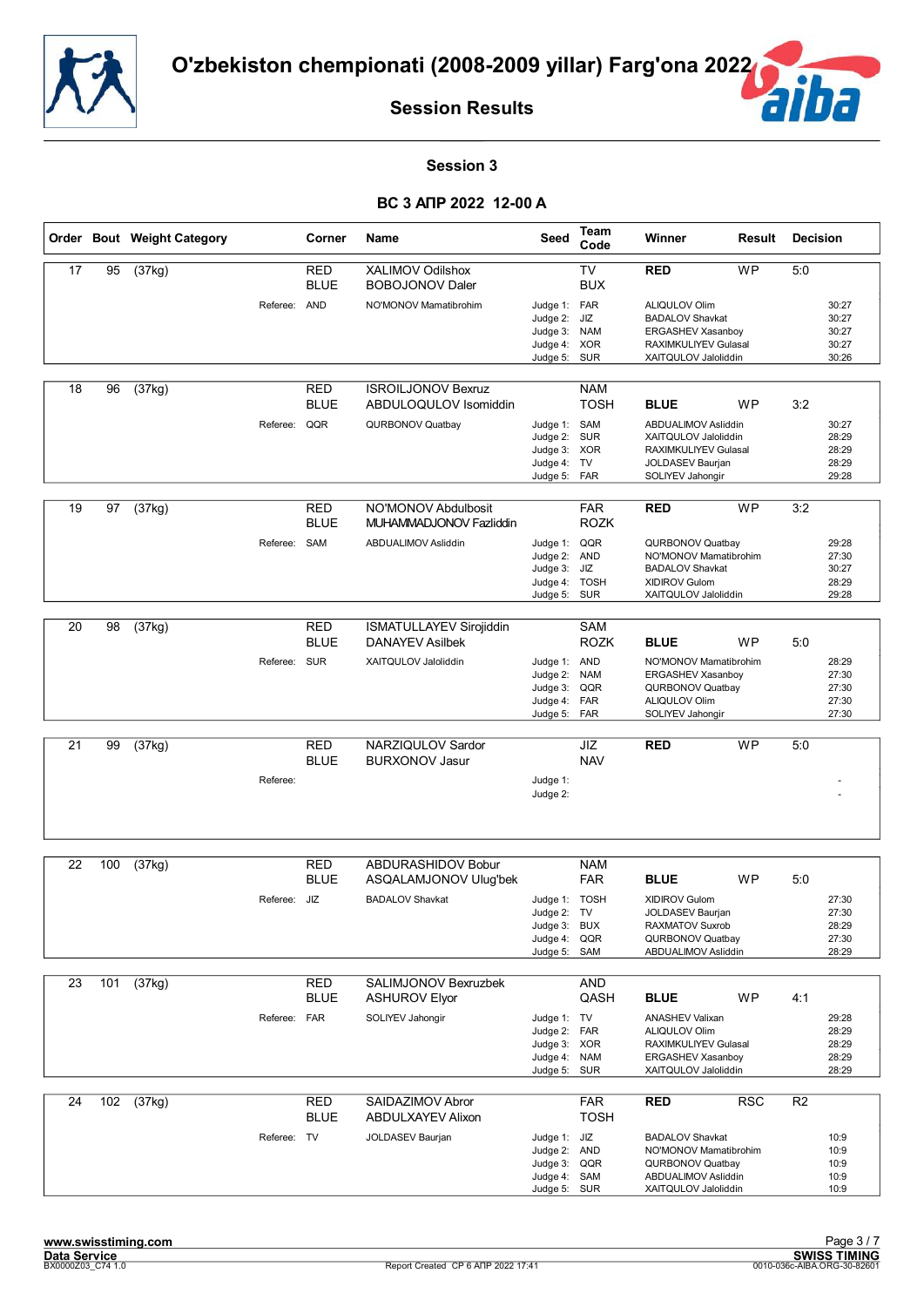![](_page_13_Picture_0.jpeg)

![](_page_13_Picture_2.jpeg)

#### **Session 3**

|    |     | Order Bout Weight Category |              | Corner                    | Name                                                     | Seed                                                                  | <b>Team</b><br>Code                           | Winner                                                                                                              | Result     | <b>Decision</b> |                                           |
|----|-----|----------------------------|--------------|---------------------------|----------------------------------------------------------|-----------------------------------------------------------------------|-----------------------------------------------|---------------------------------------------------------------------------------------------------------------------|------------|-----------------|-------------------------------------------|
| 17 | 95  | (37kg)                     |              | <b>RED</b><br><b>BLUE</b> | XALIMOV Odilshox<br><b>BOBOJONOV Daler</b>               |                                                                       | <b>TV</b><br><b>BUX</b>                       | <b>RED</b>                                                                                                          | <b>WP</b>  | 5:0             |                                           |
|    |     |                            | Referee: AND |                           | NO'MONOV Mamatibrohim                                    | Judge 1: FAR<br>Judge 2:<br>Judge 3:<br>Judge 4:<br>Judge 5:          | JIZ<br><b>NAM</b><br><b>XOR</b><br><b>SUR</b> | ALIQULOV Olim<br><b>BADALOV Shavkat</b><br>ERGASHEV Xasanboy<br>RAXIMKULIYEV Gulasal<br>XAITQULOV Jaloliddin        |            |                 | 30:27<br>30:27<br>30:27<br>30:27<br>30:26 |
| 18 | 96  | (37kg)                     |              | <b>RED</b><br><b>BLUE</b> | <b>ISROILJONOV Bexruz</b><br>ABDULOQULOV Isomiddin       |                                                                       | <b>NAM</b><br><b>TOSH</b>                     | <b>BLUE</b>                                                                                                         | WP         | 3:2             |                                           |
|    |     |                            | Referee:     | QQR                       | QURBONOV Quatbay                                         | Judge 1: SAM<br>Judge 2:<br>Judge 3: XOR<br>Judge 4:<br>Judge 5: FAR  | <b>SUR</b><br>TV                              | ABDUALIMOV Asliddin<br>XAITQULOV Jaloliddin<br>RAXIMKULIYEV Gulasal<br>JOLDASEV Baurjan<br>SOLIYEV Jahongir         |            |                 | 30:27<br>28:29<br>28:29<br>28:29<br>29:28 |
| 19 | 97  | $\overline{(37kg)}$        |              | <b>RED</b><br><b>BLUE</b> | NO'MONOV Abdulbosit<br>MUHAMMADJONOV Fazliddin           |                                                                       | <b>FAR</b><br><b>ROZK</b>                     | <b>RED</b>                                                                                                          | <b>WP</b>  | 3:2             |                                           |
|    |     |                            | Referee: SAM |                           | ABDUALIMOV Asliddin                                      | Judge 1: QQR<br>Judge 2: AND<br>Judge 3:<br>Judge 4: TOSH<br>Judge 5: | JIZ<br>SUR                                    | QURBONOV Quatbay<br>NO'MONOV Mamatibrohim<br><b>BADALOV Shavkat</b><br><b>XIDIROV Gulom</b><br>XAITQULOV Jaloliddin |            |                 | 29:28<br>27:30<br>30:27<br>28:29<br>29:28 |
|    |     |                            |              |                           |                                                          |                                                                       |                                               |                                                                                                                     |            |                 |                                           |
| 20 | 98  | (37kg)                     |              | <b>RED</b><br><b>BLUE</b> | <b>ISMATULLAYEV Sirojiddin</b><br><b>DANAYEV Asilbek</b> |                                                                       | SAM<br><b>ROZK</b>                            | <b>BLUE</b>                                                                                                         | <b>WP</b>  | 5:0             |                                           |
|    |     |                            | Referee: SUR |                           | XAITQULOV Jaloliddin                                     | Judge 1: AND<br>Judge 2:<br>Judge 3:<br>Judge 4: FAR<br>Judge 5:      | <b>NAM</b><br>QQR<br>FAR                      | NO'MONOV Mamatibrohim<br><b>ERGASHEV Xasanboy</b><br>QURBONOV Quatbay<br>ALIQULOV Olim<br>SOLIYEV Jahongir          |            |                 | 28:29<br>27:30<br>27:30<br>27:30<br>27:30 |
|    |     |                            |              |                           |                                                          |                                                                       |                                               |                                                                                                                     | <b>WP</b>  |                 |                                           |
| 21 | 99  | (37kg)                     |              | <b>RED</b><br><b>BLUE</b> | NARZIQULOV Sardor<br><b>BURXONOV Jasur</b>               |                                                                       | JIZ<br><b>NAV</b>                             | <b>RED</b>                                                                                                          |            | 5:0             |                                           |
|    |     |                            | Referee:     |                           |                                                          | Judge 1:<br>Judge 2:                                                  |                                               |                                                                                                                     |            |                 |                                           |
| 22 | 100 | (37kg)                     |              | <b>RED</b>                | ABDURASHIDOV Bobur                                       |                                                                       | <b>NAM</b>                                    |                                                                                                                     |            |                 |                                           |
|    |     |                            |              | <b>BLUE</b>               | ASQALAMJONOV Ulug'bek                                    |                                                                       | <b>FAR</b>                                    | <b>BLUE</b>                                                                                                         | <b>WP</b>  | 5:0             |                                           |
|    |     |                            | Referee: JIZ |                           | <b>BADALOV Shavkat</b>                                   | Judge 1: TOSH                                                         |                                               | <b>XIDIROV Gulom</b>                                                                                                |            |                 | 27:30                                     |
|    |     |                            |              |                           |                                                          | Judge 2: TV<br>Judge 3: BUX                                           |                                               | JOLDASEV Baurjan<br>RAXMATOV Suxrob                                                                                 |            |                 | 27:30<br>28:29                            |
|    |     |                            |              |                           |                                                          | Judge 4: QQR<br>Judge 5: SAM                                          |                                               | QURBONOV Quatbay<br>ABDUALIMOV Asliddin                                                                             |            |                 | 27:30<br>28:29                            |
|    |     |                            |              |                           |                                                          |                                                                       |                                               |                                                                                                                     |            |                 |                                           |
| 23 | 101 | (37kg)                     |              | <b>RED</b><br><b>BLUE</b> | <b>SALIMJONOV Bexruzbek</b><br><b>ASHUROV Elyor</b>      |                                                                       | <b>AND</b><br>QASH                            | <b>BLUE</b>                                                                                                         | <b>WP</b>  | 4:1             |                                           |
|    |     |                            | Referee: FAR |                           | SOLIYEV Jahongir                                         | Judge 1: TV                                                           |                                               | <b>ANASHEV Valixan</b>                                                                                              |            |                 | 29:28                                     |
|    |     |                            |              |                           |                                                          | Judge 2: FAR<br>Judge 3: XOR                                          |                                               | <b>ALIQULOV Olim</b><br>RAXIMKULIYEV Gulasal                                                                        |            |                 | 28:29<br>28:29                            |
|    |     |                            |              |                           |                                                          | Judge 4: NAM<br>Judge 5:                                              | SUR                                           | ERGASHEV Xasanboy<br>XAITQULOV Jaloliddin                                                                           |            |                 | 28:29<br>28:29                            |
| 24 | 102 | (37kg)                     |              | RED<br><b>BLUE</b>        | SAIDAZIMOV Abror<br>ABDULXAYEV Alixon                    |                                                                       | <b>FAR</b><br><b>TOSH</b>                     | <b>RED</b>                                                                                                          | <b>RSC</b> | R <sub>2</sub>  |                                           |
|    |     |                            | Referee: TV  |                           | JOLDASEV Baurjan                                         | Judge 1: JIZ                                                          |                                               | <b>BADALOV Shavkat</b>                                                                                              |            |                 | 10:9                                      |
|    |     |                            |              |                           |                                                          | Judge 2: AND<br>Judge 3:                                              | QQR                                           | NO'MONOV Mamatibrohim<br>QURBONOV Quatbay                                                                           |            |                 | 10:9<br>10:9                              |
|    |     |                            |              |                           |                                                          | Judge 4: SAM<br>Judge 5: SUR                                          |                                               | ABDUALIMOV Asliddin<br>XAITQULOV Jaloliddin                                                                         |            |                 | 10:9<br>10:9                              |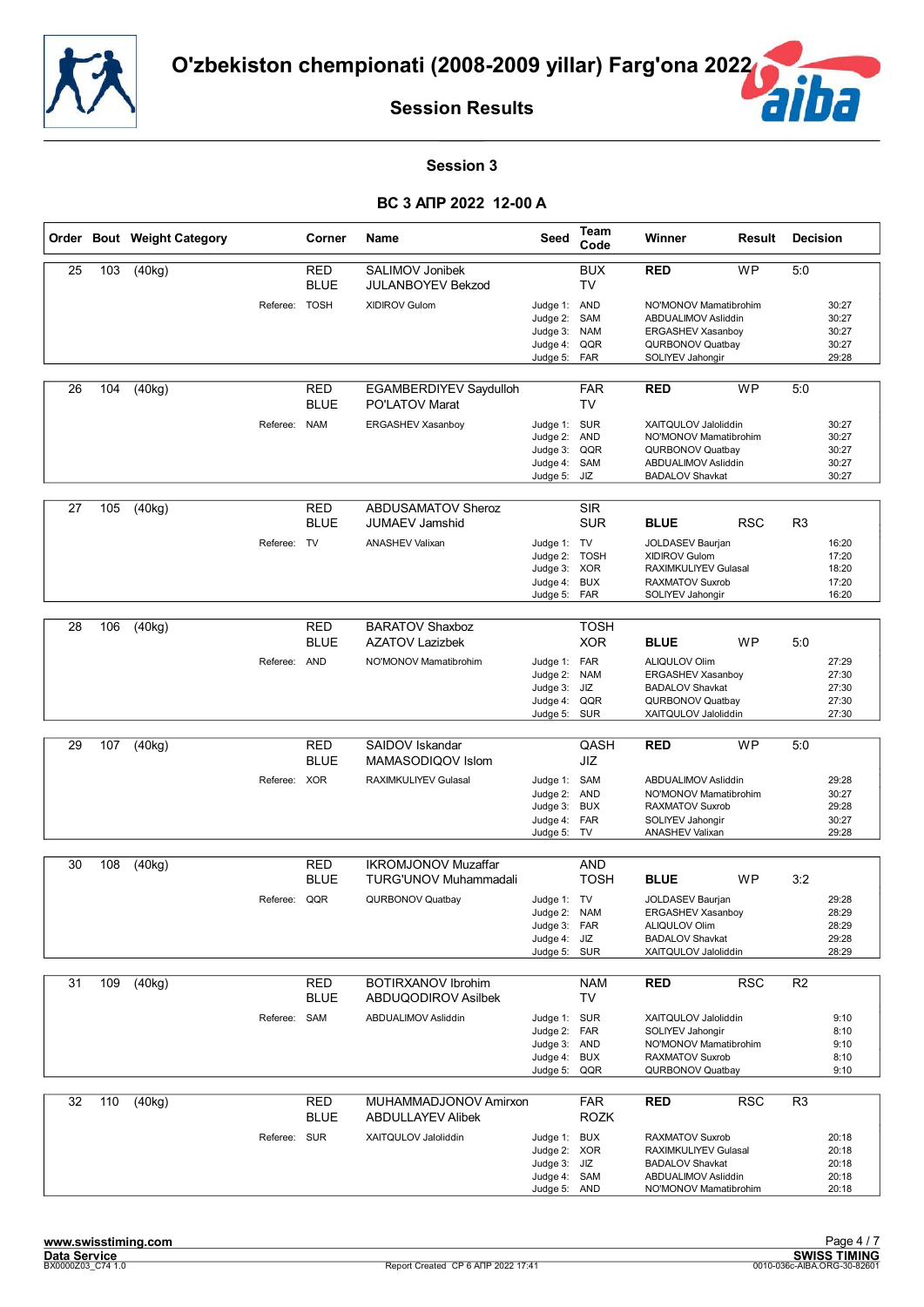![](_page_14_Picture_0.jpeg)

![](_page_14_Picture_2.jpeg)

#### **Session 3**

|    |     | Order Bout Weight Category |               | Corner                    | Name                                               | Seed                                                                         | Team<br>Code                           | Winner                                                                                                                        | Result     | <b>Decision</b> |                                           |
|----|-----|----------------------------|---------------|---------------------------|----------------------------------------------------|------------------------------------------------------------------------------|----------------------------------------|-------------------------------------------------------------------------------------------------------------------------------|------------|-----------------|-------------------------------------------|
| 25 | 103 | (40kg)                     |               | RED<br><b>BLUE</b>        | SALIMOV Jonibek<br><b>JULANBOYEV Bekzod</b>        |                                                                              | <b>BUX</b><br><b>TV</b>                | <b>RED</b>                                                                                                                    | <b>WP</b>  | 5:0             |                                           |
|    |     |                            | Referee: TOSH |                           | XIDIROV Gulom                                      | Judge 1: AND<br>Judge 2:<br>Judge 3:<br>Judge 4:<br>Judge 5:                 | SAM<br><b>NAM</b><br>QQR<br>FAR        | NO'MONOV Mamatibrohim<br>ABDUALIMOV Asliddin<br>ERGASHEV Xasanboy<br>QURBONOV Quatbay<br>SOLIYEV Jahongir                     |            |                 | 30:27<br>30:27<br>30:27<br>30:27<br>29:28 |
| 26 | 104 | (40kg)                     |               | RED<br><b>BLUE</b>        | EGAMBERDIYEV Saydulloh<br><b>PO'LATOV Marat</b>    |                                                                              | <b>FAR</b><br><b>TV</b>                | <b>RED</b>                                                                                                                    | <b>WP</b>  | 5:0             |                                           |
|    |     |                            | Referee: NAM  |                           | ERGASHEV Xasanboy                                  | Judge 1: SUR<br>Judge 2:<br>Judge 3:<br>Judge 4:<br>Judge 5:                 | <b>AND</b><br>QQR<br>SAM<br>JIZ        | XAITQULOV Jaloliddin<br>NO'MONOV Mamatibrohim<br>QURBONOV Quatbay<br>ABDUALIMOV Asliddin<br><b>BADALOV Shavkat</b>            |            |                 | 30:27<br>30:27<br>30:27<br>30:27<br>30:27 |
| 27 | 105 | (40kg)                     |               | <b>RED</b><br><b>BLUE</b> | <b>ABDUSAMATOV Sheroz</b><br><b>JUMAEV Jamshid</b> |                                                                              | <b>SIR</b><br><b>SUR</b>               | <b>BLUE</b>                                                                                                                   | <b>RSC</b> | R <sub>3</sub>  |                                           |
|    |     |                            | Referee: TV   |                           | <b>ANASHEV Valixan</b>                             | Judge 1: TV<br>Judge 2:<br>Judge 3: XOR<br>Judge 4:<br>Judge 5: FAR          | <b>TOSH</b><br><b>BUX</b>              | JOLDASEV Baurjan<br>XIDIROV Gulom<br>RAXIMKULIYEV Gulasal<br><b>RAXMATOV Suxrob</b><br>SOLIYEV Jahongir                       |            |                 | 16:20<br>17:20<br>18:20<br>17:20<br>16:20 |
|    |     |                            |               |                           |                                                    |                                                                              |                                        |                                                                                                                               |            |                 |                                           |
| 28 | 106 | (40kg)                     |               | <b>RED</b><br><b>BLUE</b> | <b>BARATOV Shaxboz</b><br><b>AZATOV Lazizbek</b>   |                                                                              | <b>TOSH</b><br><b>XOR</b>              | <b>BLUE</b>                                                                                                                   | <b>WP</b>  | 5:0             |                                           |
|    |     |                            | Referee: AND  |                           | NO'MONOV Mamatibrohim                              | Judge 1: FAR<br>Judge 2:<br>Judge 3:<br>Judge 4:<br>Judge 5:                 | <b>NAM</b><br>JIZ<br>QQR<br><b>SUR</b> | ALIQULOV Olim<br>ERGASHEV Xasanboy<br><b>BADALOV Shavkat</b><br>QURBONOV Quatbay<br>XAITQULOV Jaloliddin                      |            |                 | 27:29<br>27:30<br>27:30<br>27:30<br>27:30 |
|    |     |                            |               |                           |                                                    |                                                                              |                                        |                                                                                                                               |            |                 |                                           |
| 29 | 107 | (40kg)                     |               | <b>RED</b><br><b>BLUE</b> | SAIDOV Iskandar<br>MAMASODIQOV Islom               |                                                                              | QASH<br><b>JIZ</b>                     | <b>RED</b>                                                                                                                    | <b>WP</b>  | 5:0             |                                           |
|    |     |                            | Referee: XOR  |                           | RAXIMKULIYEV Gulasal                               | Judge 1: SAM<br>Judge 2: AND<br>Judge 3:<br>Judge 4:<br>Judge 5:             | <b>BUX</b><br><b>FAR</b><br>TV         | ABDUALIMOV Asliddin<br>NO'MONOV Mamatibrohim<br><b>RAXMATOV Suxrob</b><br>SOLIYEV Jahongir<br><b>ANASHEV Valixan</b>          |            |                 | 29:28<br>30:27<br>29:28<br>30:27<br>29:28 |
| 30 | 108 | (40kg)                     |               | RED                       | <b>IKROMJONOV Muzaffar</b>                         |                                                                              | AND                                    |                                                                                                                               |            |                 |                                           |
|    |     |                            |               | <b>BLUE</b>               | <b>TURG'UNOV Muhammadali</b>                       |                                                                              | <b>TOSH</b>                            | <b>BLUE</b>                                                                                                                   | <b>WP</b>  | 3:2             |                                           |
|    |     |                            | Referee: QQR  |                           | QURBONOV Quatbay                                   | Judge 1: TV<br>Judge 2:<br>Judge 3: FAR<br>Judge 4: JIZ<br>Judge 5: SUR      | <b>NAM</b>                             | <b>JOLDASEV Baurian</b><br><b>ERGASHEV Xasanboy</b><br><b>ALIQULOV Olim</b><br><b>BADALOV Shavkat</b><br>XAITQULOV Jaloliddin |            |                 | 29:28<br>28:29<br>28:29<br>29:28<br>28:29 |
| 31 | 109 | (40kg)                     |               | <b>RED</b>                | <b>BOTIRXANOV Ibrohim</b>                          |                                                                              | <b>NAM</b>                             | <b>RED</b>                                                                                                                    | <b>RSC</b> | R <sub>2</sub>  |                                           |
|    |     |                            |               | <b>BLUE</b>               | ABDUQODIROV Asilbek                                |                                                                              | TV                                     |                                                                                                                               |            |                 |                                           |
|    |     |                            | Referee: SAM  |                           | ABDUALIMOV Asliddin                                | Judge 1: SUR<br>Judge 2: FAR<br>Judge 3: AND<br>Judge 4:<br>Judge 5:         | <b>BUX</b><br>QQR                      | XAITQULOV Jaloliddin<br>SOLIYEV Jahongir<br>NO'MONOV Mamatibrohim<br><b>RAXMATOV Suxrob</b><br>QURBONOV Quatbay               |            |                 | 9:10<br>8:10<br>9:10<br>8:10<br>9:10      |
| 32 | 110 | (40kg)                     |               | RED<br><b>BLUE</b>        | MUHAMMADJONOV Amirxon<br><b>ABDULLAYEV Alibek</b>  |                                                                              | <b>FAR</b><br><b>ROZK</b>              | <b>RED</b>                                                                                                                    | <b>RSC</b> | R <sub>3</sub>  |                                           |
|    |     |                            | Referee: SUR  |                           | XAITQULOV Jaloliddin                               | Judge 1: BUX<br>Judge 2: XOR<br>Judge 3: JIZ<br>Judge 4: SAM<br>Judge 5: AND |                                        | RAXMATOV Suxrob<br>RAXIMKULIYEV Gulasal<br><b>BADALOV Shavkat</b><br>ABDUALIMOV Asliddin<br>NO'MONOV Mamatibrohim             |            |                 | 20:18<br>20:18<br>20:18<br>20:18<br>20:18 |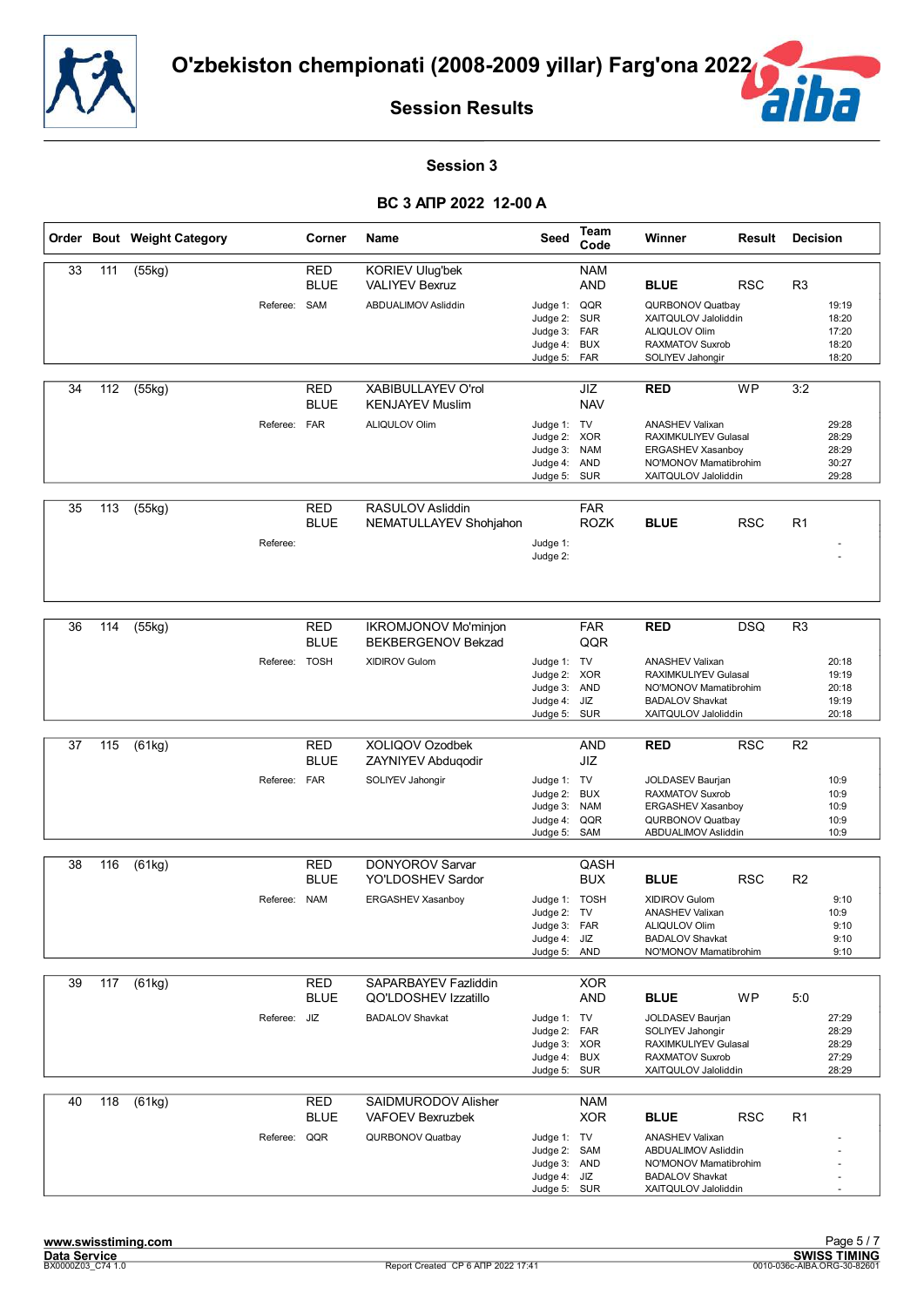![](_page_15_Picture_0.jpeg)

![](_page_15_Picture_2.jpeg)

#### **Session 3**

|    |     | Order Bout Weight Category |              | Corner                     | Name                                              | Seed                                                                     | Team<br>Code             | Winner                                                                                                               | Result     | <b>Decision</b> |                                           |
|----|-----|----------------------------|--------------|----------------------------|---------------------------------------------------|--------------------------------------------------------------------------|--------------------------|----------------------------------------------------------------------------------------------------------------------|------------|-----------------|-------------------------------------------|
| 33 | 111 | (55kg)                     |              | <b>RED</b><br><b>BLUE</b>  | <b>KORIEV Ulug'bek</b><br><b>VALIYEV Bexruz</b>   |                                                                          | <b>NAM</b><br><b>AND</b> | <b>BLUE</b>                                                                                                          | <b>RSC</b> | R <sub>3</sub>  |                                           |
|    |     |                            | Referee:     | SAM                        | ABDUALIMOV Asliddin                               | Judge 1: QQR<br>Judge 2: SUR<br>Judge 3: FAR<br>Judge 4:<br>Judge 5: FAR | <b>BUX</b>               | QURBONOV Quatbav<br>XAITQULOV Jaloliddin<br><b>ALIQULOV Olim</b><br><b>RAXMATOV Suxrob</b><br>SOLIYEV Jahongir       |            |                 | 19:19<br>18:20<br>17:20<br>18:20<br>18:20 |
| 34 | 112 | (55kg)                     |              | <b>RED</b><br><b>BLUE</b>  | XABIBULLAYEV O'rol<br><b>KENJAYEV Muslim</b>      |                                                                          | JIZ<br><b>NAV</b>        | <b>RED</b>                                                                                                           | <b>WP</b>  | 3:2             |                                           |
|    |     |                            | Referee:     | <b>FAR</b>                 | ALIQULOV Olim                                     | Judge 1: TV<br>Judge 2:<br>Judge 3: NAM<br>Judge 4:<br>Judge 5: SUR      | <b>XOR</b><br><b>AND</b> | <b>ANASHEV Valixan</b><br>RAXIMKULIYEV Gulasal<br>ERGASHEV Xasanboy<br>NO'MONOV Mamatibrohim<br>XAITQULOV Jaloliddin |            |                 | 29:28<br>28:29<br>28:29<br>30:27<br>29:28 |
| 35 | 113 | $\overline{(55kg)}$        | Referee:     | <b>RED</b><br><b>BLUE</b>  | RASULOV Asliddin<br>NEMATULLAYEV Shohjahon        | Judge 1:                                                                 | <b>FAR</b><br>ROZK       | <b>BLUE</b>                                                                                                          | <b>RSC</b> | R1              |                                           |
|    |     |                            |              |                            |                                                   | Judge 2:                                                                 |                          |                                                                                                                      |            |                 |                                           |
| 36 | 114 | (55kg)                     |              | <b>RED</b>                 | <b>IKROMJONOV Mo'minjon</b>                       |                                                                          | <b>FAR</b>               | <b>RED</b>                                                                                                           | <b>DSQ</b> | R <sub>3</sub>  |                                           |
|    |     |                            | Referee:     | <b>BLUE</b><br><b>TOSH</b> | <b>BEKBERGENOV Bekzad</b><br><b>XIDIROV Gulom</b> | Judge 1: TV                                                              | QQR                      | <b>ANASHEV Valixan</b>                                                                                               |            |                 | 20:18                                     |
|    |     |                            |              |                            |                                                   | Judge 2: XOR<br>Judge 3: AND                                             |                          | <b>RAXIMKULIYEV Gulasal</b><br>NO'MONOV Mamatibrohim                                                                 |            |                 | 19:19<br>20:18                            |
|    |     |                            |              |                            |                                                   | Judge 4: JIZ<br>Judge 5:                                                 | SUR                      | <b>BADALOV Shavkat</b><br>XAITQULOV Jaloliddin                                                                       |            |                 | 19:19<br>20:18                            |
| 37 | 115 | (61kg)                     |              | <b>RED</b>                 | XOLIQOV Ozodbek                                   |                                                                          | <b>AND</b>               | <b>RED</b>                                                                                                           | <b>RSC</b> | R <sub>2</sub>  |                                           |
|    |     |                            |              | <b>BLUE</b>                | <b>ZAYNIYEV Abdugodir</b>                         |                                                                          | JIZ                      |                                                                                                                      |            |                 |                                           |
|    |     |                            | Referee: FAR |                            | SOLIYEV Jahongir                                  | Judge 1: TV<br>Judge 2: BUX                                              |                          | JOLDASEV Baurjan<br>RAXMATOV Suxrob                                                                                  |            |                 | 10:9<br>10:9                              |
|    |     |                            |              |                            |                                                   | Judge 3:<br>Judge 4:                                                     | <b>NAM</b><br>QQR        | ERGASHEV Xasanboy<br>QURBONOV Quatbay                                                                                |            |                 | 10:9<br>10:9                              |
|    |     |                            |              |                            |                                                   | Judge 5:                                                                 | SAM                      | ABDUALIMOV Asliddin                                                                                                  |            |                 | 10:9                                      |
| 38 | 116 | (61kg)                     |              | <b>RED</b>                 | <b>DONYOROV Sarvar</b>                            |                                                                          | QASH                     |                                                                                                                      |            |                 |                                           |
|    |     |                            |              | <b>BLUE</b>                | YO'LDOSHEV Sardor                                 |                                                                          | <b>BUX</b>               | <b>BLUE</b><br><b>XIDIROV Gulom</b>                                                                                  | <b>RSC</b> | R <sub>2</sub>  |                                           |
|    |     |                            | Referee: NAM |                            | ERGASHEV Xasanboy                                 | Judge 1: TOSH<br>Judge 2: TV                                             |                          | <b>ANASHEV Valixan</b>                                                                                               |            |                 | 9:10<br>10:9                              |
|    |     |                            |              |                            |                                                   | Judge 3: FAR<br>Judge 4: JIZ                                             |                          | ALIQULOV Olim<br><b>BADALOV Shavkat</b>                                                                              |            |                 | 9:10<br>9:10                              |
|    |     |                            |              |                            |                                                   | Judge 5: AND                                                             |                          | NO'MONOV Mamatibrohim                                                                                                |            |                 | 9:10                                      |
| 39 | 117 | (61kg)                     |              | <b>RED</b><br><b>BLUE</b>  | SAPARBAYEV Fazliddin<br>QO'LDOSHEV Izzatillo      |                                                                          | <b>XOR</b><br>AND        | <b>BLUE</b>                                                                                                          | <b>WP</b>  | 5:0             |                                           |
|    |     |                            | Referee: JIZ |                            | <b>BADALOV Shavkat</b>                            | Judge 1: TV                                                              |                          | JOLDASEV Baurjan                                                                                                     |            |                 | 27:29                                     |
|    |     |                            |              |                            |                                                   | Judge 2: FAR<br>Judge 3: XOR<br>Judge 4: BUX                             |                          | SOLIYEV Jahongir<br>RAXIMKULIYEV Gulasal<br><b>RAXMATOV Suxrob</b>                                                   |            |                 | 28:29<br>28:29<br>27:29                   |
|    |     |                            |              |                            |                                                   | Judge 5: SUR                                                             |                          | XAITQULOV Jaloliddin                                                                                                 |            |                 | 28:29                                     |
| 40 | 118 | (61kg)                     |              | RED<br><b>BLUE</b>         | SAIDMURODOV Alisher<br>VAFOEV Bexruzbek           |                                                                          | <b>NAM</b><br><b>XOR</b> | <b>BLUE</b>                                                                                                          | <b>RSC</b> | R1              |                                           |
|    |     |                            | Referee: QQR |                            | QURBONOV Quatbay                                  | Judge 1: TV<br>Judge 2: SAM<br>Judge 3: AND<br>Judge 4: JIZ              |                          | <b>ANASHEV Valixan</b><br>ABDUALIMOV Asliddin<br>NO'MONOV Mamatibrohim<br><b>BADALOV Shavkat</b>                     |            |                 |                                           |
|    |     |                            |              |                            |                                                   | Judge 5: SUR                                                             |                          | XAITQULOV Jaloliddin                                                                                                 |            |                 |                                           |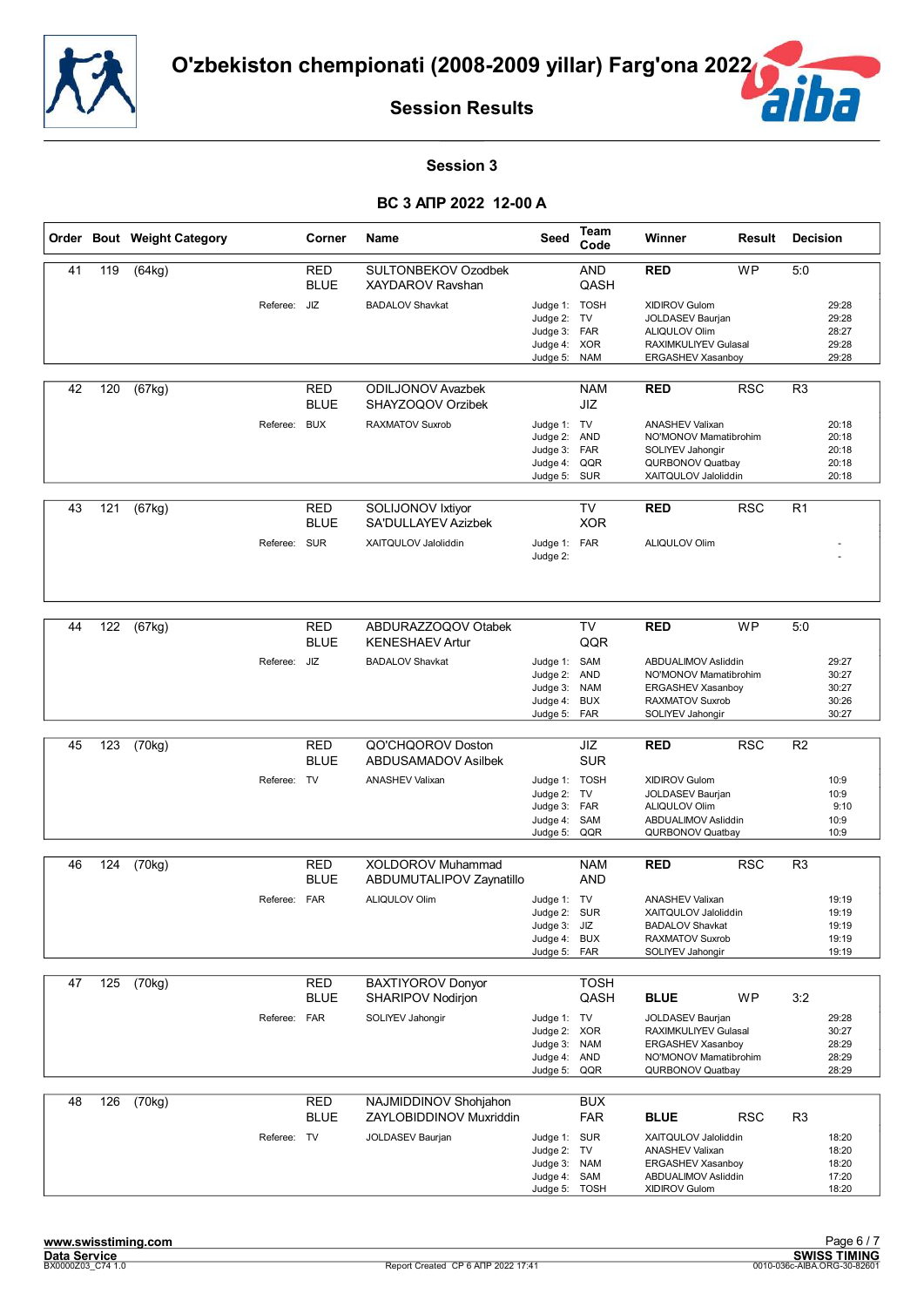![](_page_16_Picture_0.jpeg)

![](_page_16_Picture_2.jpeg)

#### **Session 3**

|    |     | Order Bout Weight Category |              | <b>Corner</b>             | <b>Name</b>                                      | Seed                                                                        | Team<br>Code                    | Winner                                                                                                                   | Result     | <b>Decision</b> |                                           |
|----|-----|----------------------------|--------------|---------------------------|--------------------------------------------------|-----------------------------------------------------------------------------|---------------------------------|--------------------------------------------------------------------------------------------------------------------------|------------|-----------------|-------------------------------------------|
| 41 | 119 | (64kg)                     |              | <b>RED</b><br><b>BLUE</b> | SULTONBEKOV Ozodbek<br><b>XAYDAROV Ravshan</b>   |                                                                             | <b>AND</b><br>QASH              | <b>RED</b>                                                                                                               | <b>WP</b>  | 5:0             |                                           |
|    |     |                            | Referee:     | JIZ                       | <b>BADALOV Shavkat</b>                           | Judge 1: TOSH<br>Judge 2: TV<br>Judge 3: FAR<br>Judge 4: XOR<br>Judge 5:    | <b>NAM</b>                      | XIDIROV Gulom<br>JOLDASEV Baurjan<br><b>ALIQULOV Olim</b><br>RAXIMKULIYEV Gulasal<br>ERGASHEV Xasanboy                   |            |                 | 29:28<br>29:28<br>28:27<br>29:28<br>29:28 |
| 42 | 120 | (67kg)                     |              | RED<br><b>BLUE</b>        | <b>ODILJONOV Avazbek</b><br>SHAYZOQOV Orzibek    |                                                                             | <b>NAM</b><br>JIZ               | <b>RED</b>                                                                                                               | <b>RSC</b> | R <sub>3</sub>  |                                           |
|    |     |                            | Referee:     | <b>BUX</b>                | <b>RAXMATOV Suxrob</b>                           | Judge 1: TV<br>Judge 2: AND<br>Judge 3: FAR<br>Judge 4:<br>Judge 5: SUR     | QQR                             | <b>ANASHEV Valixan</b><br>NO'MONOV Mamatibrohim<br>SOLIYEV Jahongir<br>QURBONOV Quatbay<br>XAITQULOV Jaloliddin          |            |                 | 20:18<br>20:18<br>20:18<br>20:18<br>20:18 |
| 43 | 121 | $\sqrt{(67kg)}$            |              | <b>RED</b><br><b>BLUE</b> | SOLIJONOV Ixtiyor<br>SA'DULLAYEV Azizbek         |                                                                             | <b>TV</b><br><b>XOR</b>         | <b>RED</b>                                                                                                               | <b>RSC</b> | R <sub>1</sub>  |                                           |
|    |     |                            | Referee: SUR |                           | XAITQULOV Jaloliddin                             | Judge 1: FAR<br>Judge 2:                                                    |                                 | ALIQULOV Olim                                                                                                            |            |                 |                                           |
| 44 | 122 | (67kg)                     |              | <b>RED</b><br><b>BLUE</b> | ABDURAZZOQOV Otabek<br><b>KENESHAEV Artur</b>    |                                                                             | TV<br>QQR                       | <b>RED</b>                                                                                                               | <b>WP</b>  | 5:0             |                                           |
|    |     |                            | Referee: JIZ |                           | <b>BADALOV Shavkat</b>                           | Judge 1: SAM<br>Judge 2: AND<br>Judge 3:<br>Judge 4:<br>Judge 5:            | <b>NAM</b><br><b>BUX</b><br>FAR | ABDUALIMOV Asliddin<br>NO'MONOV Mamatibrohim<br>ERGASHEV Xasanboy<br><b>RAXMATOV Suxrob</b><br>SOLIYEV Jahongir          |            |                 | 29:27<br>30:27<br>30:27<br>30:26<br>30:27 |
|    |     |                            |              |                           |                                                  |                                                                             |                                 |                                                                                                                          |            |                 |                                           |
| 45 | 123 | (70kg)                     |              | <b>RED</b><br><b>BLUE</b> | QO'CHQOROV Doston<br><b>ABDUSAMADOV Asilbek</b>  |                                                                             | JIZ<br><b>SUR</b>               | <b>RED</b>                                                                                                               | <b>RSC</b> | R <sub>2</sub>  |                                           |
|    |     |                            | Referee: TV  |                           | <b>ANASHEV Valixan</b>                           | Judge 1: TOSH<br>Judge 2: TV<br>Judge 3: FAR<br>Judge 4:<br>Judge 5:        | SAM<br>QQR                      | <b>XIDIROV Gulom</b><br>JOLDASEV Baurjan<br><b>ALIQULOV Olim</b><br>ABDUALIMOV Asliddin<br>QURBONOV Quatbay              |            |                 | 10:9<br>10:9<br>9:10<br>10:9<br>10:9      |
| 46 | 124 | (70kg)                     |              | <b>RED</b>                | XOLDOROV Muhammad                                |                                                                             | <b>NAM</b>                      | <b>RED</b>                                                                                                               | <b>RSC</b> | R <sub>3</sub>  |                                           |
|    |     |                            |              | <b>BLUE</b>               | ABDUMUTALIPOV Zaynatillo                         |                                                                             | <b>AND</b>                      |                                                                                                                          |            |                 |                                           |
|    |     |                            | Referee: FAR |                           | ALIQULOV Olim                                    | Judge 1: TV<br>Judge 2: SUR<br>Judge 3: JIZ<br>Judge 4: BUX<br>Judge 5: FAR |                                 | <b>ANASHEV Valixan</b><br>XAITQULOV Jaloliddin<br><b>BADALOV Shavkat</b><br>RAXMATOV Suxrob<br>SOLIYEV Jahongir          |            |                 | 19:19<br>19:19<br>19:19<br>19:19<br>19:19 |
| 47 | 125 | (70kg)                     |              | <b>RED</b><br><b>BLUE</b> | <b>BAXTIYOROV Donyor</b><br>SHARIPOV Nodirjon    |                                                                             | <b>TOSH</b><br>QASH             | <b>BLUE</b>                                                                                                              | <b>WP</b>  | 3:2             |                                           |
|    |     |                            | Referee: FAR |                           | SOLIYEV Jahongir                                 | Judge 1: TV<br>Judge 2: XOR<br>Judge 3: NAM<br>Judge 4: AND<br>Judge 5:     | QQR                             | <b>JOLDASEV Baurjan</b><br><b>RAXIMKULIYEV Gulasal</b><br>ERGASHEV Xasanboy<br>NO'MONOV Mamatibrohim<br>QURBONOV Quatbay |            |                 | 29:28<br>30:27<br>28:29<br>28:29<br>28:29 |
| 48 | 126 | (70kg)                     |              | <b>RED</b><br><b>BLUE</b> | NAJMIDDINOV Shohjahon<br>ZAYLOBIDDINOV Muxriddin |                                                                             | <b>BUX</b><br><b>FAR</b>        | <b>BLUE</b>                                                                                                              | <b>RSC</b> | R <sub>3</sub>  |                                           |
|    |     |                            | Referee: TV  |                           | JOLDASEV Baurjan                                 | Judge 1: SUR<br>Judge 2: TV<br>Judge 3: NAM<br>Judge 4: SAM<br>Judge 5:     | <b>TOSH</b>                     | XAITQULOV Jaloliddin<br><b>ANASHEV Valixan</b><br>ERGASHEV Xasanboy<br>ABDUALIMOV Asliddin<br>XIDIROV Gulom              |            |                 | 18:20<br>18:20<br>18:20<br>17:20<br>18:20 |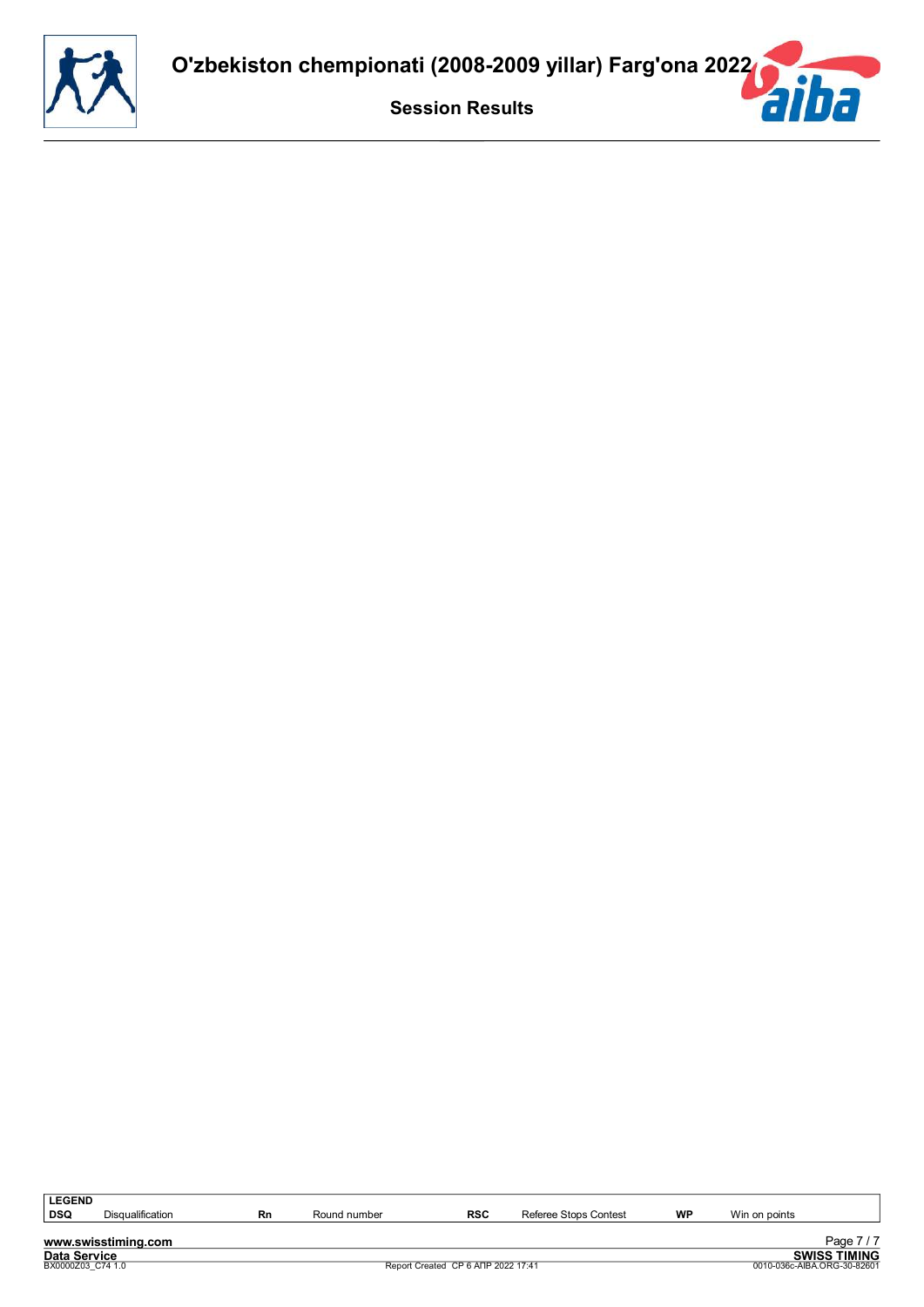![](_page_17_Picture_0.jpeg)

| <b>LEGEND</b>       |                         |    |              |                                    |                       |    |                             |                     |
|---------------------|-------------------------|----|--------------|------------------------------------|-----------------------|----|-----------------------------|---------------------|
| DSQ                 | <b>Disqualification</b> | Rn | Round number | RSC                                | Referee Stops Contest | WP | Win on points               |                     |
|                     |                         |    |              |                                    |                       |    |                             |                     |
|                     | www.swisstiming.com     |    |              |                                    |                       |    |                             | Page 7/7            |
| <b>Data Service</b> |                         |    |              |                                    |                       |    |                             | <b>SWISS TIMING</b> |
| BX0000Z03 C74 1.0   |                         |    |              | Report Created CP 6 ANP 2022 17:41 |                       |    | 0010-036c-AIBA.ORG-30-82601 |                     |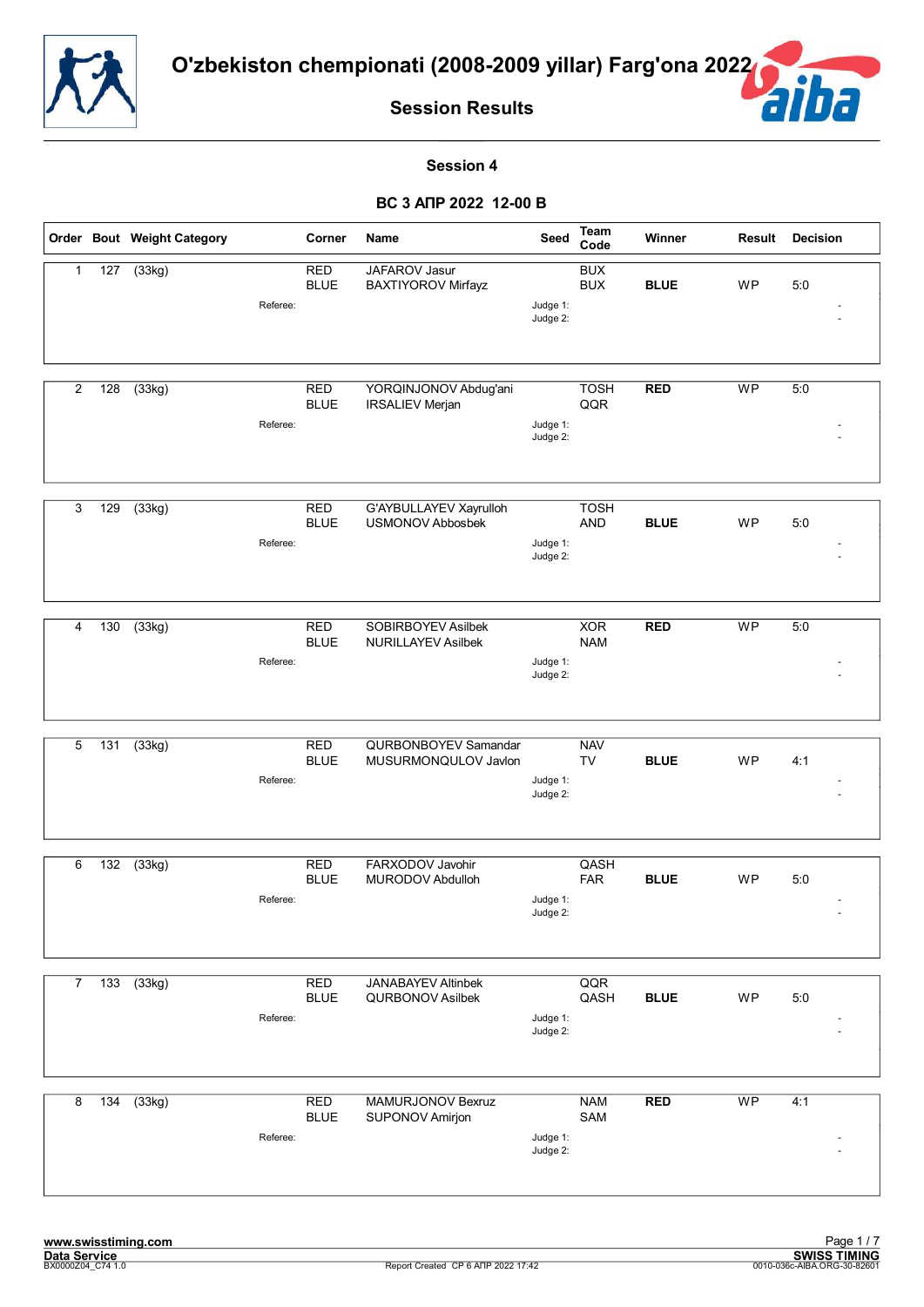![](_page_18_Picture_0.jpeg)

![](_page_18_Picture_2.jpeg)

#### **Session 4**

|                |                  | Order Bout Weight Category |          | Corner                    | Name                                                 | Seed                 | Team<br>Code              | Winner      | <b>Result</b> | <b>Decision</b> |
|----------------|------------------|----------------------------|----------|---------------------------|------------------------------------------------------|----------------------|---------------------------|-------------|---------------|-----------------|
| 1              | 127              | (33kg)                     | Referee: | <b>RED</b><br><b>BLUE</b> | JAFAROV Jasur<br><b>BAXTIYOROV Mirfayz</b>           | Judge 1:<br>Judge 2: | <b>BUX</b><br><b>BUX</b>  | <b>BLUE</b> | WP            | 5:0             |
| 2              | 128              | (33kg)                     | Referee: | <b>RED</b><br><b>BLUE</b> | YORQINJONOV Abdug'ani<br><b>IRSALIEV Merjan</b>      | Judge 1:<br>Judge 2: | <b>TOSH</b><br>QQR        | <b>RED</b>  | <b>WP</b>     | 5:0             |
| 3              | 129              | (33kg)                     | Referee: | <b>RED</b><br><b>BLUE</b> | G'AYBULLAYEV Xayrulloh<br><b>USMONOV Abbosbek</b>    | Judge 1:<br>Judge 2: | <b>TOSH</b><br><b>AND</b> | <b>BLUE</b> | WP            | 5:0             |
| 4              | $\overline{130}$ | (33kg)                     | Referee: | <b>RED</b><br><b>BLUE</b> | SOBIRBOYEV Asilbek<br><b>NURILLAYEV Asilbek</b>      | Judge 1:<br>Judge 2: | <b>XOR</b><br><b>NAM</b>  | RED         | <b>WP</b>     | 5:0             |
| 5              | 131              | $\overline{(33kg)}$        | Referee: | <b>RED</b><br><b>BLUE</b> | QURBONBOYEV Samandar<br>MUSURMONQULOV Javlon         | Judge 1:<br>Judge 2: | <b>NAV</b><br><b>TV</b>   | <b>BLUE</b> | <b>WP</b>     | 4:1             |
| 6              | 132              | (33kg)                     | Referee: | <b>RED</b><br><b>BLUE</b> | FARXODOV Javohir<br>MURODOV Abdulloh                 | Judge 1:<br>Judge 2: | QASH<br><b>FAR</b>        | <b>BLUE</b> | <b>WP</b>     | 5:0             |
| $\overline{7}$ | $\overline{133}$ | (33kg)                     | Referee: | <b>RED</b><br><b>BLUE</b> | <b>JANABAYEV Altinbek</b><br><b>QURBONOV Asilbek</b> | Judge 1:<br>Judge 2: | QQR<br>QASH               | <b>BLUE</b> | <b>WP</b>     | 5:0             |
| 8              | $\overline{134}$ | (33kg)                     | Referee: | <b>RED</b><br><b>BLUE</b> | <b>MAMURJONOV Bexruz</b><br>SUPONOV Amirjon          | Judge 1:<br>Judge 2: | <b>NAM</b><br>SAM         | RED         | <b>WP</b>     | 4:1             |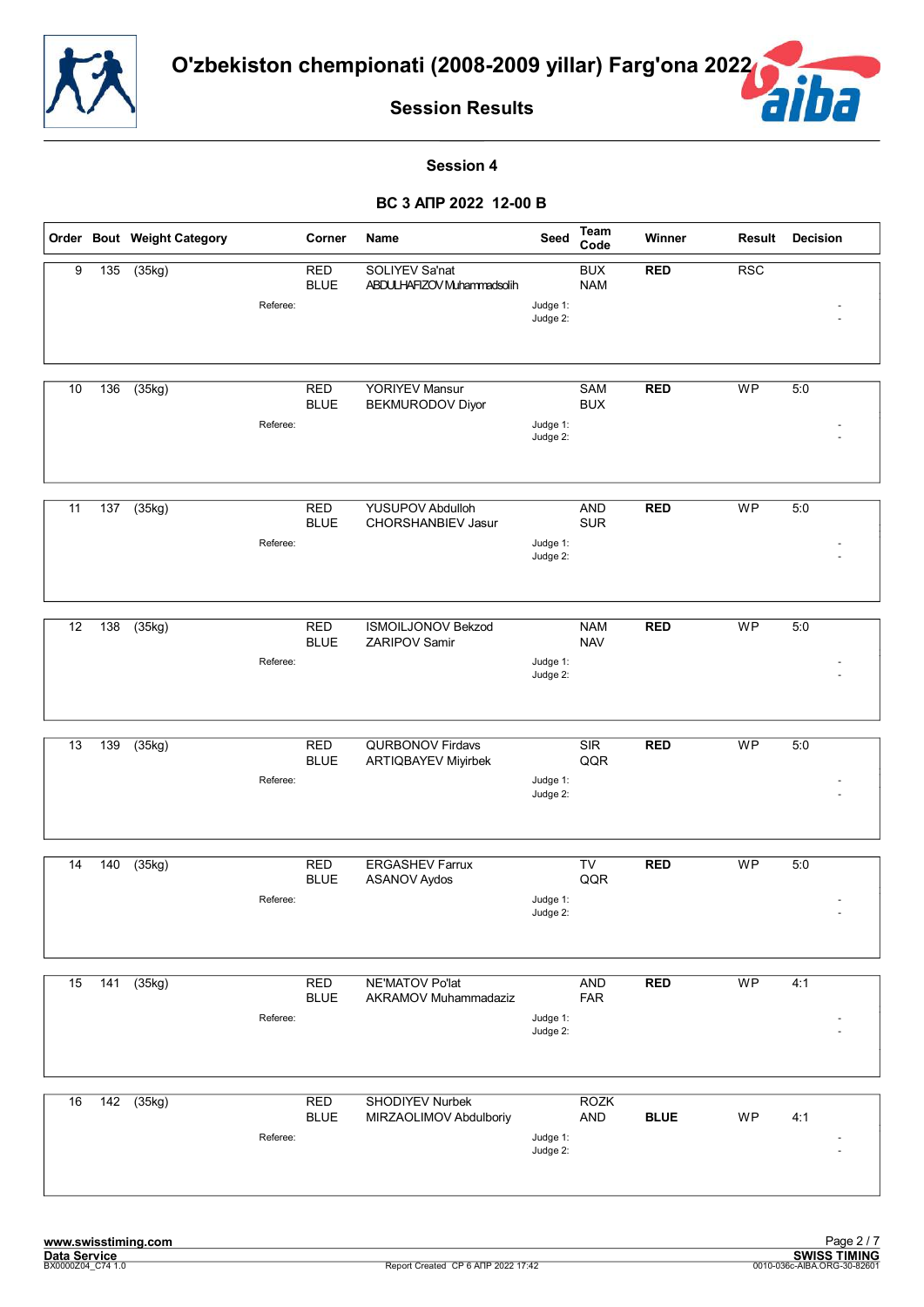![](_page_19_Picture_0.jpeg)

![](_page_19_Picture_2.jpeg)

#### **Session 4**

|    |                  | Order Bout Weight Category | Corner                                | Name                                                | Seed                 | Team<br>Code             | Winner      | <b>Result</b> | <b>Decision</b> |
|----|------------------|----------------------------|---------------------------------------|-----------------------------------------------------|----------------------|--------------------------|-------------|---------------|-----------------|
| 9  | $\overline{135}$ | (35kg)                     | <b>RED</b><br><b>BLUE</b><br>Referee: | <b>SOLIYEV Sa'nat</b><br>ABDULHAFIZOV Muhammadsolih | Judge 1:<br>Judge 2: | <b>BUX</b><br><b>NAM</b> | <b>RED</b>  | <b>RSC</b>    |                 |
| 10 | 136              | (35kg)                     | <b>RED</b><br><b>BLUE</b><br>Referee: | YORIYEV Mansur<br><b>BEKMURODOV Diyor</b>           | Judge 1:<br>Judge 2: | SAM<br><b>BUX</b>        | <b>RED</b>  | <b>WP</b>     | 5:0             |
| 11 | 137              | (35kg)                     | <b>RED</b><br><b>BLUE</b><br>Referee: | YUSUPOV Abdulloh<br>CHORSHANBIEV Jasur              | Judge 1:<br>Judge 2: | <b>AND</b><br><b>SUR</b> | <b>RED</b>  | <b>WP</b>     | 5:0             |
| 12 | 138              | (35kg)                     | <b>RED</b><br><b>BLUE</b><br>Referee: | <b>ISMOILJONOV Bekzod</b><br>ZARIPOV Samir          | Judge 1:<br>Judge 2: | <b>NAM</b><br><b>NAV</b> | <b>RED</b>  | <b>WP</b>     | 5:0             |
| 13 | 139              | (35kg)                     | <b>RED</b><br><b>BLUE</b><br>Referee: | QURBONOV Firdavs<br>ARTIQBAYEV Miyirbek             | Judge 1:<br>Judge 2: | <b>SIR</b><br>QQR        | <b>RED</b>  | <b>WP</b>     | 5:0             |
| 14 | 140              | (35kg)                     | <b>RED</b><br><b>BLUE</b><br>Referee: | <b>ERGASHEV Farrux</b><br><b>ASANOV Aydos</b>       | Judge 1:<br>Judge 2: | TV<br>QQR                | <b>RED</b>  | <b>WP</b>     | 5:0             |
| 15 | 141              | (35kg)                     | <b>RED</b><br><b>BLUE</b><br>Referee: | NE'MATOV Po'lat<br>AKRAMOV Muhammadaziz             | Judge 1:<br>Judge 2: | <b>AND</b><br><b>FAR</b> | <b>RED</b>  | WP            | 4:1             |
| 16 | 142              | (35kg)                     | RED<br><b>BLUE</b><br>Referee:        | SHODIYEV Nurbek<br>MIRZAOLIMOV Abdulboriy           | Judge 1:<br>Judge 2: | <b>ROZK</b><br>AND       | <b>BLUE</b> | WP            | 4:1             |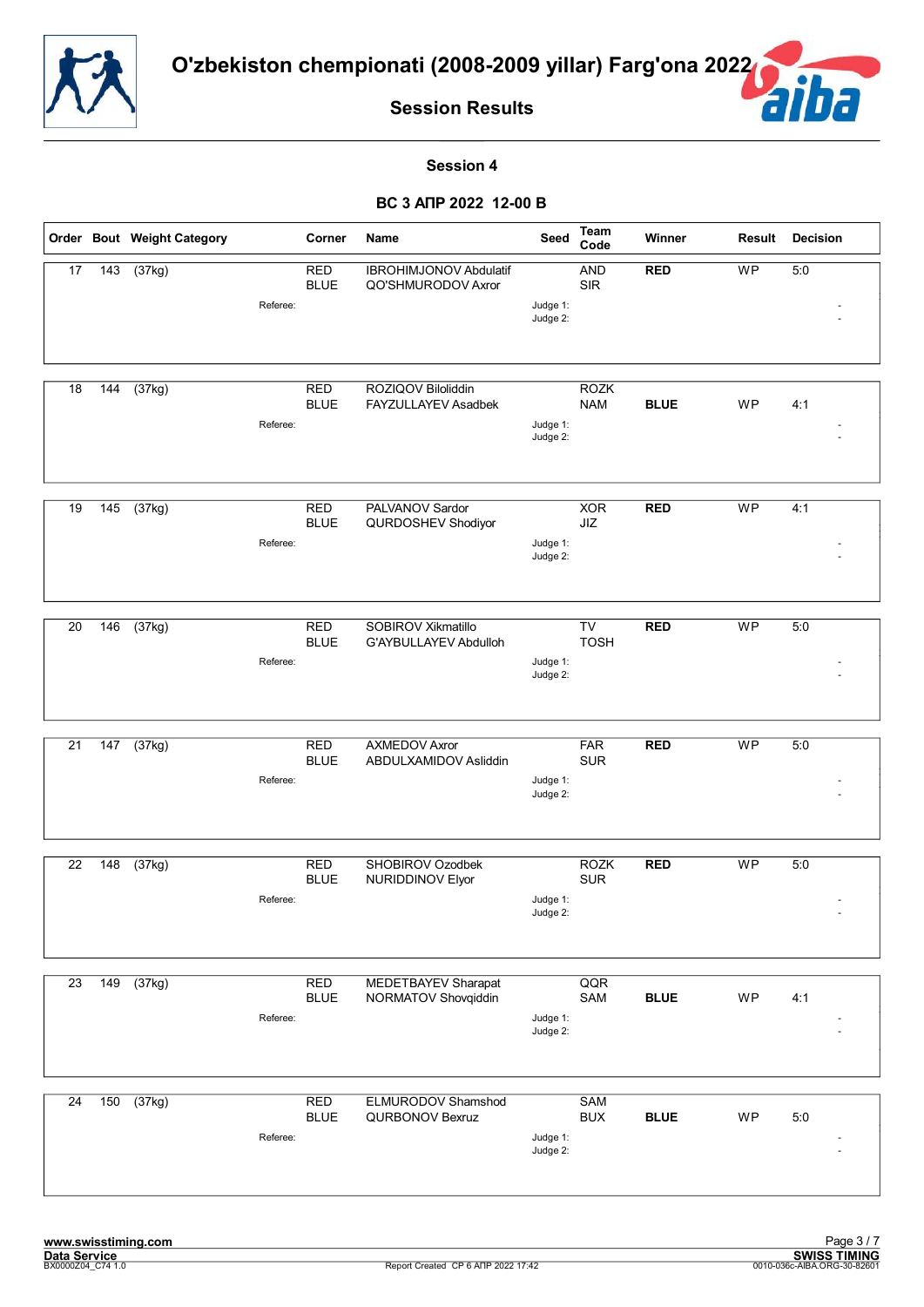![](_page_20_Picture_0.jpeg)

É

**Session Results**

#### **Session 4**

|                 |                 | Order Bout Weight Category | Corner                                | Name                                                | Seed                 | <b>Team</b><br>Code       | Winner      | Result    | <b>Decision</b> |
|-----------------|-----------------|----------------------------|---------------------------------------|-----------------------------------------------------|----------------------|---------------------------|-------------|-----------|-----------------|
| 17              | $\frac{1}{143}$ | (37kg)                     | <b>RED</b><br><b>BLUE</b><br>Referee: | <b>IBROHIMJONOV Abdulatif</b><br>QO'SHMURODOV Axror | Judge 1:<br>Judge 2: | <b>AND</b><br><b>SIR</b>  | <b>RED</b>  | WP        | 5:0             |
| 18              | 144             | (37kg)                     | <b>RED</b><br><b>BLUE</b><br>Referee: | ROZIQOV Biloliddin<br>FAYZULLAYEV Asadbek           | Judge 1:<br>Judge 2: | <b>ROZK</b><br><b>NAM</b> | <b>BLUE</b> | <b>WP</b> | 4:1             |
| 19              | 145             | (37kg)                     | <b>RED</b><br><b>BLUE</b><br>Referee: | PALVANOV Sardor<br>QURDOSHEV Shodiyor               | Judge 1:<br>Judge 2: | <b>XOR</b><br>JIZ         | <b>RED</b>  | <b>WP</b> | 4:1             |
| 20              | 146             | (37kg)                     | <b>RED</b><br><b>BLUE</b><br>Referee: | SOBIROV Xikmatillo<br>G'AYBULLAYEV Abdulloh         | Judge 1:<br>Judge 2: | TV<br><b>TOSH</b>         | <b>RED</b>  | <b>WP</b> | 5:0             |
| 21              | 147             | $\overline{(37kg)}$        | <b>RED</b><br><b>BLUE</b><br>Referee: | <b>AXMEDOV Axror</b><br>ABDULXAMIDOV Asliddin       | Judge 1:<br>Judge 2: | <b>FAR</b><br><b>SUR</b>  | <b>RED</b>  | <b>WP</b> | 5:0             |
| 22              | 148             | (37kg)                     | <b>RED</b><br><b>BLUE</b><br>Referee: | SHOBIROV Ozodbek<br>NURIDDINOV Elyor                | Judge 1:<br>Judge 2: | <b>ROZK</b><br><b>SUR</b> | <b>RED</b>  | <b>WP</b> | 5:0             |
| $\overline{23}$ | 149             | (37kg)                     | <b>RED</b><br><b>BLUE</b><br>Referee: | MEDETBAYEV Sharapat<br>NORMATOV Shovqiddin          | Judge 1:<br>Judge 2: | QQR<br>SAM                | <b>BLUE</b> | WP        | 4:1             |
| 24              | 150             | (37kg)                     | <b>RED</b><br><b>BLUE</b><br>Referee: | ELMURODOV Shamshod<br>QURBONOV Bexruz               | Judge 1:<br>Judge 2: | SAM<br><b>BUX</b>         | <b>BLUE</b> | WP        | 5:0             |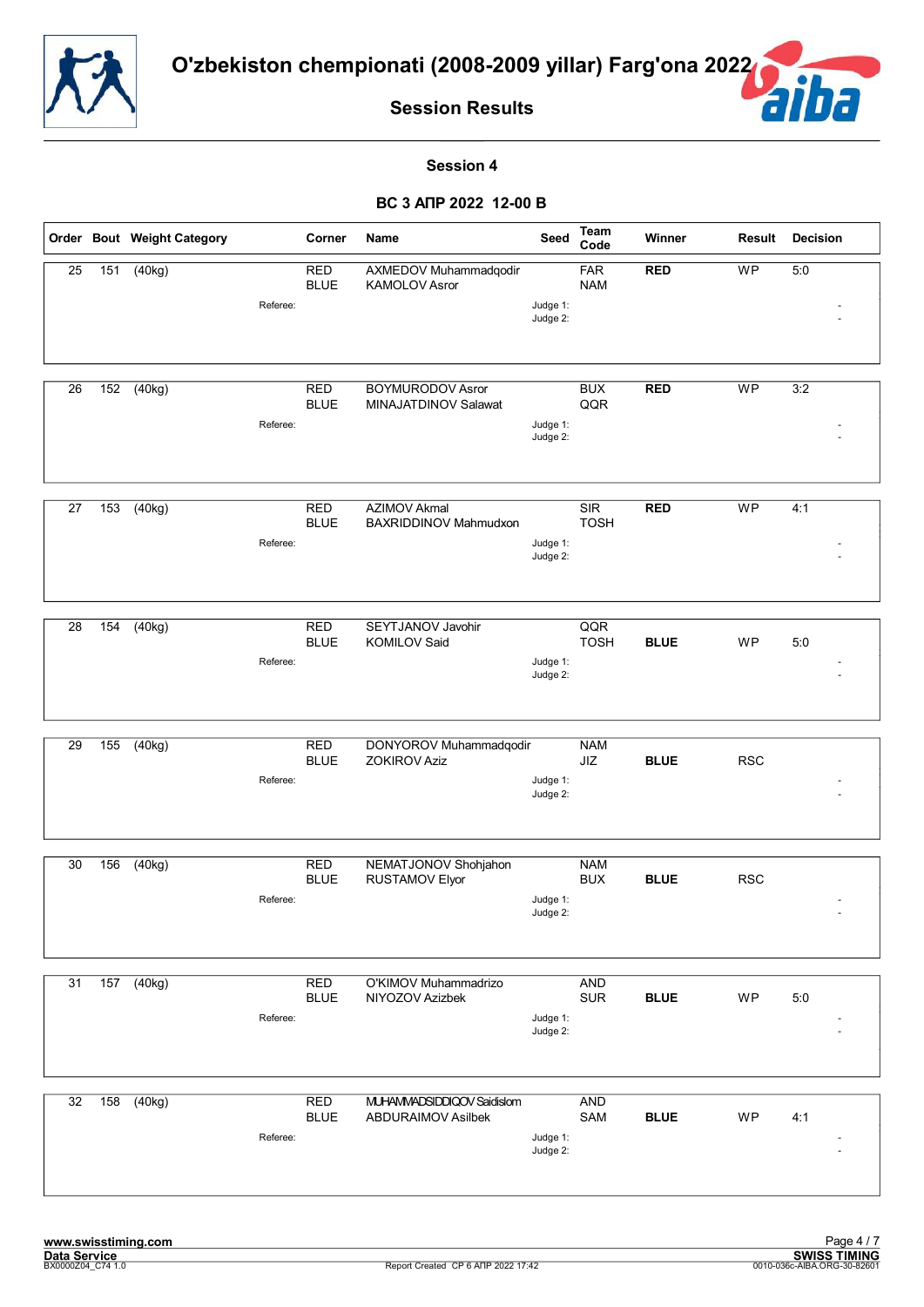![](_page_21_Picture_0.jpeg)

![](_page_21_Picture_2.jpeg)

#### **Session 4**

|                 |     | Order Bout Weight Category | Corner                    | Name                                                    | Seed                 | Team<br>Code             | Winner      | Result     | <b>Decision</b> |
|-----------------|-----|----------------------------|---------------------------|---------------------------------------------------------|----------------------|--------------------------|-------------|------------|-----------------|
| $\overline{25}$ | 151 | (40kg)<br>Referee:         | <b>RED</b><br><b>BLUE</b> | AXMEDOV Muhammadqodir<br>KAMOLOV Asror                  | Judge 1:<br>Judge 2: | <b>FAR</b><br><b>NAM</b> | <b>RED</b>  | WP         | 5:0             |
| 26              | 152 | (40kg)<br>Referee:         | <b>RED</b><br><b>BLUE</b> | <b>BOYMURODOV Asror</b><br>MINAJATDINOV Salawat         | Judge 1:<br>Judge 2: | <b>BUX</b><br>QQR        | <b>RED</b>  | WP         | 3:2             |
| 27              | 153 | (40kg)<br>Referee:         | <b>RED</b><br><b>BLUE</b> | <b>AZIMOV Akmal</b><br>BAXRIDDINOV Mahmudxon            | Judge 1:<br>Judge 2: | SIR<br><b>TOSH</b>       | <b>RED</b>  | <b>WP</b>  | 4:1             |
| 28              | 154 | (40kg)<br>Referee:         | <b>RED</b><br><b>BLUE</b> | SEYTJANOV Javohir<br><b>KOMILOV Said</b>                | Judge 1:<br>Judge 2: | QQR<br><b>TOSH</b>       | <b>BLUE</b> | <b>WP</b>  | 5:0             |
| 29              | 155 | (40kg)<br>Referee:         | <b>RED</b><br><b>BLUE</b> | DONYOROV Muhammadqodir<br><b>ZOKIROV Aziz</b>           | Judge 1:<br>Judge 2: | <b>NAM</b><br>JIZ        | <b>BLUE</b> | <b>RSC</b> |                 |
| 30              | 156 | (40kg)<br>Referee:         | <b>RED</b><br><b>BLUE</b> | NEMATJONOV Shohjahon<br>RUSTAMOV Elyor                  | Judge 1:<br>Judge 2: | <b>NAM</b><br><b>BUX</b> | <b>BLUE</b> | <b>RSC</b> |                 |
| 31              | 157 | (40kg)<br>Referee:         | <b>RED</b><br><b>BLUE</b> | O'KIMOV Muhammadrizo<br>NIYOZOV Azizbek                 | Judge 1:<br>Judge 2: | <b>AND</b><br><b>SUR</b> | <b>BLUE</b> | <b>WP</b>  | 5:0             |
| 32              | 158 | (40kg)<br>Referee:         | <b>RED</b><br><b>BLUE</b> | MUHAMMADSIDDIQOV Saidislom<br><b>ABDURAIMOV Asilbek</b> | Judge 1:<br>Judge 2: | <b>AND</b><br>SAM        | <b>BLUE</b> | WP         | 4:1             |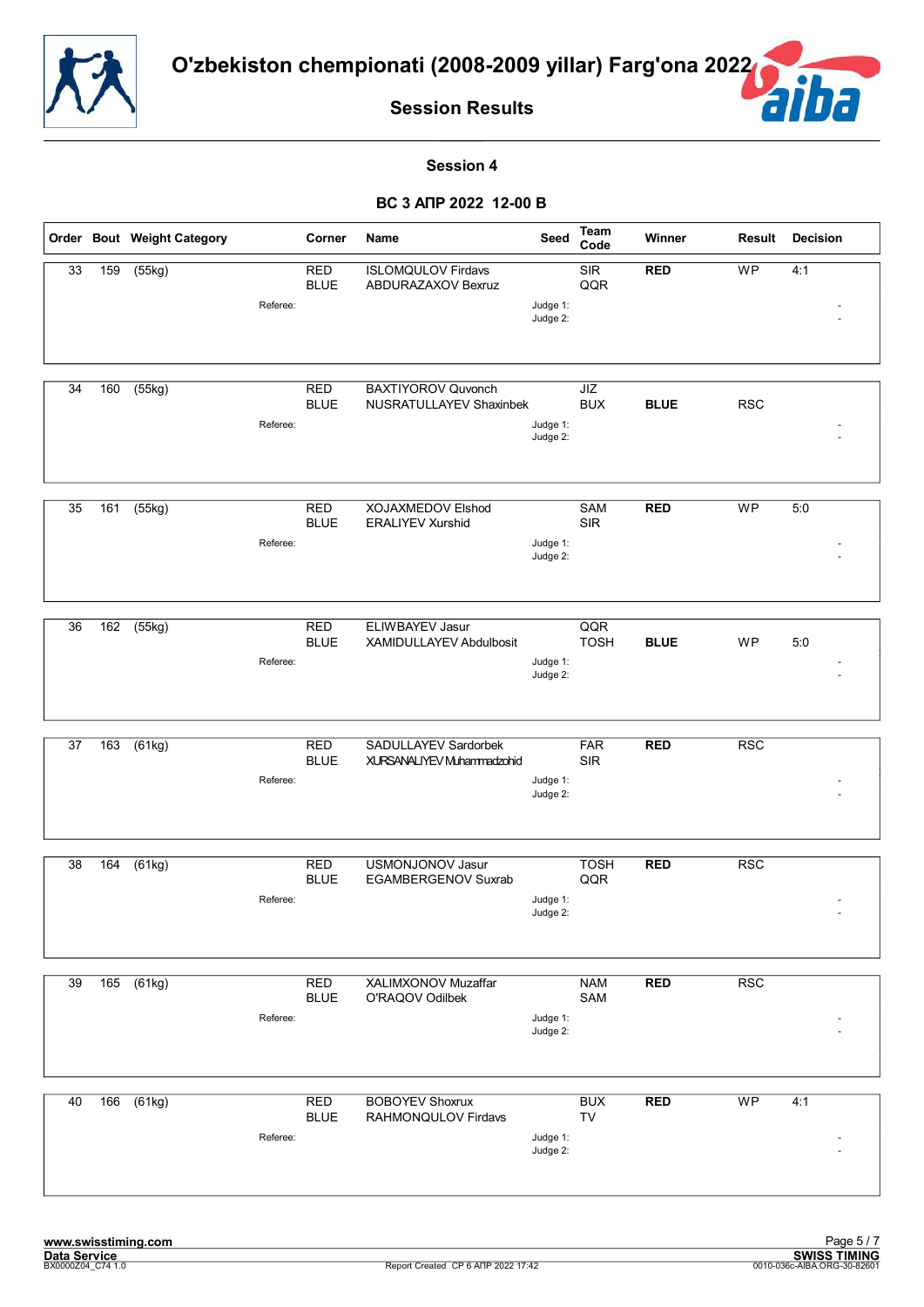![](_page_22_Picture_0.jpeg)

![](_page_22_Picture_2.jpeg)

#### **Session 4**

|    |     | Order Bout Weight Category      | Corner                    | Name                                                        | Seed                 | Team<br>Code             | Winner      | Result     | <b>Decision</b> |
|----|-----|---------------------------------|---------------------------|-------------------------------------------------------------|----------------------|--------------------------|-------------|------------|-----------------|
| 33 | 159 | (55kg)<br>Referee:              | <b>RED</b><br><b>BLUE</b> | <b>ISLOMQULOV Firdavs</b><br>ABDURAZAXOV Bexruz             | Judge 1:<br>Judge 2: | <b>SIR</b><br>QQR        | <b>RED</b>  | WP         | 4:1             |
| 34 | 160 | $\overline{(55kg)}$<br>Referee: | <b>RED</b><br><b>BLUE</b> | <b>BAXTIYOROV Quvonch</b><br><b>NUSRATULLAYEV Shaxinbek</b> | Judge 1:<br>Judge 2: | JIZ<br><b>BUX</b>        | <b>BLUE</b> | <b>RSC</b> |                 |
| 35 | 161 | (55kg)<br>Referee:              | <b>RED</b><br><b>BLUE</b> | XOJAXMEDOV Elshod<br><b>ERALIYEV Xurshid</b>                | Judge 1:<br>Judge 2: | SAM<br>SIR               | <b>RED</b>  | <b>WP</b>  | 5:0             |
| 36 | 162 | (55kg)<br>Referee:              | <b>RED</b><br><b>BLUE</b> | ELIWBAYEV Jasur<br>XAMIDULLAYEV Abdulbosit                  | Judge 1:<br>Judge 2: | QQR<br><b>TOSH</b>       | <b>BLUE</b> | WP         | 5:0             |
| 37 | 163 | $\overline{(61kg)}$<br>Referee: | <b>RED</b><br><b>BLUE</b> | SADULLAYEV Sardorbek<br>XURSANALIYEV Muhammadzohid          | Judge 1:<br>Judge 2: | <b>FAR</b><br><b>SIR</b> | <b>RED</b>  | <b>RSC</b> |                 |
| 38 | 164 | (61kg)<br>Referee:              | <b>RED</b><br><b>BLUE</b> | USMONJONOV Jasur<br><b>EGAMBERGENOV Suxrab</b>              | Judge 1:<br>Judge 2: | <b>TOSH</b><br>QQR       | <b>RED</b>  | <b>RSC</b> |                 |
| 39 | 165 | (61kg)<br>Referee:              | <b>RED</b><br><b>BLUE</b> | XALIMXONOV Muzaffar<br>O'RAQOV Odilbek                      | Judge 1:<br>Judge 2: | <b>NAM</b><br>SAM        | <b>RED</b>  | <b>RSC</b> |                 |
| 40 | 166 | (61kg)<br>Referee:              | <b>RED</b><br><b>BLUE</b> | <b>BOBOYEV Shoxrux</b><br>RAHMONQULOV Firdavs               | Judge 1:<br>Judge 2: | <b>BUX</b><br><b>TV</b>  | <b>RED</b>  | <b>WP</b>  | 4:1             |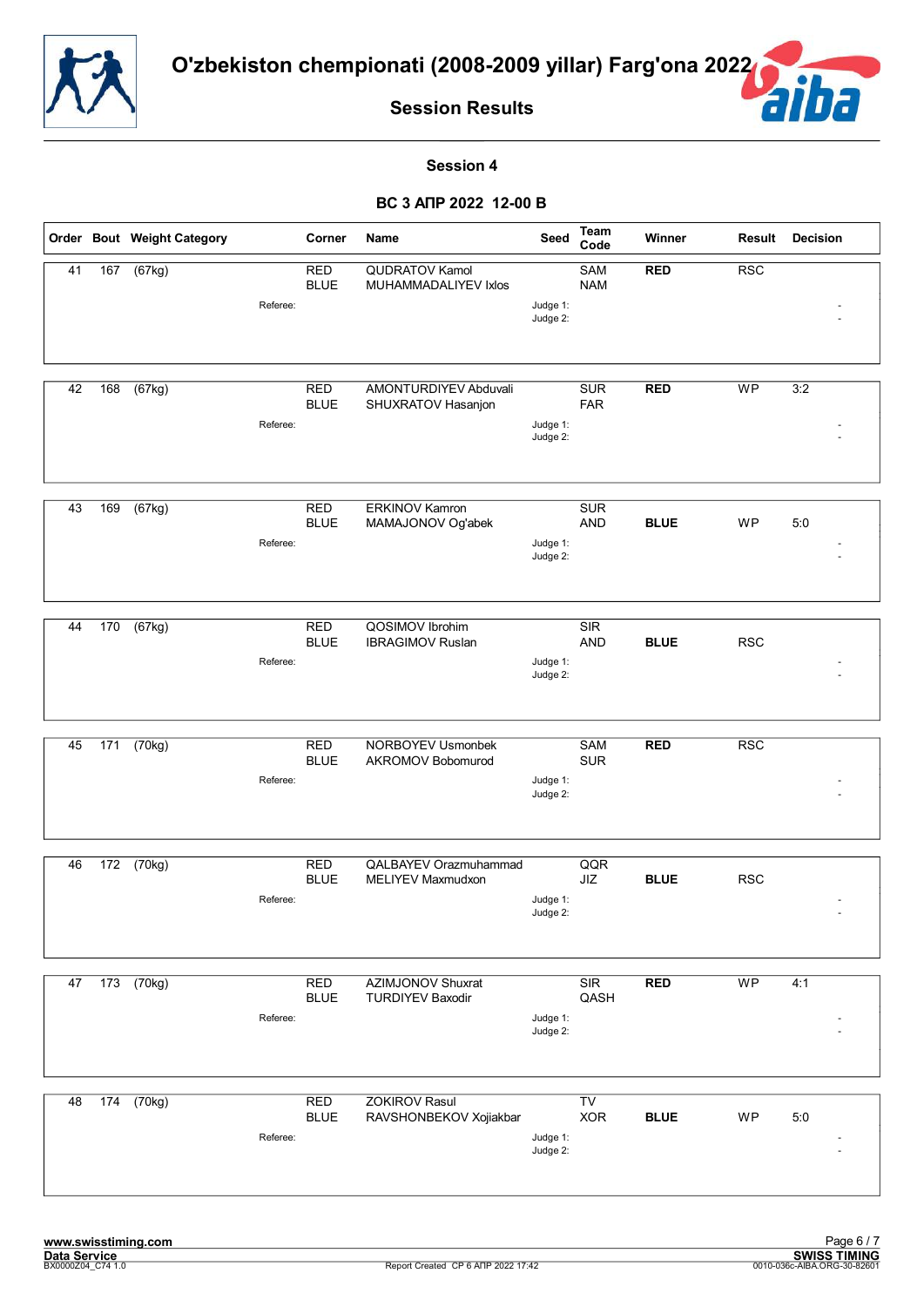![](_page_23_Picture_0.jpeg)

![](_page_23_Picture_2.jpeg)

#### **Session 4**

|    |                  | Order Bout Weight Category |          | Corner                    | Name                                                | Seed                 | Team<br>Code             | Winner      | Result     | <b>Decision</b> |
|----|------------------|----------------------------|----------|---------------------------|-----------------------------------------------------|----------------------|--------------------------|-------------|------------|-----------------|
| 41 | 167              | (67kg)                     | Referee: | <b>RED</b><br><b>BLUE</b> | QUDRATOV Kamol<br>MUHAMMADALIYEV Ixlos              | Judge 1:             | SAM<br><b>NAM</b>        | <b>RED</b>  | <b>RSC</b> |                 |
|    |                  |                            |          |                           |                                                     | Judge 2:             |                          |             |            |                 |
| 42 | 168              | (67kg)                     | Referee: | RED<br><b>BLUE</b>        | AMONTURDIYEV Abduvali<br>SHUXRATOV Hasanjon         | Judge 1:             | <b>SUR</b><br><b>FAR</b> | <b>RED</b>  | <b>WP</b>  | 3:2             |
|    |                  |                            |          |                           |                                                     | Judge 2:             |                          |             |            |                 |
| 43 | 169              | (67kg)                     | Referee: | <b>RED</b><br><b>BLUE</b> | <b>ERKINOV Kamron</b><br>MAMAJONOV Og'abek          | Judge 1:             | <b>SUR</b><br><b>AND</b> | <b>BLUE</b> | WP         | 5:0             |
|    |                  |                            |          |                           |                                                     | Judge 2:             |                          |             |            |                 |
| 44 | 170              | (67kg)                     | Referee: | <b>RED</b><br><b>BLUE</b> | QOSIMOV Ibrohim<br><b>IBRAGIMOV Ruslan</b>          | Judge 1:             | SIR<br><b>AND</b>        | <b>BLUE</b> | <b>RSC</b> |                 |
|    |                  |                            |          |                           |                                                     | Judge 2:             |                          |             |            |                 |
| 45 | $\overline{171}$ | (70kg)                     |          | <b>RED</b><br><b>BLUE</b> | NORBOYEV Usmonbek<br>AKROMOV Bobomurod              |                      | <b>SAM</b><br><b>SUR</b> | <b>RED</b>  | <b>RSC</b> |                 |
|    |                  |                            | Referee: |                           |                                                     | Judge 1:<br>Judge 2: |                          |             |            |                 |
| 46 | 172              | (70kg)                     |          | <b>RED</b><br><b>BLUE</b> | <b>QALBAYEV Orazmuhammad</b><br>MELIYEV Maxmudxon   |                      | QQR<br>JIZ               | <b>BLUE</b> | <b>RSC</b> |                 |
|    |                  |                            | Referee: |                           |                                                     | Judge 1:<br>Judge 2: |                          |             |            |                 |
| 47 | 173              | (70kg)                     |          | <b>RED</b><br><b>BLUE</b> | <b>AZIMJONOV Shuxrat</b><br><b>TURDIYEV Baxodir</b> |                      | SIR<br>QASH              | <b>RED</b>  | <b>WP</b>  | 4:1             |
|    |                  |                            | Referee: |                           |                                                     | Judge 1:<br>Judge 2: |                          |             |            |                 |
| 48 | 174              | (70kg)                     |          | <b>RED</b>                | <b>ZOKIROV Rasul</b>                                |                      | TV                       |             |            |                 |
|    |                  |                            | Referee: | <b>BLUE</b>               | RAVSHONBEKOV Xojiakbar                              | Judge 1:<br>Judge 2: | <b>XOR</b>               | <b>BLUE</b> | WP         | 5:0             |
|    |                  |                            |          |                           |                                                     |                      |                          |             |            |                 |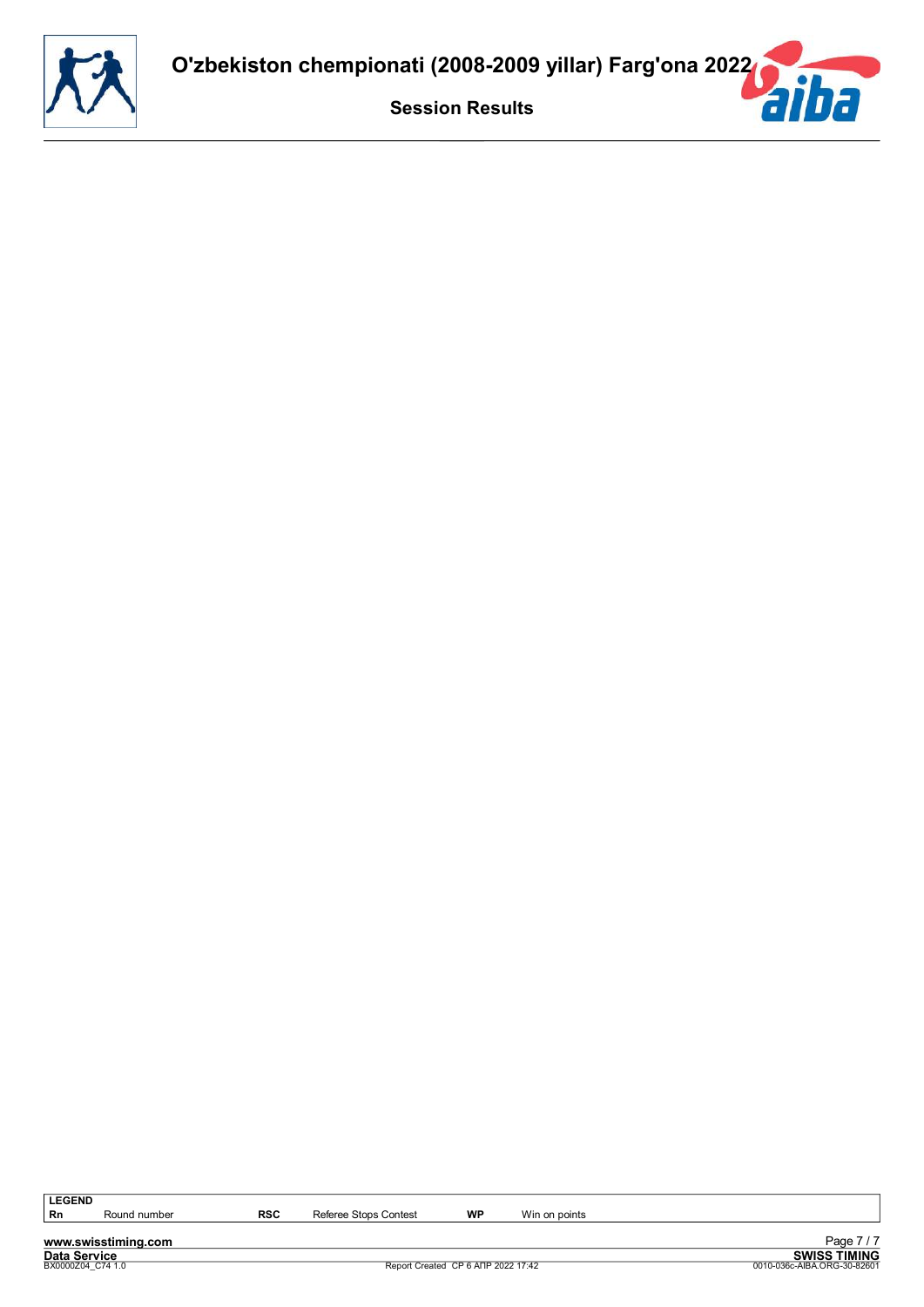![](_page_24_Picture_0.jpeg)

**www.swisstiming.com**<br>Data Service<br>BX0000204\_C74 1.0

**RSC** Referee Stops Contest **WP** Win on points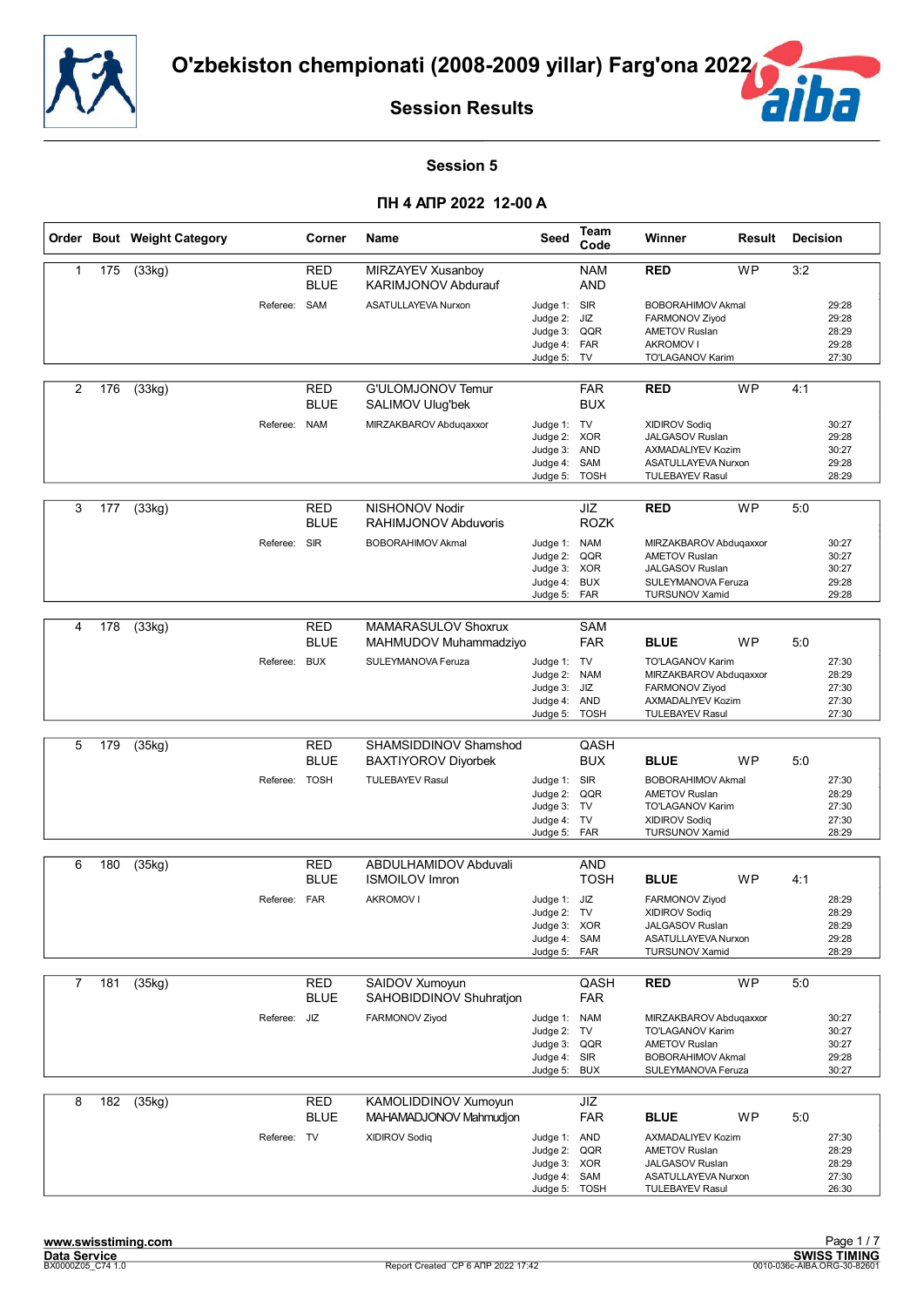![](_page_25_Picture_0.jpeg)

![](_page_25_Picture_2.jpeg)

#### **Session 5**

|                |     | Order Bout Weight Category |               | Corner                    | Name                                                | Seed                                                                       | Team<br>Code             | Winner                                                                                                                  | Result    | <b>Decision</b> |                                           |
|----------------|-----|----------------------------|---------------|---------------------------|-----------------------------------------------------|----------------------------------------------------------------------------|--------------------------|-------------------------------------------------------------------------------------------------------------------------|-----------|-----------------|-------------------------------------------|
| 1              | 175 | $\overline{(33kg)}$        |               | <b>RED</b><br><b>BLUE</b> | MIRZAYEV Xusanboy<br><b>KARIMJONOV Abdurauf</b>     |                                                                            | <b>NAM</b><br><b>AND</b> | <b>RED</b>                                                                                                              | <b>WP</b> | 3:2             |                                           |
|                |     |                            | Referee: SAM  |                           | ASATULLAYEVA Nurxon                                 | Judge 1: SIR<br>Judge 2:<br>Judge 3:<br>Judge 4: FAR<br>Judge 5:           | JIZ<br>QQR<br>TV         | <b>BOBORAHIMOV Akmal</b><br>FARMONOV Ziyod<br><b>AMETOV Ruslan</b><br><b>AKROMOV I</b><br>TO'LAGANOV Karim              |           |                 | 29:28<br>29:28<br>28:29<br>29:28<br>27:30 |
| 2              | 176 | (33kg)                     |               | <b>RED</b><br><b>BLUE</b> | G'ULOMJONOV Temur<br>SALIMOV Ulug'bek               |                                                                            | <b>FAR</b><br><b>BUX</b> | <b>RED</b>                                                                                                              | <b>WP</b> | 4:1             |                                           |
|                |     |                            | Referee: NAM  |                           | MIRZAKBAROV Abduqaxxor                              | Judge 1: TV<br>Judge 2: XOR<br>Judge 3:<br>Judge 4:<br>Judge 5: TOSH       | <b>AND</b><br>SAM        | <b>XIDIROV Sodiq</b><br>JALGASOV Ruslan<br><b>AXMADALIYEV Kozim</b><br>ASATULLAYEVA Nurxon<br><b>TULEBAYEV Rasul</b>    |           |                 | 30:27<br>29:28<br>30:27<br>29:28<br>28:29 |
| 3              | 177 | (33kg)                     |               | RED<br><b>BLUE</b>        | NISHONOV Nodir<br>RAHIMJONOV Abduvoris              |                                                                            | JIZ<br><b>ROZK</b>       | <b>RED</b>                                                                                                              | <b>WP</b> | 5:0             |                                           |
|                |     |                            | Referee:      | <b>SIR</b>                | <b>BOBORAHIMOV Akmal</b>                            | Judge 1: NAM<br>Judge 2:<br>Judge 3: XOR<br>Judge 4:<br>Judge 5: FAR       | QQR<br><b>BUX</b>        | MIRZAKBAROV Abdugaxxor<br><b>AMETOV Ruslan</b><br><b>JALGASOV Ruslan</b><br>SULEYMANOVA Feruza<br><b>TURSUNOV Xamid</b> |           |                 | 30:27<br>30:27<br>30:27<br>29:28<br>29:28 |
| 4              | 178 | (33kg)                     |               | <b>RED</b>                | MAMARASULOV Shoxrux                                 |                                                                            | <b>SAM</b>               |                                                                                                                         |           |                 |                                           |
|                |     |                            |               | <b>BLUE</b>               | MAHMUDOV Muhammadziyo                               |                                                                            | <b>FAR</b>               | <b>BLUE</b>                                                                                                             | <b>WP</b> | 5:0             |                                           |
|                |     |                            | Referee: BUX  |                           | SULEYMANOVA Feruza                                  | Judge 1: TV<br>Judge 2:<br>Judge 3:<br>Judge 4: AND<br>Judge 5: TOSH       | <b>NAM</b><br>JIZ        | TO'LAGANOV Karim<br>MIRZAKBAROV Abdugaxxor<br>FARMONOV Ziyod<br>AXMADALIYEV Kozim<br><b>TULEBAYEV Rasul</b>             |           |                 | 27:30<br>28:29<br>27:30<br>27:30<br>27:30 |
|                |     |                            |               |                           |                                                     |                                                                            |                          |                                                                                                                         |           |                 |                                           |
| 5              | 179 | (35kg)                     |               | <b>RED</b><br><b>BLUE</b> | SHAMSIDDINOV Shamshod<br><b>BAXTIYOROV Diyorbek</b> |                                                                            | QASH<br><b>BUX</b>       | <b>BLUE</b>                                                                                                             | <b>WP</b> | 5:0             |                                           |
|                |     |                            | Referee: TOSH |                           | <b>TULEBAYEV Rasul</b>                              | Judge 1: SIR<br>Judge 2: QQR<br>Judge 3: TV<br>Judge 4: TV<br>Judge 5: FAR |                          | <b>BOBORAHIMOV Akmal</b><br><b>AMETOV Ruslan</b><br>TO'LAGANOV Karim<br><b>XIDIROV Sodiq</b><br><b>TURSUNOV Xamid</b>   |           |                 | 27:30<br>28:29<br>27:30<br>27:30<br>28:29 |
| 6              | 180 | (35kg)                     |               | <b>RED</b>                | ABDULHAMIDOV Abduvali                               |                                                                            | <b>AND</b>               |                                                                                                                         |           |                 |                                           |
|                |     |                            |               | <b>BLUE</b>               | <b>ISMOILOV Imron</b>                               |                                                                            | <b>TOSH</b>              | <b>BLUE</b>                                                                                                             | <b>WP</b> | 4:1             |                                           |
|                |     |                            | Referee: FAR  |                           | AKROMOV I                                           | Judge 1: JIZ<br>Judge 2: TV<br>Judge 3: XOR<br>Judge 4:<br>Judge 5: FAR    | SAM                      | FARMONOV Ziyod<br>XIDIROV Sodiq<br><b>JALGASOV Ruslan</b><br>ASATULLAYEVA Nurxon<br><b>TURSUNOV Xamid</b>               |           |                 | 28:29<br>28:29<br>28:29<br>29:28<br>28:29 |
| $\overline{7}$ | 181 | (35kg)                     |               | <b>RED</b>                | SAIDOV Xumoyun                                      |                                                                            | QASH                     | <b>RED</b>                                                                                                              | <b>WP</b> | 5:0             |                                           |
|                |     |                            |               | <b>BLUE</b>               | SAHOBIDDINOV Shuhratjon                             |                                                                            | <b>FAR</b>               |                                                                                                                         |           |                 |                                           |
|                |     |                            | Referee: JIZ  |                           | FARMONOV Ziyod                                      | Judge 1: NAM<br>Judge 2:<br>Judge 3: QQR<br>Judge 4:<br>Judge 5:           | TV<br>SIR<br><b>BUX</b>  | MIRZAKBAROV Abduqaxxor<br>TO'LAGANOV Karim<br><b>AMETOV Ruslan</b><br><b>BOBORAHIMOV Akmal</b><br>SULEYMANOVA Feruza    |           |                 | 30:27<br>30:27<br>30:27<br>29:28<br>30:27 |
| 8              | 182 | (35kg)                     |               | <b>RED</b><br><b>BLUE</b> | KAMOLIDDINOV Xumoyun<br>MAHAMADJONOV Mahmudjon      |                                                                            | JIZ<br><b>FAR</b>        | <b>BLUE</b>                                                                                                             | WP        | 5:0             |                                           |
|                |     |                            | Referee: TV   |                           | <b>XIDIROV Sodiq</b>                                | Judge 1: AND<br>Judge 2:<br>Judge 3: XOR<br>Judge 4:<br>Judge 5: TOSH      | QQR<br>SAM               | <b>AXMADALIYEV Kozim</b><br><b>AMETOV Ruslan</b><br>JALGASOV Ruslan<br>ASATULLAYEVA Nurxon<br><b>TULEBAYEV Rasul</b>    |           |                 | 27:30<br>28:29<br>28:29<br>27:30<br>26:30 |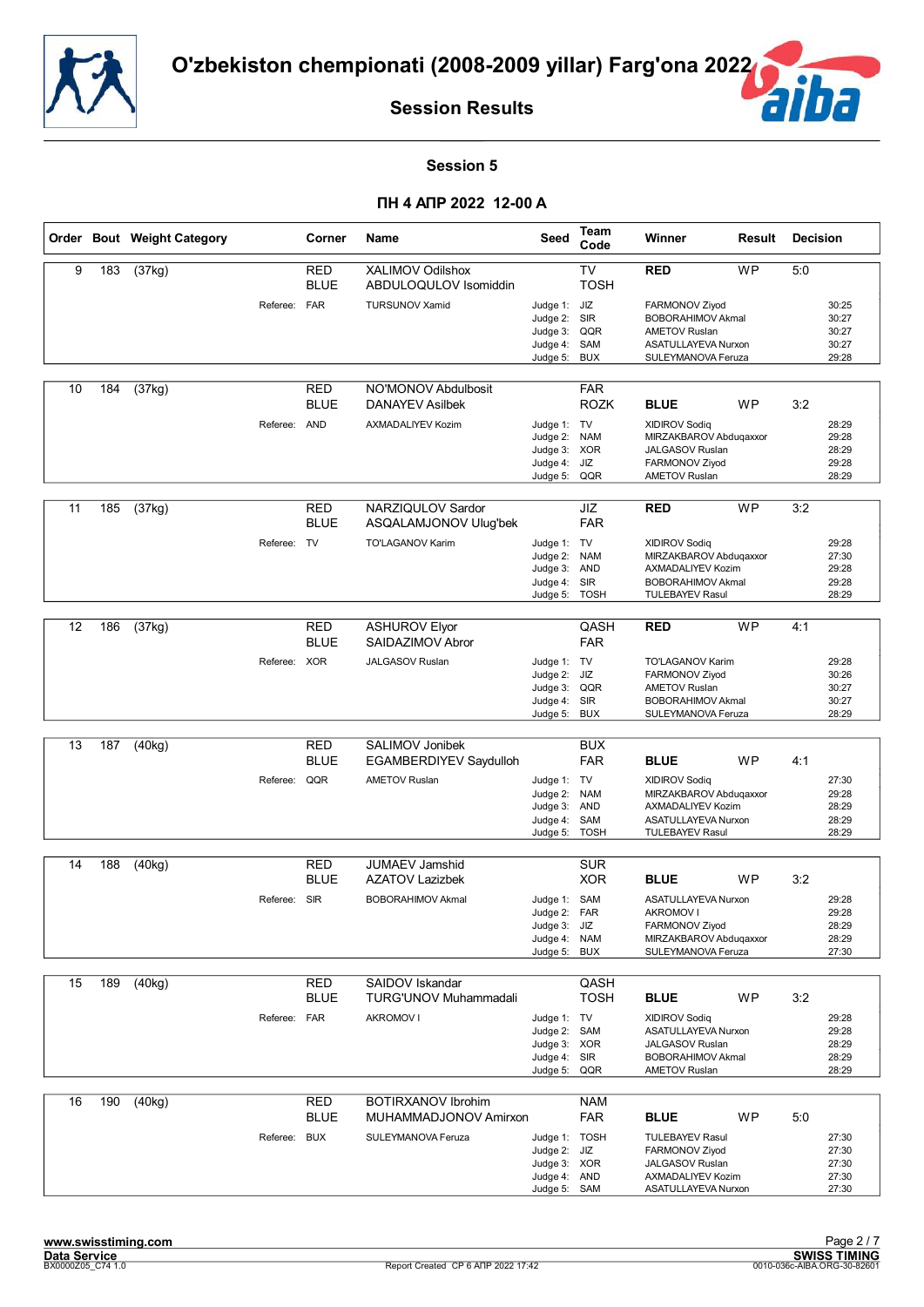![](_page_26_Picture_0.jpeg)

![](_page_26_Picture_2.jpeg)

#### **Session 5**

|    |     | Order Bout Weight Category |              | Corner                    | Name                                               | Seed                                                                          | Team<br>Code                     | Winner                                                                                                                           | Result    | <b>Decision</b> |                                           |
|----|-----|----------------------------|--------------|---------------------------|----------------------------------------------------|-------------------------------------------------------------------------------|----------------------------------|----------------------------------------------------------------------------------------------------------------------------------|-----------|-----------------|-------------------------------------------|
| 9  | 183 | (37kg)                     |              | <b>RED</b><br><b>BLUE</b> | XALIMOV Odilshox<br>ABDULOQULOV Isomiddin          |                                                                               | TV<br><b>TOSH</b>                | <b>RED</b>                                                                                                                       | <b>WP</b> | 5:0             |                                           |
|    |     |                            | Referee: FAR |                           | <b>TURSUNOV Xamid</b>                              | Judge 1: JIZ<br>Judge 2: SIR<br>Judge 3:<br>Judge 4: SAM<br>Judge 5:          | QQR<br><b>BUX</b>                | FARMONOV Ziyod<br><b>BOBORAHIMOV Akmal</b><br><b>AMETOV Ruslan</b><br>ASATULLAYEVA Nurxon<br>SULEYMANOVA Feruza                  |           |                 | 30:25<br>30:27<br>30:27<br>30:27<br>29:28 |
| 10 | 184 | (37kg)                     |              | RED<br><b>BLUE</b>        | NO'MONOV Abdulbosit<br><b>DANAYEV Asilbek</b>      |                                                                               | <b>FAR</b><br><b>ROZK</b>        | <b>BLUE</b>                                                                                                                      | <b>WP</b> | 3:2             |                                           |
|    |     |                            | Referee: AND |                           | <b>AXMADALIYEV Kozim</b>                           | Judge 1: TV<br>Judge 2: NAM<br>Judge 3: XOR<br>Judge 4: JIZ<br>Judge 5:       | QQR                              | <b>XIDIROV Sodiq</b><br>MIRZAKBAROV Abduqaxxor<br>JALGASOV Ruslan<br>FARMONOV Ziyod<br><b>AMETOV Ruslan</b>                      |           |                 | 28:29<br>29:28<br>28:29<br>29:28<br>28:29 |
| 11 | 185 | (37kg)                     |              | <b>RED</b><br><b>BLUE</b> | NARZIQULOV Sardor<br>ASQALAMJONOV Ulug'bek         |                                                                               | JIZ<br><b>FAR</b>                | <b>RED</b>                                                                                                                       | <b>WP</b> | 3:2             |                                           |
|    |     |                            | Referee:     | <b>TV</b>                 | TO'LAGANOV Karim                                   | Judge 1: TV<br>Judge 2:<br>Judge 3: AND<br>Judge 4:<br>Judge 5:               | <b>NAM</b><br>SIR<br><b>TOSH</b> | <b>XIDIROV Sodiq</b><br>MIRZAKBAROV Abduqaxxor<br><b>AXMADALIYEV Kozim</b><br><b>BOBORAHIMOV Akmal</b><br><b>TULEBAYEV Rasul</b> |           |                 | 29:28<br>27:30<br>29:28<br>29:28<br>28:29 |
|    |     |                            |              |                           |                                                    |                                                                               |                                  |                                                                                                                                  |           |                 |                                           |
| 12 | 186 | (37kg)                     |              | <b>RED</b><br><b>BLUE</b> | <b>ASHUROV Elyor</b><br>SAIDAZIMOV Abror           |                                                                               | QASH<br><b>FAR</b>               | <b>RED</b>                                                                                                                       | <b>WP</b> | 4:1             |                                           |
|    |     |                            | Referee: XOR |                           | JALGASOV Ruslan                                    | Judge 1: TV<br>Judge 2: JIZ<br>Judge 3: QQR<br>Judge 4: SIR<br>Judge 5: BUX   |                                  | TO'LAGANOV Karim<br>FARMONOV Ziyod<br><b>AMETOV Ruslan</b><br><b>BOBORAHIMOV Akmal</b><br>SULEYMANOVA Feruza                     |           |                 | 29:28<br>30:26<br>30:27<br>30:27<br>28:29 |
|    |     |                            |              |                           |                                                    |                                                                               |                                  |                                                                                                                                  |           |                 |                                           |
| 13 | 187 | (40kg)                     |              | <b>RED</b><br><b>BLUE</b> | SALIMOV Jonibek<br>EGAMBERDIYEV Saydulloh          |                                                                               | <b>BUX</b><br><b>FAR</b>         | <b>BLUE</b>                                                                                                                      | <b>WP</b> | 4:1             |                                           |
|    |     |                            | Referee:     | QQR                       | <b>AMETOV Ruslan</b>                               | Judge 1: TV<br>Judge 2: NAM<br>Judge 3: AND<br>Judge 4:<br>Judge 5:           | SAM<br><b>TOSH</b>               | <b>XIDIROV Sodiq</b><br>MIRZAKBAROV Abduqaxxor<br>AXMADALIYEV Kozim<br>ASATULLAYEVA Nurxon<br><b>TULEBAYEV Rasul</b>             |           |                 | 27:30<br>29:28<br>28:29<br>28:29<br>28:29 |
| 14 | 188 | (40kg)                     |              | <b>RED</b>                | JUMAEV Jamshid                                     |                                                                               | <b>SUR</b>                       |                                                                                                                                  |           |                 |                                           |
|    |     |                            |              | <b>BLUE</b>               | <b>AZATOV Lazizbek</b>                             |                                                                               | <b>XOR</b>                       | <b>BLUE</b>                                                                                                                      | <b>WP</b> | 3:2             |                                           |
|    |     |                            | Referee: SIR |                           | <b>BOBORAHIMOV Akmal</b>                           | Judge 1: SAM<br>Judge 2:<br>Judge 3: JIZ<br>Judge 4: NAM<br>Judge 5: BUX      | FAR                              | ASATULLAYEVA Nurxon<br><b>AKROMOV I</b><br>FARMONOV Ziyod<br>MIRZAKBAROV Abduqaxxor<br>SULEYMANOVA Feruza                        |           |                 | 29:28<br>29:28<br>28:29<br>28:29<br>27:30 |
| 15 | 189 | (40kg)                     |              | <b>RED</b>                | SAIDOV Iskandar                                    |                                                                               | QASH                             |                                                                                                                                  |           |                 |                                           |
|    |     |                            |              | <b>BLUE</b>               | <b>TURG'UNOV Muhammadali</b>                       |                                                                               | <b>TOSH</b>                      | <b>BLUE</b>                                                                                                                      | WP        | 3:2             |                                           |
|    |     |                            | Referee:     | <b>FAR</b>                | <b>AKROMOV I</b>                                   | Judge 1: TV<br>Judge 2: SAM<br>Judge 3: XOR<br>Judge 4: SIR<br>Judge 5:       | QQR                              | <b>XIDIROV Sodiq</b><br>ASATULLAYEVA Nurxon<br>JALGASOV Ruslan<br><b>BOBORAHIMOV Akmal</b><br><b>AMETOV Ruslan</b>               |           |                 | 29:28<br>29:28<br>28:29<br>28:29<br>28:29 |
| 16 | 190 | (40kg)                     |              | RED<br><b>BLUE</b>        | <b>BOTIRXANOV Ibrohim</b><br>MUHAMMADJONOV Amirxon |                                                                               | <b>NAM</b><br><b>FAR</b>         | <b>BLUE</b>                                                                                                                      | WP        | 5:0             |                                           |
|    |     |                            | Referee: BUX |                           | SULEYMANOVA Feruza                                 | Judge 1: TOSH<br>Judge 2: JIZ<br>Judge 3: XOR<br>Judge 4: AND<br>Judge 5: SAM |                                  | <b>TULEBAYEV Rasul</b><br>FARMONOV Ziyod<br>JALGASOV Ruslan<br>AXMADALIYEV Kozim<br>ASATULLAYEVA Nurxon                          |           |                 | 27:30<br>27:30<br>27:30<br>27:30<br>27:30 |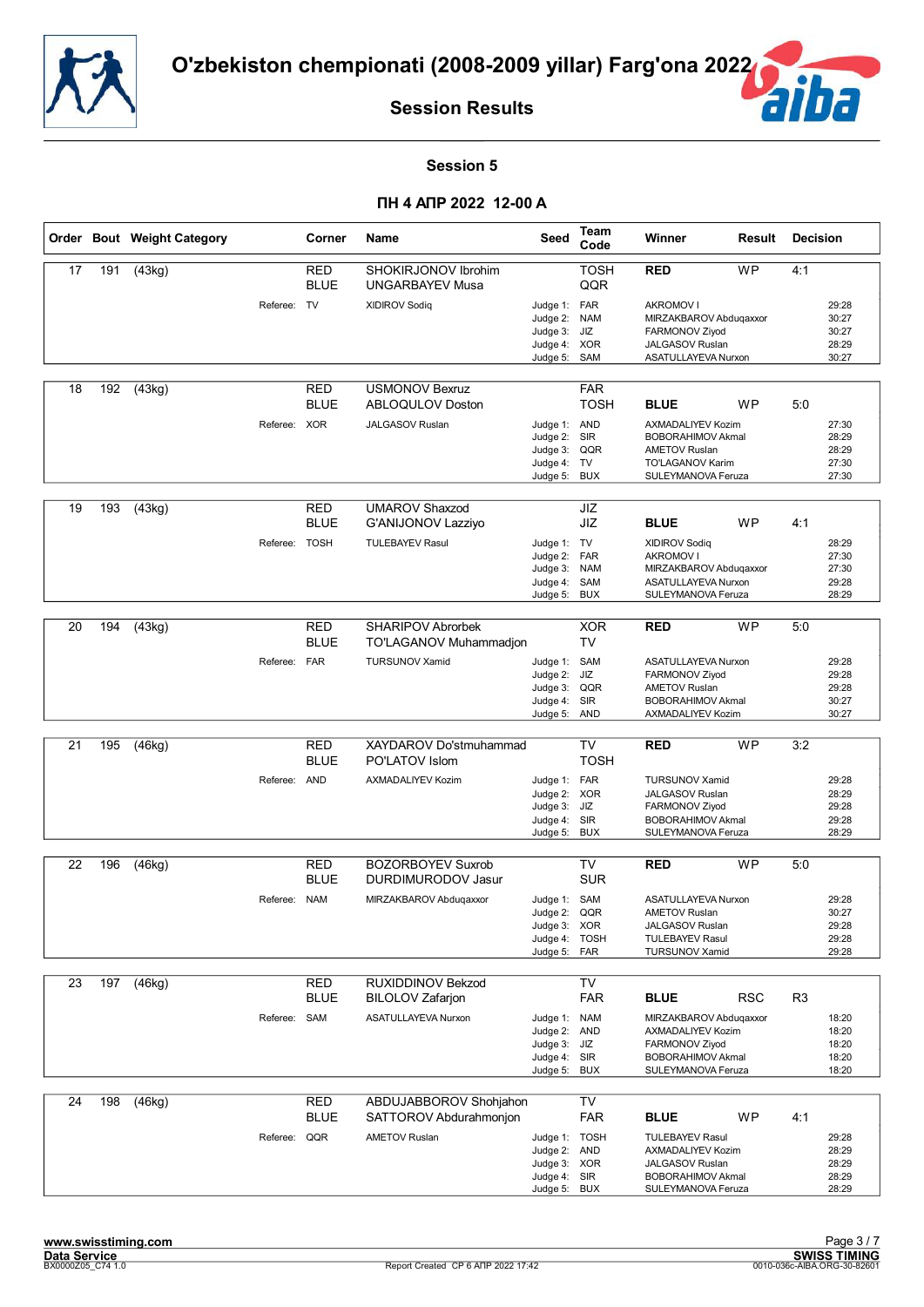![](_page_27_Picture_0.jpeg)

![](_page_27_Picture_2.jpeg)

#### **Session 5**

|    |     | Order Bout Weight Category |               | Corner                    | <b>Name</b>                                        | Seed                                                                          | Team<br>Code                                  | Winner                                                                                                                   | Result     | <b>Decision</b> |                                           |
|----|-----|----------------------------|---------------|---------------------------|----------------------------------------------------|-------------------------------------------------------------------------------|-----------------------------------------------|--------------------------------------------------------------------------------------------------------------------------|------------|-----------------|-------------------------------------------|
| 17 | 191 | (43kg)                     |               | RED<br><b>BLUE</b>        | SHOKIRJONOV Ibrohim<br><b>UNGARBAYEV Musa</b>      |                                                                               | <b>TOSH</b><br>QQR                            | <b>RED</b>                                                                                                               | <b>WP</b>  | 4:1             |                                           |
|    |     |                            | Referee: TV   |                           | <b>XIDIROV Sodiq</b>                               | Judge 1: FAR<br>Judge 2: NAM<br>Judge 3:<br>Judge 4: XOR<br>Judge 5:          | JIZ<br>SAM                                    | <b>AKROMOV I</b><br>MIRZAKBAROV Abdugaxxor<br>FARMONOV Ziyod<br>JALGASOV Ruslan<br>ASATULLAYEVA Nurxon                   |            |                 | 29:28<br>30:27<br>30:27<br>28:29<br>30:27 |
| 18 | 192 | (43kg)                     |               | RED<br><b>BLUE</b>        | <b>USMONOV Bexruz</b><br><b>ABLOQULOV Doston</b>   |                                                                               | <b>FAR</b><br><b>TOSH</b>                     | <b>BLUE</b>                                                                                                              | <b>WP</b>  | 5:0             |                                           |
|    |     |                            | Referee: XOR  |                           | JALGASOV Ruslan                                    | Judge 1: AND<br>Judge 2:<br>Judge 3: QQR<br>Judge 4: TV<br>Judge 5:           | SIR<br><b>BUX</b>                             | AXMADALIYEV Kozim<br><b>BOBORAHIMOV Akmal</b><br><b>AMETOV Ruslan</b><br>TO'LAGANOV Karim<br>SULEYMANOVA Feruza          |            |                 | 27:30<br>28:29<br>28:29<br>27:30<br>27:30 |
| 19 | 193 | (43kg)                     |               | RED<br><b>BLUE</b>        | <b>UMAROV Shaxzod</b><br><b>G'ANIJONOV Lazziyo</b> |                                                                               | JIZ<br>JIZ                                    | <b>BLUE</b>                                                                                                              | <b>WP</b>  | 4:1             |                                           |
|    |     |                            | Referee: TOSH |                           | <b>TULEBAYEV Rasul</b>                             | Judge 1: TV<br>Judge 2:<br>Judge 3:<br>Judge 4:<br>Judge 5:                   | <b>FAR</b><br><b>NAM</b><br>SAM<br><b>BUX</b> | XIDIROV Sodiq<br><b>AKROMOV I</b><br>MIRZAKBAROV Abduqaxxor<br>ASATULLAYEVA Nurxon<br>SULEYMANOVA Feruza                 |            |                 | 28:29<br>27:30<br>27:30<br>29:28<br>28:29 |
| 20 | 194 | (43kg)                     |               | RED                       | <b>SHARIPOV Abrorbek</b>                           |                                                                               | <b>XOR</b><br>TV                              | <b>RED</b>                                                                                                               | <b>WP</b>  | 5:0             |                                           |
|    |     |                            | Referee: FAR  | <b>BLUE</b>               | TO'LAGANOV Muhammadjon<br><b>TURSUNOV Xamid</b>    | Judge 1: SAM<br>Judge 2:<br>Judge 3: QQR<br>Judge 4: SIR<br>Judge 5:          | JIZ<br><b>AND</b>                             | ASATULLAYEVA Nurxon<br>FARMONOV Ziyod<br><b>AMETOV Ruslan</b><br><b>BOBORAHIMOV Akmal</b><br>AXMADALIYEV Kozim           |            |                 | 29:28<br>29:28<br>29:28<br>30:27<br>30:27 |
| 21 | 195 | (46kg)                     |               | RED                       | XAYDAROV Do'stmuhammad                             |                                                                               | TV                                            | <b>RED</b>                                                                                                               | <b>WP</b>  | 3:2             |                                           |
|    |     |                            |               | <b>BLUE</b>               | PO'LATOV Islom                                     |                                                                               | <b>TOSH</b>                                   |                                                                                                                          |            |                 |                                           |
|    |     |                            | Referee: AND  |                           | AXMADALIYEV Kozim                                  | Judge 1: FAR<br>Judge 2: XOR<br>Judge 3:<br>Judge 4: SIR<br>Judge 5:          | JIZ<br><b>BUX</b>                             | <b>TURSUNOV Xamid</b><br>JALGASOV Ruslan<br>FARMONOV Ziyod<br><b>BOBORAHIMOV Akmal</b><br>SULEYMANOVA Feruza             |            |                 | 29:28<br>28:29<br>29:28<br>29:28<br>28:29 |
| 22 | 196 | (46kg)                     |               | RED                       | <b>BOZORBOYEV Suxrob</b>                           |                                                                               | TV                                            | <b>RED</b>                                                                                                               | <b>WP</b>  | 5:0             |                                           |
|    |     |                            |               | <b>BLUE</b>               | <b>DURDIMURODOV Jasur</b>                          |                                                                               | <b>SUR</b>                                    |                                                                                                                          |            |                 |                                           |
|    |     |                            | Referee: NAM  |                           | MIRZAKBAROV Abdugaxxor                             | Judge 1: SAM<br>Judge 2:<br>Judge 3: XOR<br>Judge 4: TOSH<br>Judge 5: FAR     | QQR                                           | ASATULLAYEVA Nurxon<br><b>AMETOV Ruslan</b><br><b>JALGASOV Ruslan</b><br><b>TULEBAYEV Rasul</b><br><b>TURSUNOV Xamid</b> |            |                 | 29:28<br>30:27<br>29:28<br>29:28<br>29:28 |
| 23 | 197 | (46kg)                     |               | RED                       | RUXIDDINOV Bekzod                                  |                                                                               | TV                                            |                                                                                                                          |            |                 |                                           |
|    |     |                            |               | <b>BLUE</b>               | <b>BILOLOV Zafarjon</b>                            |                                                                               | <b>FAR</b>                                    | <b>BLUE</b>                                                                                                              | <b>RSC</b> | R <sub>3</sub>  |                                           |
|    |     |                            | Referee: SAM  |                           | ASATULLAYEVA Nurxon                                | Judge 1: NAM<br>Judge 2: AND<br>Judge 3: JIZ<br>Judge 4: SIR<br>Judge 5:      | <b>BUX</b>                                    | MIRZAKBAROV Abduqaxxor<br>AXMADALIYEV Kozim<br>FARMONOV Ziyod<br><b>BOBORAHIMOV Akmal</b><br>SULEYMANOVA Feruza          |            |                 | 18:20<br>18:20<br>18:20<br>18:20<br>18:20 |
| 24 | 198 | (46kg)                     |               | <b>RED</b><br><b>BLUE</b> | ABDUJABBOROV Shohjahon<br>SATTOROV Abdurahmonjon   |                                                                               | <b>TV</b><br><b>FAR</b>                       | <b>BLUE</b>                                                                                                              | WP         | 4:1             |                                           |
|    |     |                            | Referee: QQR  |                           | <b>AMETOV Ruslan</b>                               | Judge 1: TOSH<br>Judge 2: AND<br>Judge 3: XOR<br>Judge 4: SIR<br>Judge 5: BUX |                                               | <b>TULEBAYEV Rasul</b><br>AXMADALIYEV Kozim<br>JALGASOV Ruslan<br><b>BOBORAHIMOV Akmal</b><br>SULEYMANOVA Feruza         |            |                 | 29:28<br>28:29<br>28:29<br>28:29<br>28:29 |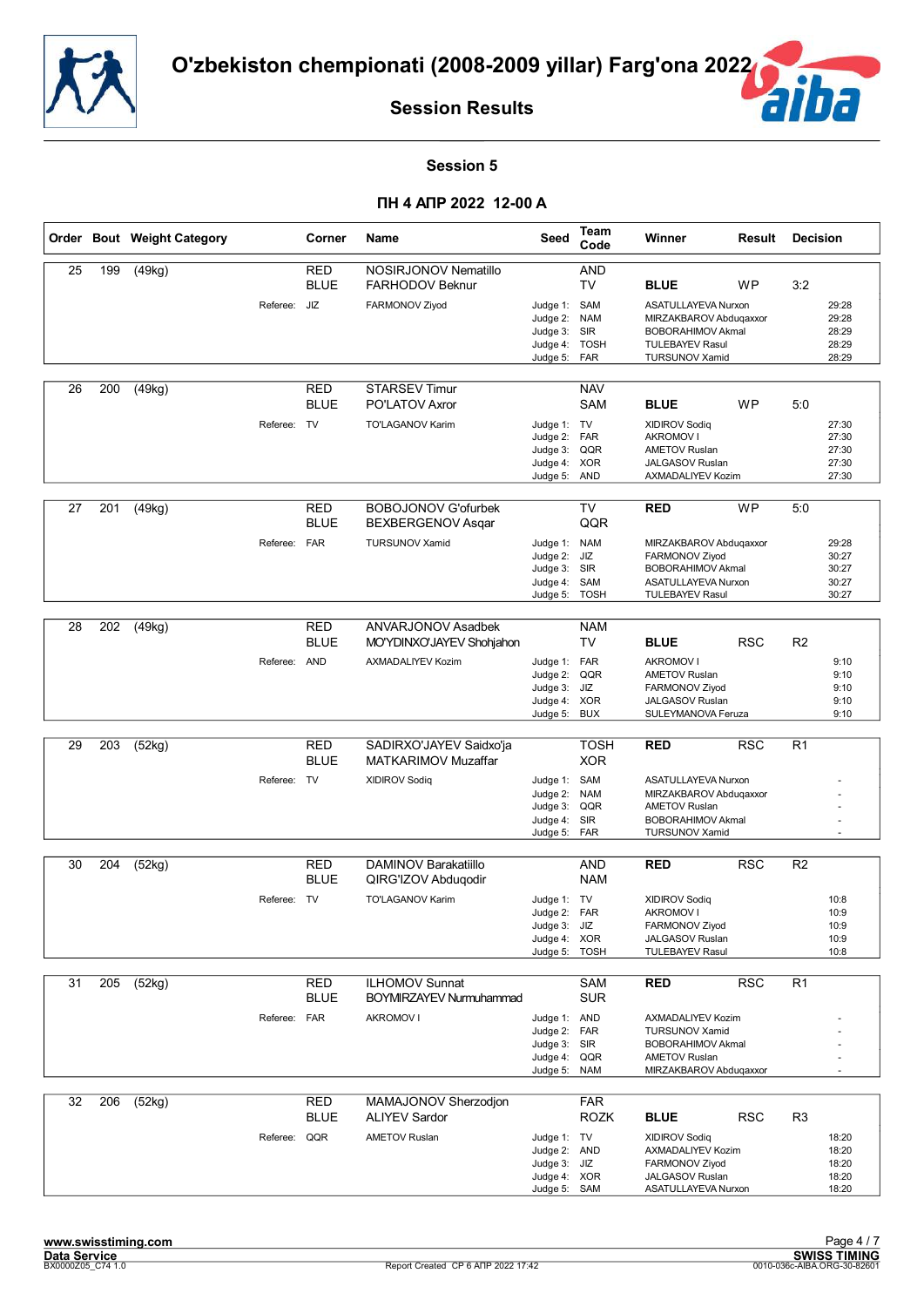![](_page_28_Picture_0.jpeg)

![](_page_28_Picture_2.jpeg)

#### **Session 5**

|    |     | Order Bout Weight Category |              | Corner                    | <b>Name</b>                                        | Seed                                                                         | Team<br>Code                            | Winner                                                                                                                       | Result     | <b>Decision</b> |                                           |
|----|-----|----------------------------|--------------|---------------------------|----------------------------------------------------|------------------------------------------------------------------------------|-----------------------------------------|------------------------------------------------------------------------------------------------------------------------------|------------|-----------------|-------------------------------------------|
| 25 | 199 | (49kg)                     |              | RED<br><b>BLUE</b>        | NOSIRJONOV Nematillo<br><b>FARHODOV Beknur</b>     |                                                                              | <b>AND</b><br>TV                        | <b>BLUE</b>                                                                                                                  | <b>WP</b>  | 3:2             |                                           |
|    |     |                            | Referee: JIZ |                           | FARMONOV Ziyod                                     | Judge 1: SAM<br>Judge 2:<br>Judge 3:<br>Judge 4:<br>Judge 5:                 | <b>NAM</b><br>SIR<br><b>TOSH</b><br>FAR | ASATULLAYEVA Nurxon<br>MIRZAKBAROV Abduqaxxor<br><b>BOBORAHIMOV Akmal</b><br><b>TULEBAYEV Rasul</b><br><b>TURSUNOV Xamid</b> |            |                 | 29:28<br>29:28<br>28:29<br>28:29<br>28:29 |
| 26 | 200 | (49kg)                     |              | <b>RED</b><br><b>BLUE</b> | <b>STARSEV Timur</b><br>PO'LATOV Axror             |                                                                              | <b>NAV</b><br>SAM                       | <b>BLUE</b>                                                                                                                  | <b>WP</b>  | 5:0             |                                           |
|    |     |                            | Referee: TV  |                           | TO'LAGANOV Karim                                   | Judge 1: TV<br>Judge 2: FAR<br>Judge 3:<br>Judge 4: XOR<br>Judge 5:          | QQR<br><b>AND</b>                       | <b>XIDIROV Sodiq</b><br><b>AKROMOV I</b><br><b>AMETOV Ruslan</b><br>JALGASOV Ruslan<br>AXMADALIYEV Kozim                     |            |                 | 27:30<br>27:30<br>27:30<br>27:30<br>27:30 |
| 27 | 201 | (49kg)                     |              | RED<br><b>BLUE</b>        | <b>BOBOJONOV G'ofurbek</b><br>BEXBERGENOV Asqar    |                                                                              | <b>TV</b><br>QQR                        | <b>RED</b>                                                                                                                   | <b>WP</b>  | 5:0             |                                           |
|    |     |                            | Referee: FAR |                           | <b>TURSUNOV Xamid</b>                              | Judge 1: NAM<br>Judge 2:<br>Judge 3: SIR<br>Judge 4:<br>Judge 5:             | JIZ<br>SAM<br><b>TOSH</b>               | MIRZAKBAROV Abduqaxxor<br>FARMONOV Ziyod<br><b>BOBORAHIMOV Akmal</b><br><b>ASATULLAYEVA Nurxon</b><br><b>TULEBAYEV Rasul</b> |            |                 | 29:28<br>30:27<br>30:27<br>30:27<br>30:27 |
| 28 | 202 | (49kg)                     |              | <b>RED</b>                | ANVARJONOV Asadbek                                 |                                                                              | <b>NAM</b>                              |                                                                                                                              |            |                 |                                           |
|    |     |                            |              | <b>BLUE</b>               | MO'YDINXO'JAYEV Shohjahon                          |                                                                              | <b>TV</b>                               | <b>BLUE</b>                                                                                                                  | <b>RSC</b> | R <sub>2</sub>  |                                           |
|    |     |                            | Referee: AND |                           | AXMADALIYEV Kozim                                  | Judge 1: FAR<br>Judge 2:<br>Judge 3:<br>Judge 4: XOR                         | QQR<br>JIZ                              | <b>AKROMOV I</b><br><b>AMETOV Ruslan</b><br>FARMONOV Ziyod<br><b>JALGASOV Ruslan</b>                                         |            |                 | 9:10<br>9:10<br>9:10<br>9:10              |
|    |     |                            |              |                           |                                                    | Judge 5:                                                                     | <b>BUX</b>                              | SULEYMANOVA Feruza                                                                                                           |            |                 | 9:10                                      |
| 29 | 203 | (52kg)                     |              | RED<br><b>BLUE</b>        | SADIRXO'JAYEV Saidxo'ja<br>MATKARIMOV Muzaffar     |                                                                              | <b>TOSH</b><br><b>XOR</b>               | <b>RED</b>                                                                                                                   | <b>RSC</b> | R <sub>1</sub>  |                                           |
|    |     |                            | Referee: TV  |                           | <b>XIDIROV Sodiq</b>                               | Judge 1: SAM<br>Judge 2:<br>Judge 3:<br>Judge 4: SIR<br>Judge 5:             | <b>NAM</b><br>QQR<br><b>FAR</b>         | ASATULLAYEVA Nurxon<br>MIRZAKBAROV Abduqaxxor<br><b>AMETOV Ruslan</b><br><b>BOBORAHIMOV Akmal</b><br><b>TURSUNOV Xamid</b>   |            |                 |                                           |
| 30 | 204 | (52kg)                     |              | RED                       | DAMINOV Barakatiillo                               |                                                                              | AND                                     | <b>RED</b>                                                                                                                   | <b>RSC</b> | R <sub>2</sub>  |                                           |
|    |     |                            |              | <b>BLUE</b>               | QIRG'IZOV Abduqodir                                |                                                                              | <b>NAM</b>                              |                                                                                                                              |            |                 |                                           |
|    |     |                            | Referee: TV  |                           | TO'LAGANOV Karim                                   | Judge 1: TV<br>Judge 2: FAR<br>Judge 3: JIZ<br>Judge 4: XOR<br>Judge 5: TOSH |                                         | <b>XIDIROV Sodiq</b><br>AKROMOV I<br>FARMONOV Ziyod<br><b>JALGASOV Ruslan</b><br><b>TULEBAYEV Rasul</b>                      |            |                 | 10:8<br>10:9<br>10:9<br>10:9<br>10:8      |
| 31 | 205 | (52kg)                     |              | RED                       | <b>ILHOMOV Sunnat</b>                              |                                                                              | <b>SAM</b>                              | <b>RED</b>                                                                                                                   | <b>RSC</b> | R <sub>1</sub>  |                                           |
|    |     |                            | Referee: FAR | <b>BLUE</b>               | <b>BOYMIRZAYEV Nurmuhammad</b><br><b>AKROMOV I</b> | Judge 1: AND                                                                 | <b>SUR</b>                              | <b>AXMADALIYEV Kozim</b>                                                                                                     |            |                 |                                           |
|    |     |                            |              |                           |                                                    | Judge 2: FAR<br>Judge 3: SIR<br>Judge 4:<br>Judge 5:                         | QQR<br><b>NAM</b>                       | <b>TURSUNOV Xamid</b><br><b>BOBORAHIMOV Akmal</b><br><b>AMETOV Ruslan</b><br>MIRZAKBAROV Abdugaxxor                          |            |                 |                                           |
| 32 | 206 | (52kg)                     |              | RED                       | MAMAJONOV Sherzodjon                               |                                                                              | <b>FAR</b>                              |                                                                                                                              |            |                 |                                           |
|    |     |                            | Referee: QQR | <b>BLUE</b>               | <b>ALIYEV Sardor</b><br><b>AMETOV Ruslan</b>       | Judge 1: TV<br>Judge 2: AND<br>Judge 3: JIZ<br>Judge 4: XOR<br>Judge 5: SAM  | <b>ROZK</b>                             | <b>BLUE</b><br><b>XIDIROV Sodiq</b><br>AXMADALIYEV Kozim<br>FARMONOV Ziyod<br>JALGASOV Ruslan<br>ASATULLAYEVA Nurxon         | <b>RSC</b> | R <sub>3</sub>  | 18:20<br>18:20<br>18:20<br>18:20<br>18:20 |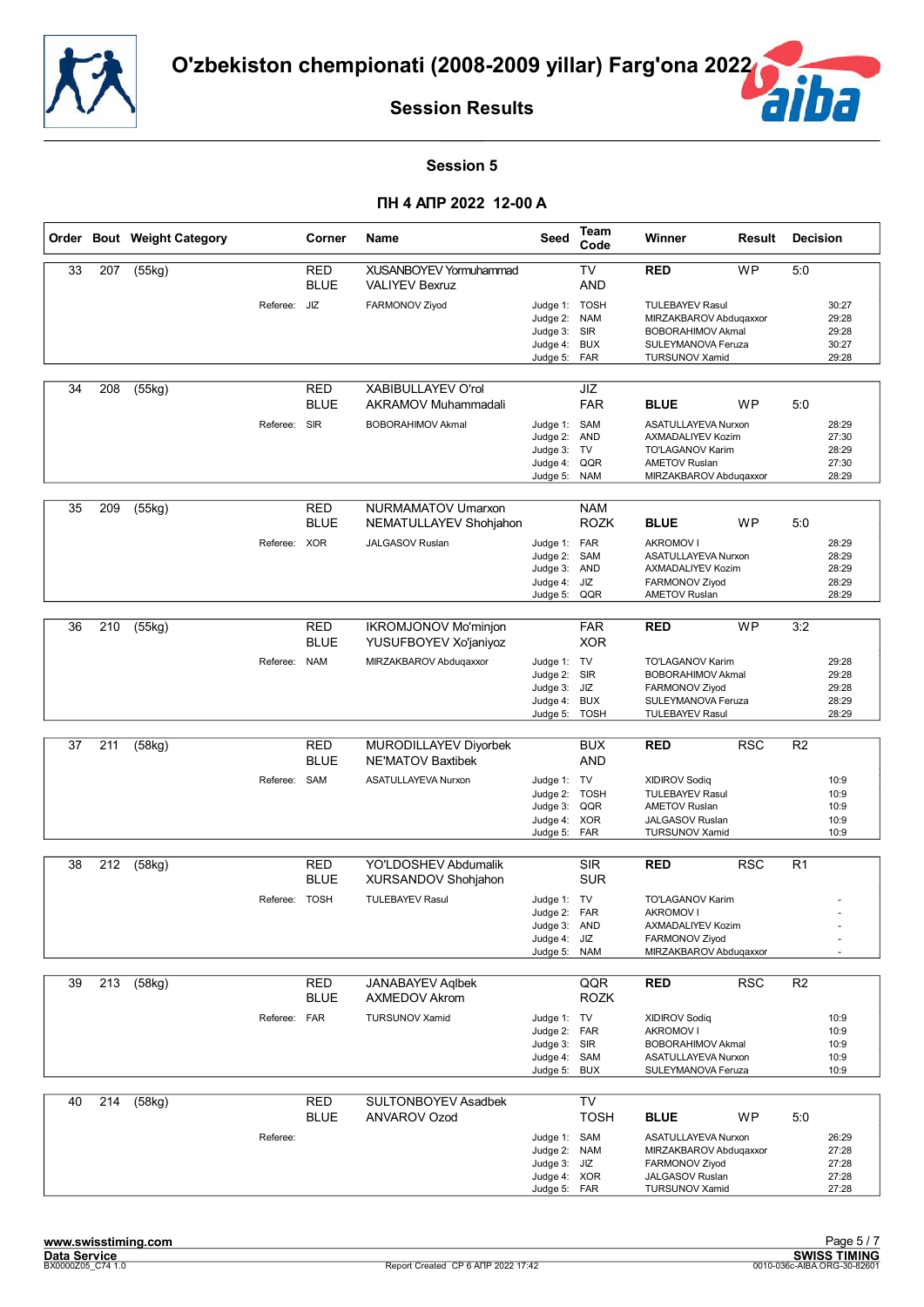![](_page_29_Picture_0.jpeg)

![](_page_29_Picture_2.jpeg)

#### **Session 5**

|    |     | Order Bout Weight Category |               | Corner                    | Name                                                   | Seed                                                                         | <b>Team</b><br>Code              | Winner                                                                                                                       | Result     | <b>Decision</b> |                                           |
|----|-----|----------------------------|---------------|---------------------------|--------------------------------------------------------|------------------------------------------------------------------------------|----------------------------------|------------------------------------------------------------------------------------------------------------------------------|------------|-----------------|-------------------------------------------|
| 33 | 207 | (55kg)                     |               | <b>RED</b><br><b>BLUE</b> | <b>XUSANBOYEV Yormuhammad</b><br><b>VALIYEV Bexruz</b> |                                                                              | <b>TV</b><br><b>AND</b>          | <b>RED</b>                                                                                                                   | <b>WP</b>  | 5:0             |                                           |
|    |     |                            | Referee:      | JIZ                       | FARMONOV Ziyod                                         | Judge 1: TOSH<br>Judge 2:<br>Judge 3:<br>Judge 4:<br>Judge 5: FAR            | <b>NAM</b><br>SIR<br><b>BUX</b>  | <b>TULEBAYEV Rasul</b><br>MIRZAKBAROV Abduqaxxor<br><b>BOBORAHIMOV Akmal</b><br>SULEYMANOVA Feruza<br><b>TURSUNOV Xamid</b>  |            |                 | 30:27<br>29:28<br>29:28<br>30:27<br>29:28 |
| 34 | 208 | (55kg)                     |               | <b>RED</b><br><b>BLUE</b> | <b>XABIBULLAYEV O'rol</b><br>AKRAMOV Muhammadali       |                                                                              | JIZ<br><b>FAR</b>                | <b>BLUE</b>                                                                                                                  | WP         | 5:0             |                                           |
|    |     |                            | Referee: SIR  |                           | <b>BOBORAHIMOV Akmal</b>                               | Judge 1: SAM<br>Judge 2:<br>Judge 3: TV<br>Judge 4:<br>Judge 5:              | <b>AND</b><br>QQR<br><b>NAM</b>  | ASATULLAYEVA Nurxon<br><b>AXMADALIYEV Kozim</b><br><b>TO'LAGANOV Karim</b><br><b>AMETOV Ruslan</b><br>MIRZAKBAROV Abduqaxxor |            |                 | 28:29<br>27:30<br>28:29<br>27:30<br>28:29 |
| 35 | 209 | (55kg)                     |               | <b>RED</b><br><b>BLUE</b> | NURMAMATOV Umarxon<br>NEMATULLAYEV Shohjahon           |                                                                              | <b>NAM</b><br><b>ROZK</b>        | <b>BLUE</b>                                                                                                                  | <b>WP</b>  | 5:0             |                                           |
|    |     |                            | Referee: XOR  |                           | <b>JALGASOV Ruslan</b>                                 | Judge 1: FAR<br>Judge 2:<br>Judge 3: AND<br>Judge 4:<br>Judge 5:             | SAM<br>JIZ<br>QQR                | <b>AKROMOV I</b><br><b>ASATULLAYEVA Nurxon</b><br>AXMADALIYEV Kozim<br>FARMONOV Ziyod<br><b>AMETOV Ruslan</b>                |            |                 | 28:29<br>28:29<br>28:29<br>28:29<br>28:29 |
|    |     |                            |               |                           |                                                        |                                                                              |                                  |                                                                                                                              |            |                 |                                           |
| 36 | 210 | (55kg)                     |               | <b>RED</b><br><b>BLUE</b> | <b>IKROMJONOV Mo'minjon</b><br>YUSUFBOYEV Xo'janiyoz   |                                                                              | <b>FAR</b><br><b>XOR</b>         | <b>RED</b>                                                                                                                   | <b>WP</b>  | 3:2             |                                           |
|    |     |                            | Referee: NAM  |                           | MIRZAKBAROV Abdugaxxor                                 | Judge 1: TV<br>Judge 2: SIR<br>Judge 3:<br>Judge 4:<br>Judge 5:              | JIZ<br><b>BUX</b><br><b>TOSH</b> | TO'LAGANOV Karim<br><b>BOBORAHIMOV Akmal</b><br>FARMONOV Ziyod<br>SULEYMANOVA Feruza<br><b>TULEBAYEV Rasul</b>               |            |                 | 29:28<br>29:28<br>29:28<br>28:29<br>28:29 |
|    |     |                            |               |                           |                                                        |                                                                              |                                  |                                                                                                                              |            |                 |                                           |
| 37 | 211 | (58kg)                     |               | <b>RED</b><br><b>BLUE</b> | MURODILLAYEV Diyorbek<br><b>NE'MATOV Baxtibek</b>      |                                                                              | <b>BUX</b><br>AND                | <b>RED</b>                                                                                                                   | <b>RSC</b> | R <sub>2</sub>  |                                           |
|    |     |                            | Referee: SAM  |                           | ASATULLAYEVA Nurxon                                    | Judge 1: TV<br>Judge 2: TOSH                                                 |                                  | <b>XIDIROV Sodiq</b><br><b>TULEBAYEV Rasul</b>                                                                               |            |                 | 10:9<br>10:9                              |
|    |     |                            |               |                           |                                                        | Judge 3:                                                                     | QQR                              | <b>AMETOV Ruslan</b>                                                                                                         |            |                 | 10:9                                      |
|    |     |                            |               |                           |                                                        | Judge 4: XOR<br>Judge 5:                                                     | FAR                              | JALGASOV Ruslan<br><b>TURSUNOV Xamid</b>                                                                                     |            |                 | 10:9<br>10:9                              |
| 38 | 212 | (58kq)                     |               | <b>RED</b>                | YO'LDOSHEV Abdumalik                                   |                                                                              | <b>SIR</b>                       | <b>RED</b>                                                                                                                   | <b>RSC</b> | R <sub>1</sub>  |                                           |
|    |     |                            |               | <b>BLUE</b>               | XURSANDOV Shohjahon                                    |                                                                              | <b>SUR</b>                       |                                                                                                                              |            |                 |                                           |
|    |     |                            | Referee: TOSH |                           | <b>TULEBAYEV Rasul</b>                                 | Judge 1: TV                                                                  |                                  | TO'LAGANOV Karim                                                                                                             |            |                 |                                           |
|    |     |                            |               |                           |                                                        | Judge 2: FAR<br>Judge 3: AND                                                 |                                  | <b>AKROMOV I</b><br><b>AXMADALIYEV Kozim</b>                                                                                 |            |                 |                                           |
|    |     |                            |               |                           |                                                        | Judge 4:                                                                     | JIZ                              | FARMONOV Ziyod                                                                                                               |            |                 |                                           |
|    |     |                            |               |                           |                                                        | Judge 5:                                                                     | <b>NAM</b>                       | MIRZAKBAROV Abduqaxxor                                                                                                       |            |                 |                                           |
| 39 | 213 | (58kg)                     |               | <b>RED</b><br><b>BLUE</b> | <b>JANABAYEV Aglbek</b><br>AXMEDOV Akrom               |                                                                              | QQR<br><b>ROZK</b>               | <b>RED</b>                                                                                                                   | RSC        | R <sub>2</sub>  |                                           |
|    |     |                            | Referee: FAR  |                           | <b>TURSUNOV Xamid</b>                                  | Judge 1: TV                                                                  |                                  | <b>XIDIROV Sodiq</b>                                                                                                         |            |                 | 10:9                                      |
|    |     |                            |               |                           |                                                        | Judge 2: FAR<br>Judge 3: SIR                                                 |                                  | <b>AKROMOV I</b><br><b>BOBORAHIMOV Akmal</b>                                                                                 |            |                 | 10:9<br>10:9                              |
|    |     |                            |               |                           |                                                        | Judge 4: SAM<br>Judge 5:                                                     | <b>BUX</b>                       | ASATULLAYEVA Nurxon<br>SULEYMANOVA Feruza                                                                                    |            |                 | 10:9<br>10:9                              |
| 40 | 214 | (58kg)                     |               | RED                       | <b>SULTONBOYEV Asadbek</b>                             |                                                                              | <b>TV</b>                        |                                                                                                                              |            |                 |                                           |
|    |     |                            |               | <b>BLUE</b>               | ANVAROV Ozod                                           |                                                                              | <b>TOSH</b>                      | <b>BLUE</b>                                                                                                                  | <b>WP</b>  | 5:0             |                                           |
|    |     |                            | Referee:      |                           |                                                        | Judge 1: SAM<br>Judge 2: NAM<br>Judge 3: JIZ<br>Judge 4: XOR<br>Judge 5: FAR |                                  | ASATULLAYEVA Nurxon<br>MIRZAKBAROV Abduqaxxor<br>FARMONOV Ziyod<br>JALGASOV Ruslan<br><b>TURSUNOV Xamid</b>                  |            |                 | 26:29<br>27:28<br>27:28<br>27:28<br>27:28 |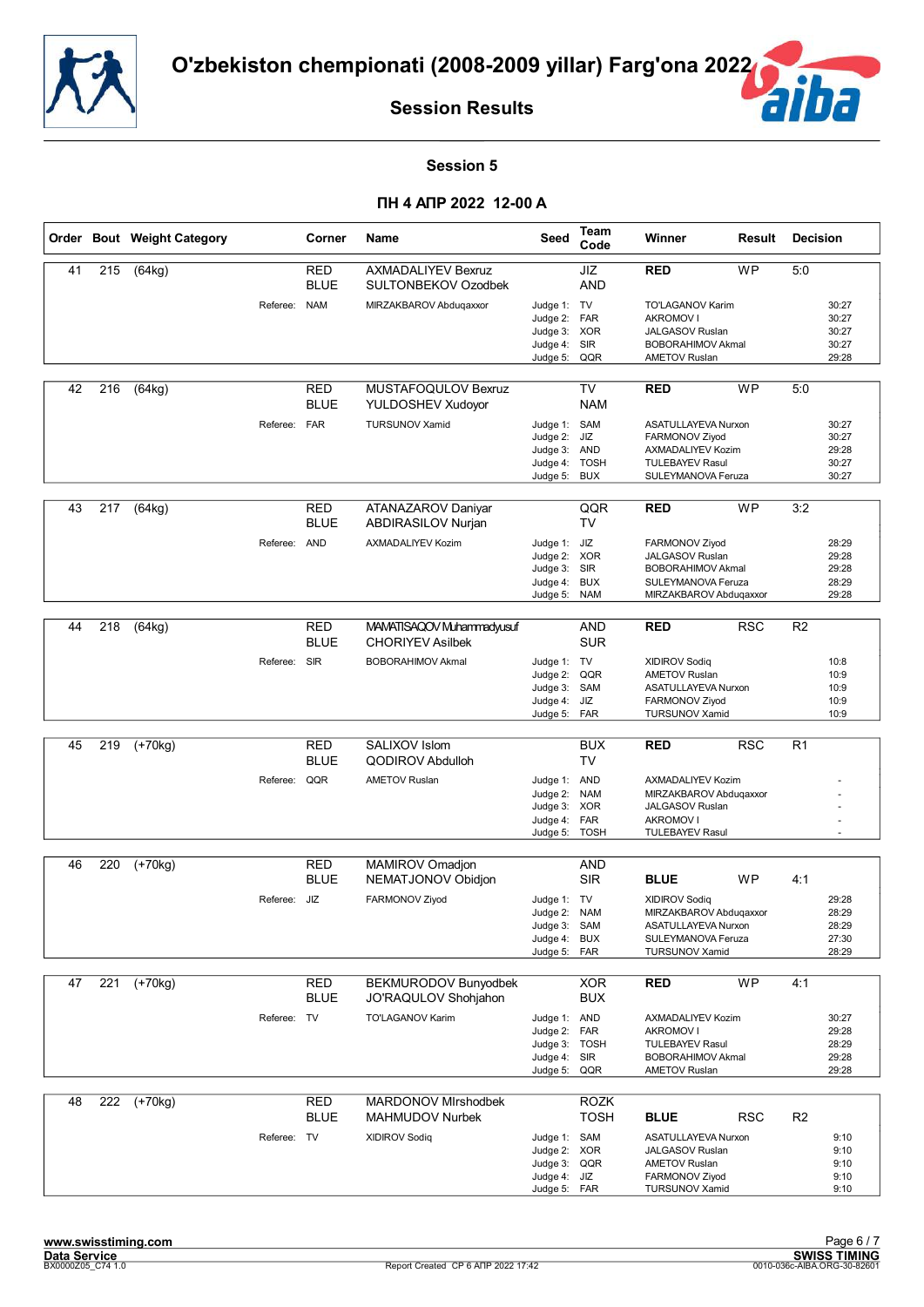![](_page_30_Picture_0.jpeg)

![](_page_30_Picture_2.jpeg)

#### **Session 5**

|    |     | Order Bout Weight Category |              | Corner                    | Name                                                 | Seed                         | Team<br>Code               | Winner                                           | Result     | <b>Decision</b> |                |
|----|-----|----------------------------|--------------|---------------------------|------------------------------------------------------|------------------------------|----------------------------|--------------------------------------------------|------------|-----------------|----------------|
| 41 | 215 | (64kg)                     |              | RED<br><b>BLUE</b>        | <b>AXMADALIYEV Bexruz</b><br>SULTONBEKOV Ozodbek     |                              | JIZ<br><b>AND</b>          | <b>RED</b>                                       | <b>WP</b>  | 5:0             |                |
|    |     |                            | Referee: NAM |                           | MIRZAKBAROV Abduqaxxor                               | Judge 1: TV                  |                            | <b>TO'LAGANOV Karim</b><br><b>AKROMOV I</b>      |            |                 | 30:27          |
|    |     |                            |              |                           |                                                      | Judge 2:<br>Judge 3: XOR     | <b>FAR</b>                 | <b>JALGASOV Ruslan</b>                           |            |                 | 30:27<br>30:27 |
|    |     |                            |              |                           |                                                      | Judge 4: SIR                 |                            | <b>BOBORAHIMOV Akmal</b>                         |            |                 | 30:27          |
|    |     |                            |              |                           |                                                      | Judge 5: QQR                 |                            | <b>AMETOV Ruslan</b>                             |            |                 | 29:28          |
| 42 | 216 | (64kg)                     |              | RED<br><b>BLUE</b>        | MUSTAFOQULOV Bexruz<br>YULDOSHEV Xudoyor             |                              | TV<br><b>NAM</b>           | <b>RED</b>                                       | <b>WP</b>  | 5:0             |                |
|    |     |                            | Referee: FAR |                           | <b>TURSUNOV Xamid</b>                                | Judge 1: SAM                 |                            | ASATULLAYEVA Nurxon                              |            |                 | 30:27          |
|    |     |                            |              |                           |                                                      | Judge 2: JIZ<br>Judge 3: AND |                            | FARMONOV Ziyod<br>AXMADALIYEV Kozim              |            |                 | 30:27<br>29:28 |
|    |     |                            |              |                           |                                                      | Judge 4: TOSH                |                            | <b>TULEBAYEV Rasul</b>                           |            |                 | 30:27          |
|    |     |                            |              |                           |                                                      | Judge 5:                     | <b>BUX</b>                 | SULEYMANOVA Feruza                               |            |                 | 30:27          |
| 43 | 217 | (64kg)                     |              | RED<br><b>BLUE</b>        | ATANAZAROV Daniyar<br>ABDIRASILOV Nurjan             |                              | QQR<br><b>TV</b>           | <b>RED</b>                                       | <b>WP</b>  | 3:2             |                |
|    |     |                            | Referee: AND |                           | AXMADALIYEV Kozim                                    | Judge 1: JIZ                 |                            | FARMONOV Ziyod                                   |            |                 | 28:29          |
|    |     |                            |              |                           |                                                      | Judge 2: XOR                 |                            | <b>JALGASOV Ruslan</b>                           |            |                 | 29:28          |
|    |     |                            |              |                           |                                                      | Judge 3: SIR<br>Judge 4:     | <b>BUX</b>                 | <b>BOBORAHIMOV Akmal</b><br>SULEYMANOVA Feruza   |            |                 | 29:28<br>28:29 |
|    |     |                            |              |                           |                                                      | Judge 5:                     | <b>NAM</b>                 | MIRZAKBAROV Abdugaxxor                           |            |                 | 29:28          |
|    |     |                            |              |                           |                                                      |                              |                            |                                                  |            |                 |                |
| 44 | 218 | (64kg)                     |              | <b>RED</b><br><b>BLUE</b> | MAMATISAQOV Muhammadyusuf<br><b>CHORIYEV Asilbek</b> |                              | AND<br><b>SUR</b>          | <b>RED</b>                                       | <b>RSC</b> | R <sub>2</sub>  |                |
|    |     |                            | Referee:     | <b>SIR</b>                | <b>BOBORAHIMOV Akmal</b>                             | Judge 1: TV<br>Judge 2:      | QQR                        | <b>XIDIROV Sodiq</b><br><b>AMETOV Ruslan</b>     |            |                 | 10:8<br>10:9   |
|    |     |                            |              |                           |                                                      | Judge 3: SAM                 |                            | ASATULLAYEVA Nurxon                              |            |                 | 10:9           |
|    |     |                            |              |                           |                                                      | Judge 4:<br>Judge 5: FAR     | JIZ                        | FARMONOV Ziyod<br><b>TURSUNOV Xamid</b>          |            |                 | 10:9<br>10:9   |
|    |     |                            |              |                           |                                                      |                              |                            |                                                  |            |                 |                |
| 45 | 219 | $(+70kg)$                  |              | <b>RED</b><br><b>BLUE</b> | SALIXOV Islom<br><b>QODIROV Abdulloh</b>             |                              | <b>BUX</b><br><b>TV</b>    | <b>RED</b>                                       | <b>RSC</b> | R1              |                |
|    |     |                            | Referee: QQR |                           | <b>AMETOV Ruslan</b>                                 | Judge 1: AND                 |                            | AXMADALIYEV Kozim                                |            |                 |                |
|    |     |                            |              |                           |                                                      | Judge 2:<br>Judge 3: XOR     | <b>NAM</b>                 | MIRZAKBAROV Abduqaxxor<br><b>JALGASOV Ruslan</b> |            |                 |                |
|    |     |                            |              |                           |                                                      | Judge 4:                     | <b>FAR</b>                 | <b>AKROMOV I</b>                                 |            |                 |                |
|    |     |                            |              |                           |                                                      | Judge 5:                     | <b>TOSH</b>                | <b>TULEBAYEV Rasul</b>                           |            |                 |                |
| 46 | 220 | $\overline{(+70kg)}$       |              | <b>RED</b>                | MAMIROV Omadjon                                      |                              | AND                        |                                                  |            |                 |                |
|    |     |                            |              | <b>BLUE</b>               | NEMATJONOV Obidjon                                   |                              | <b>SIR</b>                 | <b>BLUE</b>                                      | WP         | 4:1             |                |
|    |     |                            | Referee: JIZ |                           | FARMONOV Ziyod                                       | Judge 1: TV                  |                            | <b>XIDIROV Sodig</b>                             |            |                 | 29:28          |
|    |     |                            |              |                           |                                                      | Judge 2: NAM                 |                            | MIRZAKBAROV Abdugaxxor                           |            |                 | 28:29          |
|    |     |                            |              |                           |                                                      | Judge 3: SAM<br>Judge 4: BUX |                            | ASATULLAYEVA Nurxon<br>SULEYMANOVA Feruza        |            |                 | 28:29<br>27:30 |
|    |     |                            |              |                           |                                                      | Judge 5:                     | FAR                        | <b>TURSUNOV Xamid</b>                            |            |                 | 28:29          |
|    |     |                            |              |                           |                                                      |                              |                            |                                                  |            |                 |                |
| 47 | 221 | $(+70kg)$                  |              | <b>RED</b><br><b>BLUE</b> | BEKMURODOV Bunyodbek<br>JO'RAQULOV Shohjahon         |                              | <b>XOR</b><br><b>BUX</b>   | <b>RED</b>                                       | <b>WP</b>  | 4:1             |                |
|    |     |                            | Referee: TV  |                           | TO'LAGANOV Karim                                     | Judge 1: AND                 |                            | AXMADALIYEV Kozim                                |            |                 | 30:27          |
|    |     |                            |              |                           |                                                      | Judge 2:<br>Judge 3: TOSH    | FAR                        | <b>AKROMOV I</b><br><b>TULEBAYEV Rasul</b>       |            |                 | 29:28<br>28:29 |
|    |     |                            |              |                           |                                                      | Judge 4: SIR                 |                            | <b>BOBORAHIMOV Akmal</b>                         |            |                 | 29:28          |
|    |     |                            |              |                           |                                                      | Judge 5: QQR                 |                            | <b>AMETOV Ruslan</b>                             |            |                 | 29:28          |
| 48 |     | 222 (+70kg)                |              | <b>RED</b><br><b>BLUE</b> | <b>MARDONOV Mirshodbek</b><br><b>MAHMUDOV Nurbek</b> |                              | <b>ROZK</b><br><b>TOSH</b> | <b>BLUE</b>                                      | <b>RSC</b> | R <sub>2</sub>  |                |
|    |     |                            | Referee: TV  |                           | <b>XIDIROV Sodiq</b>                                 | Judge 1: SAM                 |                            | ASATULLAYEVA Nurxon                              |            |                 | 9:10           |
|    |     |                            |              |                           |                                                      | Judge 2: XOR                 |                            | JALGASOV Ruslan                                  |            |                 | 9:10           |
|    |     |                            |              |                           |                                                      | Judge 3: QQR<br>Judge 4: JIZ |                            | <b>AMETOV Ruslan</b><br>FARMONOV Ziyod           |            |                 | 9:10<br>9:10   |
|    |     |                            |              |                           |                                                      | Judge 5: FAR                 |                            | <b>TURSUNOV Xamid</b>                            |            |                 | 9:10           |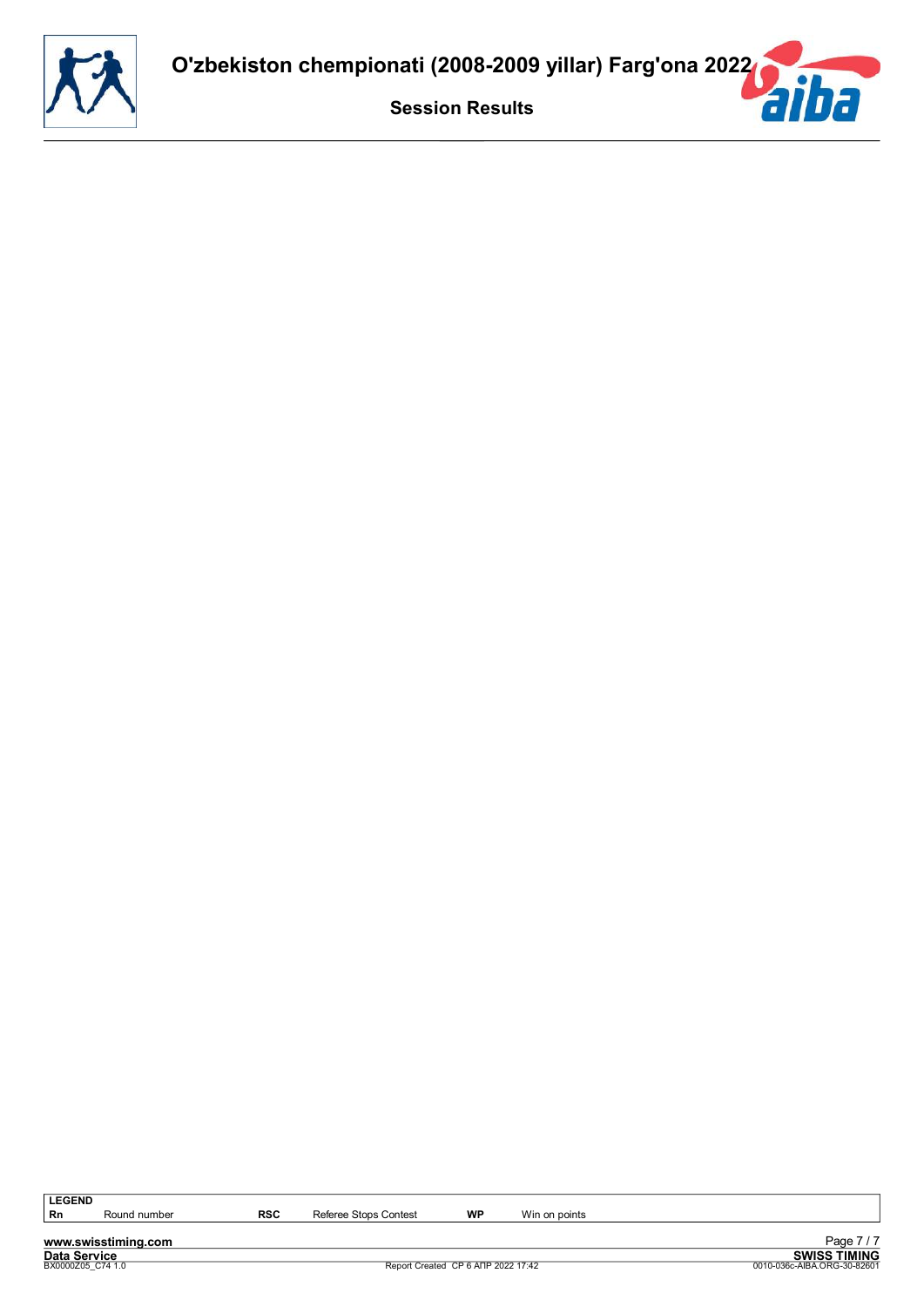![](_page_31_Picture_0.jpeg)

**www.swisstiming.com**<br>Data Service<br>BX0000205\_C74 1.0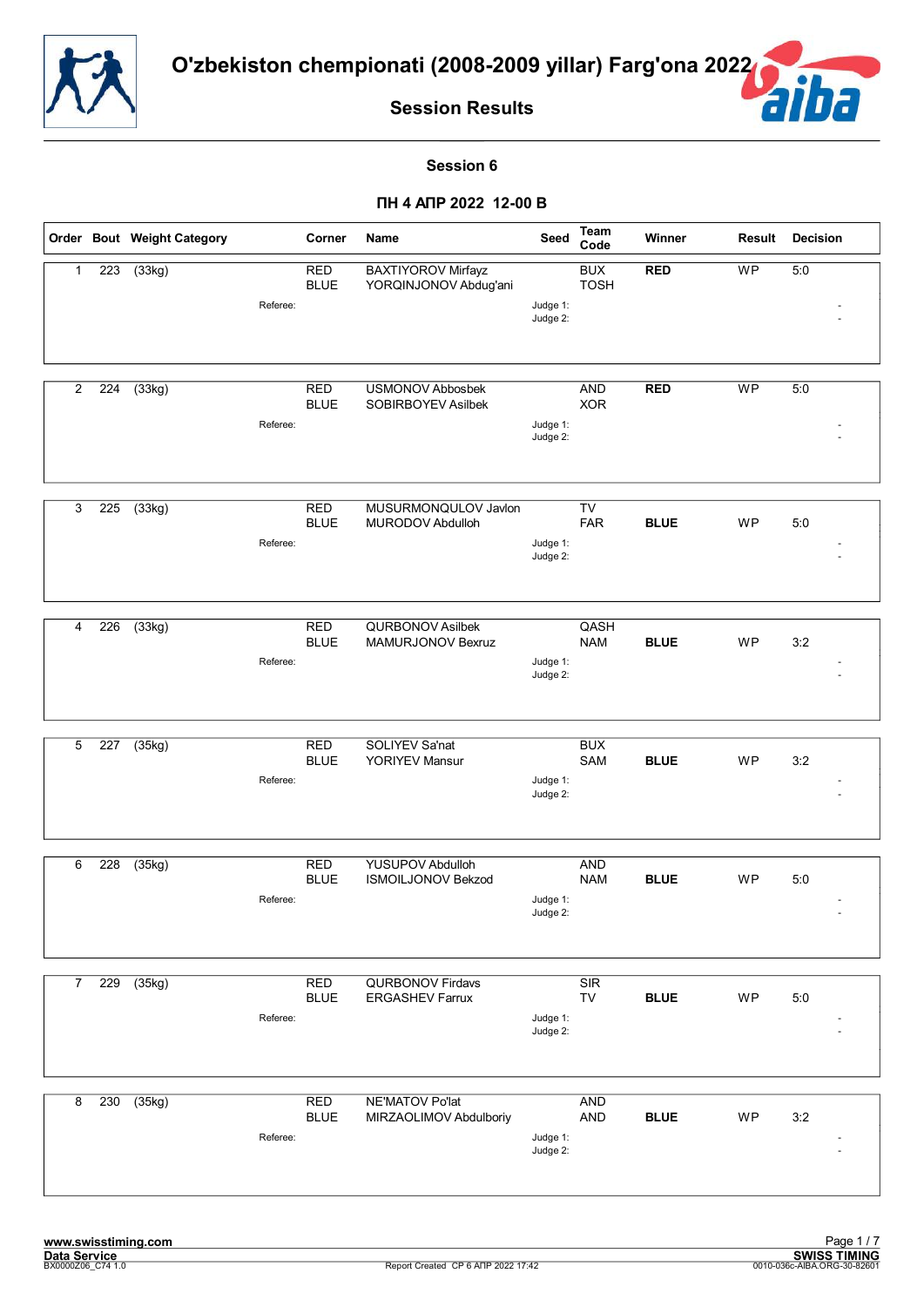![](_page_32_Picture_0.jpeg)

![](_page_32_Picture_2.jpeg)

#### **Session 6**

|                |     | Order Bout Weight Category |          | Corner                    | Name                                                 | Seed                 | Team<br>Code              | Winner      | Result    | <b>Decision</b> |
|----------------|-----|----------------------------|----------|---------------------------|------------------------------------------------------|----------------------|---------------------------|-------------|-----------|-----------------|
| $\mathbf{1}$   | 223 | (33kg)                     | Referee: | <b>RED</b><br><b>BLUE</b> | BAXTIYOROV Mirfayz<br>YORQINJONOV Abdug'ani          | Judge 1:<br>Judge 2: | <b>BUX</b><br><b>TOSH</b> | <b>RED</b>  | <b>WP</b> | 5:0             |
| $\overline{2}$ | 224 | (33kg)                     | Referee: | <b>RED</b><br><b>BLUE</b> | <b>USMONOV Abbosbek</b><br>SOBIRBOYEV Asilbek        | Judge 1:<br>Judge 2: | <b>AND</b><br><b>XOR</b>  | <b>RED</b>  | <b>WP</b> | 5:0             |
| 3              | 225 | (33kg)                     | Referee: | <b>RED</b><br><b>BLUE</b> | MUSURMONQULOV Javlon<br>MURODOV Abdulloh             | Judge 1:<br>Judge 2: | TV<br><b>FAR</b>          | <b>BLUE</b> | WP        | 5:0             |
| 4              | 226 | (33kg)                     | Referee: | <b>RED</b><br><b>BLUE</b> | <b>QURBONOV Asilbek</b><br><b>MAMURJONOV Bexruz</b>  | Judge 1:<br>Judge 2: | QASH<br><b>NAM</b>        | <b>BLUE</b> | WP        | 3:2             |
| 5              | 227 | (35kg)                     | Referee: | <b>RED</b><br><b>BLUE</b> | SOLIYEV Sa'nat<br><b>YORIYEV Mansur</b>              | Judge 1:<br>Judge 2: | <b>BUX</b><br>SAM         | <b>BLUE</b> | WP        | 3:2             |
| 6              | 228 | (35kg)                     | Referee: | <b>RED</b><br><b>BLUE</b> | <b>YUSUPOV Abdulloh</b><br><b>ISMOILJONOV Bekzod</b> | Judge 1:<br>Judge 2: | <b>AND</b><br><b>NAM</b>  | <b>BLUE</b> | WP        | 5:0             |
| $\overline{7}$ | 229 | (35kg)                     | Referee: | <b>RED</b><br><b>BLUE</b> | <b>QURBONOV Firdavs</b><br><b>ERGASHEV Farrux</b>    | Judge 1:<br>Judge 2: | SIR<br>TV                 | <b>BLUE</b> | <b>WP</b> | 5:0             |
| 8              | 230 | (35kg)                     | Referee: | <b>RED</b><br><b>BLUE</b> | NE'MATOV Po'lat<br>MIRZAOLIMOV Abdulboriy            | Judge 1:<br>Judge 2: | <b>AND</b><br>AND         | <b>BLUE</b> | WP        | 3:2             |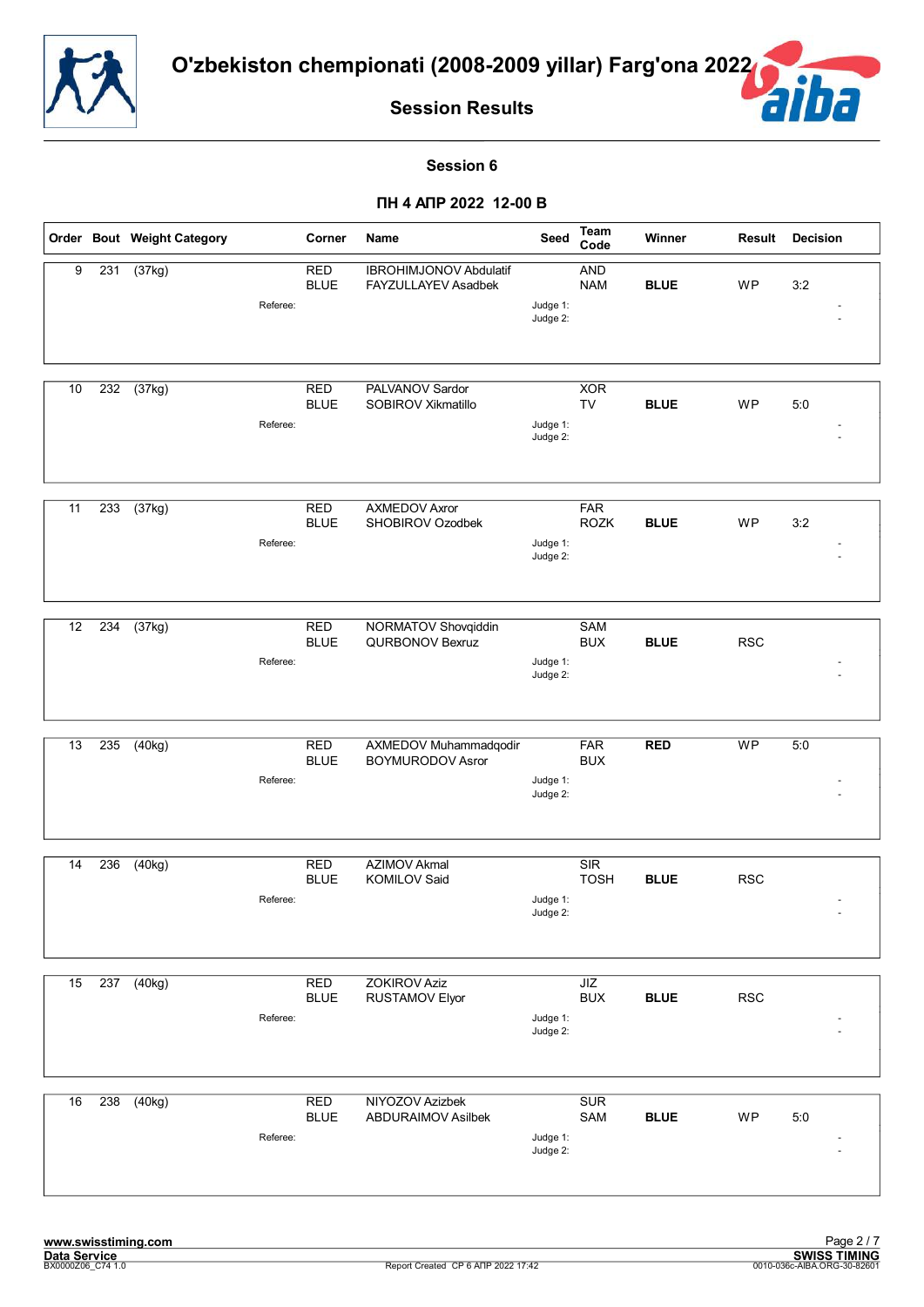![](_page_33_Picture_0.jpeg)

![](_page_33_Picture_3.jpeg)

#### **Session 6**

|    |     | Order Bout Weight Category |          | Corner                    | Name                                                 | Seed                 | <b>Team</b><br>Code       | Winner      | Result     | <b>Decision</b> |
|----|-----|----------------------------|----------|---------------------------|------------------------------------------------------|----------------------|---------------------------|-------------|------------|-----------------|
| 9  | 231 | (37kg)                     | Referee: | <b>RED</b><br><b>BLUE</b> | <b>IBROHIMJONOV Abdulatif</b><br>FAYZULLAYEV Asadbek | Judge 1:<br>Judge 2: | <b>AND</b><br><b>NAM</b>  | <b>BLUE</b> | WP         | 3:2             |
| 10 | 232 | (37kg)                     | Referee: | RED<br><b>BLUE</b>        | PALVANOV Sardor<br>SOBIROV Xikmatillo                | Judge 1:<br>Judge 2: | <b>XOR</b><br>TV          | <b>BLUE</b> | WP         | 5:0             |
| 11 | 233 | (37kg)                     | Referee: | <b>RED</b><br><b>BLUE</b> | <b>AXMEDOV Axror</b><br>SHOBIROV Ozodbek             | Judge 1:<br>Judge 2: | <b>FAR</b><br><b>ROZK</b> | <b>BLUE</b> | WP         | 3:2             |
| 12 | 234 | (37kg)                     | Referee: | <b>RED</b><br><b>BLUE</b> | NORMATOV Shovqiddin<br>QURBONOV Bexruz               | Judge 1:<br>Judge 2: | <b>SAM</b><br><b>BUX</b>  | <b>BLUE</b> | <b>RSC</b> |                 |
| 13 | 235 | (40kg)                     | Referee: | <b>RED</b><br><b>BLUE</b> | AXMEDOV Muhammadqodir<br><b>BOYMURODOV Asror</b>     | Judge 1:<br>Judge 2: | <b>FAR</b><br><b>BUX</b>  | <b>RED</b>  | <b>WP</b>  | 5:0             |
| 14 | 236 | (40kg)                     | Referee: | <b>RED</b><br><b>BLUE</b> | <b>AZIMOV Akmal</b><br><b>KOMILOV Said</b>           | Judge 1:<br>Judge 2: | SIR<br><b>TOSH</b>        | <b>BLUE</b> | <b>RSC</b> |                 |
| 15 | 237 | (40kg)                     | Referee: | <b>RED</b><br><b>BLUE</b> | <b>ZOKIROV Aziz</b><br>RUSTAMOV Elyor                | Judge 1:<br>Judge 2: | JIZ<br><b>BUX</b>         | <b>BLUE</b> | <b>RSC</b> |                 |
| 16 | 238 | (40kg)                     | Referee: | <b>RED</b><br><b>BLUE</b> | NIYOZOV Azizbek<br><b>ABDURAIMOV Asilbek</b>         | Judge 1:<br>Judge 2: | <b>SUR</b><br>SAM         | <b>BLUE</b> | WP         | 5:0             |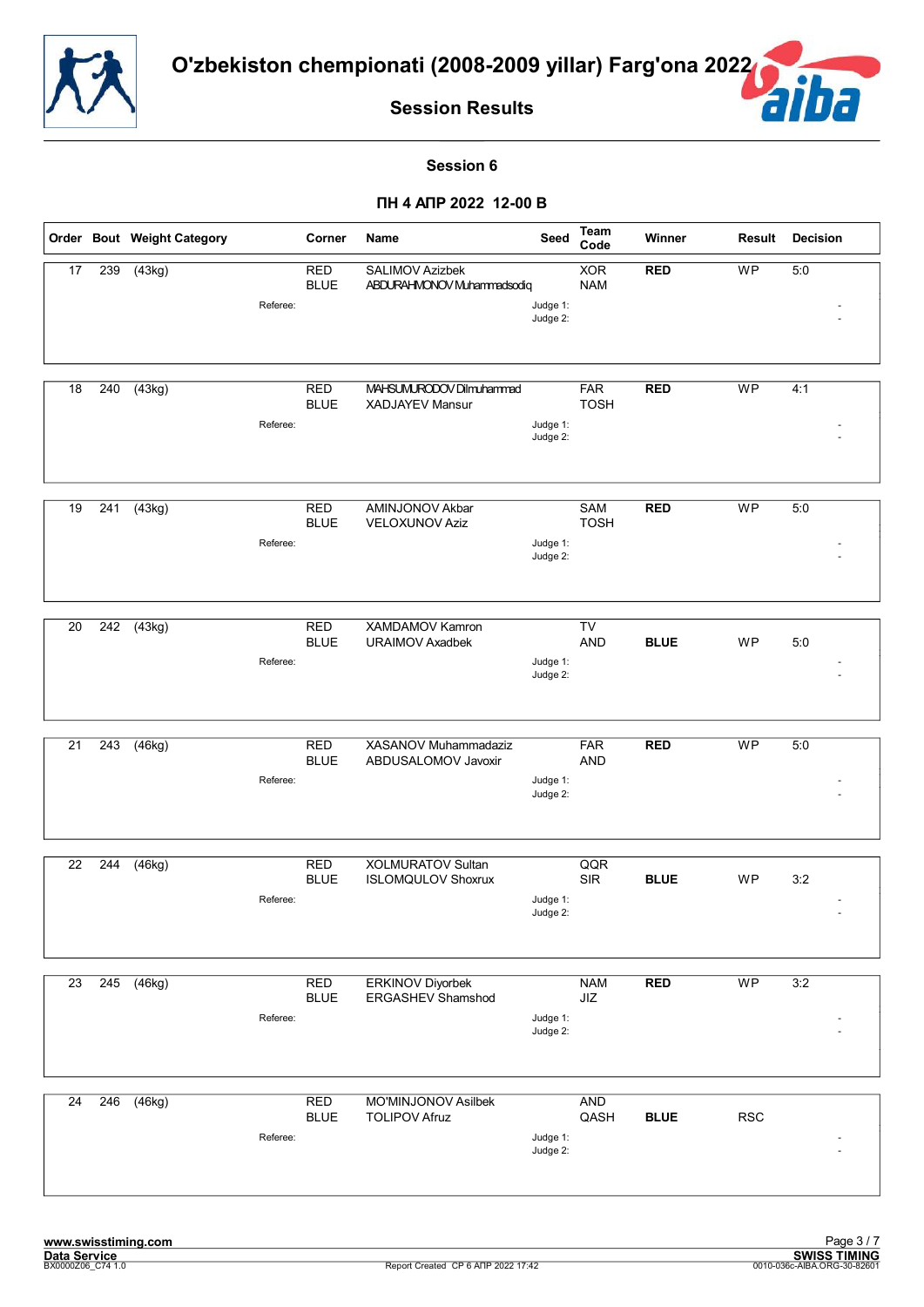![](_page_34_Picture_0.jpeg)

![](_page_34_Picture_2.jpeg)

#### **Session 6**

|                 |     | Order Bout Weight Category       | Corner                    | Name                                           | Seed                 | <b>Team</b><br>Code       | Winner      | Result                   | <b>Decision</b> |
|-----------------|-----|----------------------------------|---------------------------|------------------------------------------------|----------------------|---------------------------|-------------|--------------------------|-----------------|
| 17              | 239 | (43kg)<br>Referee:               | <b>RED</b><br><b>BLUE</b> | SALIMOV Azizbek<br>ABDURAHMONOV Muhammadsodiq  | Judge 1:<br>Judge 2: | <b>XOR</b><br><b>NAM</b>  | <b>RED</b>  | <b>WP</b>                | 5:0             |
| 18              | 240 | $\overline{(43}$ kg)<br>Referee: | <b>RED</b><br><b>BLUE</b> | MAHSUMURODOV Dilmuhammad<br>XADJAYEV Mansur    | Judge 1:<br>Judge 2: | <b>FAR</b><br><b>TOSH</b> | <b>RED</b>  | <b>WP</b>                | 4:1             |
| 19              | 241 | (43kg)<br>Referee:               | <b>RED</b><br><b>BLUE</b> | AMINJONOV Akbar<br><b>VELOXUNOV Aziz</b>       | Judge 1:<br>Judge 2: | <b>SAM</b><br><b>TOSH</b> | <b>RED</b>  | <b>WP</b>                | 5:0             |
| 20              | 242 | (43kg)<br>Referee:               | <b>RED</b><br><b>BLUE</b> | XAMDAMOV Kamron<br>URAIMOV Axadbek             | Judge 1:<br>Judge 2: | TV<br><b>AND</b>          | <b>BLUE</b> | WP                       | 5:0             |
| 21              | 243 | $\overline{(46kg)}$<br>Referee:  | <b>RED</b><br><b>BLUE</b> | XASANOV Muhammadaziz<br>ABDUSALOMOV Javoxir    | Judge 1:<br>Judge 2: | <b>FAR</b><br><b>AND</b>  | <b>RED</b>  | <b>WP</b>                | 5:0             |
| 22              | 244 | (46kg)<br>Referee:               | <b>RED</b><br><b>BLUE</b> | XOLMURATOV Sultan<br><b>ISLOMQULOV Shoxrux</b> | Judge 1:<br>Judge 2: | QQR<br><b>SIR</b>         | <b>BLUE</b> | WP                       | 3:2             |
| $\overline{23}$ | 245 | (46kg)<br>Referee:               | <b>RED</b><br><b>BLUE</b> | <b>ERKINOV Diyorbek</b><br>ERGASHEV Shamshod   | Judge 1:<br>Judge 2: | <b>NAM</b><br>JIZ         | <b>RED</b>  | $\overline{\mathsf{WP}}$ | 3:2             |
| 24              | 246 | (46kg)<br>Referee:               | <b>RED</b><br><b>BLUE</b> | MO'MINJONOV Asilbek<br><b>TOLIPOV Afruz</b>    | Judge 1:<br>Judge 2: | AND<br>QASH               | <b>BLUE</b> | <b>RSC</b>               |                 |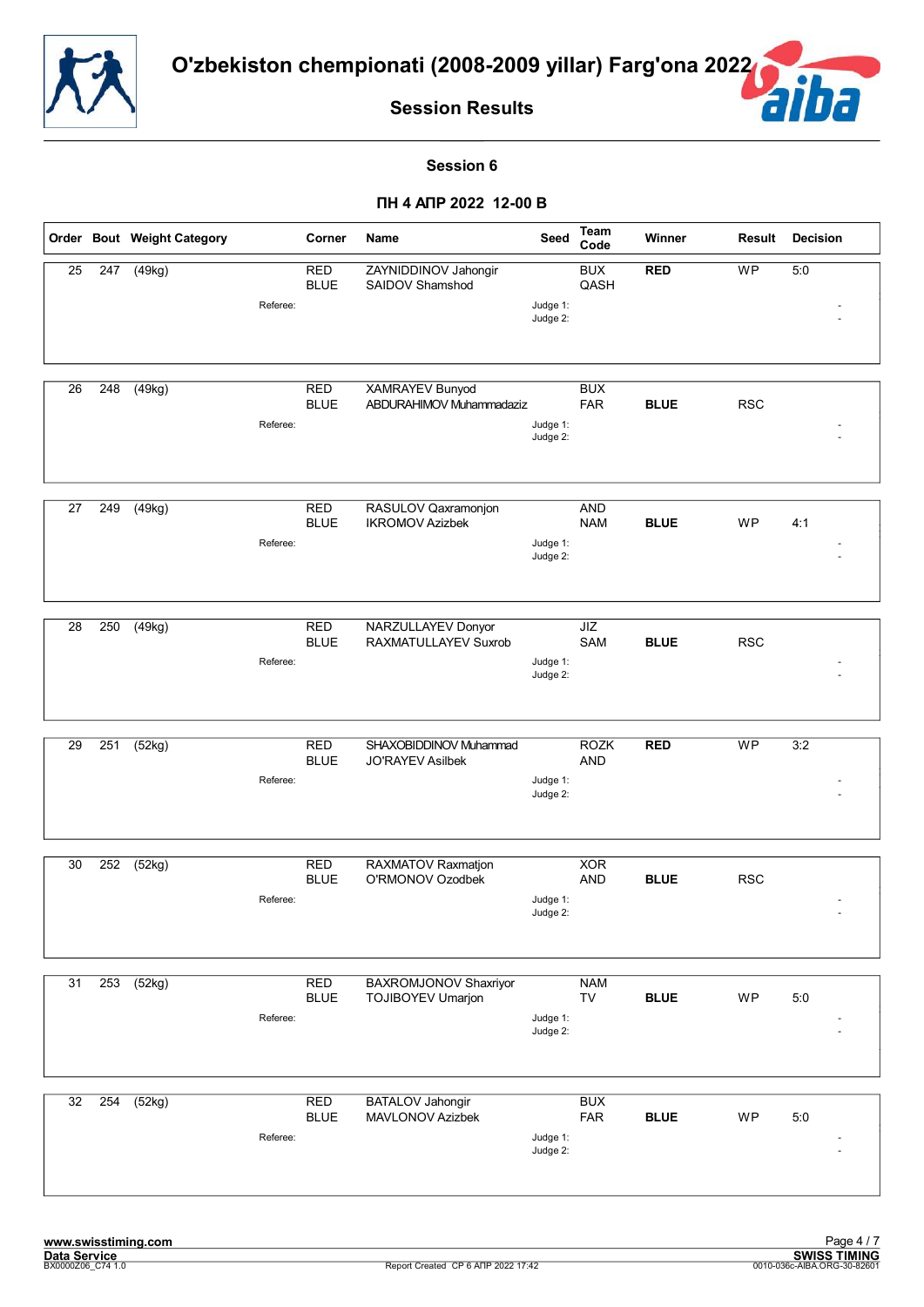![](_page_35_Picture_0.jpeg)

![](_page_35_Picture_2.jpeg)

#### **Session 6**

|    |     | Order Bout Weight Category | Corner                                | Name                                               | Seed                 | Team<br>Code             | Winner      | Result     | <b>Decision</b> |
|----|-----|----------------------------|---------------------------------------|----------------------------------------------------|----------------------|--------------------------|-------------|------------|-----------------|
| 25 | 247 | (49kg)                     | <b>RED</b><br><b>BLUE</b><br>Referee: | ZAYNIDDINOV Jahongir<br>SAIDOV Shamshod            | Judge 1:             | <b>BUX</b><br>QASH       | <b>RED</b>  | <b>WP</b>  | 5:0             |
|    |     |                            |                                       |                                                    | Judge 2:             |                          |             |            |                 |
| 26 | 248 | (49kg)                     | <b>RED</b><br><b>BLUE</b><br>Referee: | <b>XAMRAYEV Bunyod</b><br>ABDURAHIMOV Muhammadaziz | Judge 1:<br>Judge 2: | <b>BUX</b><br><b>FAR</b> | <b>BLUE</b> | <b>RSC</b> |                 |
|    |     |                            |                                       |                                                    |                      |                          |             |            |                 |
| 27 | 249 | (49kg)                     | <b>RED</b><br><b>BLUE</b><br>Referee: | RASULOV Qaxramonjon<br><b>IKROMOV Azizbek</b>      | Judge 1:<br>Judge 2: | <b>AND</b><br><b>NAM</b> | <b>BLUE</b> | WP         | 4:1             |
| 28 | 250 | $\sqrt{(49kg)}$            | <b>RED</b><br><b>BLUE</b><br>Referee: | <b>NARZULLAYEV Donyor</b><br>RAXMATULLAYEV Suxrob  | Judge 1:<br>Judge 2: | JIZ<br>SAM               | <b>BLUE</b> | <b>RSC</b> |                 |
| 29 | 251 | (52kg)                     | <b>RED</b>                            | SHAXOBIDDINOV Muhammad                             |                      | <b>ROZK</b>              | <b>RED</b>  | <b>WP</b>  | 3:2             |
|    |     |                            | <b>BLUE</b><br>Referee:               | <b>JO'RAYEV Asilbek</b>                            | Judge 1:<br>Judge 2: | <b>AND</b>               |             |            |                 |
| 30 | 252 | (52kg)                     | <b>RED</b><br><b>BLUE</b>             | RAXMATOV Raxmatjon<br>O'RMONOV Ozodbek             |                      | <b>XOR</b><br><b>AND</b> | <b>BLUE</b> | <b>RSC</b> |                 |
|    |     |                            | Referee:                              |                                                    | Judge 1:<br>Judge 2: |                          |             |            |                 |
| 31 | 253 | (52kg)                     | <b>RED</b><br><b>BLUE</b><br>Referee: | BAXROMJONOV Shaxriyor<br>TOJIBOYEV Umarjon         | Judge 1:<br>Judge 2: | <b>NAM</b><br>TV         | <b>BLUE</b> | <b>WP</b>  | 5:0             |
|    |     |                            |                                       |                                                    |                      |                          |             |            |                 |
| 32 | 254 | (52kg)                     | <b>RED</b><br><b>BLUE</b><br>Referee: | <b>BATALOV Jahongir</b><br>MAVLONOV Azizbek        | Judge 1:<br>Judge 2: | <b>BUX</b><br>FAR        | <b>BLUE</b> | WP         | 5:0             |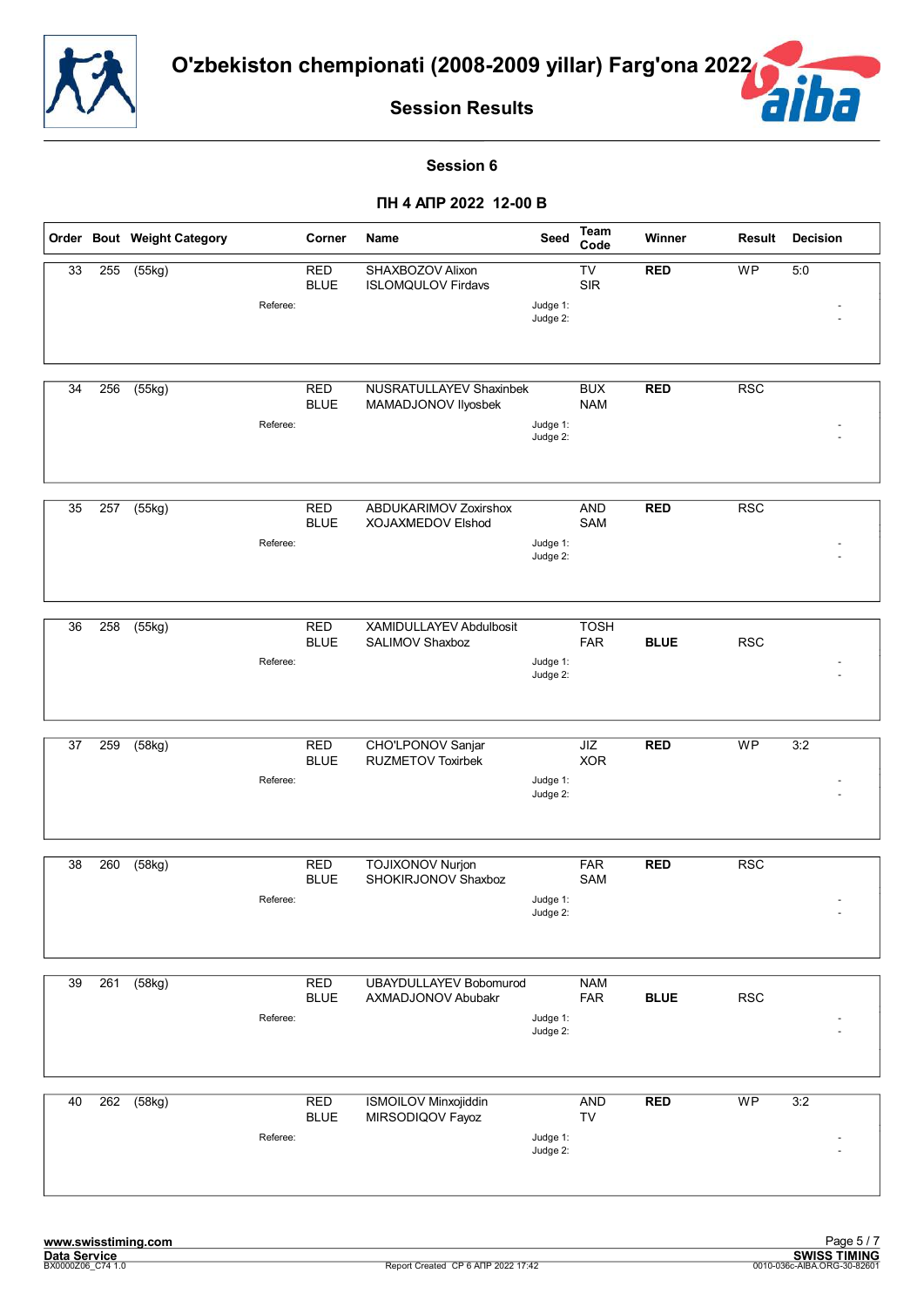![](_page_36_Picture_0.jpeg)

É

**Session Results**

#### **Session 6**

|    |     | Order Bout Weight Category      | Corner                    | Name                                                | Seed                 | Team<br>Code              | Winner      | Result     | <b>Decision</b> |
|----|-----|---------------------------------|---------------------------|-----------------------------------------------------|----------------------|---------------------------|-------------|------------|-----------------|
| 33 | 255 | (55kg)<br>Referee:              | <b>RED</b><br><b>BLUE</b> | SHAXBOZOV Alixon<br><b>ISLOMQULOV Firdavs</b>       | Judge 1:<br>Judge 2: | TV<br><b>SIR</b>          | <b>RED</b>  | WP         | 5:0             |
| 34 | 256 | (55kg)<br>Referee:              | <b>RED</b><br><b>BLUE</b> | NUSRATULLAYEV Shaxinbek<br>MAMADJONOV Ilyosbek      | Judge 1:<br>Judge 2: | <b>BUX</b><br><b>NAM</b>  | <b>RED</b>  | <b>RSC</b> |                 |
| 35 | 257 | (55kg)<br>Referee:              | <b>RED</b><br><b>BLUE</b> | ABDUKARIMOV Zoxirshox<br>XOJAXMEDOV Elshod          | Judge 1:<br>Judge 2: | <b>AND</b><br>SAM         | <b>RED</b>  | <b>RSC</b> |                 |
| 36 | 258 | (55kg)<br>Referee:              | <b>RED</b><br><b>BLUE</b> | XAMIDULLAYEV Abdulbosit<br>SALIMOV Shaxboz          | Judge 1:<br>Judge 2: | <b>TOSH</b><br><b>FAR</b> | <b>BLUE</b> | <b>RSC</b> |                 |
| 37 | 259 | $\overline{(58kg)}$<br>Referee: | <b>RED</b><br><b>BLUE</b> | CHO'LPONOV Sanjar<br><b>RUZMETOV Toxirbek</b>       | Judge 1:<br>Judge 2: | JIZ<br><b>XOR</b>         | <b>RED</b>  | <b>WP</b>  | 3:2             |
| 38 | 260 | (58kg)<br>Referee:              | <b>RED</b><br><b>BLUE</b> | <b>TOJIXONOV Nurjon</b><br>SHOKIRJONOV Shaxboz      | Judge 1:<br>Judge 2: | <b>FAR</b><br>SAM         | <b>RED</b>  | <b>RSC</b> |                 |
| 39 | 261 | (58kg)<br>Referee:              | <b>RED</b><br><b>BLUE</b> | <b>UBAYDULLAYEV Bobomurod</b><br>AXMADJONOV Abubakr | Judge 1:<br>Judge 2: | <b>NAM</b><br>FAR         | <b>BLUE</b> | <b>RSC</b> |                 |
| 40 | 262 | (58kg)<br>Referee:              | <b>RED</b><br><b>BLUE</b> | <b>ISMOILOV Minxojiddin</b><br>MIRSODIQOV Fayoz     | Judge 1:<br>Judge 2: | <b>AND</b><br>TV          | <b>RED</b>  | <b>WP</b>  | 3:2             |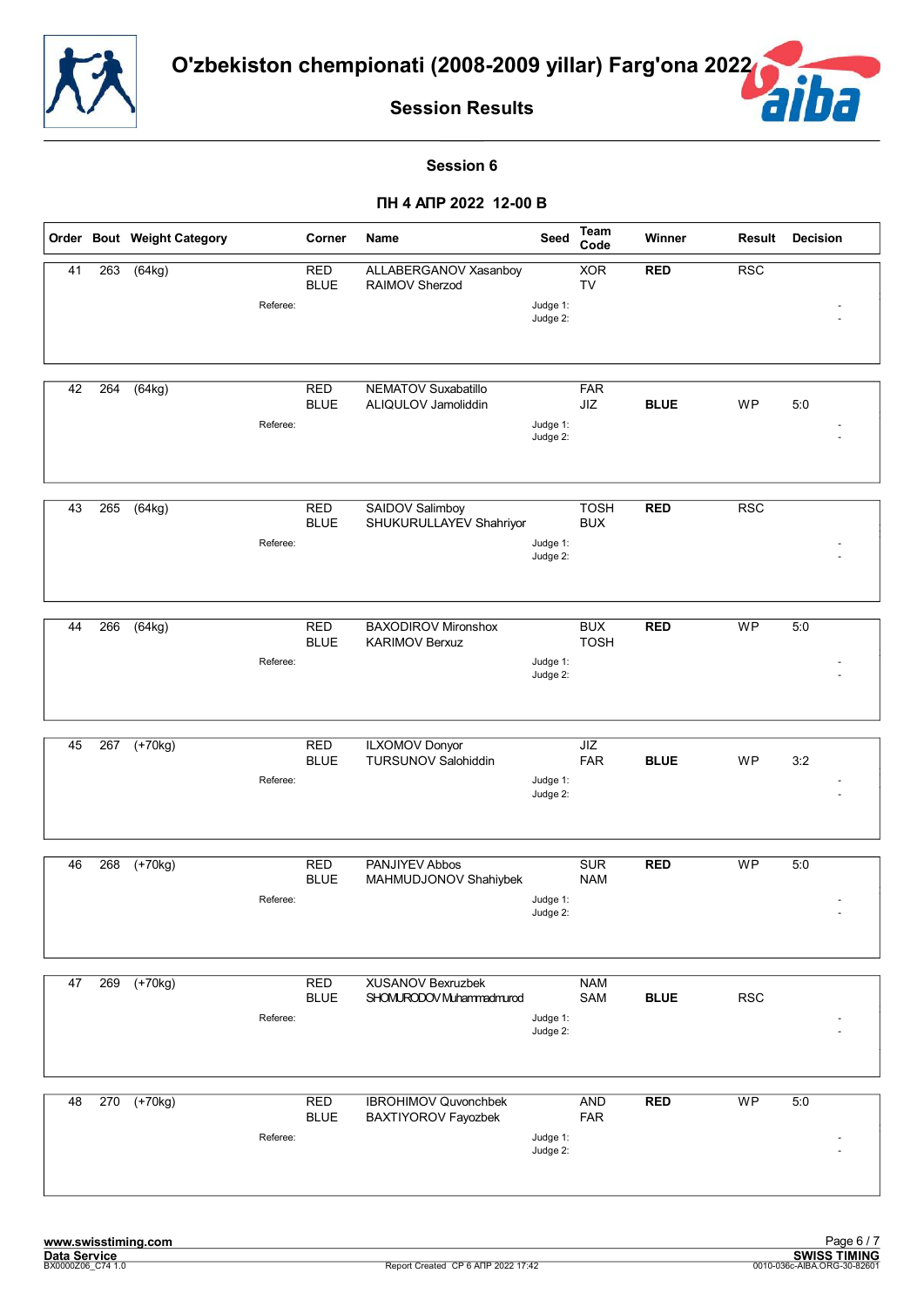![](_page_37_Picture_0.jpeg)

![](_page_37_Picture_2.jpeg)

#### **Session 6**

|    |     | Order Bout Weight Category |          | Corner                    | Name                                                 | Seed                 | Team<br>Code              | Winner      | Result     | <b>Decision</b> |
|----|-----|----------------------------|----------|---------------------------|------------------------------------------------------|----------------------|---------------------------|-------------|------------|-----------------|
| 41 | 263 | (64kg)                     | Referee: | <b>RED</b><br><b>BLUE</b> | ALLABERGANOV Xasanboy<br>RAIMOV Sherzod              | Judge 1:<br>Judge 2: | <b>XOR</b><br><b>TV</b>   | <b>RED</b>  | <b>RSC</b> |                 |
| 42 | 264 | (64kg)                     | Referee: | <b>RED</b><br><b>BLUE</b> | NEMATOV Suxabatillo<br>ALIQULOV Jamoliddin           | Judge 1:<br>Judge 2: | <b>FAR</b><br>JIZ         | <b>BLUE</b> | <b>WP</b>  | 5:0             |
| 43 | 265 | (64kg)                     | Referee: | <b>RED</b><br><b>BLUE</b> | SAIDOV Salimboy<br>SHUKURULLAYEV Shahriyor           | Judge 1:<br>Judge 2: | <b>TOSH</b><br><b>BUX</b> | <b>RED</b>  | <b>RSC</b> |                 |
| 44 | 266 | $\sqrt{(64kg)}$            | Referee: | <b>RED</b><br><b>BLUE</b> | <b>BAXODIROV Mironshox</b><br><b>KARIMOV Berxuz</b>  | Judge 1:<br>Judge 2: | <b>BUX</b><br><b>TOSH</b> | <b>RED</b>  | <b>WP</b>  | 5:0             |
| 45 | 267 | $(+70kg)$                  | Referee: | <b>RED</b><br><b>BLUE</b> | <b>ILXOMOV Donyor</b><br><b>TURSUNOV Salohiddin</b>  | Judge 1:<br>Judge 2: | <b>JIZ</b><br><b>FAR</b>  | <b>BLUE</b> | <b>WP</b>  | 3:2             |
| 46 | 268 | $\sqrt{+70}$ kg)           | Referee: | <b>RED</b><br><b>BLUE</b> | PANJIYEV Abbos<br>MAHMUDJONOV Shahiybek              | Judge 1:<br>Judge 2: | <b>SUR</b><br><b>NAM</b>  | <b>RED</b>  | <b>WP</b>  | 5:0             |
| 47 | 269 | $(+70kg)$                  | Referee: | <b>RED</b><br><b>BLUE</b> | <b>XUSANOV Bexruzbek</b><br>SHOMURODOV Muhammadmurod | Judge 1:<br>Judge 2: | <b>NAM</b><br>SAM         | <b>BLUE</b> | <b>RSC</b> |                 |
| 48 | 270 | $(+70kg)$                  | Referee: | <b>RED</b><br><b>BLUE</b> | <b>IBROHIMOV Quvonchbek</b><br>BAXTIYOROV Fayozbek   | Judge 1:<br>Judge 2: | <b>AND</b><br><b>FAR</b>  | <b>RED</b>  | WP         | 5:0             |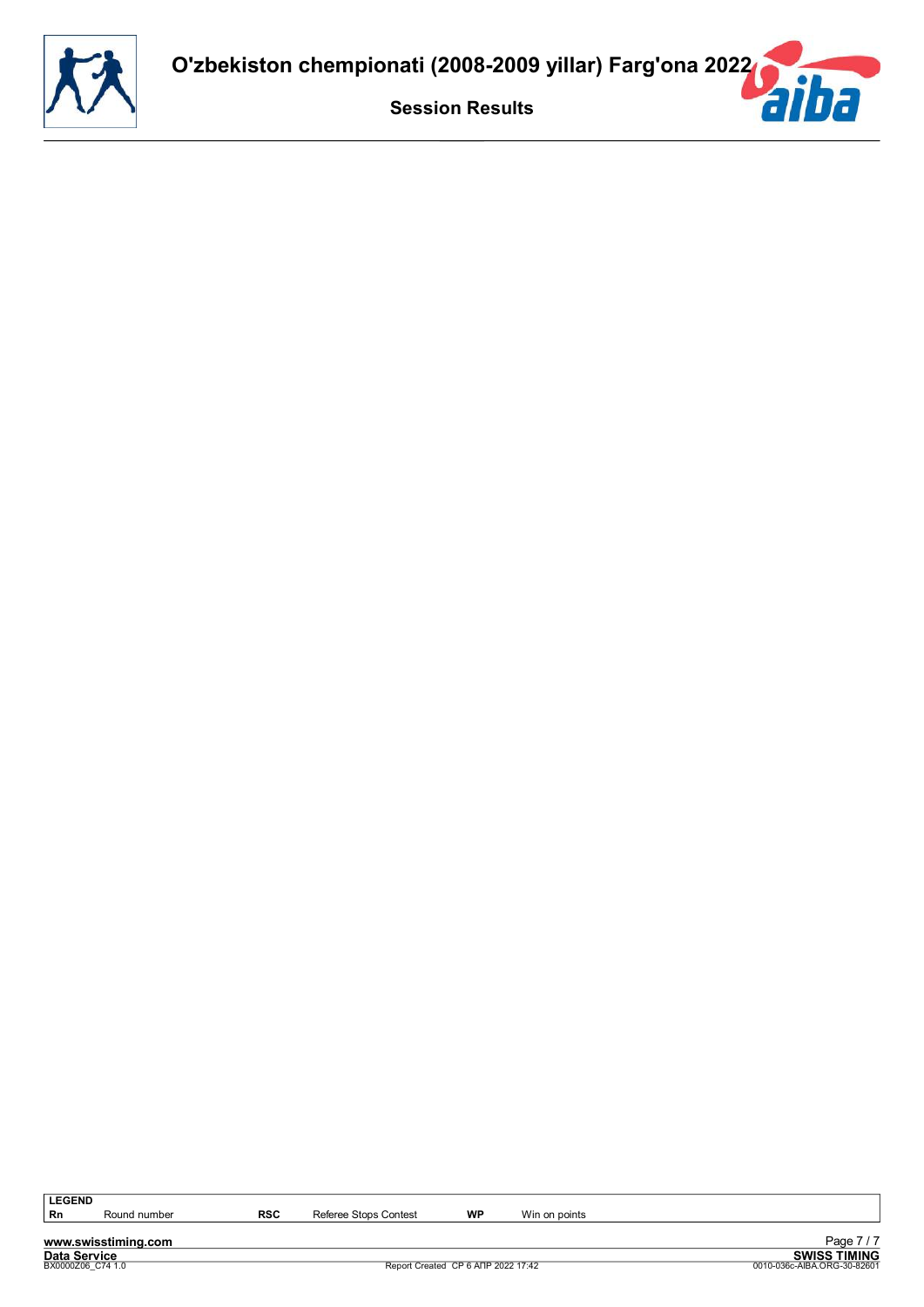![](_page_38_Picture_0.jpeg)

**www.swisstiming.com**<br>Data Service<br>**BX0000206\_C74** 1.0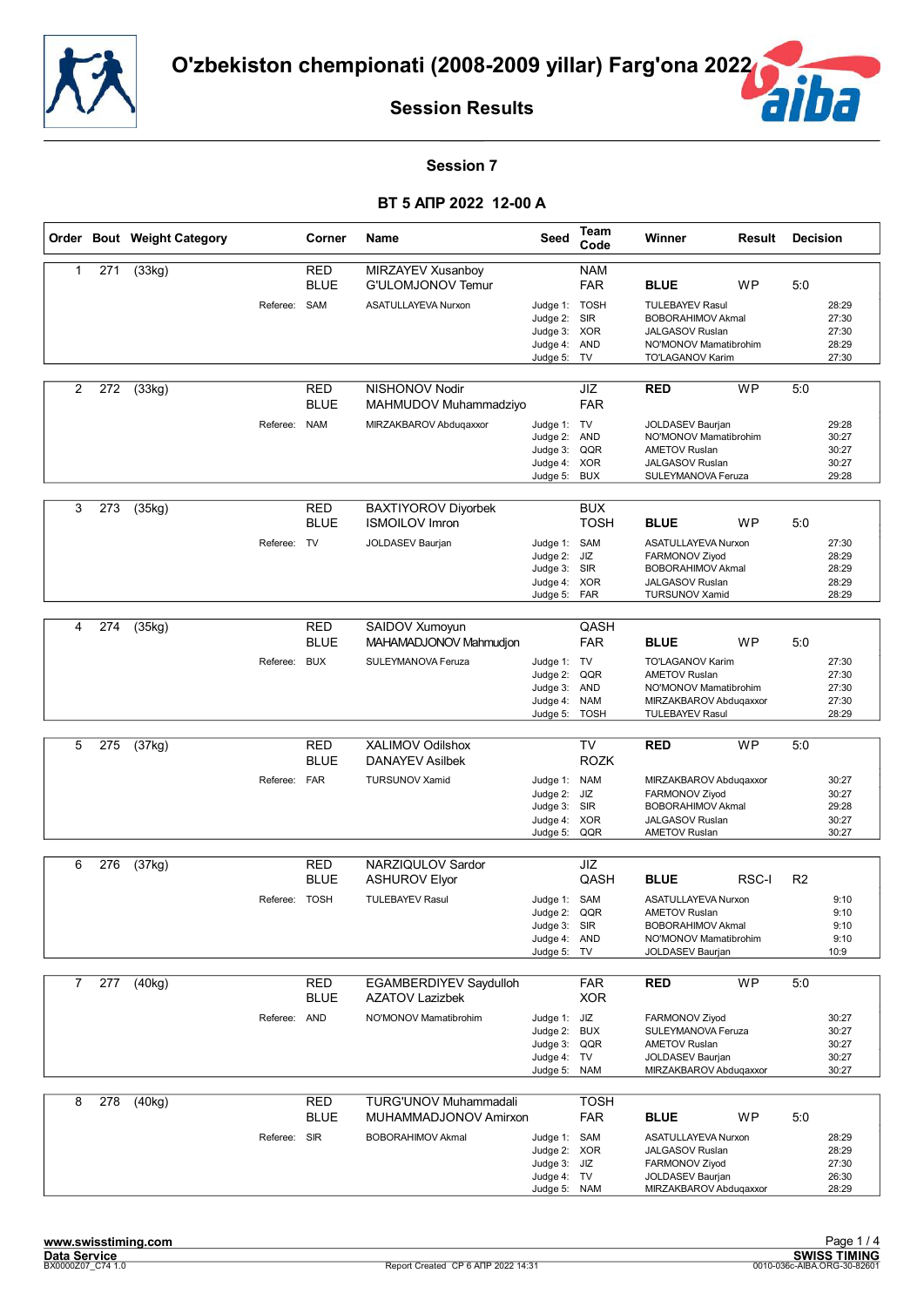![](_page_39_Picture_0.jpeg)

![](_page_39_Picture_2.jpeg)

#### **Session 7**

|                |     | Order Bout Weight Category |               | Corner                    | Name                                                  | Seed                                                                        | Team<br>Code                            | Winner                                                                                                                       | Result    | <b>Decision</b> |                                           |
|----------------|-----|----------------------------|---------------|---------------------------|-------------------------------------------------------|-----------------------------------------------------------------------------|-----------------------------------------|------------------------------------------------------------------------------------------------------------------------------|-----------|-----------------|-------------------------------------------|
| $\mathbf{1}$   | 271 | $\overline{3}$ 3kg)        |               | <b>RED</b><br><b>BLUE</b> | MIRZAYEV Xusanboy<br>G'ULOMJONOV Temur                |                                                                             | <b>NAM</b><br><b>FAR</b>                | <b>BLUE</b>                                                                                                                  | <b>WP</b> | 5:0             |                                           |
|                |     |                            | Referee: SAM  |                           | ASATULLAYEVA Nurxon                                   | Judge 1: TOSH<br>Judge 2:<br>Judge 3: XOR<br>Judge 4: AND<br>Judge 5:       | <b>SIR</b><br>TV                        | <b>TULEBAYEV Rasul</b><br><b>BOBORAHIMOV Akmal</b><br><b>JALGASOV Ruslan</b><br>NO'MONOV Mamatibrohim<br>TO'LAGANOV Karim    |           |                 | 28:29<br>27:30<br>27:30<br>28:29<br>27:30 |
| $\overline{c}$ | 272 | (33kg)                     |               | <b>RED</b><br><b>BLUE</b> | NISHONOV Nodir<br>MAHMUDOV Muhammadziyo               |                                                                             | JIZ<br><b>FAR</b>                       | <b>RED</b>                                                                                                                   | <b>WP</b> | 5:0             |                                           |
|                |     |                            | Referee: NAM  |                           | MIRZAKBAROV Abduqaxxor                                | Judge 1: TV<br>Judge 2:<br>Judge 3:<br>Judge 4: XOR<br>Judge 5:             | <b>AND</b><br>QQR<br><b>BUX</b>         | <b>JOLDASEV Baurjan</b><br>NO'MONOV Mamatibrohim<br><b>AMETOV Ruslan</b><br><b>JALGASOV Ruslan</b><br>SULEYMANOVA Feruza     |           |                 | 29:28<br>30:27<br>30:27<br>30:27<br>29:28 |
| 3              | 273 | (35kg)                     |               | RED<br><b>BLUE</b>        | <b>BAXTIYOROV Diyorbek</b><br><b>ISMOILOV Imron</b>   |                                                                             | <b>BUX</b><br><b>TOSH</b>               | <b>BLUE</b>                                                                                                                  | <b>WP</b> | 5:0             |                                           |
|                |     |                            | Referee:      | TV                        | JOLDASEV Baurjan                                      | Judge 1: SAM<br>Judge 2:<br>Judge 3: SIR<br>Judge 4: XOR<br>Judge 5: FAR    | JIZ                                     | <b>ASATULLAYEVA Nurxon</b><br>FARMONOV Ziyod<br><b>BOBORAHIMOV Akmal</b><br><b>JALGASOV Ruslan</b><br><b>TURSUNOV Xamid</b>  |           |                 | 27:30<br>28:29<br>28:29<br>28:29<br>28:29 |
| 4              | 274 | (35kg)                     |               | <b>RED</b><br><b>BLUE</b> | SAIDOV Xumoyun<br>MAHAMADJONOV Mahmudjon              |                                                                             | QASH<br><b>FAR</b>                      | <b>BLUE</b>                                                                                                                  | <b>WP</b> | 5:0             |                                           |
|                |     |                            | Referee: BUX  |                           | SULEYMANOVA Feruza                                    | Judge 1: TV<br>Judge 2:<br>Judge 3:<br>Judge 4:<br>Judge 5:                 | QQR<br>AND<br><b>NAM</b><br><b>TOSH</b> | <b>TO'LAGANOV Karim</b><br><b>AMETOV Ruslan</b><br>NO'MONOV Mamatibrohim<br>MIRZAKBAROV Abduqaxxor<br><b>TULEBAYEV Rasul</b> |           |                 | 27:30<br>27:30<br>27:30<br>27:30<br>28:29 |
|                |     |                            |               |                           |                                                       |                                                                             |                                         |                                                                                                                              |           |                 |                                           |
| 5              | 275 | (37kg)                     |               | <b>RED</b><br><b>BLUE</b> | XALIMOV Odilshox<br><b>DANAYEV Asilbek</b>            |                                                                             | <b>TV</b><br><b>ROZK</b>                | <b>RED</b>                                                                                                                   | <b>WP</b> | 5:0             |                                           |
|                |     |                            | Referee: FAR  |                           | <b>TURSUNOV Xamid</b>                                 | Judge 1: NAM<br>Judge 2: JIZ<br>Judge 3: SIR<br>Judge 4: XOR<br>Judge 5:    | QQR                                     | MIRZAKBAROV Abduqaxxor<br>FARMONOV Ziyod<br><b>BOBORAHIMOV Akmal</b><br><b>JALGASOV Ruslan</b><br><b>AMETOV Ruslan</b>       |           |                 | 30:27<br>30:27<br>29:28<br>30:27<br>30:27 |
| 6              | 276 | (37kg)                     |               | <b>RED</b>                | NARZIQULOV Sardor                                     |                                                                             | JIZ                                     |                                                                                                                              |           |                 |                                           |
|                |     |                            |               | <b>BLUE</b>               | <b>ASHUROV Elyor</b>                                  |                                                                             | QASH                                    | <b>BLUE</b>                                                                                                                  | RSC-I     | R <sub>2</sub>  |                                           |
|                |     |                            | Referee: TOSH |                           | <b>TULEBAYEV Rasul</b>                                | Judge 1: SAM<br>Judge 2:<br>Judge 3: SIR<br>Judge 4: AND<br>Judge 5: TV     | QQR                                     | ASATULLAYEVA Nurxon<br><b>AMETOV Ruslan</b><br><b>BOBORAHIMOV Akmal</b><br>NO'MONOV Mamatibrohim<br>JOLDASEV Baurjan         |           |                 | 9:10<br>9:10<br>9:10<br>9:10<br>10:9      |
| 7              | 277 | (40kg)                     |               | <b>RED</b>                | <b>EGAMBERDIYEV Saydulloh</b>                         |                                                                             | <b>FAR</b>                              | <b>RED</b>                                                                                                                   | <b>WP</b> | 5:0             |                                           |
|                |     |                            |               | <b>BLUE</b>               | <b>AZATOV Lazizbek</b>                                |                                                                             | <b>XOR</b>                              |                                                                                                                              |           |                 |                                           |
|                |     |                            | Referee:      | AND                       | NO'MONOV Mamatibrohim                                 | Judge 1: JIZ<br>Judge 2:<br>Judge 3: QQR<br>Judge 4:<br>Judge 5:            | <b>BUX</b><br>TV<br><b>NAM</b>          | FARMONOV Ziyod<br>SULEYMANOVA Feruza<br><b>AMETOV Ruslan</b><br>JOLDASEV Baurjan<br>MIRZAKBAROV Abduqaxxor                   |           |                 | 30:27<br>30:27<br>30:27<br>30:27<br>30:27 |
| 8              | 278 | (40kg)                     |               | <b>RED</b><br><b>BLUE</b> | <b>TURG'UNOV Muhammadali</b><br>MUHAMMADJONOV Amirxon |                                                                             | <b>TOSH</b><br><b>FAR</b>               | <b>BLUE</b>                                                                                                                  | WP        | 5:0             |                                           |
|                |     |                            | Referee: SIR  |                           | <b>BOBORAHIMOV Akmal</b>                              | Judge 1: SAM<br>Judge 2: XOR<br>Judge 3: JIZ<br>Judge 4: TV<br>Judge 5: NAM |                                         | ASATULLAYEVA Nurxon<br><b>JALGASOV Ruslan</b><br>FARMONOV Ziyod<br>JOLDASEV Baurjan<br>MIRZAKBAROV Abduqaxxor                |           |                 | 28:29<br>28:29<br>27:30<br>26:30<br>28:29 |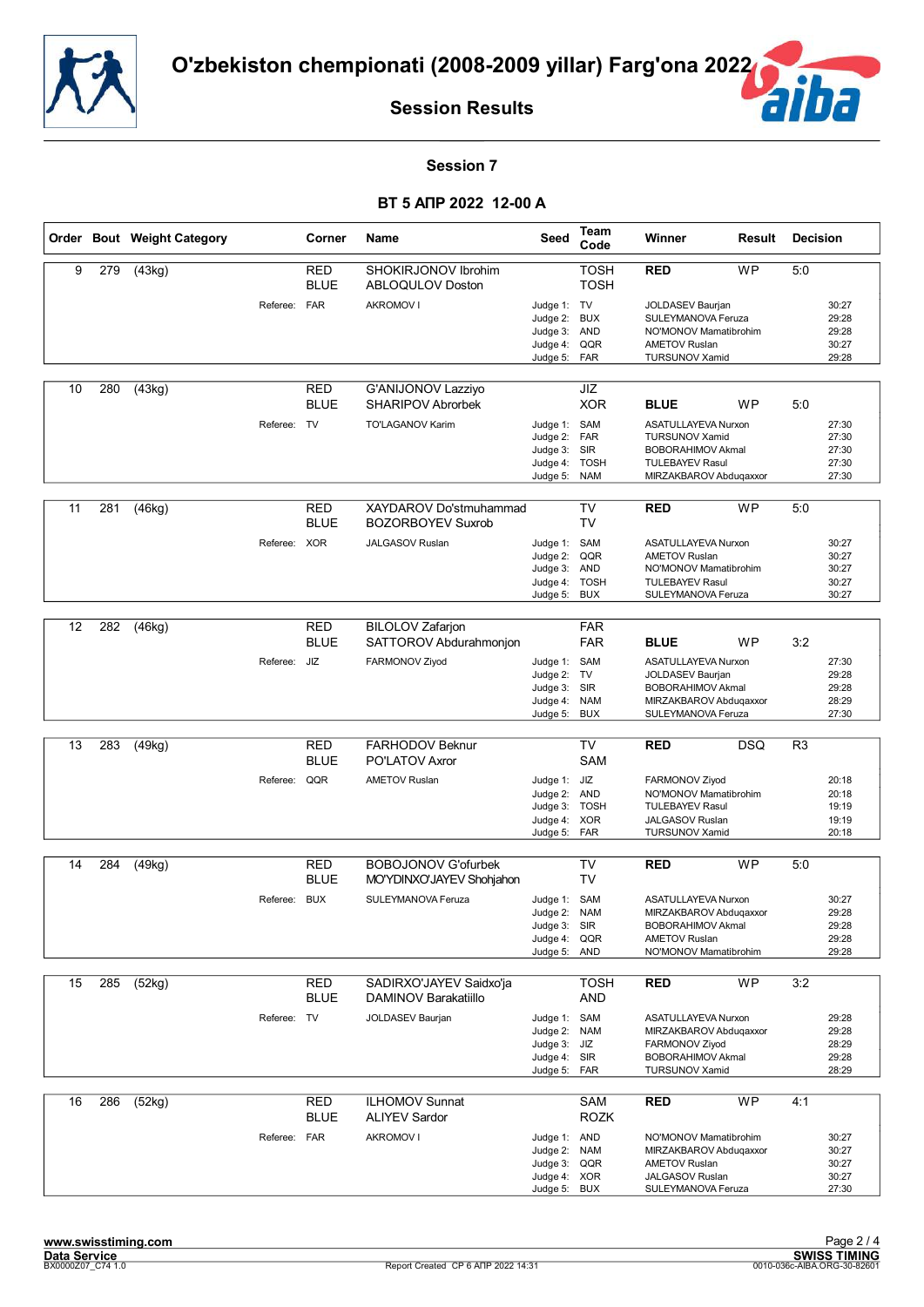![](_page_40_Picture_0.jpeg)

![](_page_40_Picture_2.jpeg)

#### **Session 7**

|    |     | Order Bout Weight Category |              | Corner                    | Name                                               | Seed                                                                      | Team<br>Code                            | Winner                                                                                                                       | Result     | <b>Decision</b> |                                           |
|----|-----|----------------------------|--------------|---------------------------|----------------------------------------------------|---------------------------------------------------------------------------|-----------------------------------------|------------------------------------------------------------------------------------------------------------------------------|------------|-----------------|-------------------------------------------|
| 9  | 279 | (43kg)                     |              | <b>RED</b><br><b>BLUE</b> | SHOKIRJONOV Ibrohim<br>ABLOQULOV Doston            |                                                                           | <b>TOSH</b><br><b>TOSH</b>              | <b>RED</b>                                                                                                                   | <b>WP</b>  | 5:0             |                                           |
|    |     |                            | Referee: FAR |                           | <b>AKROMOV I</b>                                   | Judge 1: TV<br>Judge 2:<br>Judge 3: AND<br>Judge 4:<br>Judge 5:           | <b>BUX</b><br>QQR<br>FAR                | <b>JOLDASEV Baurjan</b><br>SULEYMANOVA Feruza<br>NO'MONOV Mamatibrohim<br><b>AMETOV Ruslan</b><br><b>TURSUNOV Xamid</b>      |            |                 | 30:27<br>29:28<br>29:28<br>30:27<br>29:28 |
| 10 | 280 | (43kg)                     |              | RED<br><b>BLUE</b>        | G'ANIJONOV Lazziyo<br><b>SHARIPOV Abrorbek</b>     |                                                                           | JIZ<br><b>XOR</b>                       | <b>BLUE</b>                                                                                                                  | WP         | 5:0             |                                           |
|    |     |                            | Referee: TV  |                           | TO'LAGANOV Karim                                   | Judge 1: SAM<br>Judge 2:<br>Judge 3: SIR<br>Judge 4:<br>Judge 5: NAM      | FAR<br><b>TOSH</b>                      | ASATULLAYEVA Nurxon<br><b>TURSUNOV Xamid</b><br><b>BOBORAHIMOV Akmal</b><br><b>TULEBAYEV Rasul</b><br>MIRZAKBAROV Abduqaxxor |            |                 | 27:30<br>27:30<br>27:30<br>27:30<br>27:30 |
| 11 | 281 | (46kg)                     |              | <b>RED</b><br><b>BLUE</b> | XAYDAROV Do'stmuhammad<br><b>BOZORBOYEV Suxrob</b> |                                                                           | <b>TV</b><br>TV                         | <b>RED</b>                                                                                                                   | <b>WP</b>  | 5:0             |                                           |
|    |     |                            | Referee: XOR |                           | <b>JALGASOV Ruslan</b>                             | Judge 1:<br>Judge 2:<br>Judge 3: AND<br>Judge 4:<br>Judge 5:              | SAM<br>QQR<br><b>TOSH</b><br><b>BUX</b> | <b>ASATULLAYEVA Nurxon</b><br><b>AMETOV Ruslan</b><br>NO'MONOV Mamatibrohim<br><b>TULEBAYEV Rasul</b><br>SULEYMANOVA Feruza  |            |                 | 30:27<br>30:27<br>30:27<br>30:27<br>30:27 |
| 12 |     | (46kg)                     |              |                           | <b>BILOLOV</b> Zafarjon                            |                                                                           | <b>FAR</b>                              |                                                                                                                              |            |                 |                                           |
|    | 282 |                            |              | RED<br><b>BLUE</b>        | SATTOROV Abdurahmonion                             |                                                                           | <b>FAR</b>                              | <b>BLUE</b>                                                                                                                  | <b>WP</b>  | 3:2             |                                           |
|    |     |                            | Referee: JIZ |                           | FARMONOV Ziyod                                     | Judge 1: SAM<br>Judge 2:<br>Judge 3: SIR<br>Judge 4: NAM<br>Judge 5:      | TV<br><b>BUX</b>                        | ASATULLAYEVA Nurxon<br><b>JOLDASEV Baurjan</b><br><b>BOBORAHIMOV Akmal</b><br>MIRZAKBAROV Abduqaxxor<br>SULEYMANOVA Feruza   |            |                 | 27:30<br>29:28<br>29:28<br>28:29<br>27:30 |
|    |     |                            |              |                           | FARHODOV Beknur                                    |                                                                           |                                         |                                                                                                                              |            |                 |                                           |
| 13 | 283 | (49kg)                     |              | <b>RED</b><br><b>BLUE</b> | <b>PO'LATOV Axror</b>                              |                                                                           | TV<br><b>SAM</b>                        | <b>RED</b>                                                                                                                   | <b>DSQ</b> | R <sub>3</sub>  |                                           |
|    |     |                            | Referee: QQR |                           | <b>AMETOV Ruslan</b>                               | Judge 1: JIZ<br>Judge 2: AND<br>Judge 3: TOSH<br>Judge 4: XOR<br>Judge 5: | FAR                                     | FARMONOV Ziyod<br>NO'MONOV Mamatibrohim<br><b>TULEBAYEV Rasul</b><br><b>JALGASOV Ruslan</b><br><b>TURSUNOV Xamid</b>         |            |                 | 20:18<br>20:18<br>19:19<br>19:19<br>20:18 |
| 14 | 284 | (49kg)                     |              | RED                       | <b>BOBOJONOV G'ofurbek</b>                         |                                                                           | <b>TV</b>                               | <b>RED</b>                                                                                                                   | <b>WP</b>  | 5:0             |                                           |
|    |     |                            |              | <b>BLUE</b>               | MO'YDINXO'JAYEV Shohjahon                          |                                                                           | TV                                      |                                                                                                                              |            |                 |                                           |
|    |     |                            | Referee: BUX |                           | SULEYMANOVA Feruza                                 | Judge 1: SAM<br>Judge 2:<br>Judge 3: SIR<br>Judge 4:<br>Judge 5: AND      | <b>NAM</b><br>QQR                       | ASATULLAYEVA Nurxon<br>MIRZAKBAROV Abduqaxxor<br><b>BOBORAHIMOV Akmal</b><br><b>AMETOV Ruslan</b><br>NO'MONOV Mamatibrohim   |            |                 | 30:27<br>29:28<br>29:28<br>29:28<br>29:28 |
| 15 | 285 | (52kg)                     |              | <b>RED</b>                | SADIRXO'JAYEV Saidxo'ja                            |                                                                           | <b>TOSH</b>                             | <b>RED</b>                                                                                                                   | <b>WP</b>  | 3:2             |                                           |
|    |     |                            |              | <b>BLUE</b>               | DAMINOV Barakatiillo                               |                                                                           | AND                                     |                                                                                                                              |            |                 |                                           |
|    |     |                            | Referee: TV  |                           | JOLDASEV Baurjan                                   | Judge 1: SAM<br>Judge 2:<br>Judge 3: JIZ<br>Judge 4: SIR<br>Judge 5:      | <b>NAM</b><br>FAR                       | ASATULLAYEVA Nurxon<br>MIRZAKBAROV Abduqaxxor<br>FARMONOV Ziyod<br><b>BOBORAHIMOV Akmal</b><br><b>TURSUNOV Xamid</b>         |            |                 | 29:28<br>29:28<br>28:29<br>29:28<br>28:29 |
| 16 | 286 | (52kg)                     |              | <b>RED</b><br><b>BLUE</b> | <b>ILHOMOV Sunnat</b><br><b>ALIYEV Sardor</b>      |                                                                           | SAM<br><b>ROZK</b>                      | <b>RED</b>                                                                                                                   | WP         | 4:1             |                                           |
|    |     |                            | Referee: FAR |                           | <b>AKROMOV I</b>                                   | Judge 1: AND<br>Judge 2:<br>Judge 3:<br>Judge 4: XOR<br>Judge 5: BUX      | <b>NAM</b><br>QQR                       | NO'MONOV Mamatibrohim<br>MIRZAKBAROV Abduqaxxor<br><b>AMETOV Ruslan</b><br><b>JALGASOV Ruslan</b><br>SULEYMANOVA Feruza      |            |                 | 30:27<br>30:27<br>30:27<br>30:27<br>27:30 |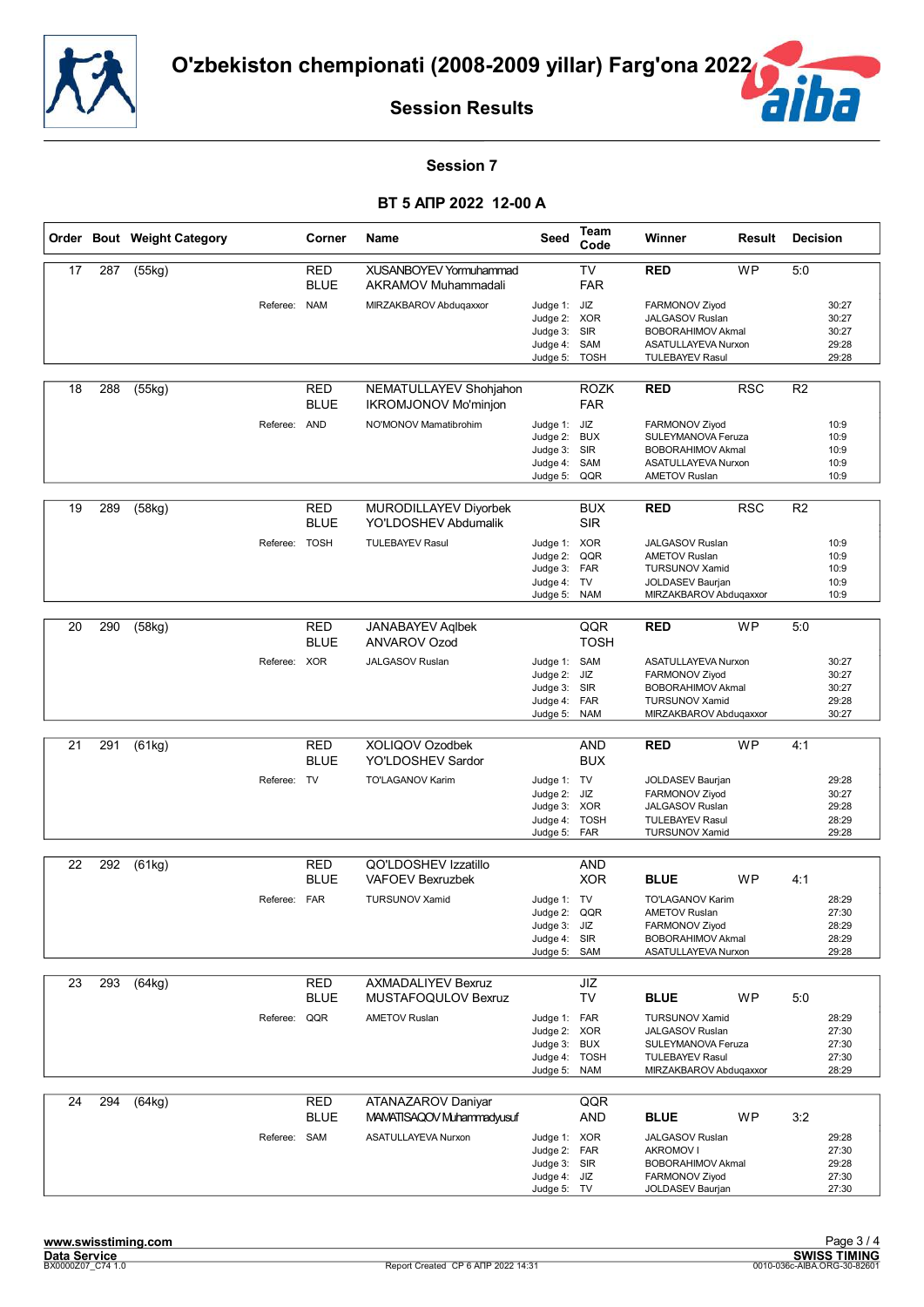![](_page_41_Picture_0.jpeg)

![](_page_41_Picture_2.jpeg)

#### **Session 7**

|    |     | Order Bout Weight Category |               | Corner                    | Name                                                  | Seed                                                                        | Team<br>Code              | Winner                                                                                                                      | Result     | <b>Decision</b> |                                           |
|----|-----|----------------------------|---------------|---------------------------|-------------------------------------------------------|-----------------------------------------------------------------------------|---------------------------|-----------------------------------------------------------------------------------------------------------------------------|------------|-----------------|-------------------------------------------|
| 17 | 287 | (55kg)                     |               | RED<br><b>BLUE</b>        | XUSANBOYEV Yormuhammad<br>AKRAMOV Muhammadali         |                                                                             | <b>TV</b><br><b>FAR</b>   | <b>RED</b>                                                                                                                  | <b>WP</b>  | 5:0             |                                           |
|    |     |                            | Referee: NAM  |                           | MIRZAKBAROV Abduqaxxor                                | Judge 1: JIZ<br>Judge 2: XOR<br>Judge 3:<br>Judge 4:<br>Judge 5:            | SIR<br>SAM<br><b>TOSH</b> | FARMONOV Ziyod<br><b>JALGASOV Ruslan</b><br><b>BOBORAHIMOV Akmal</b><br>ASATULLAYEVA Nurxon<br><b>TULEBAYEV Rasul</b>       |            |                 | 30:27<br>30:27<br>30:27<br>29:28<br>29:28 |
| 18 | 288 | (55kg)                     |               | RED<br><b>BLUE</b>        | NEMATULLAYEV Shohjahon<br><b>IKROMJONOV Mo'minjon</b> |                                                                             | <b>ROZK</b><br><b>FAR</b> | <b>RED</b>                                                                                                                  | <b>RSC</b> | R <sub>2</sub>  |                                           |
|    |     |                            | Referee: AND  |                           | NO'MONOV Mamatibrohim                                 | Judge 1: JIZ<br>Judge 2:<br>Judge 3: SIR<br>Judge 4:<br>Judge 5: QQR        | <b>BUX</b><br>SAM         | FARMONOV Ziyod<br>SULEYMANOVA Feruza<br><b>BOBORAHIMOV Akmal</b><br>ASATULLAYEVA Nurxon<br><b>AMETOV Ruslan</b>             |            |                 | 10:9<br>10:9<br>10:9<br>10:9<br>10:9      |
| 19 | 289 | (58kg)                     |               | <b>RED</b><br><b>BLUE</b> | MURODILLAYEV Diyorbek<br>YO'LDOSHEV Abdumalik         |                                                                             | <b>BUX</b><br><b>SIR</b>  | <b>RED</b>                                                                                                                  | <b>RSC</b> | R <sub>2</sub>  |                                           |
|    |     |                            | Referee: TOSH |                           | <b>TULEBAYEV Rasul</b>                                | Judge 1: XOR<br>Judge 2:<br>Judge 3: FAR<br>Judge 4: TV<br>Judge 5:         | QQR<br><b>NAM</b>         | <b>JALGASOV Ruslan</b><br><b>AMETOV Ruslan</b><br><b>TURSUNOV Xamid</b><br>JOLDASEV Baurjan<br>MIRZAKBAROV Abduqaxxor       |            |                 | 10:9<br>10:9<br>10:9<br>10:9<br>10:9      |
|    |     |                            |               |                           |                                                       |                                                                             |                           |                                                                                                                             |            |                 |                                           |
| 20 | 290 | (58kg)                     |               | <b>RED</b><br><b>BLUE</b> | <b>JANABAYEV Aglbek</b><br><b>ANVAROV Ozod</b>        |                                                                             | QQR<br><b>TOSH</b>        | <b>RED</b>                                                                                                                  | <b>WP</b>  | 5:0             |                                           |
|    |     |                            | Referee: XOR  |                           | <b>JALGASOV Ruslan</b>                                | Judge 1: SAM<br>Judge 2:<br>Judge 3: SIR<br>Judge 4: FAR<br>Judge 5:        | JIZ<br><b>NAM</b>         | ASATULLAYEVA Nurxon<br>FARMONOV Ziyod<br><b>BOBORAHIMOV Akmal</b><br><b>TURSUNOV Xamid</b><br>MIRZAKBAROV Abduqaxxor        |            |                 | 30:27<br>30:27<br>30:27<br>29:28<br>30:27 |
|    |     |                            |               |                           |                                                       |                                                                             |                           |                                                                                                                             |            |                 |                                           |
| 21 | 291 | (61kg)                     |               | <b>RED</b><br><b>BLUE</b> | XOLIQOV Ozodbek<br>YO'LDOSHEV Sardor                  |                                                                             | <b>AND</b><br><b>BUX</b>  | <b>RED</b>                                                                                                                  | <b>WP</b>  | 4:1             |                                           |
|    |     |                            | Referee: TV   |                           | TO'LAGANOV Karim                                      | Judge 1: TV<br>Judge 2: JIZ<br>Judge 3: XOR<br>Judge 4:<br>Judge 5:         | <b>TOSH</b><br>FAR        | JOLDASEV Baurjan<br>FARMONOV Ziyod<br><b>JALGASOV Ruslan</b><br><b>TULEBAYEV Rasul</b><br><b>TURSUNOV Xamid</b>             |            |                 | 29:28<br>30:27<br>29:28<br>28:29<br>29:28 |
| 22 | 292 | (61kg)                     |               | RED                       | QO'LDOSHEV Izzatillo                                  |                                                                             | AND                       |                                                                                                                             |            |                 |                                           |
|    |     |                            |               | <b>BLUE</b>               | <b>VAFOEV Bexruzbek</b>                               |                                                                             | <b>XOR</b>                | <b>BLUE</b>                                                                                                                 | <b>WP</b>  | 4:1             |                                           |
|    |     |                            | Referee: FAR  |                           | <b>TURSUNOV Xamid</b>                                 | Judge 1: TV<br>Judge 2:<br>Judge 3: JIZ<br>Judge 4: SIR<br>Judge 5: SAM     | QQR                       | <b>TO'LAGANOV Karim</b><br><b>AMETOV Ruslan</b><br>FARMONOV Ziyod<br><b>BOBORAHIMOV Akmal</b><br><b>ASATULLAYEVA Nurxon</b> |            |                 | 28:29<br>27:30<br>28:29<br>28:29<br>29:28 |
| 23 | 293 | (64kg)                     |               | <b>RED</b>                | <b>AXMADALIYEV Bexruz</b>                             |                                                                             | JIZ                       |                                                                                                                             |            |                 |                                           |
|    |     |                            |               | <b>BLUE</b>               | MUSTAFOQULOV Bexruz                                   |                                                                             | <b>TV</b>                 | <b>BLUE</b>                                                                                                                 | WP         | 5:0             |                                           |
|    |     |                            | Referee: QQR  |                           | <b>AMETOV Ruslan</b>                                  | Judge 1: FAR<br>Judge 2: XOR<br>Judge 3: BUX<br>Judge 4: TOSH<br>Judge 5:   | <b>NAM</b>                | <b>TURSUNOV Xamid</b><br>JALGASOV Ruslan<br>SULEYMANOVA Feruza<br><b>TULEBAYEV Rasul</b><br>MIRZAKBAROV Abduqaxxor          |            |                 | 28:29<br>27:30<br>27:30<br>27:30<br>28:29 |
| 24 | 294 | (64kg)                     |               | <b>RED</b><br><b>BLUE</b> | ATANAZAROV Daniyar<br>MAMATISAQOV Muhammadyusuf       |                                                                             | QQR<br>AND                | <b>BLUE</b>                                                                                                                 | WP         | 3:2             |                                           |
|    |     |                            | Referee: SAM  |                           | ASATULLAYEVA Nurxon                                   | Judge 1: XOR<br>Judge 2: FAR<br>Judge 3: SIR<br>Judge 4: JIZ<br>Judge 5: TV |                           | <b>JALGASOV Ruslan</b><br><b>AKROMOV I</b><br><b>BOBORAHIMOV Akmal</b><br>FARMONOV Ziyod<br>JOLDASEV Baurjan                |            |                 | 29:28<br>27:30<br>29:28<br>27:30<br>27:30 |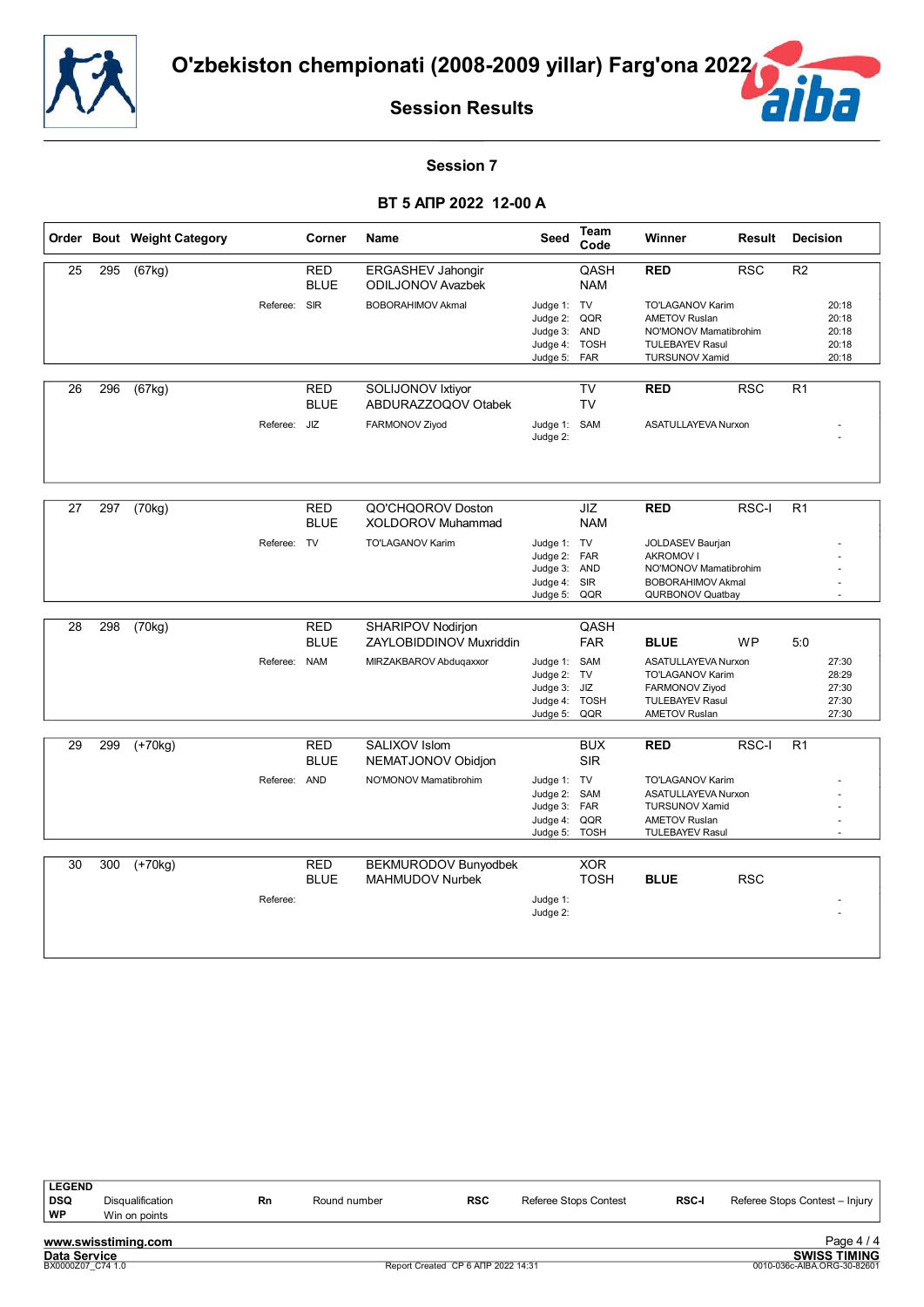![](_page_42_Picture_0.jpeg)

![](_page_42_Picture_2.jpeg)

#### **Session 7**

#### **ВТ 5 АПР 2022 12-00 A**

|    |     | Order Bout Weight Category |              | Corner                    | Name                                          | Seed                                                              | Team<br>Code                    | Winner                                                                                                                      | Result     | <b>Decision</b> |                                           |
|----|-----|----------------------------|--------------|---------------------------|-----------------------------------------------|-------------------------------------------------------------------|---------------------------------|-----------------------------------------------------------------------------------------------------------------------------|------------|-----------------|-------------------------------------------|
| 25 | 295 | (67kg)                     |              | <b>RED</b><br><b>BLUE</b> | ERGASHEV Jahongir<br><b>ODILJONOV Avazbek</b> |                                                                   | QASH<br><b>NAM</b>              | <b>RED</b>                                                                                                                  | <b>RSC</b> | $\overline{R2}$ |                                           |
|    |     |                            | Referee:     | <b>SIR</b>                | <b>BOBORAHIMOV Akmal</b>                      | Judge 1: TV<br>Judge 2:<br>Judge 3:<br>Judge 4: TOSH<br>Judge 5:  | QQR<br><b>AND</b><br><b>FAR</b> | <b>TO'LAGANOV Karim</b><br><b>AMETOV Ruslan</b><br>NO'MONOV Mamatibrohim<br><b>TULEBAYEV Rasul</b><br><b>TURSUNOV Xamid</b> |            |                 | 20:18<br>20:18<br>20:18<br>20:18<br>20:18 |
| 26 | 296 | $\overline{(67kg)}$        |              | <b>RED</b><br><b>BLUE</b> | SOLIJONOV Ixtiyor<br>ABDURAZZOQOV Otabek      |                                                                   | <b>TV</b><br><b>TV</b>          | <b>RED</b>                                                                                                                  | <b>RSC</b> | R1              |                                           |
|    |     |                            | Referee:     | JIZ                       | FARMONOV Ziyod                                | Judge 1: SAM<br>Judge 2:                                          |                                 | ASATULLAYEVA Nurxon                                                                                                         |            |                 |                                           |
| 27 | 297 | (70kg)                     |              | <b>RED</b>                | QO'CHQOROV Doston                             |                                                                   | JIZ                             | <b>RED</b>                                                                                                                  | RSC-I      | R <sub>1</sub>  |                                           |
|    |     |                            |              | <b>BLUE</b>               | XOLDOROV Muhammad                             |                                                                   | <b>NAM</b>                      |                                                                                                                             |            |                 |                                           |
|    |     |                            | Referee: TV  |                           | <b>TO'LAGANOV Karim</b>                       | Judge 1: TV<br>Judge 2: FAR                                       |                                 | JOLDASEV Baurjan<br><b>AKROMOV I</b>                                                                                        |            |                 |                                           |
|    |     |                            |              |                           |                                               | Judge 3:                                                          | <b>AND</b>                      | NO'MONOV Mamatibrohim                                                                                                       |            |                 |                                           |
|    |     |                            |              |                           |                                               | Judge 4: SIR<br>Judge 5:                                          | QQR                             | <b>BOBORAHIMOV Akmal</b><br>QURBONOV Quatbay                                                                                |            |                 |                                           |
| 28 | 298 | (70kg)                     |              | <b>RED</b><br><b>BLUE</b> | SHARIPOV Nodirjon<br>ZAYLOBIDDINOV Muxriddin  |                                                                   | QASH<br><b>FAR</b>              | <b>BLUE</b>                                                                                                                 | <b>WP</b>  | 5:0             |                                           |
|    |     |                            | Referee: NAM |                           | MIRZAKBAROV Abduqaxxor                        | Judge 1: SAM<br>Judge 2:<br>Judge 3:<br>Judge 4: TOSH<br>Judge 5: | TV<br>JIZ<br>QQR                | ASATULLAYEVA Nurxon<br><b>TO'LAGANOV Karim</b><br>FARMONOV Ziyod<br><b>TULEBAYEV Rasul</b><br><b>AMETOV Ruslan</b>          |            |                 | 27:30<br>28:29<br>27:30<br>27:30<br>27:30 |
| 29 | 299 | $(+70kg)$                  |              | <b>RED</b><br><b>BLUE</b> | SALIXOV Islom<br>NEMATJONOV Obidjon           |                                                                   | <b>BUX</b><br><b>SIR</b>        | <b>RED</b>                                                                                                                  | RSC-I      | R <sub>1</sub>  |                                           |
|    |     |                            | Referee: AND |                           | NO'MONOV Mamatibrohim                         | Judge 1: TV<br>Judge 2:<br>Judge 3: FAR<br>Judge 4:<br>Judge 5:   | SAM<br>QQR<br><b>TOSH</b>       | TO'LAGANOV Karim<br><b>ASATULLAYEVA Nurxon</b><br><b>TURSUNOV Xamid</b><br><b>AMETOV Ruslan</b><br><b>TULEBAYEV Rasul</b>   |            |                 |                                           |
| 30 | 300 | $(+70kg)$                  |              | <b>RED</b>                | BEKMURODOV Bunyodbek                          |                                                                   | <b>XOR</b>                      |                                                                                                                             |            |                 |                                           |
|    |     |                            |              | <b>BLUE</b>               | <b>MAHMUDOV Nurbek</b>                        |                                                                   | <b>TOSH</b>                     | <b>BLUE</b>                                                                                                                 | <b>RSC</b> |                 |                                           |
|    |     |                            | Referee:     |                           |                                               | Judge 1:<br>Judge 2:                                              |                                 |                                                                                                                             |            |                 |                                           |

**www.swisstiming.com**<br>Data Service<br>**BX0000207\_C74** 1.0 LEGEND<br>DSQ Disqualification **DSQ** Disqualification **Rn** Round number **RSC** Referee Stops Contest **RSC-I** Referee Stops Contest – Injury **WP** Win on points Win on points Page 4 / 4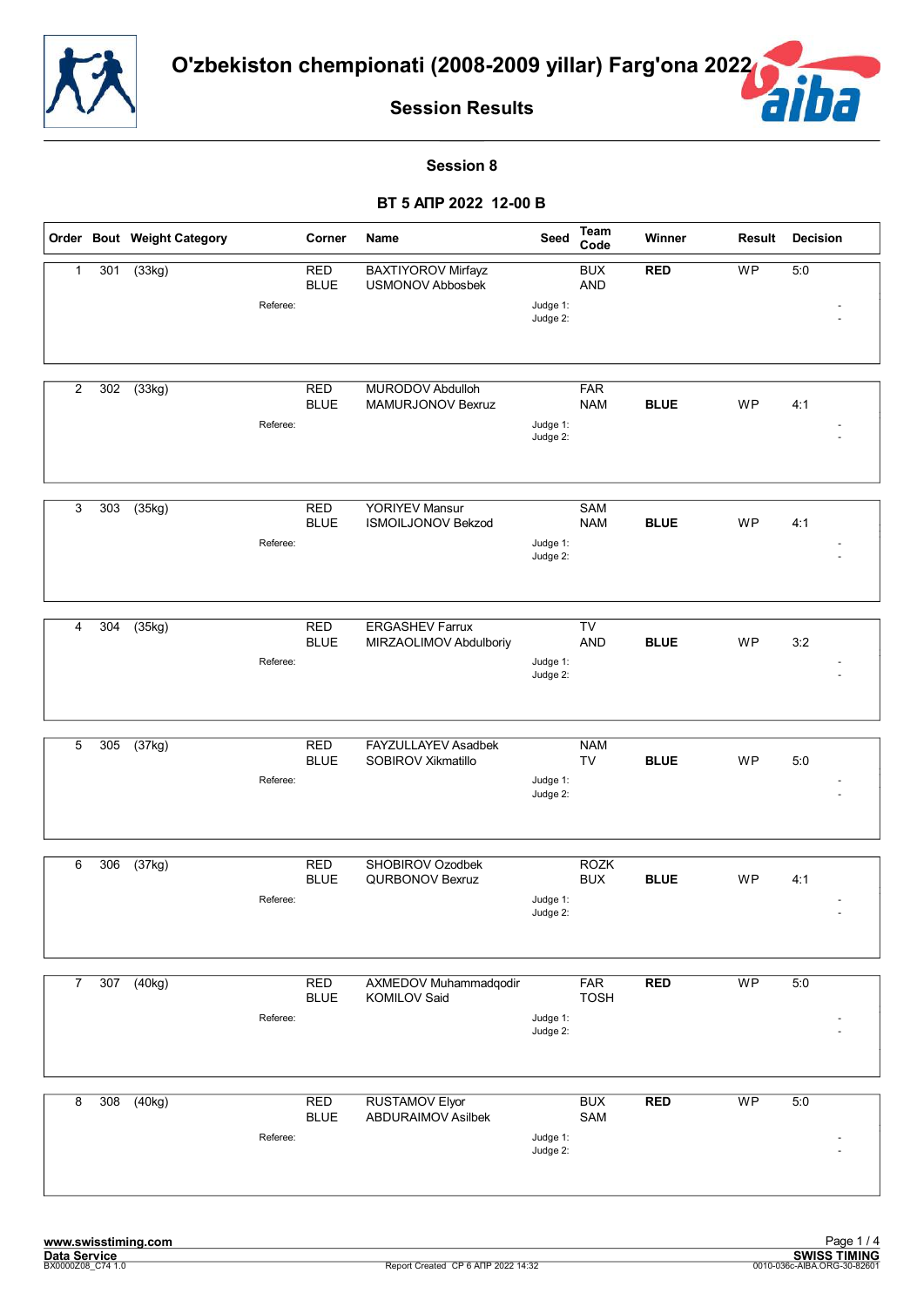![](_page_43_Picture_0.jpeg)

![](_page_43_Picture_2.jpeg)

#### **Session 8**

|                |     | Order Bout Weight Category        | Corner                    | Name                                                 | Seed                 | Team<br>Code              | Winner      | Result         | <b>Decision</b> |
|----------------|-----|-----------------------------------|---------------------------|------------------------------------------------------|----------------------|---------------------------|-------------|----------------|-----------------|
| $\mathbf{1}$   | 301 | (33kg)<br>Referee:                | <b>RED</b><br><b>BLUE</b> | <b>BAXTIYOROV Mirfayz</b><br><b>USMONOV Abbosbek</b> | Judge 1:<br>Judge 2: | <b>BUX</b><br><b>AND</b>  | <b>RED</b>  | <b>WP</b>      | 5:0             |
| $\overline{2}$ | 302 | $\overline{3}$ (33kg)<br>Referee: | <b>RED</b><br><b>BLUE</b> | MURODOV Abdulloh<br>MAMURJONOV Bexruz                | Judge 1:<br>Judge 2: | <b>FAR</b><br><b>NAM</b>  | <b>BLUE</b> | <b>WP</b>      | 4:1             |
| 3              | 303 | (35kg)<br>Referee:                | <b>RED</b><br><b>BLUE</b> | <b>YORIYEV Mansur</b><br>ISMOILJONOV Bekzod          | Judge 1:<br>Judge 2: | <b>SAM</b><br><b>NAM</b>  | <b>BLUE</b> | WP             | 4:1             |
| 4              | 304 | (35kg)<br>Referee:                | <b>RED</b><br><b>BLUE</b> | <b>ERGASHEV Farrux</b><br>MIRZAOLIMOV Abdulboriy     | Judge 1:<br>Judge 2: | TV<br><b>AND</b>          | <b>BLUE</b> | WP             | 3:2             |
| 5              | 305 | (37kg)<br>Referee:                | <b>RED</b><br><b>BLUE</b> | <b>FAYZULLAYEV Asadbek</b><br>SOBIROV Xikmatillo     | Judge 1:<br>Judge 2: | <b>NAM</b><br><b>TV</b>   | <b>BLUE</b> | <b>WP</b>      | 5:0             |
| 6              | 306 | (37kg)<br>Referee:                | <b>RED</b><br><b>BLUE</b> | SHOBIROV Ozodbek<br><b>QURBONOV Bexruz</b>           | Judge 1:<br>Judge 2: | <b>ROZK</b><br><b>BUX</b> | <b>BLUE</b> | WP             | 4:1             |
| $\overline{7}$ | 307 | (40kg)<br>Referee:                | <b>RED</b><br><b>BLUE</b> | AXMEDOV Muhammadqodir<br>KOMILOV Said                | Judge 1:<br>Judge 2: | <b>FAR</b><br><b>TOSH</b> | <b>RED</b>  | W <sub>P</sub> | 5:0             |
| 8              | 308 | (40kg)<br>Referee:                | <b>RED</b><br><b>BLUE</b> | <b>RUSTAMOV Elyor</b><br><b>ABDURAIMOV Asilbek</b>   | Judge 1:<br>Judge 2: | <b>BUX</b><br>SAM         | <b>RED</b>  | <b>WP</b>      | 5:0             |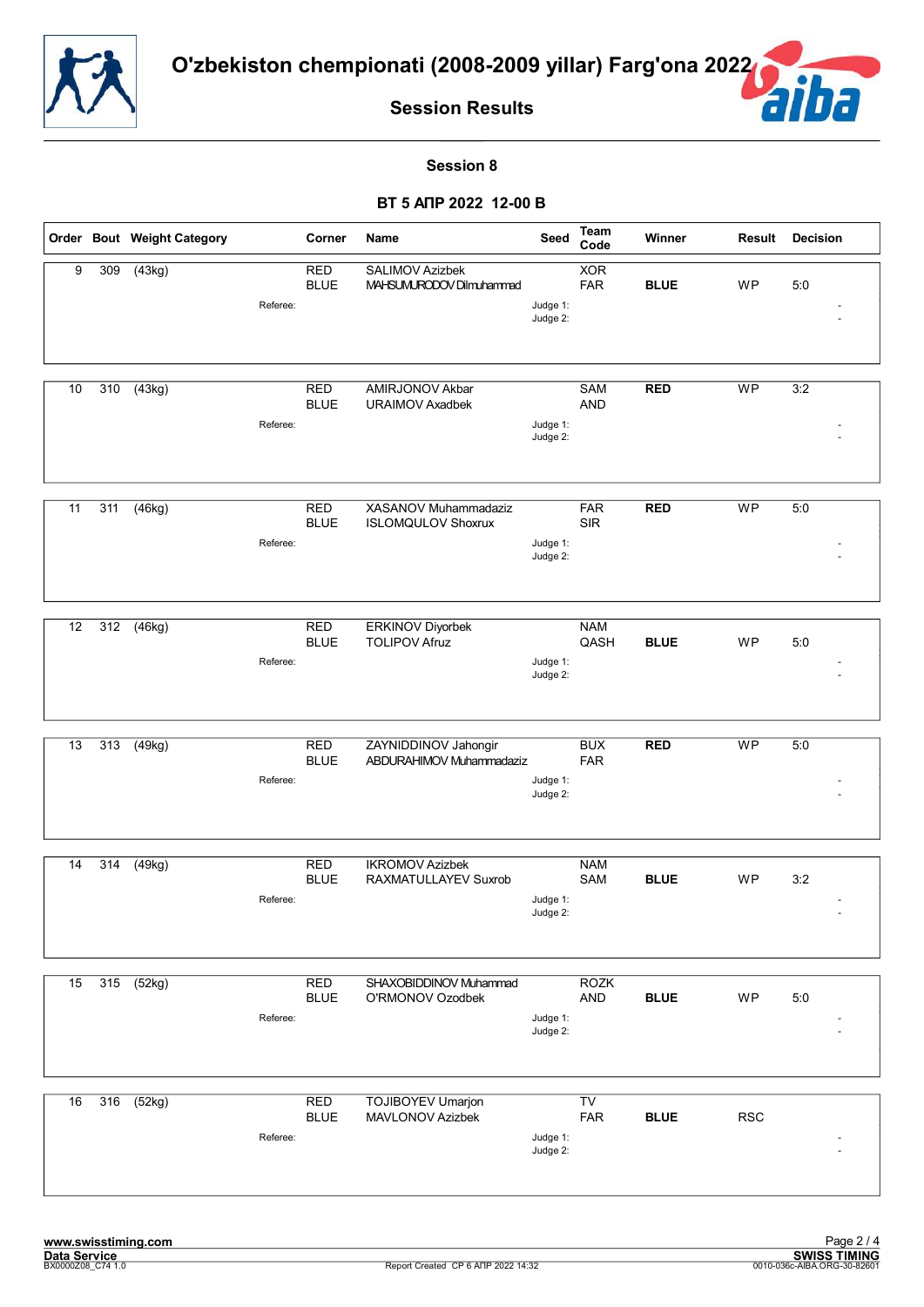![](_page_44_Picture_0.jpeg)

![](_page_44_Picture_2.jpeg)

#### **Session 8**

|    |     | Order Bout Weight Category |          | Corner                    | Name                                               | Seed                 | Team<br>Code              | Winner      | Result     | <b>Decision</b> |
|----|-----|----------------------------|----------|---------------------------|----------------------------------------------------|----------------------|---------------------------|-------------|------------|-----------------|
| 9  | 309 | (43kg)                     | Referee: | <b>RED</b><br><b>BLUE</b> | <b>SALIMOV Azizbek</b><br>MAHSUMURODOV Dilmuhammad | Judge 1:<br>Judge 2: | <b>XOR</b><br><b>FAR</b>  | <b>BLUE</b> | <b>WP</b>  | 5:0             |
| 10 | 310 | $\sqrt{(43kg)}$            | Referee: | <b>RED</b><br><b>BLUE</b> | AMIRJONOV Akbar<br><b>URAIMOV Axadbek</b>          | Judge 1:<br>Judge 2: | SAM<br><b>AND</b>         | <b>RED</b>  | <b>WP</b>  | 3:2             |
| 11 | 311 | (46kg)                     | Referee: | <b>RED</b><br><b>BLUE</b> | XASANOV Muhammadaziz<br><b>ISLOMQULOV Shoxrux</b>  | Judge 1:<br>Judge 2: | <b>FAR</b><br><b>SIR</b>  | <b>RED</b>  | <b>WP</b>  | 5:0             |
| 12 | 312 | (46kg)                     | Referee: | <b>RED</b><br><b>BLUE</b> | <b>ERKINOV Diyorbek</b><br><b>TOLIPOV Afruz</b>    | Judge 1:<br>Judge 2: | <b>NAM</b><br>QASH        | <b>BLUE</b> | WP         | 5:0             |
| 13 | 313 | (49kg)                     | Referee: | <b>RED</b><br><b>BLUE</b> | ZAYNIDDINOV Jahongir<br>ABDURAHIMOV Muhammadaziz   | Judge 1:<br>Judge 2: | <b>BUX</b><br><b>FAR</b>  | <b>RED</b>  | <b>WP</b>  | 5:0             |
| 14 | 314 | (49kg)                     | Referee: | <b>RED</b><br><b>BLUE</b> | <b>IKROMOV Azizbek</b><br>RAXMATULLAYEV Suxrob     | Judge 1:<br>Judge 2: | <b>NAM</b><br>SAM         | <b>BLUE</b> | WP         | 3:2             |
| 15 | 315 | (52kg)                     | Referee: | <b>RED</b><br><b>BLUE</b> | SHAXOBIDDINOV Muhammad<br>O'RMONOV Ozodbek         | Judge 1:<br>Judge 2: | <b>ROZK</b><br><b>AND</b> | <b>BLUE</b> | WP         | 5:0             |
| 16 | 316 | (52kg)                     | Referee: | RED<br><b>BLUE</b>        | <b>TOJIBOYEV Umarjon</b><br>MAVLONOV Azizbek       | Judge 1:<br>Judge 2: | TV<br>FAR                 | <b>BLUE</b> | <b>RSC</b> |                 |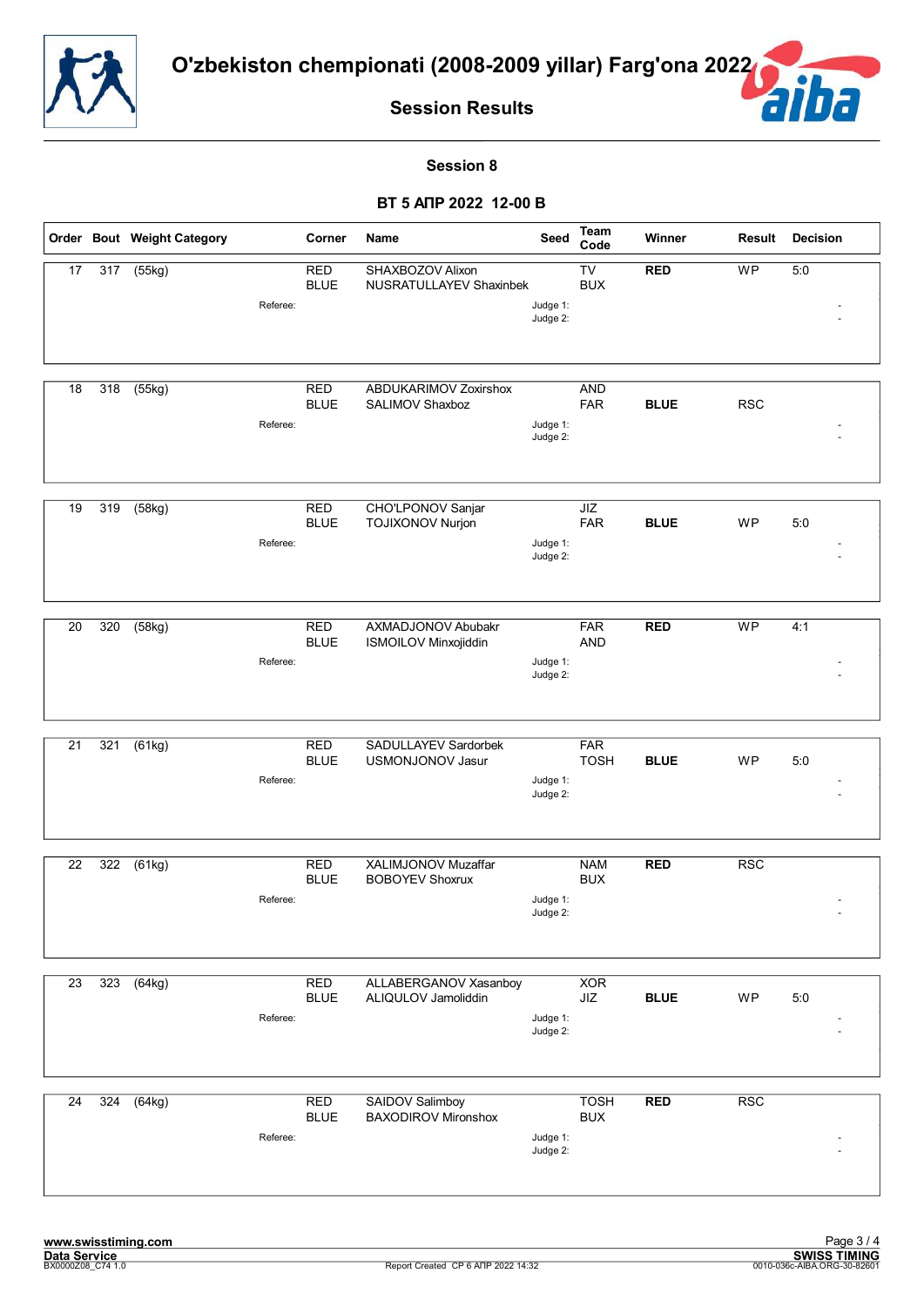![](_page_45_Picture_0.jpeg)

![](_page_45_Picture_2.jpeg)

#### **Session 8**

|    |     | Order Bout Weight Category |          | Corner                    | Name                                                 | Seed                 | <b>Team</b><br>Code                  | Winner      | Result     | <b>Decision</b> |
|----|-----|----------------------------|----------|---------------------------|------------------------------------------------------|----------------------|--------------------------------------|-------------|------------|-----------------|
| 17 | 317 | (55kg)                     | Referee: | <b>RED</b><br><b>BLUE</b> | SHAXBOZOV Alixon<br>NUSRATULLAYEV Shaxinbek          | Judge 1:<br>Judge 2: | $\overline{\text{TV}}$<br><b>BUX</b> | <b>RED</b>  | <b>WP</b>  | 5:0             |
| 18 | 318 | (55kg)                     | Referee: | <b>RED</b><br><b>BLUE</b> | ABDUKARIMOV Zoxirshox<br>SALIMOV Shaxboz             | Judge 1:<br>Judge 2: | <b>AND</b><br><b>FAR</b>             | <b>BLUE</b> | <b>RSC</b> |                 |
| 19 | 319 | (58kg)                     | Referee: | <b>RED</b><br><b>BLUE</b> | CHO'LPONOV Sanjar<br><b>TOJIXONOV Nurjon</b>         | Judge 1:<br>Judge 2: | JIZ<br><b>FAR</b>                    | <b>BLUE</b> | WP         | 5:0             |
| 20 | 320 | (58kg)                     | Referee: | <b>RED</b><br><b>BLUE</b> | AXMADJONOV Abubakr<br>ISMOILOV Minxojiddin           | Judge 1:<br>Judge 2: | <b>FAR</b><br><b>AND</b>             | <b>RED</b>  | <b>WP</b>  | 4:1             |
| 21 | 321 | (61kg)                     | Referee: | <b>RED</b><br><b>BLUE</b> | SADULLAYEV Sardorbek<br>USMONJONOV Jasur             | Judge 1:<br>Judge 2: | <b>FAR</b><br><b>TOSH</b>            | <b>BLUE</b> | WP         | 5:0             |
| 22 | 322 | (61kg)                     | Referee: | <b>RED</b><br><b>BLUE</b> | XALIMJONOV Muzaffar<br><b>BOBOYEV Shoxrux</b>        | Judge 1:<br>Judge 2: | <b>NAM</b><br><b>BUX</b>             | <b>RED</b>  | <b>RSC</b> |                 |
| 23 | 323 | (64kg)                     | Referee: | <b>RED</b><br><b>BLUE</b> | ALLABERGANOV Xasanboy<br>ALIQULOV Jamoliddin         | Judge 1:<br>Judge 2: | <b>XOR</b><br>JIZ                    | <b>BLUE</b> | WP         | 5:0             |
| 24 | 324 | (64kg)                     | Referee: | <b>RED</b><br><b>BLUE</b> | <b>SAIDOV Salimboy</b><br><b>BAXODIROV Mironshox</b> | Judge 1:<br>Judge 2: | <b>TOSH</b><br><b>BUX</b>            | <b>RED</b>  | RSC        |                 |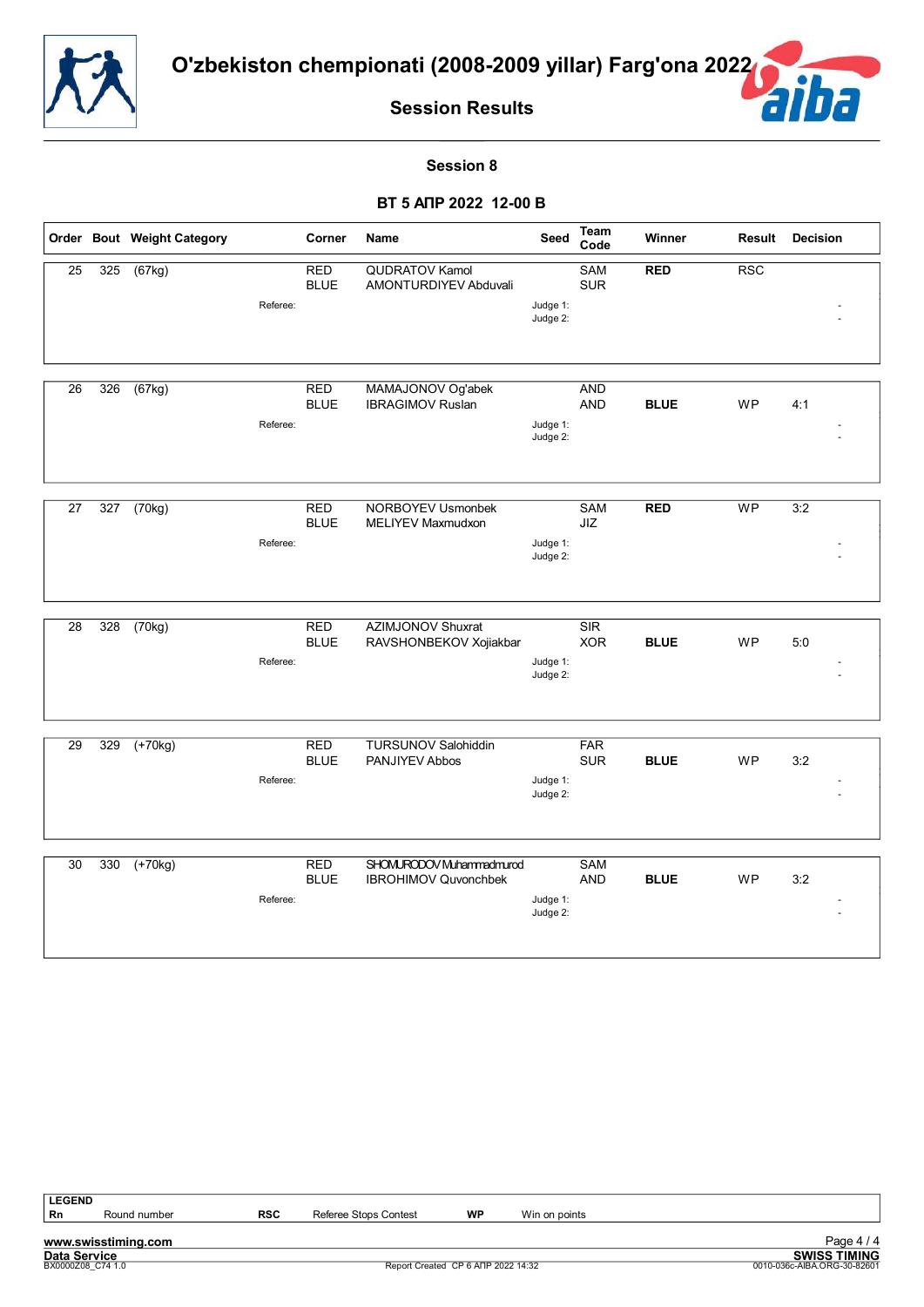![](_page_46_Picture_0.jpeg)

![](_page_46_Picture_2.jpeg)

#### **Session 8**

|    |     | Order Bout Weight Category |          | Corner                    | Name                                    | Seed                 | Team<br>Code             | Winner      | Result     | <b>Decision</b> |
|----|-----|----------------------------|----------|---------------------------|-----------------------------------------|----------------------|--------------------------|-------------|------------|-----------------|
| 25 | 325 | (67kg)                     |          | <b>RED</b><br><b>BLUE</b> | QUDRATOV Kamol<br>AMONTURDIYEV Abduvali |                      | <b>SAM</b><br><b>SUR</b> | <b>RED</b>  | <b>RSC</b> |                 |
|    |     |                            | Referee: |                           |                                         | Judge 1:<br>Judge 2: |                          |             |            |                 |
|    |     |                            |          |                           |                                         |                      |                          |             |            |                 |
| 26 | 326 | (67kg)                     |          | <b>RED</b>                | MAMAJONOV Og'abek                       |                      | <b>AND</b>               |             |            |                 |
|    |     |                            |          | <b>BLUE</b>               | <b>IBRAGIMOV Ruslan</b>                 |                      | AND                      | <b>BLUE</b> | <b>WP</b>  | 4:1             |
|    |     |                            | Referee: |                           |                                         | Judge 1:<br>Judge 2: |                          |             |            |                 |
|    |     |                            |          |                           |                                         |                      |                          |             |            |                 |
| 27 | 327 | (70kg)                     |          | <b>RED</b>                | <b>NORBOYEV Usmonbek</b>                |                      | SAM                      | <b>RED</b>  | WP         | 3:2             |
|    |     |                            | Referee: | <b>BLUE</b>               | MELIYEV Maxmudxon                       | Judge 1:             | JIZ                      |             |            |                 |
|    |     |                            |          |                           |                                         | Judge 2:             |                          |             |            |                 |
|    |     |                            |          |                           |                                         |                      |                          |             |            |                 |
| 28 | 328 | (70kg)                     |          | <b>RED</b>                | <b>AZIMJONOV Shuxrat</b>                |                      | SIR                      |             |            |                 |
|    |     |                            | Referee: | <b>BLUE</b>               | RAVSHONBEKOV Xojiakbar                  | Judge 1:             | <b>XOR</b>               | <b>BLUE</b> | <b>WP</b>  | 5:0             |
|    |     |                            |          |                           |                                         | Judge 2:             |                          |             |            |                 |
|    |     |                            |          |                           |                                         |                      |                          |             |            |                 |
| 29 | 329 | $(+70kg)$                  |          | <b>RED</b>                | <b>TURSUNOV Salohiddin</b>              |                      | <b>FAR</b>               |             |            |                 |
|    |     |                            | Referee: | <b>BLUE</b>               | PANJIYEV Abbos                          | Judge 1:             | <b>SUR</b>               | <b>BLUE</b> | <b>WP</b>  | 3:2             |
|    |     |                            |          |                           |                                         | Judge 2:             |                          |             |            |                 |
|    |     |                            |          |                           |                                         |                      |                          |             |            |                 |
| 30 | 330 | $(+70kg)$                  |          | <b>RED</b>                | SHOMURODOV Muhammadmurod                |                      | <b>SAM</b>               |             |            |                 |
|    |     |                            |          | <b>BLUE</b>               | <b>IBROHIMOV Quvonchbek</b>             |                      | <b>AND</b>               | <b>BLUE</b> | WP         | 3:2             |
|    |     |                            | Referee: |                           |                                         | Judge 1:<br>Judge 2: |                          |             |            |                 |
|    |     |                            |          |                           |                                         |                      |                          |             |            |                 |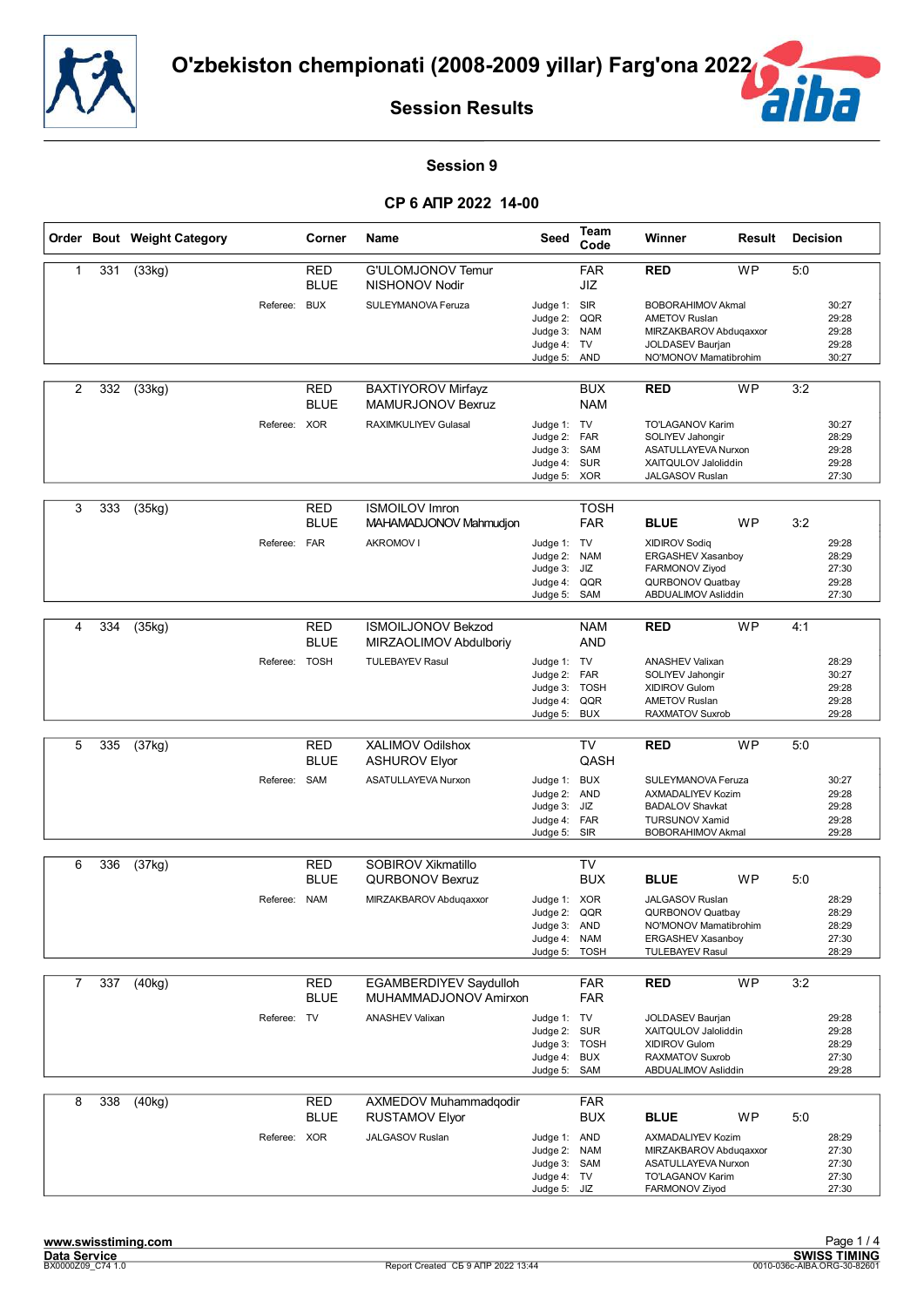![](_page_47_Picture_0.jpeg)

![](_page_47_Picture_2.jpeg)

#### **Session 9**

|   |     | Order Bout Weight Category |               | Corner                    | Name                                                  | Seed                                                                        | <b>Team</b><br>Code                   | Winner                                                                                                                         | Result    | <b>Decision</b> |                                           |
|---|-----|----------------------------|---------------|---------------------------|-------------------------------------------------------|-----------------------------------------------------------------------------|---------------------------------------|--------------------------------------------------------------------------------------------------------------------------------|-----------|-----------------|-------------------------------------------|
| 1 | 331 | (33kg)                     |               | <b>RED</b><br><b>BLUE</b> | G'ULOMJONOV Temur<br>NISHONOV Nodir                   |                                                                             | <b>FAR</b><br>JIZ                     | <b>RED</b>                                                                                                                     | <b>WP</b> | 5:0             |                                           |
|   |     |                            | Referee: BUX  |                           | SULEYMANOVA Feruza                                    | Judge 1: SIR<br>Judge 2:<br>Judge 3:<br>Judge 4:<br>Judge 5:                | QQR<br><b>NAM</b><br>TV<br><b>AND</b> | <b>BOBORAHIMOV Akmal</b><br><b>AMETOV Ruslan</b><br>MIRZAKBAROV Abduqaxxor<br><b>JOLDASEV Baurjan</b><br>NO'MONOV Mamatibrohim |           |                 | 30:27<br>29:28<br>29:28<br>29:28<br>30:27 |
| 2 | 332 | (33kg)                     |               | <b>RED</b><br><b>BLUE</b> | <b>BAXTIYOROV Mirfayz</b><br><b>MAMURJONOV Bexruz</b> |                                                                             | <b>BUX</b><br><b>NAM</b>              | <b>RED</b>                                                                                                                     | <b>WP</b> | 3:2             |                                           |
|   |     |                            | Referee: XOR  |                           | <b>RAXIMKULIYEV Gulasal</b>                           | Judge 1: TV<br>Judge 2:<br>Judge 3: SAM<br>Judge 4:<br>Judge 5: XOR         | <b>FAR</b><br><b>SUR</b>              | <b>TO'LAGANOV Karim</b><br>SOLIYEV Jahongir<br>ASATULLAYEVA Nurxon<br>XAITQULOV Jaloliddin<br>JALGASOV Ruslan                  |           |                 | 30:27<br>28:29<br>29:28<br>29:28<br>27:30 |
| 3 | 333 | (35kg)                     |               | <b>RED</b><br><b>BLUE</b> | <b>ISMOILOV Imron</b><br>MAHAMADJONOV Mahmudjon       |                                                                             | <b>TOSH</b><br><b>FAR</b>             | <b>BLUE</b>                                                                                                                    | <b>WP</b> | 3:2             |                                           |
|   |     |                            | Referee: FAR  |                           | <b>AKROMOV I</b>                                      | Judge 1: TV<br>Judge 2: NAM<br>Judge 3:<br>Judge 4:<br>Judge 5:             | JIZ<br>QQR<br>SAM                     | <b>XIDIROV Sodiq</b><br>ERGASHEV Xasanboy<br>FARMONOV Ziyod<br>QURBONOV Quatbay<br>ABDUALIMOV Asliddin                         |           |                 | 29:28<br>28:29<br>27:30<br>29:28<br>27:30 |
| 4 | 334 | (35kg)                     |               | <b>RED</b>                | <b>ISMOILJONOV Bekzod</b>                             |                                                                             | <b>NAM</b>                            | <b>RED</b>                                                                                                                     | <b>WP</b> | 4:1             |                                           |
|   |     |                            |               | <b>BLUE</b>               | MIRZAOLIMOV Abdulboriy                                |                                                                             | <b>AND</b>                            |                                                                                                                                |           |                 |                                           |
|   |     |                            | Referee: TOSH |                           | <b>TULEBAYEV Rasul</b>                                | Judge 1: TV<br>Judge 2: FAR<br>Judge 3:<br>Judge 4:<br>Judge 5:             | <b>TOSH</b><br>QQR<br><b>BUX</b>      | <b>ANASHEV Valixan</b><br>SOLIYEV Jahongir<br>XIDIROV Gulom<br><b>AMETOV Ruslan</b><br>RAXMATOV Suxrob                         |           |                 | 28:29<br>30:27<br>29:28<br>29:28<br>29:28 |
|   |     |                            |               |                           |                                                       |                                                                             |                                       |                                                                                                                                |           |                 |                                           |
| 5 | 335 | (37kg)                     |               | <b>RED</b><br><b>BLUE</b> | XALIMOV Odilshox<br><b>ASHUROV Elyor</b>              |                                                                             | <b>TV</b><br>QASH                     | <b>RED</b>                                                                                                                     | <b>WP</b> | 5:0             |                                           |
|   |     |                            | Referee: SAM  |                           | <b>ASATULLAYEVA Nurxon</b>                            | Judge 1: BUX<br>Judge 2: AND<br>Judge 3:<br>Judge 4: FAR<br>Judge 5: SIR    | JIZ                                   | SULEYMANOVA Feruza<br>AXMADALIYEV Kozim<br><b>BADALOV Shavkat</b><br><b>TURSUNOV Xamid</b><br><b>BOBORAHIMOV Akmal</b>         |           |                 | 30:27<br>29:28<br>29:28<br>29:28<br>29:28 |
| 6 | 336 | (37kg)                     |               | <b>RED</b>                | SOBIROV Xikmatillo                                    |                                                                             | TV                                    |                                                                                                                                |           |                 |                                           |
|   |     |                            |               | <b>BLUE</b>               | <b>QURBONOV Bexruz</b>                                |                                                                             | <b>BUX</b>                            | <b>BLUE</b>                                                                                                                    | <b>WP</b> | 5:0             |                                           |
|   |     |                            | Referee: NAM  |                           | MIRZAKBAROV Abduqaxxor                                | Judge 1: XOR<br>Judge 2:<br>Judge 3: AND<br>Judge 4: NAM<br>Judge 5:        | QQR<br><b>TOSH</b>                    | JALGASOV Ruslan<br>QURBONOV Quatbay<br>NO'MONOV Mamatibrohim<br>ERGASHEV Xasanboy<br><b>TULEBAYEV Rasul</b>                    |           |                 | 28:29<br>28:29<br>28:29<br>27:30<br>28:29 |
| 7 | 337 | (40kg)                     |               | <b>RED</b>                | EGAMBERDIYEV Saydulloh                                |                                                                             | <b>FAR</b>                            | <b>RED</b>                                                                                                                     | <b>WP</b> | 3:2             |                                           |
|   |     |                            |               | <b>BLUE</b>               | MUHAMMADJONOV Amirxon                                 |                                                                             | <b>FAR</b>                            |                                                                                                                                |           |                 |                                           |
|   |     |                            | Referee: TV   |                           | <b>ANASHEV Valixan</b>                                | Judge 1: TV<br>Judge 2: SUR<br>Judge 3: TOSH<br>Judge 4: BUX<br>Judge 5:    | SAM                                   | JOLDASEV Baurjan<br>XAITQULOV Jaloliddin<br>XIDIROV Gulom<br>RAXMATOV Suxrob<br>ABDUALIMOV Asliddin                            |           |                 | 29:28<br>29:28<br>28:29<br>27:30<br>29:28 |
| 8 | 338 | (40kg)                     |               | RED<br><b>BLUE</b>        | AXMEDOV Muhammadqodir<br><b>RUSTAMOV Elyor</b>        |                                                                             | <b>FAR</b><br><b>BUX</b>              | <b>BLUE</b>                                                                                                                    | <b>WP</b> | 5:0             |                                           |
|   |     |                            | Referee: XOR  |                           | JALGASOV Ruslan                                       | Judge 1: AND<br>Judge 2: NAM<br>Judge 3: SAM<br>Judge 4: TV<br>Judge 5: JIZ |                                       | AXMADALIYEV Kozim<br>MIRZAKBAROV Abduqaxxor<br>ASATULLAYEVA Nurxon<br>TO'LAGANOV Karim<br>FARMONOV Ziyod                       |           |                 | 28:29<br>27:30<br>27:30<br>27:30<br>27:30 |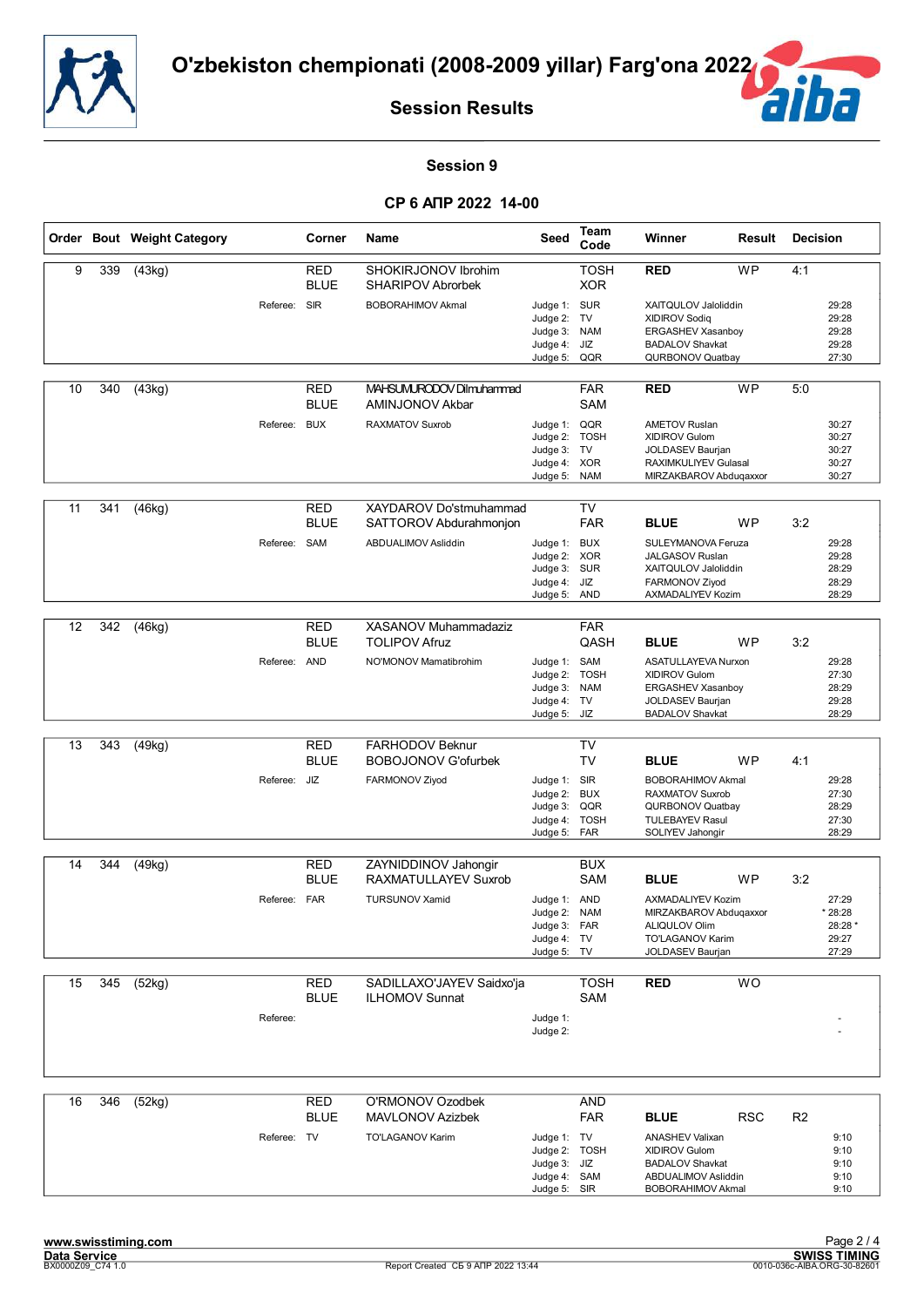![](_page_48_Picture_0.jpeg)

![](_page_48_Picture_2.jpeg)

#### **Session 9**

|    |     | Order Bout Weight Category |              | Corner                    | <b>Name</b>                                      | Seed                                                                         | Team<br>Code                                  | Winner                                                                                                                                     | Result     | <b>Decision</b> |                                               |
|----|-----|----------------------------|--------------|---------------------------|--------------------------------------------------|------------------------------------------------------------------------------|-----------------------------------------------|--------------------------------------------------------------------------------------------------------------------------------------------|------------|-----------------|-----------------------------------------------|
| 9  | 339 | (43kg)                     |              | <b>RED</b><br><b>BLUE</b> | SHOKIRJONOV Ibrohim<br><b>SHARIPOV Abrorbek</b>  |                                                                              | <b>TOSH</b><br><b>XOR</b>                     | <b>RED</b>                                                                                                                                 | <b>WP</b>  | 4:1             |                                               |
|    |     |                            | Referee: SIR |                           | <b>BOBORAHIMOV Akmal</b>                         | Judge 1: SUR<br>Judge 2:<br>Judge 3: NAM<br>Judge 4: JIZ                     | TV                                            | XAITQULOV Jaloliddin<br><b>XIDIROV Sodiq</b><br>ERGASHEV Xasanboy<br><b>BADALOV Shavkat</b>                                                |            |                 | 29:28<br>29:28<br>29:28<br>29:28              |
|    |     |                            |              |                           |                                                  | Judge 5:                                                                     | QQR                                           | QURBONOV Quatbay                                                                                                                           |            |                 | 27:30                                         |
| 10 | 340 | (43kg)                     |              | <b>RED</b><br><b>BLUE</b> | MAHSUMURODOV Dilmuhammad<br>AMINJONOV Akbar      |                                                                              | <b>FAR</b><br>SAM                             | <b>RED</b>                                                                                                                                 | <b>WP</b>  | 5:0             |                                               |
|    |     |                            | Referee: BUX |                           | <b>RAXMATOV Suxrob</b>                           | Judge 1: QQR<br>Judge 2: TOSH<br>Judge 3:<br>Judge 4: XOR<br>Judge 5:        | TV<br><b>NAM</b>                              | <b>AMETOV Ruslan</b><br>XIDIROV Gulom<br><b>JOLDASEV Baurjan</b><br>RAXIMKULIYEV Gulasal<br>MIRZAKBAROV Abduqaxxor                         |            |                 | 30:27<br>30:27<br>30:27<br>30:27<br>30:27     |
| 11 | 341 | (46kg)                     |              | RED<br><b>BLUE</b>        | XAYDAROV Do'stmuhammad<br>SATTOROV Abdurahmonion |                                                                              | <b>TV</b><br><b>FAR</b>                       | <b>BLUE</b>                                                                                                                                | <b>WP</b>  | 3:2             |                                               |
|    |     |                            | Referee:     | SAM                       | ABDUALIMOV Asliddin                              | Judge 1:<br>Judge 2:<br>Judge 3: SUR<br>Judge 4:<br>Judge 5:                 | <b>BUX</b><br><b>XOR</b><br>JIZ<br><b>AND</b> | SULEYMANOVA Feruza<br><b>JALGASOV Ruslan</b><br>XAITQULOV Jaloliddin<br>FARMONOV Ziyod<br>AXMADALIYEV Kozim                                |            |                 | 29:28<br>29:28<br>28:29<br>28:29<br>28:29     |
| 12 | 342 | (46kg)                     |              | <b>RED</b>                | XASANOV Muhammadaziz                             |                                                                              | <b>FAR</b>                                    |                                                                                                                                            |            |                 |                                               |
|    |     |                            |              | <b>BLUE</b>               | <b>TOLIPOV Afruz</b>                             |                                                                              | QASH                                          | <b>BLUE</b>                                                                                                                                | <b>WP</b>  | 3:2             |                                               |
|    |     |                            | Referee: AND |                           | NO'MONOV Mamatibrohim                            | Judge 1: SAM<br>Judge 2: TOSH<br>Judge 3:<br>Judge 4: TV<br>Judge 5: JIZ     | <b>NAM</b>                                    | ASATULLAYEVA Nurxon<br>XIDIROV Gulom<br>ERGASHEV Xasanboy<br>JOLDASEV Baurjan<br><b>BADALOV Shavkat</b>                                    |            |                 | 29:28<br>27:30<br>28:29<br>29:28<br>28:29     |
|    |     |                            |              |                           |                                                  |                                                                              | TV                                            |                                                                                                                                            |            |                 |                                               |
| 13 | 343 | (49kg)                     |              | <b>RED</b><br><b>BLUE</b> | FARHODOV Beknur<br><b>BOBOJONOV G'ofurbek</b>    |                                                                              | <b>TV</b>                                     | <b>BLUE</b>                                                                                                                                | <b>WP</b>  | 4:1             |                                               |
|    |     |                            | Referee: JIZ |                           | FARMONOV Ziyod                                   | Judge 1: SIR<br>Judge 2:<br>Judge 3:<br>Judge 4: TOSH<br>Judge 5:            | <b>BUX</b><br>QQR<br>FAR                      | <b>BOBORAHIMOV Akmal</b><br><b>RAXMATOV Suxrob</b><br>QURBONOV Quatbay<br><b>TULEBAYEV Rasul</b><br>SOLIYEV Jahongir                       |            |                 | 29:28<br>27:30<br>28:29<br>27:30<br>28:29     |
| 14 | 344 | (49kg)                     |              | RED                       | ZAYNIDDINOV Jahongir                             |                                                                              | <b>BUX</b>                                    |                                                                                                                                            |            |                 |                                               |
|    |     |                            |              | <b>BLUE</b>               | RAXMATULLAYEV Suxrob                             |                                                                              | SAM                                           | <b>BLUE</b>                                                                                                                                | <b>WP</b>  | 3:2             |                                               |
|    |     |                            | Referee: FAR |                           | <b>TURSUNOV Xamid</b>                            | Judge 1: AND<br>Judge 2:<br>Judge 3: FAR<br>Judge 4: TV<br>Judge 5: TV       | <b>NAM</b>                                    | <b>AXMADALIYEV Kozim</b><br>MIRZAKBAROV Abduqaxxor<br>ALIQULOV Olim<br>TO'LAGANOV Karim<br>JOLDASEV Baurjan                                |            |                 | 27:29<br>* 28:28<br>28:28 *<br>29:27<br>27:29 |
| 15 | 345 | (52kg)                     |              | RED                       | SADILLAXO'JAYEV Saidxo'ja                        |                                                                              | <b>TOSH</b>                                   | <b>RED</b>                                                                                                                                 | <b>WO</b>  |                 |                                               |
|    |     |                            |              | <b>BLUE</b>               | <b>ILHOMOV Sunnat</b>                            |                                                                              | SAM                                           |                                                                                                                                            |            |                 |                                               |
|    |     |                            | Referee:     |                           |                                                  | Judge 1:<br>Judge 2:                                                         |                                               |                                                                                                                                            |            |                 |                                               |
| 16 | 346 | (52kg)                     |              | <b>RED</b>                | O'RMONOV Ozodbek                                 |                                                                              | <b>AND</b>                                    |                                                                                                                                            |            |                 |                                               |
|    |     |                            | Referee: TV  | <b>BLUE</b>               | MAVLONOV Azizbek<br>TO'LAGANOV Karim             | Judge 1: TV<br>Judge 2: TOSH<br>Judge 3: JIZ<br>Judge 4: SAM<br>Judge 5: SIR | <b>FAR</b>                                    | <b>BLUE</b><br><b>ANASHEV Valixan</b><br><b>XIDIROV Gulom</b><br><b>BADALOV Shavkat</b><br>ABDUALIMOV Asliddin<br><b>BOBORAHIMOV Akmal</b> | <b>RSC</b> | R <sub>2</sub>  | 9:10<br>9:10<br>9:10<br>9:10<br>9:10          |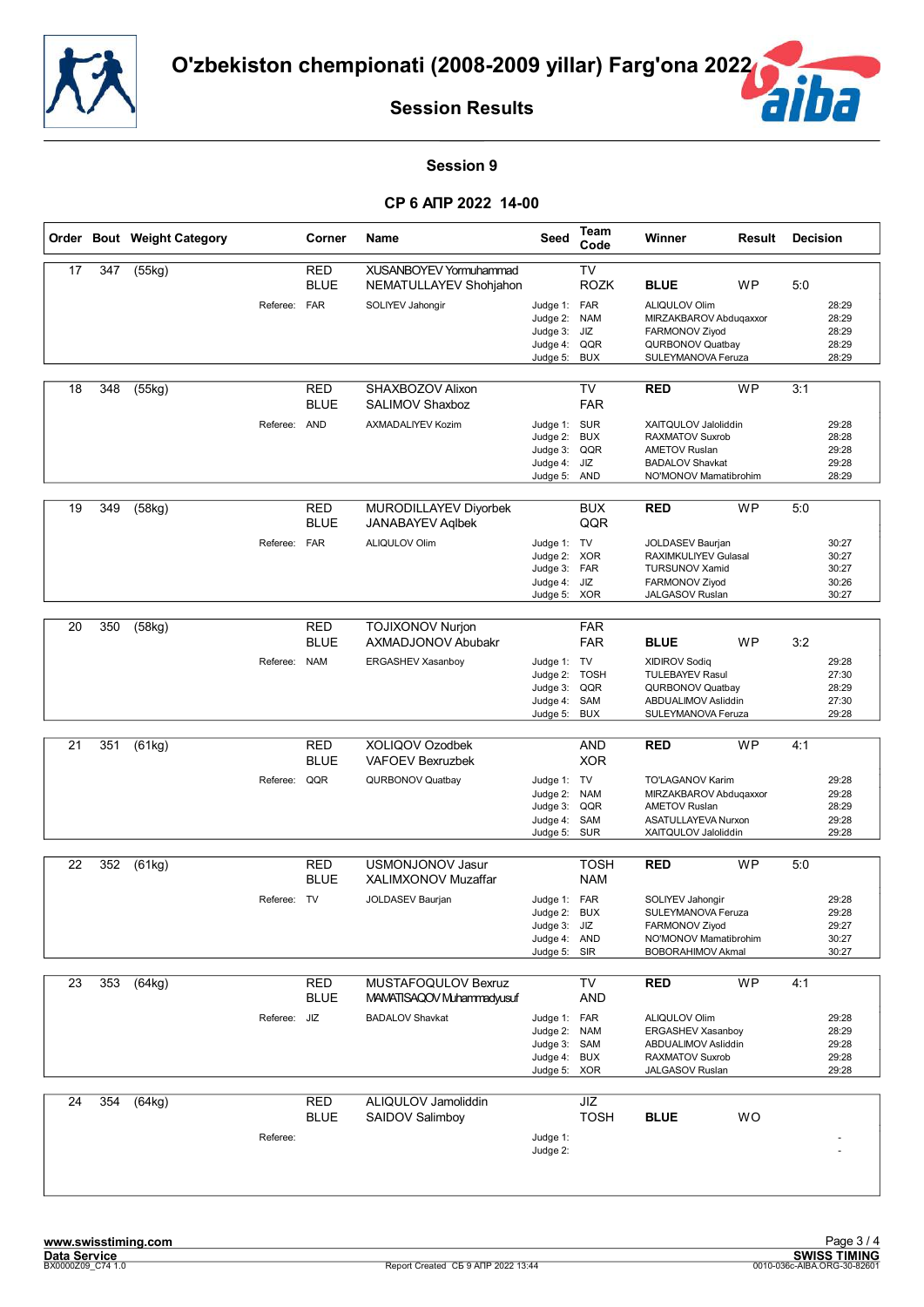![](_page_49_Picture_0.jpeg)

![](_page_49_Picture_2.jpeg)

#### **Session 9**

|    |     | Order Bout Weight Category |              | Corner                    | <b>Name</b>                                                          | Seed                                                                         | Team<br>Code                            | Winner                                                                                                                    | Result    | <b>Decision</b> |                                           |
|----|-----|----------------------------|--------------|---------------------------|----------------------------------------------------------------------|------------------------------------------------------------------------------|-----------------------------------------|---------------------------------------------------------------------------------------------------------------------------|-----------|-----------------|-------------------------------------------|
| 17 | 347 | (55kg)                     | Referee: FAR | <b>RED</b><br><b>BLUE</b> | XUSANBOYEV Yormuhammad<br>NEMATULLAYEV Shohjahon<br>SOLIYEV Jahongir | Judge 1: FAR                                                                 | <b>TV</b><br><b>ROZK</b>                | <b>BLUE</b><br>ALIQULOV Olim                                                                                              | WP        | 5:0             | 28:29                                     |
|    |     |                            |              |                           |                                                                      | Judge 2: NAM<br>Judge 3:<br>Judge 4: QQR<br>Judge 5:                         | JIZ<br><b>BUX</b>                       | MIRZAKBAROV Abduqaxxor<br>FARMONOV Ziyod<br>QURBONOV Quatbay<br>SULEYMANOVA Feruza                                        |           |                 | 28:29<br>28:29<br>28:29<br>28:29          |
| 18 | 348 | (55kg)                     |              | <b>RED</b><br><b>BLUE</b> | SHAXBOZOV Alixon<br>SALIMOV Shaxboz                                  |                                                                              | TV<br><b>FAR</b>                        | <b>RED</b>                                                                                                                | <b>WP</b> | 3:1             |                                           |
|    |     |                            | Referee: AND |                           | <b>AXMADALIYEV Kozim</b>                                             | Judge 1: SUR<br>Judge 2:<br>Judge 3:<br>Judge 4: JIZ<br>Judge 5: AND         | <b>BUX</b><br>QQR                       | XAITQULOV Jaloliddin<br><b>RAXMATOV Suxrob</b><br><b>AMETOV Ruslan</b><br><b>BADALOV Shavkat</b><br>NO'MONOV Mamatibrohim |           |                 | 29:28<br>28:28<br>29:28<br>29:28<br>28:29 |
| 19 | 349 | (58kg)                     |              | <b>RED</b><br><b>BLUE</b> | MURODILLAYEV Diyorbek<br><b>JANABAYEV Aglbek</b>                     |                                                                              | <b>BUX</b><br>QQR                       | <b>RED</b>                                                                                                                | <b>WP</b> | 5:0             |                                           |
|    |     |                            | Referee:     | <b>FAR</b>                | <b>ALIQULOV Olim</b>                                                 | Judge 1: TV<br>Judge 2: XOR<br>Judge 3: FAR<br>Judge 4:<br>Judge 5: XOR      | JIZ                                     | JOLDASEV Baurjan<br>RAXIMKULIYEV Gulasal<br><b>TURSUNOV Xamid</b><br>FARMONOV Ziyod<br>JALGASOV Ruslan                    |           |                 | 30:27<br>30:27<br>30:27<br>30:26<br>30:27 |
| 20 | 350 | (58kg)                     |              | <b>RED</b><br><b>BLUE</b> | <b>TOJIXONOV Nurjon</b><br><b>AXMADJONOV Abubakr</b>                 |                                                                              | <b>FAR</b><br><b>FAR</b>                | <b>BLUE</b>                                                                                                               | WP        | 3:2             |                                           |
|    |     |                            | Referee: NAM |                           | ERGASHEV Xasanboy                                                    | Judge 1: TV<br>Judge 2:<br>Judge 3:<br>Judge 4:<br>Judge 5:                  | <b>TOSH</b><br>QQR<br>SAM<br><b>BUX</b> | <b>XIDIROV Sodiq</b><br><b>TULEBAYEV Rasul</b><br>QURBONOV Quatbay<br>ABDUALIMOV Asliddin<br>SULEYMANOVA Feruza           |           |                 | 29:28<br>27:30<br>28:29<br>27:30<br>29:28 |
| 21 | 351 | (61kg)                     |              | <b>RED</b><br><b>BLUE</b> | XOLIQOV Ozodbek<br><b>VAFOEV Bexruzbek</b>                           |                                                                              | <b>AND</b><br><b>XOR</b>                | <b>RED</b>                                                                                                                | <b>WP</b> | 4:1             |                                           |
|    |     |                            | Referee: QQR |                           | QURBONOV Quatbay                                                     | Judge 1: TV<br>Judge 2: NAM<br>Judge 3:<br>Judge 4:<br>Judge 5:              | QQR<br>SAM<br><b>SUR</b>                | TO'LAGANOV Karim<br>MIRZAKBAROV Abduqaxxor<br><b>AMETOV Ruslan</b><br>ASATULLAYEVA Nurxon<br>XAITQULOV Jaloliddin         |           |                 | 29:28<br>29:28<br>28:29<br>29:28<br>29:28 |
| 22 | 352 | (61kg)                     |              | <b>RED</b><br><b>BLUE</b> | USMONJONOV Jasur<br>XALIMXONOV Muzaffar                              |                                                                              | <b>TOSH</b><br><b>NAM</b>               | <b>RED</b>                                                                                                                | <b>WP</b> | 5:0             |                                           |
|    |     |                            | Referee: TV  |                           | JOLDASEV Baurjan                                                     | Judge 1: FAR<br>Judge 2:<br>Judge 3: JIZ<br>Judge 4: AND<br>Judge 5: SIR     | <b>BUX</b>                              | SOLIYEV Jahongir<br>SULEYMANOVA Feruza<br>FARMONOV Ziyod<br>NO'MONOV Mamatibrohim<br><b>BOBORAHIMOV Akmal</b>             |           |                 | 29:28<br>29:28<br>29:27<br>30:27<br>30:27 |
| 23 | 353 | (64kg)                     |              | <b>RED</b><br><b>BLUE</b> | MUSTAFOQULOV Bexruz<br>MAMATISAQOV Muhammadyusuf                     |                                                                              | TV<br><b>AND</b>                        | <b>RED</b>                                                                                                                | <b>WP</b> | 4:1             |                                           |
|    |     |                            | Referee: JIZ |                           | <b>BADALOV Shavkat</b>                                               | Judge 1: FAR<br>Judge 2: NAM<br>Judge 3: SAM<br>Judge 4: BUX<br>Judge 5: XOR |                                         | ALIQULOV Olim<br>ERGASHEV Xasanboy<br>ABDUALIMOV Asliddin<br><b>RAXMATOV Suxrob</b><br>JALGASOV Ruslan                    |           |                 | 29:28<br>28:29<br>29:28<br>29:28<br>29:28 |
| 24 | 354 | (64kg)                     |              | <b>RED</b><br><b>BLUE</b> | ALIQULOV Jamoliddin<br>SAIDOV Salimboy                               |                                                                              | JIZ<br><b>TOSH</b>                      | <b>BLUE</b>                                                                                                               | <b>WO</b> |                 |                                           |
|    |     |                            | Referee:     |                           |                                                                      | Judge 1:<br>Judge 2:                                                         |                                         |                                                                                                                           |           |                 |                                           |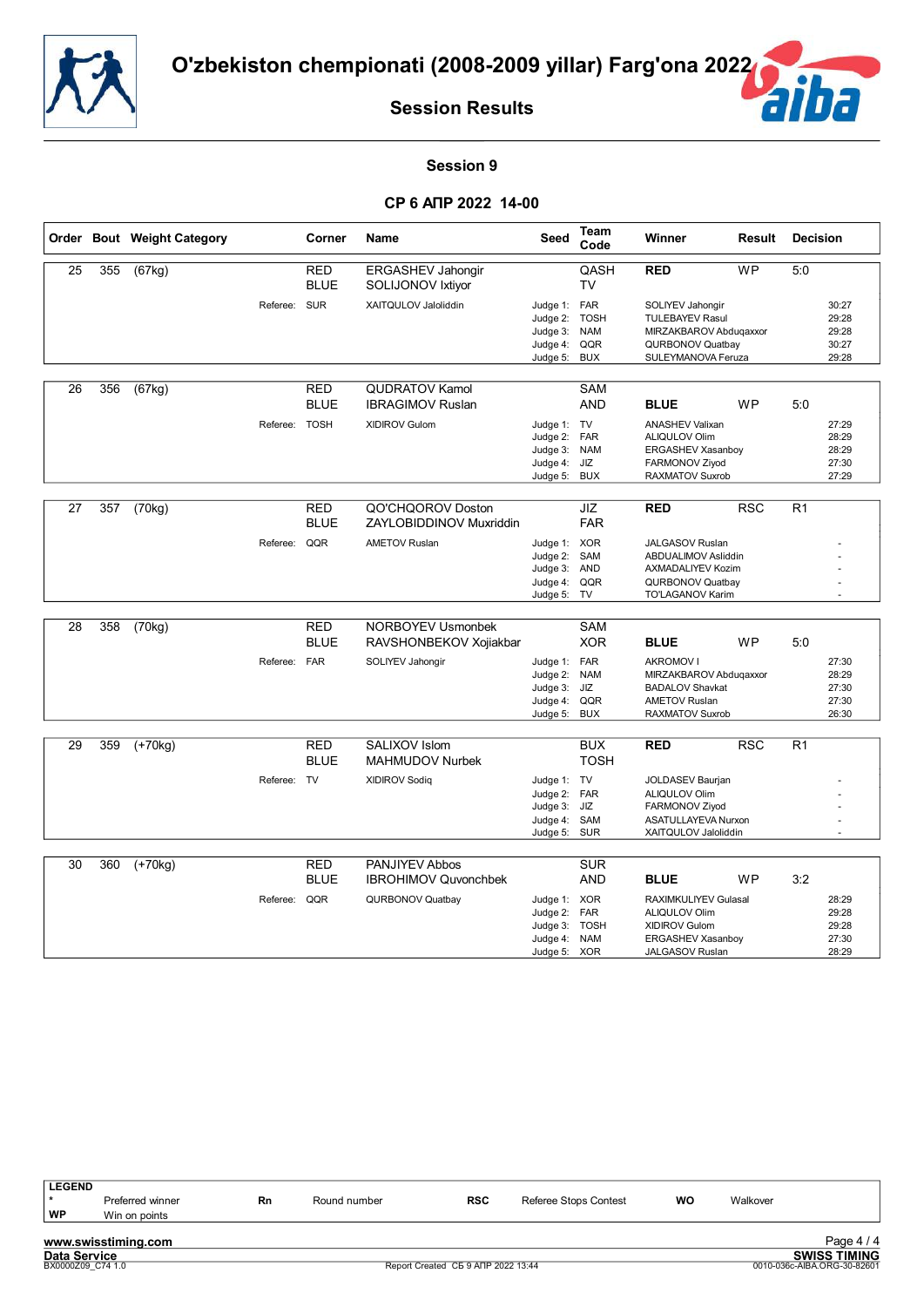![](_page_50_Picture_0.jpeg)

![](_page_50_Picture_2.jpeg)

#### **Session 9**

|    |     | Order Bout Weight Category |               | Corner                    | <b>Name</b>                                        | Seed                                                                     | Team<br>Code                                   | Winner                                                                                                                 | Result     | <b>Decision</b> |                                           |
|----|-----|----------------------------|---------------|---------------------------|----------------------------------------------------|--------------------------------------------------------------------------|------------------------------------------------|------------------------------------------------------------------------------------------------------------------------|------------|-----------------|-------------------------------------------|
| 25 | 355 | (67kg)                     |               | <b>RED</b><br><b>BLUE</b> | <b>ERGASHEV Jahongir</b><br>SOLIJONOV Ixtiyor      |                                                                          | QASH<br>TV                                     | <b>RED</b>                                                                                                             | <b>WP</b>  | 5:0             |                                           |
|    |     |                            | Referee: SUR  |                           | XAITQULOV Jaloliddin                               | Judge 1: FAR<br>Judge 2: TOSH<br>Judge 3:<br>Judge 4:<br>Judge 5:        | <b>NAM</b><br>QQR<br>BUX                       | SOLIYEV Jahongir<br><b>TULEBAYEV Rasul</b><br>MIRZAKBAROV Abduqaxxor<br>QURBONOV Quatbay<br>SULEYMANOVA Feruza         |            |                 | 30:27<br>29:28<br>29:28<br>30:27<br>29:28 |
| 26 | 356 | (67kg)                     |               | <b>RED</b><br><b>BLUE</b> | <b>QUDRATOV Kamol</b><br><b>IBRAGIMOV Ruslan</b>   |                                                                          | <b>SAM</b><br><b>AND</b>                       | <b>BLUE</b>                                                                                                            | <b>WP</b>  | 5:0             |                                           |
|    |     |                            | Referee: TOSH |                           | <b>XIDIROV Gulom</b>                               | Judge 1: TV<br>Judge 2: FAR<br>Judge 3: NAM<br>Judge 4: JIZ<br>Judge 5:  | <b>BUX</b>                                     | <b>ANASHEV Valixan</b><br>ALIQULOV Olim<br>ERGASHEV Xasanboy<br>FARMONOV Ziyod<br><b>RAXMATOV Suxrob</b>               |            |                 | 27:29<br>28:29<br>28:29<br>27:30<br>27:29 |
| 27 | 357 | (70kg)                     |               | <b>RED</b><br><b>BLUE</b> | QO'CHQOROV Doston<br>ZAYLOBIDDINOV Muxriddin       |                                                                          | JIZ<br><b>FAR</b>                              | <b>RED</b>                                                                                                             | <b>RSC</b> | R1              |                                           |
|    |     |                            | Referee:      | QQR                       | <b>AMETOV Ruslan</b>                               | Judge 1: XOR<br>Judge 2: SAM<br>Judge 3: AND<br>Judge 4: QQR<br>Judge 5: | TV                                             | JALGASOV Ruslan<br>ABDUALIMOV Asliddin<br>AXMADALIYEV Kozim<br>QURBONOV Quatbay<br>TO'LAGANOV Karim                    |            |                 |                                           |
| 28 | 358 | (70kg)                     |               | <b>RED</b><br><b>BLUE</b> | <b>NORBOYEV Usmonbek</b><br>RAVSHONBEKOV Xojiakbar |                                                                          | <b>SAM</b><br><b>XOR</b>                       | <b>BLUE</b>                                                                                                            | <b>WP</b>  | 5:0             |                                           |
|    |     |                            | Referee:      | <b>FAR</b>                | SOLIYEV Jahongir                                   | Judge 1: FAR<br>Judge 2:<br>Judge 3:<br>Judge 4: QQR<br>Judge 5:         | <b>NAM</b><br>JIZ<br><b>BUX</b>                | <b>AKROMOV I</b><br>MIRZAKBAROV Abduqaxxor<br><b>BADALOV Shavkat</b><br><b>AMETOV Ruslan</b><br><b>RAXMATOV Suxrob</b> |            |                 | 27:30<br>28:29<br>27:30<br>27:30<br>26:30 |
| 29 | 359 | $(+70kg)$                  |               | <b>RED</b><br><b>BLUE</b> | SALIXOV Islom<br><b>MAHMUDOV Nurbek</b>            |                                                                          | <b>BUX</b><br><b>TOSH</b>                      | <b>RED</b>                                                                                                             | <b>RSC</b> | R <sub>1</sub>  |                                           |
|    |     |                            | Referee: TV   |                           | <b>XIDIROV Sodiq</b>                               | Judge 1: TV<br>Judge 2: FAR<br>Judge 3:<br>Judge 4:<br>Judge 5:          | JIZ<br>SAM<br><b>SUR</b>                       | <b>JOLDASEV Baurjan</b><br>ALIQULOV Olim<br>FARMONOV Ziyod<br>ASATULLAYEVA Nurxon<br>XAITQULOV Jaloliddin              |            |                 |                                           |
| 30 | 360 | $(+70kg)$                  |               | <b>RED</b>                | PANJIYEV Abbos                                     |                                                                          | <b>SUR</b>                                     | <b>BLUE</b>                                                                                                            | <b>WP</b>  | 3:2             |                                           |
|    |     |                            | Referee:      | <b>BLUE</b><br>QQR        | <b>IBROHIMOV Quvonchbek</b><br>QURBONOV Quatbay    | Judge 1: XOR<br>Judge 2:<br>Judge 3:<br>Judge 4: NAM<br>Judge 5:         | <b>AND</b><br>FAR<br><b>TOSH</b><br><b>XOR</b> | RAXIMKULIYEV Gulasal<br>ALIQULOV Olim<br><b>XIDIROV Gulom</b><br>ERGASHEV Xasanboy<br>JALGASOV Ruslan                  |            |                 | 28:29<br>29:28<br>29:28<br>27:30<br>28:29 |

| <b>LEGEND</b>       |                     |    |              |                                    |                       |    |          |                             |
|---------------------|---------------------|----|--------------|------------------------------------|-----------------------|----|----------|-----------------------------|
|                     | Preferred winner    | Rn | Round number | <b>RSC</b>                         | Referee Stops Contest | WO | Walkover |                             |
| WP                  | Win on points       |    |              |                                    |                       |    |          |                             |
|                     | www.swisstiming.com |    |              |                                    |                       |    |          | Page $4/4$                  |
| <b>Data Service</b> |                     |    |              |                                    |                       |    |          | <b>SWISS TIMING</b>         |
|                     | BX0000Z09 C74 1.0   |    |              | Report Created CE 9 ANP 2022 13:44 |                       |    |          | 0010-036c-AIBA.ORG-30-82601 |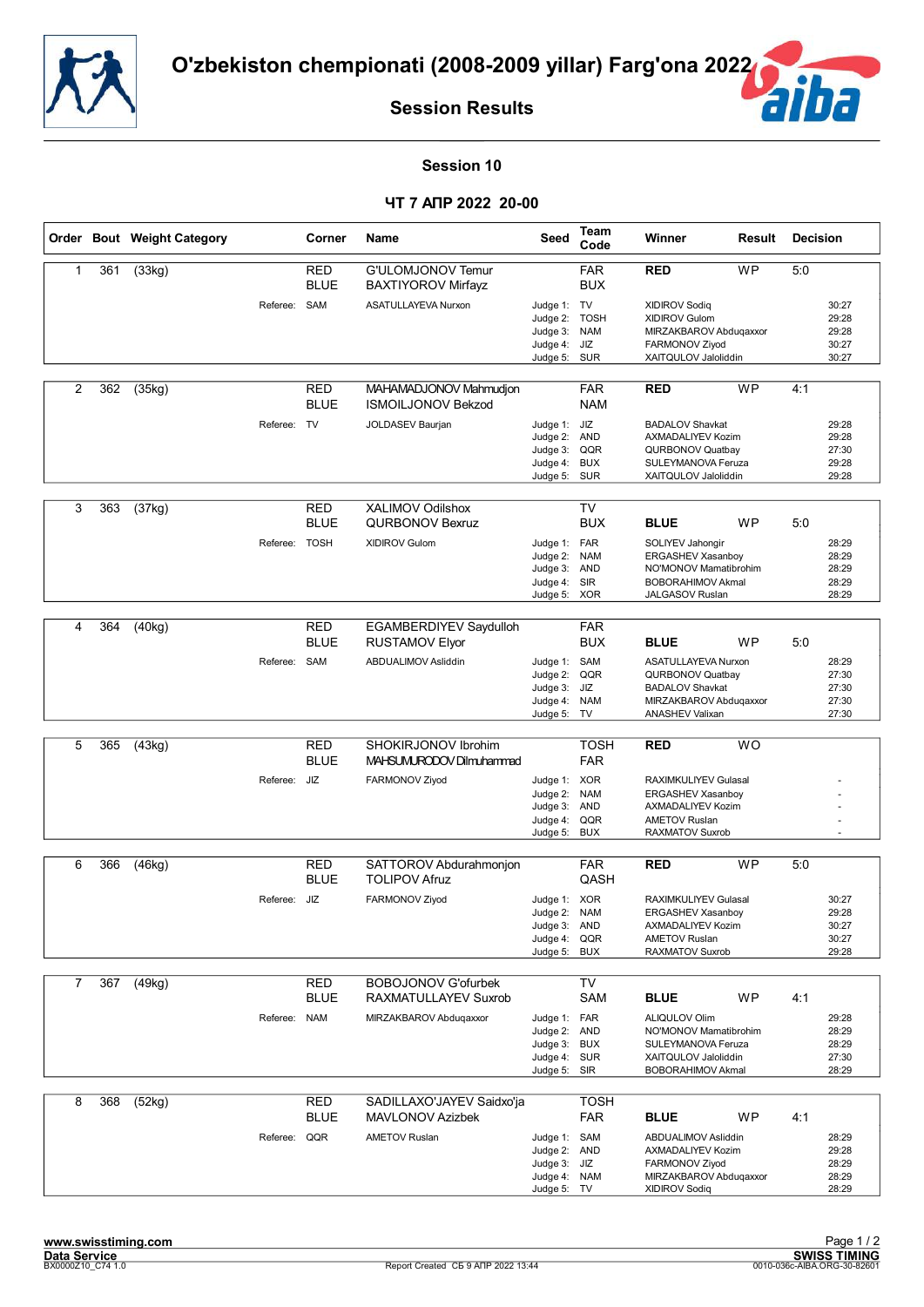![](_page_51_Picture_0.jpeg)

![](_page_51_Picture_2.jpeg)

#### **Session 10**

#### **ЧТ 7 АПР 2022 20-00**

|   |     | Order Bout Weight Category |             | Corner                    | <b>Name</b>                                          | Seed                                                                         | Team<br>Code                     | Winner                                                                                                                      | <b>Result</b> | <b>Decision</b> |                                           |
|---|-----|----------------------------|-------------|---------------------------|------------------------------------------------------|------------------------------------------------------------------------------|----------------------------------|-----------------------------------------------------------------------------------------------------------------------------|---------------|-----------------|-------------------------------------------|
| 1 | 361 | (33kg)                     |             | RED<br><b>BLUE</b>        | G'ULOMJONOV Temur<br><b>BAXTIYOROV Mirfayz</b>       |                                                                              | <b>FAR</b><br><b>BUX</b>         | <b>RED</b>                                                                                                                  | <b>WP</b>     | 5:0             |                                           |
|   |     |                            | Referee:    | SAM                       | ASATULLAYEVA Nurxon                                  | Judge 1: TV<br>Judge 2:<br>Judge 3: NAM<br>Judge 4:<br>Judge 5:              | <b>TOSH</b><br>JIZ<br><b>SUR</b> | <b>XIDIROV Sodiq</b><br>XIDIROV Gulom<br>MIRZAKBAROV Abdugaxxor<br>FARMONOV Ziyod<br>XAITQULOV Jaloliddin                   |               |                 | 30:27<br>29:28<br>29:28<br>30:27<br>30:27 |
| 2 | 362 | (35kg)                     |             | RED<br><b>BLUE</b>        | MAHAMADJONOV Mahmudjon<br><b>ISMOILJONOV Bekzod</b>  |                                                                              | <b>FAR</b><br><b>NAM</b>         | <b>RED</b>                                                                                                                  | <b>WP</b>     | 4:1             |                                           |
|   |     |                            | Referee: TV |                           | JOLDASEV Baurjan                                     | Judge 1: JIZ<br>Judge 2: AND<br>Judge 3: QQR<br>Judge 4:<br>Judge 5: SUR     | <b>BUX</b>                       | <b>BADALOV Shavkat</b><br>AXMADALIYEV Kozim<br>QURBONOV Quatbay<br>SULEYMANOVA Feruza<br>XAITQULOV Jaloliddin               |               |                 | 29:28<br>29:28<br>27:30<br>29:28<br>29:28 |
| 3 | 363 | (37kg)                     |             | <b>RED</b><br><b>BLUE</b> | <b>XALIMOV Odilshox</b><br><b>QURBONOV Bexruz</b>    |                                                                              | <b>TV</b><br><b>BUX</b>          | <b>BLUE</b>                                                                                                                 | WP            | 5:0             |                                           |
|   |     |                            | Referee:    | <b>TOSH</b>               | XIDIROV Gulom                                        | Judge 1: FAR<br>Judge 2:<br>Judge 3: AND<br>Judge 4: SIR<br>Judge 5: XOR     | <b>NAM</b>                       | SOLIYEV Jahongir<br><b>ERGASHEV Xasanboy</b><br>NO'MONOV Mamatibrohim<br><b>BOBORAHIMOV Akmal</b><br><b>JALGASOV Ruslan</b> |               |                 | 28:29<br>28:29<br>28:29<br>28:29<br>28:29 |
|   |     |                            |             |                           |                                                      |                                                                              |                                  |                                                                                                                             |               |                 |                                           |
| 4 | 364 | (40kg)                     |             | RED<br><b>BLUE</b>        | EGAMBERDIYEV Saydulloh<br><b>RUSTAMOV Elyor</b>      |                                                                              | <b>FAR</b><br><b>BUX</b>         | <b>BLUE</b>                                                                                                                 | WP            | 5:0             |                                           |
|   |     |                            | Referee:    | SAM                       | ABDUALIMOV Asliddin                                  | Judge 1: SAM<br>Judge 2:<br>Judge 3:<br>Judge 4:<br>Judge 5:                 | QQR<br>JIZ<br><b>NAM</b><br>TV   | ASATULLAYEVA Nurxon<br>QURBONOV Quatbay<br><b>BADALOV Shavkat</b><br>MIRZAKBAROV Abduqaxxor<br><b>ANASHEV Valixan</b>       |               |                 | 28:29<br>27:30<br>27:30<br>27:30<br>27:30 |
|   |     |                            |             |                           |                                                      |                                                                              |                                  |                                                                                                                             |               |                 |                                           |
| 5 | 365 | (43kg)                     |             | RED<br><b>BLUE</b>        | SHOKIRJONOV Ibrohim<br>MAHSUMURODOV Dilmuhammad      |                                                                              | <b>TOSH</b><br><b>FAR</b>        | <b>RED</b>                                                                                                                  | <b>WO</b>     |                 |                                           |
|   |     |                            | Referee:    | JIZ                       | FARMONOV Ziyod                                       | Judge 1: XOR<br>Judge 2:<br>Judge 3: AND<br>Judge 4:<br>Judge 5:             | <b>NAM</b><br>QQR<br><b>BUX</b>  | RAXIMKULIYEV Gulasal<br>ERGASHEV Xasanboy<br>AXMADALIYEV Kozim<br><b>AMETOV Ruslan</b><br><b>RAXMATOV Suxrob</b>            |               |                 |                                           |
| 6 | 366 | (46kg)                     |             | <b>RED</b>                | SATTOROV Abdurahmonjon                               |                                                                              | <b>FAR</b>                       | <b>RED</b>                                                                                                                  | <b>WP</b>     | 5:0             |                                           |
|   |     |                            |             | <b>BLUE</b>               | <b>TOLIPOV Afruz</b>                                 |                                                                              | QASH                             |                                                                                                                             |               |                 |                                           |
|   |     |                            | Referee:    | JIZ                       | FARMONOV Ziyod                                       | Judge 1: XOR<br>Judge 2: NAM<br>Judge 3: AND<br>Judge 4:<br>Judge 5:         | QQR<br><b>BUX</b>                | <b>RAXIMKULIYEV Gulasal</b><br>ERGASHEV Xasanboy<br>AXMADALIYEV Kozim<br>AMETOV Ruslan<br>RAXMATOV Suxrob                   |               |                 | 30:27<br>29:28<br>30:27<br>30:27<br>29:28 |
| 7 | 367 | (49kg)                     |             | <b>RED</b>                | <b>BOBOJONOV G'ofurbek</b>                           |                                                                              | TV                               |                                                                                                                             |               |                 |                                           |
|   |     |                            |             | <b>BLUE</b>               | RAXMATULLAYEV Suxrob                                 |                                                                              | SAM                              | <b>BLUE</b>                                                                                                                 | <b>WP</b>     | 4:1             |                                           |
|   |     |                            | Referee:    | <b>NAM</b>                | MIRZAKBAROV Abduqaxxor                               | Judge 1: FAR<br>Judge 2: AND<br>Judge 3: BUX<br>Judge 4: SUR<br>Judge 5: SIR |                                  | ALIQULOV Olim<br>NO'MONOV Mamatibrohim<br>SULEYMANOVA Feruza<br>XAITQULOV Jaloliddin<br><b>BOBORAHIMOV Akmal</b>            |               |                 | 29:28<br>28:29<br>28:29<br>27:30<br>28:29 |
| 8 | 368 | (52kg)                     |             | RED<br><b>BLUE</b>        | SADILLAXO'JAYEV Saidxo'ja<br><b>MAVLONOV Azizbek</b> |                                                                              | <b>TOSH</b><br><b>FAR</b>        | <b>BLUE</b>                                                                                                                 | <b>WP</b>     | 4:1             |                                           |
|   |     |                            | Referee:    | QQR                       | <b>AMETOV Ruslan</b>                                 | Judge 1: SAM<br>Judge 2: AND<br>Judge 3: JIZ<br>Judge 4: NAM<br>Judge 5: TV  |                                  | ABDUALIMOV Asliddin<br>AXMADALIYEV Kozim<br>FARMONOV Ziyod<br>MIRZAKBAROV Abduqaxxor<br>XIDIROV Sodiq                       |               |                 | 28:29<br>29:28<br>28:29<br>28:29<br>28:29 |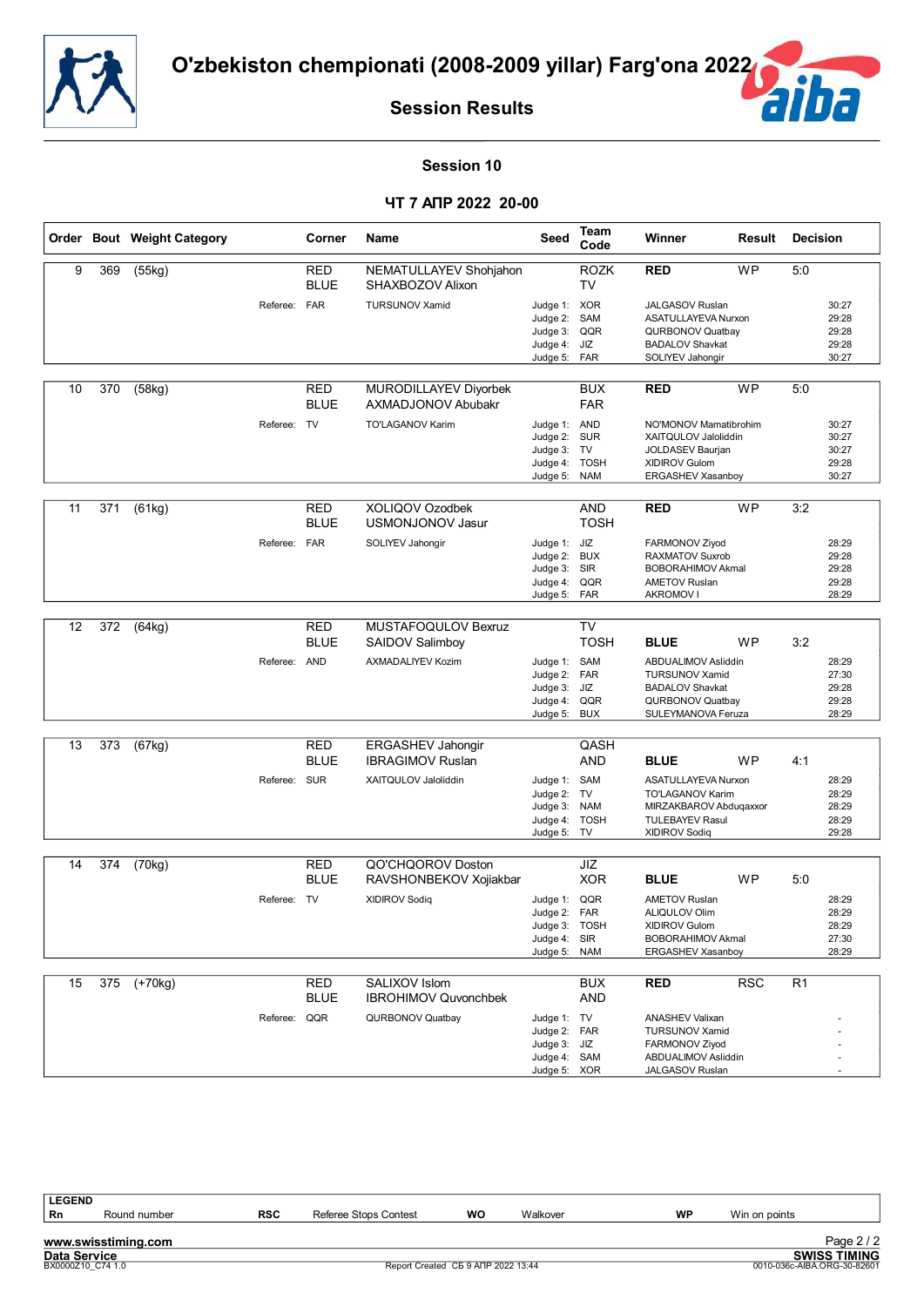![](_page_52_Picture_0.jpeg)

![](_page_52_Picture_2.jpeg)

#### **Session 10**

#### **ЧТ 7 АПР 2022 20-00**

|    |     | Order Bout Weight Category |              | Corner                    | <b>Name</b>                                        | Seed                                                                        | Team<br>Code                            | Winner                                                                                                                          | Result     | <b>Decision</b> |                                           |
|----|-----|----------------------------|--------------|---------------------------|----------------------------------------------------|-----------------------------------------------------------------------------|-----------------------------------------|---------------------------------------------------------------------------------------------------------------------------------|------------|-----------------|-------------------------------------------|
| 9  | 369 | (55kg)                     |              | RED<br><b>BLUE</b>        | NEMATULLAYEV Shohjahon<br>SHAXBOZOV Alixon         |                                                                             | <b>ROZK</b><br>TV                       | <b>RED</b>                                                                                                                      | <b>WP</b>  | 5:0             |                                           |
|    |     |                            | Referee:     | <b>FAR</b>                | <b>TURSUNOV Xamid</b>                              | Judge 1:<br>Judge 2:<br>Judge 3:<br>Judge 4:<br>Judge 5:                    | <b>XOR</b><br>SAM<br>QQR<br>JIZ<br>FAR  | JALGASOV Ruslan<br>ASATULLAYEVA Nurxon<br><b>QURBONOV Quatbay</b><br><b>BADALOV Shavkat</b><br>SOLIYEV Jahongir                 |            |                 | 30:27<br>29:28<br>29:28<br>29:28<br>30:27 |
| 10 | 370 | (58kg)                     |              | <b>RED</b><br><b>BLUE</b> | MURODILLAYEV Divorbek<br><b>AXMADJONOV Abubakr</b> |                                                                             | <b>BUX</b><br><b>FAR</b>                | <b>RED</b>                                                                                                                      | <b>WP</b>  | 5:0             |                                           |
|    |     |                            | Referee: TV  |                           | TO'LAGANOV Karim                                   | Judge 1: AND<br>Judge 2:<br>Judge 3: TV<br>Judge 4:<br>Judge 5:             | <b>SUR</b><br><b>TOSH</b><br><b>NAM</b> | NO'MONOV Mamatibrohim<br>XAITQULOV Jaloliddin<br>JOLDASEV Baurjan<br><b>XIDIROV Gulom</b><br>ERGASHEV Xasanboy                  |            |                 | 30:27<br>30:27<br>30:27<br>29:28<br>30:27 |
| 11 | 371 | (61kg)                     |              | RED<br><b>BLUE</b>        | XOLIQOV Ozodbek<br><b>USMONJONOV Jasur</b>         |                                                                             | <b>AND</b><br><b>TOSH</b>               | <b>RED</b>                                                                                                                      | <b>WP</b>  | 3:2             |                                           |
|    |     |                            | Referee: FAR |                           | SOLIYEV Jahongir                                   | Judge 1:<br>Judge 2:<br>Judge 3: SIR<br>Judge 4:<br>Judge 5:                | JIZ<br><b>BUX</b><br>QQR<br><b>FAR</b>  | FARMONOV Ziyod<br><b>RAXMATOV Suxrob</b><br><b>BOBORAHIMOV Akmal</b><br><b>AMETOV Ruslan</b><br><b>AKROMOV I</b>                |            |                 | 28:29<br>29:28<br>29:28<br>29:28<br>28:29 |
| 12 | 372 | (64kg)                     |              | RED                       | MUSTAFOQULOV Bexruz                                |                                                                             | <b>TV</b>                               |                                                                                                                                 |            |                 |                                           |
|    |     |                            | Referee: AND | <b>BLUE</b>               | SAIDOV Salimboy<br><b>AXMADALIYEV Kozim</b>        | Judge 1: SAM<br>Judge 2: FAR<br>Judge 3:<br>Judge 4:<br>Judge 5:            | <b>TOSH</b><br>JIZ<br>QQR<br><b>BUX</b> | <b>BLUE</b><br>ABDUALIMOV Asliddin<br><b>TURSUNOV Xamid</b><br><b>BADALOV Shavkat</b><br>QURBONOV Quatbay<br>SULEYMANOVA Feruza | WP         | 3:2             | 28:29<br>27:30<br>29:28<br>29:28<br>28:29 |
| 13 | 373 | (67kg)                     |              | RED<br><b>BLUE</b>        | ERGASHEV Jahongir<br><b>IBRAGIMOV Ruslan</b>       |                                                                             | QASH<br><b>AND</b>                      | <b>BLUE</b>                                                                                                                     | <b>WP</b>  | 4:1             |                                           |
|    |     |                            | Referee:     | <b>SUR</b>                | XAITQULOV Jaloliddin                               | Judge 1: SAM<br>Judge 2:<br>Judge 3: NAM<br>Judge 4:<br>Judge 5:            | TV<br><b>TOSH</b><br>TV                 | ASATULLAYEVA Nurxon<br>TO'LAGANOV Karim<br>MIRZAKBAROV Abduqaxxor<br><b>TULEBAYEV Rasul</b><br><b>XIDIROV Sodiq</b>             |            |                 | 28:29<br>28:29<br>28:29<br>28:29<br>29:28 |
| 14 | 374 | (70kg)                     |              | RED                       | <b>QO'CHQOROV Doston</b>                           |                                                                             | JIZ                                     |                                                                                                                                 |            |                 |                                           |
|    |     |                            | Referee: TV  | <b>BLUE</b>               | RAVSHONBEKOV Xojiakbar<br><b>XIDIROV Sodiq</b>     | Judge 1:<br>Judge 2: FAR<br>Judge 3: TOSH<br>Judge 4: SIR<br>Judge 5: NAM   | <b>XOR</b><br>QQR                       | <b>BLUE</b><br><b>AMETOV Ruslan</b><br>ALIQULOV Olim<br>XIDIROV Gulom<br><b>BOBORAHIMOV Akmal</b><br>ERGASHEV Xasanboy          | <b>WP</b>  | 5:0             | 28:29<br>28:29<br>28:29<br>27:30<br>28:29 |
| 15 | 375 | $(+70kg)$                  |              | <b>RED</b><br><b>BLUE</b> | SALIXOV Islom<br><b>IBROHIMOV Quvonchbek</b>       |                                                                             | <b>BUX</b><br><b>AND</b>                | <b>RED</b>                                                                                                                      | <b>RSC</b> | R1              |                                           |
|    |     |                            | Referee: QQR |                           | QURBONOV Quatbay                                   | Judge 1: TV<br>Judge 2: FAR<br>Judge 3: JIZ<br>Judge 4: SAM<br>Judge 5: XOR |                                         | <b>ANASHEV Valixan</b><br><b>TURSUNOV Xamid</b><br><b>FARMONOV Zivod</b><br>ABDUALIMOV Asliddin<br>JALGASOV Ruslan              |            |                 |                                           |

| <b>LEGEND</b> |                     |            |                       |    |          |    |               |       |
|---------------|---------------------|------------|-----------------------|----|----------|----|---------------|-------|
| ! Rn          | Round number        | <b>RSC</b> | Referee Stops Contest | wo | Walkover | WP | Win on points |       |
|               | www.swisstiming.com |            |                       |    |          |    |               | Page. |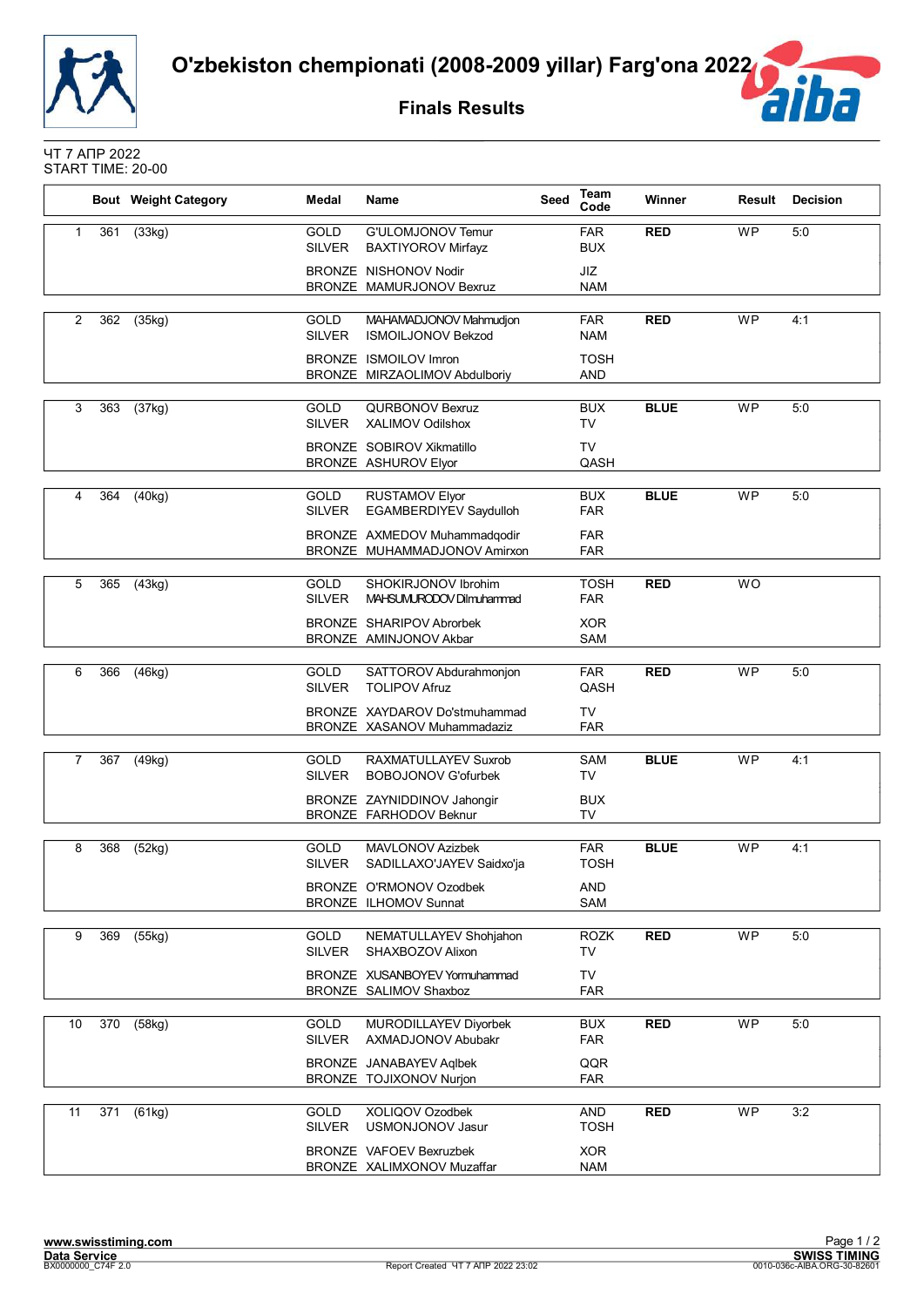![](_page_53_Picture_0.jpeg)

**Finals Results**

![](_page_53_Picture_3.jpeg)

ЧТ 7 АПР 2022 START TIME: 20-00

|                |     | <b>Bout</b> Weight Category | Medal                        | <b>Name</b>                                                     | Seed | <b>Team</b><br>Code       | Winner      | Result    | <b>Decision</b> |
|----------------|-----|-----------------------------|------------------------------|-----------------------------------------------------------------|------|---------------------------|-------------|-----------|-----------------|
| $\mathbf{1}$   | 361 | (33kg)                      | <b>GOLD</b><br><b>SILVER</b> | G'ULOMJONOV Temur<br><b>BAXTIYOROV Mirfayz</b>                  |      | <b>FAR</b><br><b>BUX</b>  | <b>RED</b>  | <b>WP</b> | 5:0             |
|                |     |                             |                              | <b>BRONZE NISHONOV Nodir</b><br>BRONZE MAMURJONOV Bexruz        |      | JIZ<br><b>NAM</b>         |             |           |                 |
| 2              | 362 | (35kg)                      | GOLD<br><b>SILVER</b>        | MAHAMADJONOV Mahmudjon<br><b>ISMOILJONOV Bekzod</b>             |      | <b>FAR</b><br><b>NAM</b>  | <b>RED</b>  | <b>WP</b> | 4:1             |
|                |     |                             |                              | <b>BRONZE ISMOILOV Imron</b><br>BRONZE MIRZAOLIMOV Abdulboriy   |      | <b>TOSH</b><br><b>AND</b> |             |           |                 |
| 3              | 363 | (37kg)                      | <b>GOLD</b><br><b>SILVER</b> | QURBONOV Bexruz<br><b>XALIMOV Odilshox</b>                      |      | <b>BUX</b><br>TV          | <b>BLUE</b> | <b>WP</b> | 5:0             |
|                |     |                             |                              | <b>BRONZE SOBIROV Xikmatillo</b><br><b>BRONZE ASHUROV Elyor</b> |      | <b>TV</b><br>QASH         |             |           |                 |
| 4              | 364 | (40kg)                      | GOLD<br><b>SILVER</b>        | <b>RUSTAMOV Elyor</b><br><b>EGAMBERDIYEV Saydulloh</b>          |      | <b>BUX</b><br><b>FAR</b>  | <b>BLUE</b> | <b>WP</b> | 5:0             |
|                |     |                             |                              | BRONZE AXMEDOV Muhammadqodir<br>BRONZE MUHAMMADJONOV Amirxon    |      | <b>FAR</b><br><b>FAR</b>  |             |           |                 |
| 5              | 365 | (43kg)                      | <b>GOLD</b><br><b>SILVER</b> | SHOKIRJONOV Ibrohim<br>MAHSUMURODOV Dilmuhammad                 |      | <b>TOSH</b><br><b>FAR</b> | <b>RED</b>  | <b>WO</b> |                 |
|                |     |                             |                              | BRONZE SHARIPOV Abrorbek<br>BRONZE AMINJONOV Akbar              |      | <b>XOR</b><br>SAM         |             |           |                 |
| 6              | 366 | (46kg)                      | <b>GOLD</b><br><b>SILVER</b> | SATTOROV Abdurahmonjon<br><b>TOLIPOV Afruz</b>                  |      | <b>FAR</b><br>QASH        | <b>RED</b>  | <b>WP</b> | 5:0             |
|                |     |                             |                              | BRONZE XAYDAROV Do'stmuhammad<br>BRONZE XASANOV Muhammadaziz    |      | TV<br><b>FAR</b>          |             |           |                 |
| $\overline{7}$ | 367 | (49kg)                      | <b>GOLD</b><br><b>SILVER</b> | RAXMATULLAYEV Suxrob<br><b>BOBOJONOV G'ofurbek</b>              |      | SAM<br><b>TV</b>          | <b>BLUE</b> | <b>WP</b> | 4:1             |
|                |     |                             |                              | BRONZE ZAYNIDDINOV Jahongir<br>BRONZE FARHODOV Beknur           |      | <b>BUX</b><br>TV          |             |           |                 |
| 8              | 368 | (52kg)                      | <b>GOLD</b><br>SILVER        | <b>MAVLONOV Azizbek</b><br>SADILLAXO'JAYEV Saidxo'ja            |      | <b>FAR</b><br><b>TOSH</b> | <b>BLUE</b> | <b>WP</b> | 4:1             |
|                |     |                             |                              | BRONZE O'RMONOV Ozodbek<br><b>BRONZE ILHOMOV Sunnat</b>         |      | AND<br>SAM                |             |           |                 |
| 9              | 369 | (55kg)                      | <b>GOLD</b><br><b>SILVER</b> | NEMATULLAYEV Shohjahon<br>SHAXBOZOV Alixon                      |      | <b>ROZK</b><br>TV         | <b>RED</b>  | <b>WP</b> | 5:0             |
|                |     |                             |                              | BRONZE XUSANBOYEV Yormuhammad<br>BRONZE SALIMOV Shaxboz         |      | <b>TV</b><br><b>FAR</b>   |             |           |                 |
| 10             | 370 | (58kg)                      | <b>GOLD</b><br><b>SILVER</b> | MURODILLAYEV Divorbek<br>AXMADJONOV Abubakr                     |      | <b>BUX</b><br><b>FAR</b>  | <b>RED</b>  | WP        | 5:0             |
|                |     |                             |                              | BRONZE JANABAYEV Aqlbek<br>BRONZE TOJIXONOV Nurjon              |      | QQR<br><b>FAR</b>         |             |           |                 |
| 11             | 371 | (61kg)                      | GOLD<br><b>SILVER</b>        | XOLIQOV Ozodbek<br><b>USMONJONOV Jasur</b>                      |      | AND<br><b>TOSH</b>        | <b>RED</b>  | <b>WP</b> | 3:2             |
|                |     |                             |                              | <b>BRONZE VAFOEV Bexruzbek</b><br>BRONZE XALIMXONOV Muzaffar    |      | <b>XOR</b><br><b>NAM</b>  |             |           |                 |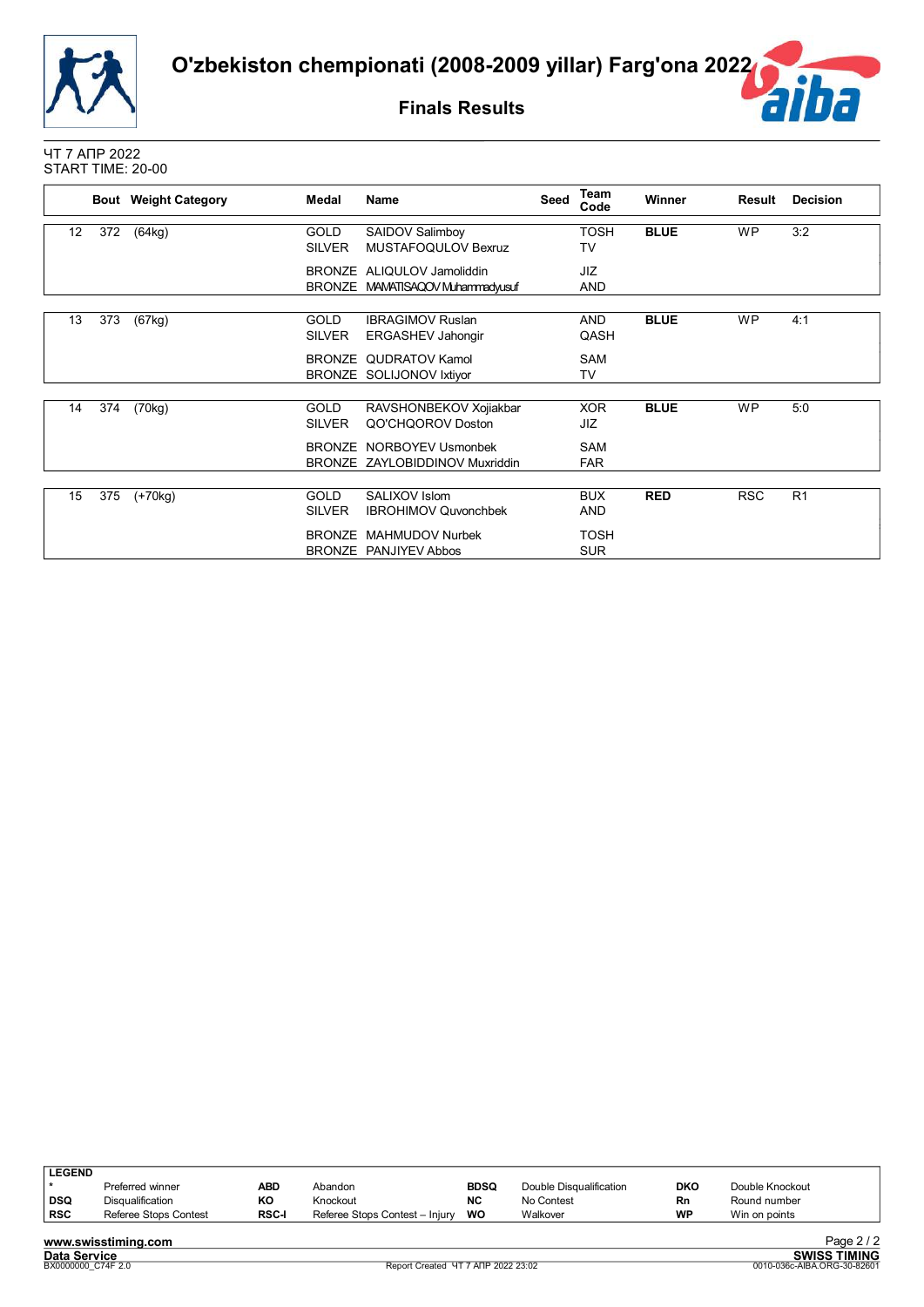![](_page_54_Picture_0.jpeg)

**Finals Results**

![](_page_54_Picture_3.jpeg)

ЧТ 7 АПР 2022 START TIME: 20-00

|    |     | <b>Bout</b> Weight Category | Medal         | <b>Name</b>                    | Seed | Team<br>Code | Winner      | Result     | <b>Decision</b> |
|----|-----|-----------------------------|---------------|--------------------------------|------|--------------|-------------|------------|-----------------|
| 12 | 372 | (64kg)                      | <b>GOLD</b>   | SAIDOV Salimboy                |      | <b>TOSH</b>  | <b>BLUE</b> | <b>WP</b>  | 3:2             |
|    |     |                             | <b>SILVER</b> | MUSTAFOQULOV Bexruz            |      | TV           |             |            |                 |
|    |     |                             |               | BRONZE ALIQULOV Jamoliddin     |      | <b>JIZ</b>   |             |            |                 |
|    |     |                             | <b>BRONZE</b> | MAMATISAQOV Muhammadyusuf      |      | <b>AND</b>   |             |            |                 |
|    |     |                             |               |                                |      |              |             |            |                 |
| 13 | 373 | (67kg)                      | <b>GOLD</b>   | <b>IBRAGIMOV Ruslan</b>        |      | <b>AND</b>   | <b>BLUE</b> | <b>WP</b>  | 4:1             |
|    |     |                             | <b>SILVER</b> | ERGASHEV Jahongir              |      | QASH         |             |            |                 |
|    |     |                             |               | BRONZE QUDRATOV Kamol          |      | <b>SAM</b>   |             |            |                 |
|    |     |                             |               | BRONZE SOLIJONOV Ixtiyor       |      | TV           |             |            |                 |
|    |     |                             |               |                                |      |              |             |            |                 |
| 14 | 374 | (70kg)                      | <b>GOLD</b>   | RAVSHONBEKOV Xojiakbar         |      | <b>XOR</b>   | <b>BLUE</b> | <b>WP</b>  | 5:0             |
|    |     |                             | <b>SILVER</b> | QO'CHQOROV Doston              |      | JIZ          |             |            |                 |
|    |     |                             |               | BRONZE NORBOYEV Usmonbek       |      | <b>SAM</b>   |             |            |                 |
|    |     |                             |               | BRONZE ZAYLOBIDDINOV Muxriddin |      | <b>FAR</b>   |             |            |                 |
|    |     |                             |               |                                |      |              |             |            |                 |
| 15 | 375 | $(+70kg)$                   | <b>GOLD</b>   | SALIXOV Islom                  |      | <b>BUX</b>   | <b>RED</b>  | <b>RSC</b> | R <sub>1</sub>  |
|    |     |                             | <b>SILVER</b> | <b>IBROHIMOV Quvonchbek</b>    |      | AND          |             |            |                 |
|    |     |                             | <b>BRONZE</b> | MAHMUDOV Nurbek                |      | <b>TOSH</b>  |             |            |                 |
|    |     |                             |               | BRONZE PANJIYEV Abbos          |      | <b>SUR</b>   |             |            |                 |
|    |     |                             |               |                                |      |              |             |            |                 |

| <b>LEGEND</b> |                       |              |                                |             |                         |            |                 |     |
|---------------|-----------------------|--------------|--------------------------------|-------------|-------------------------|------------|-----------------|-----|
|               | Preferred winner      | <b>ABD</b>   | Abandon                        | <b>BDSQ</b> | Double Disqualification | <b>DKO</b> | Double Knockout |     |
| DSQ           | Disqualification      | ΚO           | Knockout                       | <b>NC</b>   | No Contest              | Rn         | Round number    |     |
| <b>RSC</b>    | Referee Stops Contest | <b>RSC-I</b> | Referee Stops Contest - Injury | wo          | Walkover                | WP         | Win on points   |     |
|               |                       |              |                                |             |                         |            |                 | - - |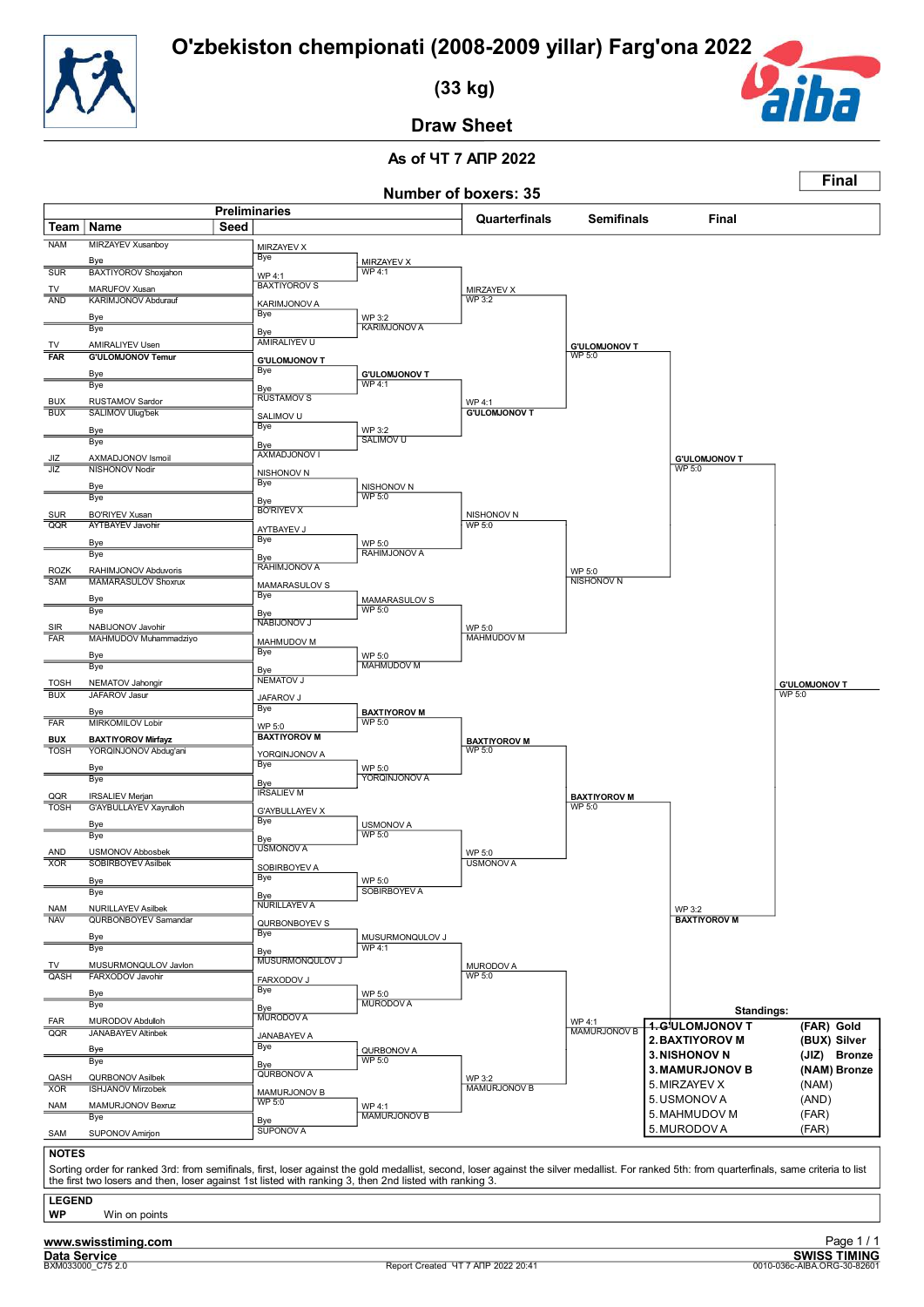![](_page_55_Picture_1.jpeg)

 **(33 kg)**

![](_page_55_Picture_3.jpeg)

**Final**

**Draw Sheet**

## **As of ЧТ 7 АПР 2022**

|                          |                                                                                                                                                                                                                                                                                                          |                                    |                                       | <b>Number of boxers: 35</b> |                                       |                               |                      |
|--------------------------|----------------------------------------------------------------------------------------------------------------------------------------------------------------------------------------------------------------------------------------------------------------------------------------------------------|------------------------------------|---------------------------------------|-----------------------------|---------------------------------------|-------------------------------|----------------------|
|                          | Team   Name<br>Seed                                                                                                                                                                                                                                                                                      | <b>Preliminaries</b>               |                                       | Quarterfinals               | <b>Semifinals</b>                     | <b>Final</b>                  |                      |
| <b>NAM</b>               | MIRZAYEV Xusanboy                                                                                                                                                                                                                                                                                        |                                    |                                       |                             |                                       |                               |                      |
|                          | Bye                                                                                                                                                                                                                                                                                                      | MIRZAYEV X<br><b>Bye</b>           | MIRZAYEV X                            |                             |                                       |                               |                      |
| <b>SUR</b>               | <b>BAXTIYOROV Shoxjahon</b>                                                                                                                                                                                                                                                                              | WP 4:1                             | <b>WP 4:1</b>                         |                             |                                       |                               |                      |
| TV                       | MARUFOV Xusan                                                                                                                                                                                                                                                                                            | <b>BAXTIYOROV S</b>                |                                       | <b>MIRZAYEV X</b>           |                                       |                               |                      |
| <b>AND</b>               | KARIMJONOV Abdurauf                                                                                                                                                                                                                                                                                      | KARIMJONOV A                       |                                       | <b>WP 3:2</b>               |                                       |                               |                      |
|                          | Bye                                                                                                                                                                                                                                                                                                      | <b>Bye</b>                         | WP 3:2                                |                             |                                       |                               |                      |
|                          | Bye                                                                                                                                                                                                                                                                                                      | Bye                                | <b>KARIMJONOV A</b>                   |                             |                                       |                               |                      |
| TV<br><b>FAR</b>         | AMIRALIYEV Usen<br><b>G'ULOMJONOV Temur</b>                                                                                                                                                                                                                                                              | AMIRALIYEV U                       |                                       |                             | <b>G'ULOMJONOV T</b><br><b>WP 5:0</b> |                               |                      |
|                          |                                                                                                                                                                                                                                                                                                          | <b>G'ULOMJONOV T</b><br><b>Bye</b> |                                       |                             |                                       |                               |                      |
|                          | Bye<br>Bye                                                                                                                                                                                                                                                                                               |                                    | <b>G'ULOMJONOV T</b><br><b>WP 4:1</b> |                             |                                       |                               |                      |
| <b>BUX</b>               | RUSTAMOV Sardor                                                                                                                                                                                                                                                                                          | Bye<br><b>RUSTAMOV S</b>           |                                       | WP 4:1                      |                                       |                               |                      |
| BUX                      | <b>SALIMOV Ulug'bek</b>                                                                                                                                                                                                                                                                                  | SALIMOV U                          |                                       | <b>G'ULOMJONOV T</b>        |                                       |                               |                      |
|                          | Bye                                                                                                                                                                                                                                                                                                      | Bye                                | WP 3:2                                |                             |                                       |                               |                      |
|                          | Bye                                                                                                                                                                                                                                                                                                      | Bye                                | SALIMOV U                             |                             |                                       |                               |                      |
| JIZ                      | AXMADJONOV Ismoil                                                                                                                                                                                                                                                                                        | AXMADJONOV I                       |                                       |                             |                                       | <b>G'ULOMJONOV T</b>          |                      |
| JIZ                      | NISHONOV Nodir                                                                                                                                                                                                                                                                                           | NISHONOV N                         |                                       |                             |                                       | <b>WP 5:0</b>                 |                      |
|                          | Bye<br>Bye                                                                                                                                                                                                                                                                                               | Bye                                | NISHONOV N<br><b>WP 5:0</b>           |                             |                                       |                               |                      |
|                          | <b>BO'RIYEV Xusan</b>                                                                                                                                                                                                                                                                                    | Bye<br><b>BO'RIYEV X</b>           |                                       |                             |                                       |                               |                      |
| <b>SUR</b><br>QQR        | <b>AYTBAYEV Javohir</b>                                                                                                                                                                                                                                                                                  | AYTBAYEV J                         |                                       | NISHONOV N<br>WP 5:0        |                                       |                               |                      |
|                          | Bye                                                                                                                                                                                                                                                                                                      | Bye                                | WP 5:0                                |                             |                                       |                               |                      |
|                          | Bye                                                                                                                                                                                                                                                                                                      | Bye                                | RAHIMJONOV A                          |                             |                                       |                               |                      |
| <b>ROZK</b>              | RAHIMJONOV Abduvoris                                                                                                                                                                                                                                                                                     | RAHIMJONOV A                       |                                       |                             | WP 5:0                                |                               |                      |
| SAM                      | <b>MAMARASULOV Shoxrux</b>                                                                                                                                                                                                                                                                               | MAMARASULOV S                      |                                       |                             | NISHONOV N                            |                               |                      |
|                          | Bye                                                                                                                                                                                                                                                                                                      | Bye                                | MAMARASULOV S                         |                             |                                       |                               |                      |
|                          | Bye                                                                                                                                                                                                                                                                                                      | Bye<br>NABIJONOV J                 | WP 5:0                                |                             |                                       |                               |                      |
| <b>SIR</b><br><b>FAR</b> | NABIJONOV Javohir<br>MAHMUDOV Muhammadziyo                                                                                                                                                                                                                                                               |                                    |                                       | WP 5:0<br><b>MAHMUDOV M</b> |                                       |                               |                      |
|                          |                                                                                                                                                                                                                                                                                                          | MAHMUDOV M<br>Bye                  |                                       |                             |                                       |                               |                      |
|                          | Bye<br>Bye                                                                                                                                                                                                                                                                                               |                                    | WP 5:0<br><b>MAHMUDOV M</b>           |                             |                                       |                               |                      |
| <b>TOSH</b>              | NEMATOV Jahongir                                                                                                                                                                                                                                                                                         | Bye<br>NEMATOV J                   |                                       |                             |                                       |                               | <b>G'ULOMJONOV T</b> |
| <b>BUX</b>               | <b>JAFAROV Jasur</b>                                                                                                                                                                                                                                                                                     | JAFAROV J                          |                                       |                             |                                       |                               | WP 5:0               |
|                          | Bye                                                                                                                                                                                                                                                                                                      | Bye                                | <b>BAXTIYOROV M</b>                   |                             |                                       |                               |                      |
| <b>FAR</b>               | <b>MIRKOMILOV Lobir</b>                                                                                                                                                                                                                                                                                  | WP 5:0                             | WP 5:0                                |                             |                                       |                               |                      |
| <b>BUX</b>               | <b>BAXTIYOROV Mirfayz</b>                                                                                                                                                                                                                                                                                | <b>BAXTIYOROV M</b>                |                                       | <b>BAXTIYOROV M</b>         |                                       |                               |                      |
| <b>TOSH</b>              | YORQINJONOV Abdug'ani                                                                                                                                                                                                                                                                                    | YORQINJONOV A<br>Bye               |                                       | WP 5:0                      |                                       |                               |                      |
|                          | Bye<br>Bye                                                                                                                                                                                                                                                                                               |                                    | WP 5:0<br>YORQINJONOV A               |                             |                                       |                               |                      |
| QQR                      | <b>IRSALIEV Merjan</b>                                                                                                                                                                                                                                                                                   | Bye<br><b>IRSALIEV M</b>           |                                       |                             |                                       |                               |                      |
| <b>TOSH</b>              | G'AYBULLAYEV Xayrulloh                                                                                                                                                                                                                                                                                   | <b>G'AYBULLAYEV X</b>              |                                       |                             | <b>BAXTIYOROV M</b><br>WP 5:0         |                               |                      |
|                          | Bye                                                                                                                                                                                                                                                                                                      | Bye                                | <b>USMONOV A</b>                      |                             |                                       |                               |                      |
|                          | Bye                                                                                                                                                                                                                                                                                                      |                                    | WP 5:0                                |                             |                                       |                               |                      |
| AND                      | <b>USMONOV Abbosbek</b>                                                                                                                                                                                                                                                                                  | Bye<br>USMONOV A                   |                                       | WP 5:0                      |                                       |                               |                      |
| <b>XOR</b>               | <b>SOBIRBOYEV Asilbek</b>                                                                                                                                                                                                                                                                                | SOBIRBOYEV A                       |                                       | <b>USMONOV A</b>            |                                       |                               |                      |
|                          | Bye                                                                                                                                                                                                                                                                                                      | Bye                                | WP 5:0                                |                             |                                       |                               |                      |
|                          | Bye                                                                                                                                                                                                                                                                                                      | Bye<br><b>NURILLAYEV A</b>         | SOBIRBOYEV A                          |                             |                                       |                               |                      |
| <b>NAM</b><br><b>NAV</b> | <b>NURILLAYEV Asilbek</b><br><b>QURBONBOYEV Samandar</b>                                                                                                                                                                                                                                                 |                                    |                                       |                             |                                       | WP 3:2<br><b>BAXTIYOROV M</b> |                      |
|                          |                                                                                                                                                                                                                                                                                                          | QURBONBOYEV S<br><b>Bye</b>        |                                       |                             |                                       |                               |                      |
|                          | Bye<br>Bye                                                                                                                                                                                                                                                                                               | Bye                                | MUSURMONQULOV J<br><b>WP 4:1</b>      |                             |                                       |                               |                      |
|                          | MUSURMONQULOV Javlon                                                                                                                                                                                                                                                                                     | MUSURMONQULOV J                    |                                       | MURODOV A                   |                                       |                               |                      |
| QASH                     | FARXODOV Javohir                                                                                                                                                                                                                                                                                         | FARXODOV J                         |                                       | WP 5:0                      |                                       |                               |                      |
|                          | Bye                                                                                                                                                                                                                                                                                                      | Bye                                | WP 5:0                                |                             |                                       |                               |                      |
|                          | Bye                                                                                                                                                                                                                                                                                                      | Bye                                | <b>MURODOV A</b>                      |                             |                                       | <b>Standings:</b>             |                      |
| <b>FAR</b>               | MURODOV Abdulloh                                                                                                                                                                                                                                                                                         | MURODOV A                          |                                       |                             | WP 4:1                                | 1.GʻULOMJONOV T               | (FAR) Gold           |
| QQR                      | <b>JANABAYEV Altinbek</b>                                                                                                                                                                                                                                                                                | JANABAYEV A                        |                                       |                             | <b>MAMURJONOV B</b>                   | 2. BAXTIYOROV M               | (BUX) Silver         |
|                          | Bye<br>Bye                                                                                                                                                                                                                                                                                               | <b>Bye</b>                         | QURBONOV A<br><b>WP 5:0</b>           |                             |                                       | <b>3. NISHONOV N</b>          | (JIZ) Bronze         |
|                          |                                                                                                                                                                                                                                                                                                          | Bye<br>QURBONOV A                  |                                       |                             |                                       | <b>3. MAMURJONOV B</b>        | (NAM) Bronze         |
| QASH<br><b>XOR</b>       | QURBONOV Asilbek<br><b>ISHJANOV Mirzobek</b>                                                                                                                                                                                                                                                             | MAMURJONOV B                       |                                       | WP 3:2<br>MAMURJONOV B      |                                       | 5. MIRZAYEV X                 | (NAM)                |
| <b>NAM</b>               | MAMURJONOV Bexruz                                                                                                                                                                                                                                                                                        | WP 5:0                             | WP 4:1                                |                             |                                       | 5. USMONOV A                  | (AND)                |
|                          | Bye                                                                                                                                                                                                                                                                                                      | <u>Bye</u>                         | <b>MAMURJONOV B</b>                   |                             |                                       | 5. MAHMUDOV M                 | (FAR)                |
|                          | SUPONOV Amirjon                                                                                                                                                                                                                                                                                          | <b>SUPONOV A</b>                   |                                       |                             |                                       | 5. MURODOV A                  | (FAR)                |
|                          |                                                                                                                                                                                                                                                                                                          |                                    |                                       |                             |                                       |                               |                      |
| SAM                      |                                                                                                                                                                                                                                                                                                          |                                    |                                       |                             |                                       |                               |                      |
| <b>NOTES</b>             |                                                                                                                                                                                                                                                                                                          |                                    |                                       |                             |                                       |                               |                      |
|                          | Sorting order for ranked 3rd: from semifinals, first, loser against the gold medallist, second, loser against the silver medallist. For ranked 5th: from quarterfinals, same criteria to list<br>the first two losers and then, loser against 1st listed with ranking 3, then 2nd listed with ranking 3. |                                    |                                       |                             |                                       |                               |                      |
| <b>LEGEND</b>            |                                                                                                                                                                                                                                                                                                          |                                    |                                       |                             |                                       |                               |                      |

**Data Service**<br>**BXM033000\_C75 2.0**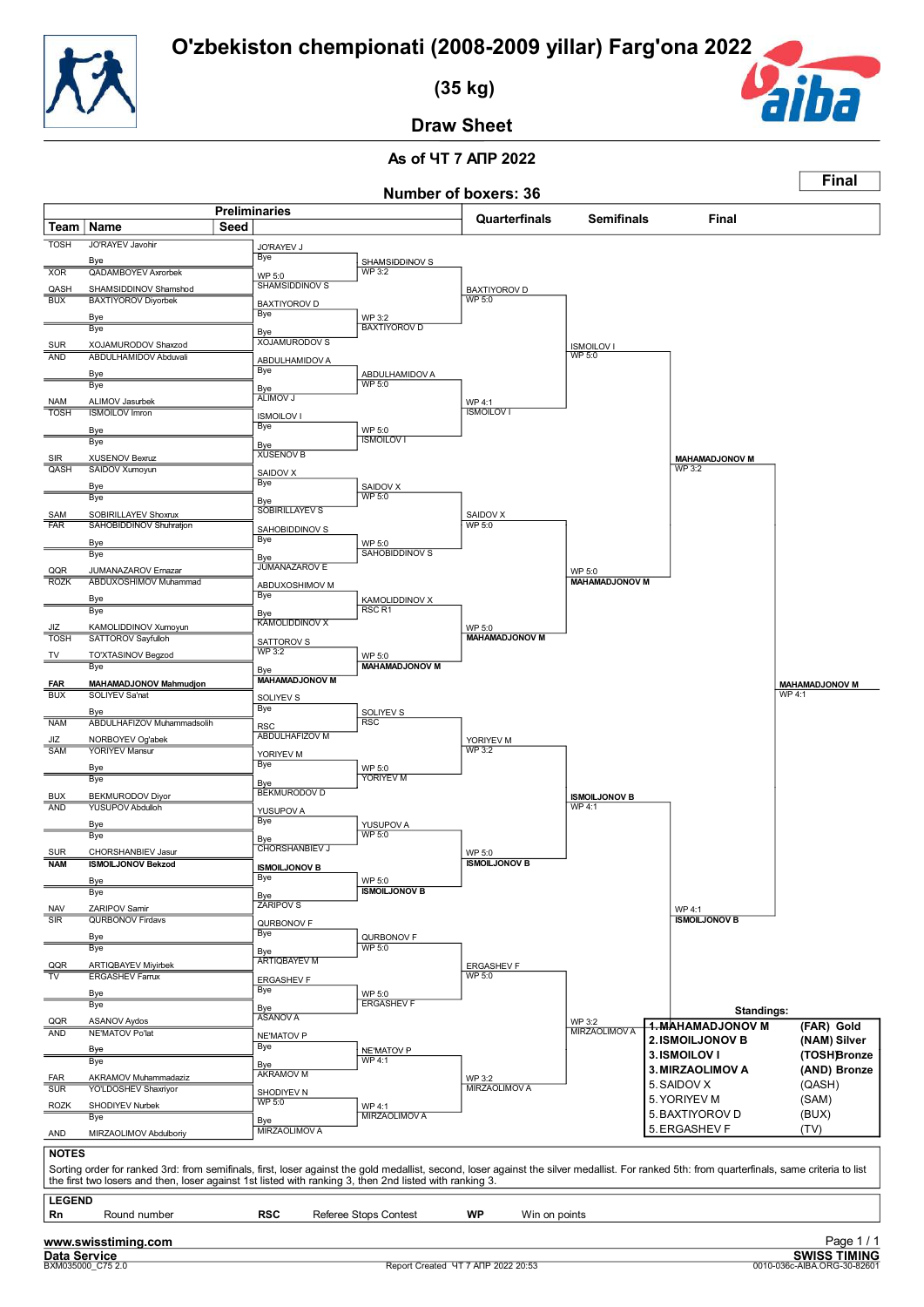![](_page_56_Picture_1.jpeg)

 **(35 kg)**

![](_page_56_Picture_3.jpeg)

**Final**

**Draw Sheet**

#### **As of ЧТ 7 АПР 2022 Number of boxers: 36**

|                                       |                                                                                                                                                                                               | <b>Preliminaries</b> |                              |                                     | <b>NUILIDEL OF DOVELS</b> , 30       |                       |                                          |                                 |
|---------------------------------------|-----------------------------------------------------------------------------------------------------------------------------------------------------------------------------------------------|----------------------|------------------------------|-------------------------------------|--------------------------------------|-----------------------|------------------------------------------|---------------------------------|
| Team                                  | Name                                                                                                                                                                                          | Seed                 |                              |                                     | Quarterfinals                        | <b>Semifinals</b>     | Final                                    |                                 |
| <b>TOSH</b>                           | JO'RAYEV Javohir                                                                                                                                                                              |                      | <b>JO'RAYEV J</b>            |                                     |                                      |                       |                                          |                                 |
|                                       | Bye                                                                                                                                                                                           |                      | <b>Bye</b>                   | SHAMSIDDINOV S                      |                                      |                       |                                          |                                 |
| <b>XOR</b>                            | <b>QADAMBOYEV Axrorbek</b>                                                                                                                                                                    |                      | WP 5:0                       | <b>WP 3:2</b>                       |                                      |                       |                                          |                                 |
| QASH<br>BUX                           | SHAMSIDDINOV Shamshod<br><b>BAXTIYOROV Diyorbek</b>                                                                                                                                           |                      | <b>SHAMSIDDINOV S</b>        |                                     | <b>BAXTIYOROV D</b><br><b>WP 5:0</b> |                       |                                          |                                 |
|                                       | <b>Bye</b>                                                                                                                                                                                    |                      | <b>BAXTIYOROV D</b><br>Bye   | WP 3:2                              |                                      |                       |                                          |                                 |
|                                       | Bye                                                                                                                                                                                           |                      | Bye                          | <b>BAXTIYOROV D</b>                 |                                      |                       |                                          |                                 |
| <b>SUR</b>                            | XOJAMURODOV Shaxzod                                                                                                                                                                           |                      | <b>XOJAMURODOV S</b>         |                                     |                                      | <b>ISMOILOV I</b>     |                                          |                                 |
| <b>AND</b>                            | <b>ABDULHAMIDOV Abduvali</b>                                                                                                                                                                  |                      | ABDULHAMIDOV A<br>Bye        |                                     |                                      | <b>WP 5:0</b>         |                                          |                                 |
|                                       | Bye<br>Bye                                                                                                                                                                                    |                      |                              | ABDULHAMIDOV A<br>WP 5:0            |                                      |                       |                                          |                                 |
| NAM                                   | ALIMOV Jasurbek                                                                                                                                                                               |                      | Bye<br>ALIMOV J              |                                     | WP 4:1                               |                       |                                          |                                 |
| <b>TOSH</b>                           | <b>ISMOILOV Imron</b>                                                                                                                                                                         |                      | <b>ISMOILOV I</b>            |                                     | <b>ISMOILOV I</b>                    |                       |                                          |                                 |
|                                       | Bye                                                                                                                                                                                           |                      | <b>Bye</b>                   | WP 5:0<br><b>ISMOILOV I</b>         |                                      |                       |                                          |                                 |
|                                       | Bye                                                                                                                                                                                           |                      | Bye<br><b>XUSENOV B</b>      |                                     |                                      |                       |                                          |                                 |
| SIR<br>QASH                           | XUSENOV Bexruz<br>SAIDOV Xumoyun                                                                                                                                                              |                      | SAIDOV X                     |                                     |                                      |                       | <b>MAHAMADJONOV M</b><br><b>WP 3:2</b>   |                                 |
|                                       | Bye                                                                                                                                                                                           |                      | <b>Bye</b>                   | SAIDOV X                            |                                      |                       |                                          |                                 |
|                                       | Bye                                                                                                                                                                                           |                      | Bye                          | WP 5:0                              |                                      |                       |                                          |                                 |
| SAM<br><b>FAR</b>                     | SOBIRILLAYEV Shoxrux<br>SAHOBIDDINOV Shuhratjon                                                                                                                                               |                      | <b>SOBIRILLAYEV S</b>        |                                     | SAIDOV X<br><b>WP 5:0</b>            |                       |                                          |                                 |
|                                       |                                                                                                                                                                                               |                      | SAHOBIDDINOV S<br>Bye        | WP 5:0                              |                                      |                       |                                          |                                 |
|                                       | Bye<br>Bye                                                                                                                                                                                    |                      | Bye                          | SAHOBIDDINOV S                      |                                      |                       |                                          |                                 |
| QQR                                   | JUMANAZAROV Emazar                                                                                                                                                                            |                      | <b>JUMANAZAROV E</b>         |                                     |                                      | WP 5:0                |                                          |                                 |
| <b>ROZK</b>                           | ABDUXOSHIMOV Muhammad                                                                                                                                                                         |                      | ABDUXOSHIMOV M               |                                     |                                      | <b>MAHAMADJONOV M</b> |                                          |                                 |
|                                       | <b>Bye</b><br>Bye                                                                                                                                                                             |                      | Bye                          | KAMOLIDDINOV X<br>RSC <sub>R1</sub> |                                      |                       |                                          |                                 |
| JIZ                                   | KAMOLIDDINOV Xumoyun                                                                                                                                                                          |                      | Bye<br><b>KAMOLIDDINOV X</b> |                                     | WP 5:0                               |                       |                                          |                                 |
| <b>TOSH</b>                           | SATTOROV Sayfulloh                                                                                                                                                                            |                      | SATTOROV S                   |                                     | <b>MAHAMADJONOV M</b>                |                       |                                          |                                 |
| TV                                    | TO'XTASINOV Begzod                                                                                                                                                                            |                      | <b>WP 3:2</b>                | WP 5:0                              |                                      |                       |                                          |                                 |
|                                       | Bye                                                                                                                                                                                           |                      | Bye<br><b>MAHAMADJONOV M</b> | <b>MAHAMADJONOV M</b>               |                                      |                       |                                          |                                 |
| <b>FAR</b><br><b>BUX</b>              | MAHAMADJONOV Mahmudjon<br>SOLIYEV Sa'nat                                                                                                                                                      |                      |                              |                                     |                                      |                       |                                          | <b>MAHAMADJONOV M</b><br>WP 4:1 |
|                                       | Bye                                                                                                                                                                                           |                      | SOLIYEV S<br><b>Bye</b>      | SOLIYEV S                           |                                      |                       |                                          |                                 |
| <b>NAM</b>                            | ABDULHAFIZOV Muhammadsolih                                                                                                                                                                    |                      | <b>RSC</b>                   | <b>RSC</b>                          |                                      |                       |                                          |                                 |
| JIZ                                   | NORBOYEV Og'abek                                                                                                                                                                              |                      | <b>ABDULHAFIZOV M</b>        |                                     | YORIYEV M                            |                       |                                          |                                 |
| SAM                                   | <b>YORIYEV Mansur</b>                                                                                                                                                                         |                      | YORIYEV M<br><b>Bye</b>      |                                     | WP 3:2                               |                       |                                          |                                 |
|                                       | Bye<br>Bye                                                                                                                                                                                    |                      | Bye                          | WP 5:0<br>YORIYEV M                 |                                      |                       |                                          |                                 |
| <b>BUX</b>                            | BEKMURODOV Diyor                                                                                                                                                                              |                      | <b>BEKMURODOV D</b>          |                                     |                                      | <b>ISMOILJONOV B</b>  |                                          |                                 |
| <b>AND</b>                            | <b>YUSUPOV Abdulloh</b>                                                                                                                                                                       |                      | YUSUPOV A                    |                                     |                                      | <b>WP4:1</b>          |                                          |                                 |
|                                       | Bye                                                                                                                                                                                           |                      | <b>Bye</b>                   | YUSUPOV A<br>WP 5:0                 |                                      |                       |                                          |                                 |
|                                       | Bye                                                                                                                                                                                           |                      | Bye<br><b>CHORSHANBIEV J</b> |                                     |                                      |                       |                                          |                                 |
| <b>SUR</b><br><b>NAM</b>              | CHORSHANBIEV Jasur<br><b>ISMOILJONOV Bekzod</b>                                                                                                                                               |                      | <b>ISMOILJONOV B</b>         |                                     | WP 5:0<br><b>ISMOILJONOV B</b>       |                       |                                          |                                 |
|                                       | Bye                                                                                                                                                                                           |                      | Bye                          | WP 5:0                              |                                      |                       |                                          |                                 |
|                                       | вуе                                                                                                                                                                                           |                      | Bye                          | <b>ISMOILJONOV B</b>                |                                      |                       |                                          |                                 |
| <b>NAV</b><br>$\overline{\text{SIR}}$ | ZARIPOV Samir<br><b>QURBONOV Firdavs</b>                                                                                                                                                      |                      | <b>ZÁRIPOV S</b>             |                                     |                                      |                       | <b>WP 4:1</b><br><b>ISMOILJONOV B</b>    |                                 |
|                                       |                                                                                                                                                                                               |                      | QURBONOV F<br>Bye            | QURBONOV F                          |                                      |                       |                                          |                                 |
|                                       | Bye<br>Bye                                                                                                                                                                                    |                      | Bye                          | <b>WP 5:0</b>                       |                                      |                       |                                          |                                 |
| QQR                                   | ARTIQBAYEV Miyirbek                                                                                                                                                                           |                      | <b>ARTIQBAYEV M</b>          |                                     | ERGASHEV F                           |                       |                                          |                                 |
| TV                                    | <b>ERGASHEV Farrux</b>                                                                                                                                                                        |                      | <b>ERGASHEV F</b>            |                                     | <b>WP 5:0</b>                        |                       |                                          |                                 |
|                                       | Bye<br><b>Bye</b>                                                                                                                                                                             |                      | Bye                          | WP 5:0<br><b>ERGASHEV F</b>         |                                      |                       |                                          |                                 |
|                                       | <b>ASANOV Aydos</b>                                                                                                                                                                           |                      | Bye<br>ASANOV A              |                                     |                                      | WP 3:2                | Standings:                               |                                 |
| QQR<br><b>AND</b>                     | NE'MATOV Po'lat                                                                                                                                                                               |                      | <b>NE'MATOV P</b>            |                                     |                                      | <b>MIRZAOLIMOV A</b>  | <b>4. MAHAMADJONOV M</b>                 | (FAR) Gold                      |
|                                       | Bye                                                                                                                                                                                           |                      | Bye                          | NE'MATOV P                          |                                      |                       | <b>2. ISMOILJONOV B</b><br>3. ISMOILOV I | (NAM) Silver<br>(TOSH)Bronze    |
|                                       | Bye                                                                                                                                                                                           |                      | Bye                          | WP 4:1                              |                                      |                       | 3. MIRZAOLIMOV A                         | (AND) Bronze                    |
| <b>FAR</b><br><b>SUR</b>              | AKRAMOV Muhammadaziz<br><b>YO'LDOSHEV Shaxriyor</b>                                                                                                                                           |                      | <b>AKRAMOV M</b>             |                                     | WP 3:2<br>MIRZAOLIMOV A              |                       | 5. SAIDOV X                              | (QASH)                          |
| ROZK                                  | SHODIYEV Nurbek                                                                                                                                                                               |                      | SHODIYEV N<br><b>WP 5:0</b>  | WP 4:1                              |                                      |                       | 5. YORIYEV M                             | (SAM)                           |
|                                       | Bye                                                                                                                                                                                           |                      | Bye                          | <b>MIRZAOLIMOVA</b>                 |                                      |                       | 5. BAXTIYOROV D                          | (BUX)                           |
| AND                                   | MIRZAOLIMOV Abdulboriy                                                                                                                                                                        |                      | MIRZAOLIMOV A                |                                     |                                      |                       | 5. ERGASHEV F                            | (TV)                            |
| <b>NOTES</b>                          | Sorting order for ranked 3rd: from semifinals, first, loser against the gold medallist, second, loser against the silver medallist. For ranked 5th: from quarterfinals, same criteria to list |                      |                              |                                     |                                      |                       |                                          |                                 |
|                                       | the first two losers and then, loser against 1st listed with ranking 3, then 2nd listed with ranking 3.                                                                                       |                      |                              |                                     |                                      |                       |                                          |                                 |
| <b>LEGEND</b>                         |                                                                                                                                                                                               |                      |                              |                                     |                                      |                       |                                          |                                 |
| Rn                                    | Round number                                                                                                                                                                                  |                      | <b>RSC</b>                   | Referee Stops Contest               | WP<br>Win on points                  |                       |                                          |                                 |
|                                       | www.swisstiming.com                                                                                                                                                                           |                      |                              |                                     |                                      |                       |                                          | Page 1/1                        |
| <b>Data Service</b>                   |                                                                                                                                                                                               |                      |                              |                                     |                                      |                       |                                          | <b>SWISS TIMING</b>             |
|                                       | BXM035000 C75 2.0                                                                                                                                                                             |                      |                              |                                     | Report Created YT 7 ANP 2022 20:53   |                       |                                          | 0010-036c-AIBA.ORG-30-82601     |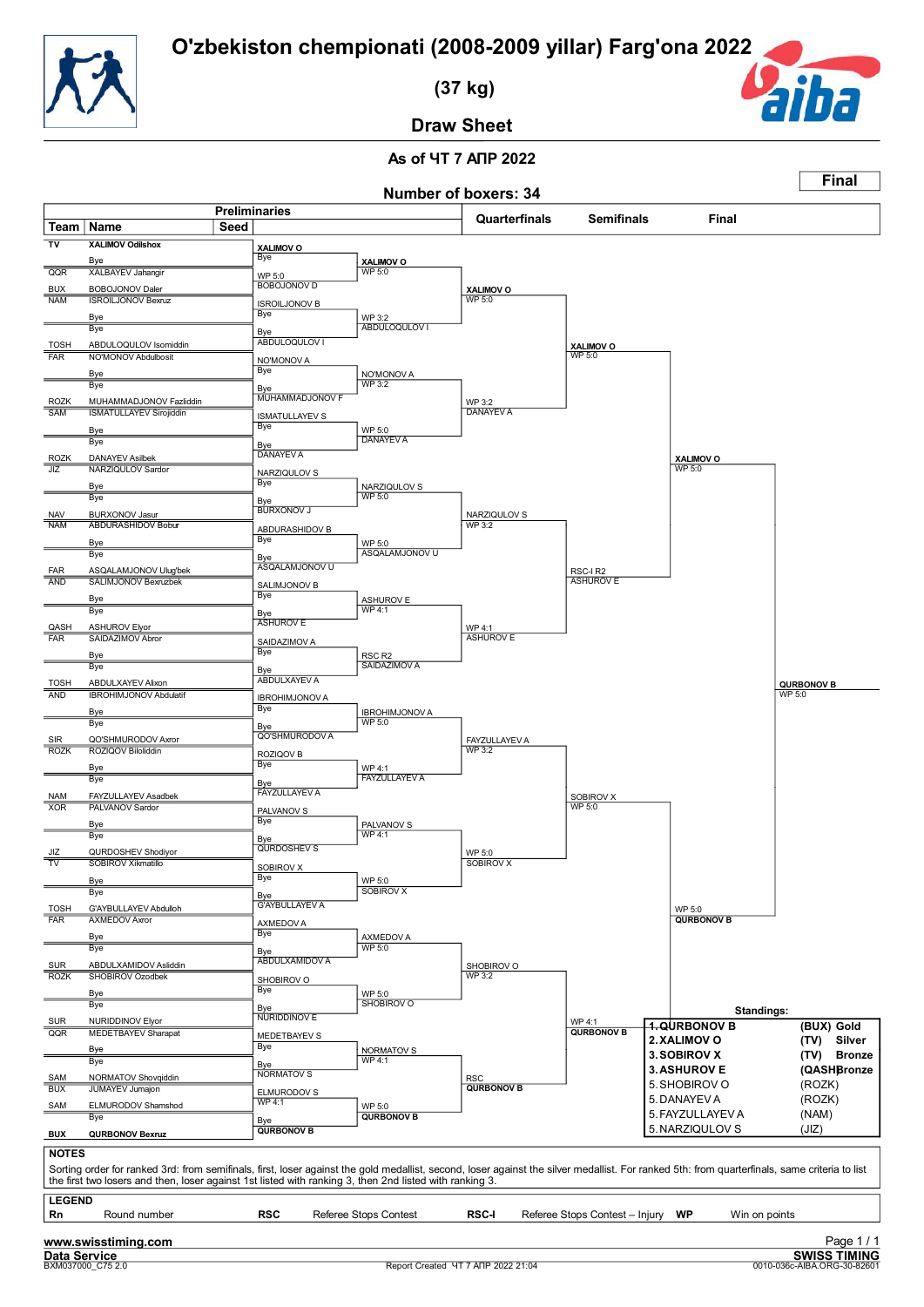![](_page_57_Picture_1.jpeg)

 **(37 kg)**

![](_page_57_Picture_3.jpeg)

**Final**

**Draw Sheet**

|                               |                                                                                                                                                                                                                                                                                                          |                              |                                     |                                    | Number of boxers: 34               |                                |                                   |                                                                |
|-------------------------------|----------------------------------------------------------------------------------------------------------------------------------------------------------------------------------------------------------------------------------------------------------------------------------------------------------|------------------------------|-------------------------------------|------------------------------------|------------------------------------|--------------------------------|-----------------------------------|----------------------------------------------------------------|
| Team   Name                   |                                                                                                                                                                                                                                                                                                          | <b>Preliminaries</b><br>Seed |                                     |                                    | Quarterfinals                      | <b>Semifinals</b>              | Final                             |                                                                |
| $\overline{v}$                | <b>XALIMOV Odilshox</b>                                                                                                                                                                                                                                                                                  |                              | XALIMOV O                           |                                    |                                    |                                |                                   |                                                                |
| QQR                           | Bye<br><b>XALBAYEV Jahangir</b>                                                                                                                                                                                                                                                                          |                              | Bye                                 | XALIMOV O<br>WP 5:0                |                                    |                                |                                   |                                                                |
| <b>BUX</b>                    | BOBOJONOV Daler                                                                                                                                                                                                                                                                                          |                              | WP 5:0<br><b>BOBOJONOV D</b>        |                                    | XALIMOV O                          |                                |                                   |                                                                |
| <b>NAM</b>                    | <b>ISROILJONOV Bexruz</b>                                                                                                                                                                                                                                                                                |                              | <b>ISROILJONOV B</b>                |                                    | WP 5:0                             |                                |                                   |                                                                |
|                               | Bye                                                                                                                                                                                                                                                                                                      |                              | Bye                                 | WP 3:2                             |                                    |                                |                                   |                                                                |
|                               | Bye                                                                                                                                                                                                                                                                                                      |                              | Bye<br>ABDULOQULOV I                | ABDULOQULOV I                      |                                    |                                |                                   |                                                                |
| <b>TOSH</b><br>FAR            | ABDULOQULOV Isomiddin<br>NO'MONOV Abdulbosit                                                                                                                                                                                                                                                             |                              | NO'MONOV A                          |                                    |                                    | XALIMOV O<br>WP 5:0            |                                   |                                                                |
|                               | Bye                                                                                                                                                                                                                                                                                                      |                              | Bye                                 | NO'MONOV A                         |                                    |                                |                                   |                                                                |
|                               | Bye                                                                                                                                                                                                                                                                                                      |                              | Bye<br>MUHAMMADJONOV F              | <b>WP 3:2</b>                      |                                    |                                |                                   |                                                                |
| <b>ROZK</b><br><b>SAM</b>     | MUHAMMADJONOV Fazliddin<br><b>ISMATULLAYEV Sirojiddin</b>                                                                                                                                                                                                                                                |                              |                                     |                                    | WP 3:2<br><b>DANAYEV A</b>         |                                |                                   |                                                                |
|                               | Bye                                                                                                                                                                                                                                                                                                      |                              | <b>ISMATULLAYEV S</b><br><b>Bye</b> | WP 5:0                             |                                    |                                |                                   |                                                                |
|                               | Bye                                                                                                                                                                                                                                                                                                      |                              | Bye                                 | <b>DANAYEV A</b>                   |                                    |                                |                                   |                                                                |
| <b>ROZK</b><br>JIZ            | <b>DANAYEV Asilbek</b><br>NARZIQULOV Sardor                                                                                                                                                                                                                                                              |                              | <b>DANAYEVA</b>                     |                                    |                                    |                                | XALIMOV O<br>WP 5:0               |                                                                |
|                               | Bye                                                                                                                                                                                                                                                                                                      |                              | NARZIQULOV S<br>Bye                 | NARZIQULOV S                       |                                    |                                |                                   |                                                                |
|                               | Bye                                                                                                                                                                                                                                                                                                      |                              | Bye                                 | <b>WP 5:0</b>                      |                                    |                                |                                   |                                                                |
| <b>NAV</b>                    | <b>BURXONOV Jasur</b><br><b>ABDURASHIDOV Bobur</b>                                                                                                                                                                                                                                                       |                              | BURXONOV J                          |                                    | NARZIQULOV S<br>WP 3:2             |                                |                                   |                                                                |
| <b>NAM</b>                    | Bye                                                                                                                                                                                                                                                                                                      |                              | ABDURASHIDOV B<br>Bye               |                                    |                                    |                                |                                   |                                                                |
|                               | Bye                                                                                                                                                                                                                                                                                                      |                              | Bye                                 | WP 5:0<br>ASQALAMJONOV U           |                                    |                                |                                   |                                                                |
| FAR                           | ASQALAMJONOV Uluq'bek                                                                                                                                                                                                                                                                                    |                              | ASQALAMJONOV U                      |                                    |                                    | RSC-IR2                        |                                   |                                                                |
| AND                           | SALIMJONOV Bexruzbek                                                                                                                                                                                                                                                                                     |                              | SALIMJONOV B<br>Bye                 |                                    |                                    | <b>ASHUROV E</b>               |                                   |                                                                |
|                               | Bye<br>Bye                                                                                                                                                                                                                                                                                               |                              | Bye                                 | <b>ASHUROV E</b><br>WP 4:1         |                                    |                                |                                   |                                                                |
| QASH                          | <b>ASHUROV Elyor</b>                                                                                                                                                                                                                                                                                     |                              | <b>ASHUROV E</b>                    |                                    | WP 4:1                             |                                |                                   |                                                                |
| <b>FAR</b>                    | SAIDAZIMOV Abror                                                                                                                                                                                                                                                                                         |                              | SAIDAZIMOV A                        |                                    | <b>ASHUROV E</b>                   |                                |                                   |                                                                |
|                               | Bye<br>Bye                                                                                                                                                                                                                                                                                               |                              | Bye                                 | RSC <sub>R2</sub><br>SAIDAZIMOV A  |                                    |                                |                                   |                                                                |
| <b>TOSH</b>                   | ABDULXAYEV Alixon                                                                                                                                                                                                                                                                                        |                              | Bye<br><b>ABDULXAYEV A</b>          |                                    |                                    |                                |                                   | <b>QURBONOV B</b>                                              |
| <b>AND</b>                    | <b>IBROHIMJONOV Abdulatif</b>                                                                                                                                                                                                                                                                            |                              | <b>IBROHIMJONOV A</b>               |                                    |                                    |                                |                                   | WP 5:0                                                         |
|                               | Bye                                                                                                                                                                                                                                                                                                      |                              | <b>Bye</b>                          | <b>IBROHIMJONOV A</b><br>WP 5:0    |                                    |                                |                                   |                                                                |
| SIR                           | Bye<br>QO'SHMURODOV Axror                                                                                                                                                                                                                                                                                |                              | Bye<br><b>QO'SHMURODOV A</b>        |                                    |                                    |                                |                                   |                                                                |
| <b>ROZK</b>                   | ROZIQOV Biloliddin                                                                                                                                                                                                                                                                                       |                              | ROZIQOV B                           |                                    | <b>FAYZULLAYEV A</b><br>WP 3:2     |                                |                                   |                                                                |
|                               | Bye                                                                                                                                                                                                                                                                                                      |                              | <b>Bye</b>                          | WP 4:1                             |                                    |                                |                                   |                                                                |
|                               | Bye                                                                                                                                                                                                                                                                                                      |                              | Bye<br><b>FAYZULLAYEV A</b>         | <b>FAYZULLAYEV A</b>               |                                    |                                |                                   |                                                                |
| <b>NAM</b><br>XOR             | FAYZULLAYEV Asadbek<br>PALVANOV Sardor                                                                                                                                                                                                                                                                   |                              | PALVANOV S                          |                                    |                                    | SOBIROV X<br><b>WP 5:0</b>     |                                   |                                                                |
|                               | Bye                                                                                                                                                                                                                                                                                                      |                              | <b>Bye</b>                          | PALVANOV S                         |                                    |                                |                                   |                                                                |
|                               | Bye                                                                                                                                                                                                                                                                                                      |                              | Bye<br><b>QURDOSHEV S</b>           | <b>WP 4:1</b>                      |                                    |                                |                                   |                                                                |
| JIZ<br>$\overline{\text{TV}}$ | QURDOSHEV Shodiyor<br>SOBIROV Xikmatillo                                                                                                                                                                                                                                                                 |                              |                                     |                                    | WP 5:0<br>SOBIROV X                |                                |                                   |                                                                |
|                               | Bye                                                                                                                                                                                                                                                                                                      |                              | SOBIROV X<br>Bye                    | WP 5:0                             |                                    |                                |                                   |                                                                |
|                               | Bye                                                                                                                                                                                                                                                                                                      |                              | Bye                                 | <b>SOBIROV X</b>                   |                                    |                                |                                   |                                                                |
| <b>TOSH</b><br><b>FAR</b>     | G'AYBULLAYEV Abdulloh<br><b>AXMEDOV Axror</b>                                                                                                                                                                                                                                                            |                              | <b>G'AYBULLAYEV A</b>               |                                    |                                    |                                | WP 5:0<br><b>QURBONOV B</b>       |                                                                |
|                               | Bye                                                                                                                                                                                                                                                                                                      |                              | AXMEDOV A<br>Bye                    | AXMEDOV A                          |                                    |                                |                                   |                                                                |
|                               | Bye                                                                                                                                                                                                                                                                                                      |                              | Bye                                 | <b>WP 5:0</b>                      |                                    |                                |                                   |                                                                |
| <b>SUR</b>                    | ABDULXAMIDOV Asliddin                                                                                                                                                                                                                                                                                    |                              | <b>ABDULXAMIDOV A</b>               |                                    | SHOBIROV O                         |                                |                                   |                                                                |
| <b>ROZK</b>                   | SHOBIROV Ozodbek                                                                                                                                                                                                                                                                                         |                              | SHOBIROV O<br>Bye                   |                                    | <b>WP 3:2</b>                      |                                |                                   |                                                                |
|                               | Bye<br>Bye                                                                                                                                                                                                                                                                                               |                              | <b>Bye</b>                          | WP 5:0<br>SHOBIROV O               |                                    |                                |                                   |                                                                |
| SUR                           | NURIDDINOV Elyor                                                                                                                                                                                                                                                                                         |                              | NURIDDINOV E                        |                                    |                                    | WP 4:1                         | Standings:<br><b>1.QURBONOV B</b> | (BUX) Gold                                                     |
| QQR                           | <b>MEDETBAYEV Sharapat</b>                                                                                                                                                                                                                                                                               |                              | MEDETBAYEV S<br><b>Bye</b>          |                                    |                                    | <b>QURBONOV B</b>              | 2. XALIMOV O                      | (TV) Silver                                                    |
|                               | Bye<br>Bye                                                                                                                                                                                                                                                                                               |                              |                                     | NORMATOV S<br><b>WP 4:1</b>        |                                    |                                | 3. SOBIROV X                      | (TV) Bronze                                                    |
| SAM                           | NORMATOV Shovqiddin                                                                                                                                                                                                                                                                                      |                              | Bye<br>NORMATOV <sub>S</sub>        |                                    | <b>RSC</b>                         |                                | <b>3. ASHUROV E</b>               | (QASHBronze                                                    |
| <b>BUX</b>                    | <b>JUMAYEV Jumajon</b>                                                                                                                                                                                                                                                                                   |                              | ELMURODOV S                         |                                    | <b>QURBONOV B</b>                  |                                | 5. SHOBIROV O<br>5. DANAYEV A     | (ROZK)<br>(ROZK)                                               |
| SAM                           | ELMURODOV Shamshod<br>Bye                                                                                                                                                                                                                                                                                |                              | <b>WP 4:1</b>                       | <b>WP 5:0</b><br><b>QURBONOV B</b> |                                    |                                | 5. FAYZULLAYEV A                  | (NAM)                                                          |
| <b>BUX</b>                    | <b>QURBONOV Bexruz</b>                                                                                                                                                                                                                                                                                   |                              | Bye<br><b>QURBONOV B</b>            |                                    |                                    |                                | 5. NARZIQULOV S                   | (JIZ)                                                          |
|                               |                                                                                                                                                                                                                                                                                                          |                              |                                     |                                    |                                    |                                |                                   |                                                                |
| <b>NOTES</b>                  | Sorting order for ranked 3rd: from semifinals, first, loser against the gold medallist, second, loser against the silver medallist. For ranked 5th: from quarterfinals, same criteria to list<br>the first two losers and then, loser against 1st listed with ranking 3, then 2nd listed with ranking 3. |                              |                                     |                                    |                                    |                                |                                   |                                                                |
| <b>LEGEND</b>                 |                                                                                                                                                                                                                                                                                                          |                              |                                     |                                    |                                    |                                |                                   |                                                                |
| Rn                            | Round number                                                                                                                                                                                                                                                                                             |                              | <b>RSC</b>                          | Referee Stops Contest              | <b>RSC-I</b>                       | Referee Stops Contest - Injury | WP<br>Win on points               |                                                                |
| Data Service                  | www.swisstiming.com<br>BXM037000_C75 2.0                                                                                                                                                                                                                                                                 |                              |                                     |                                    | Report Created YT 7 ANP 2022 21:04 |                                |                                   | Page 1/1<br><b>SWISS TIMING</b><br>0010-036c-AIBA.ORG-30-82601 |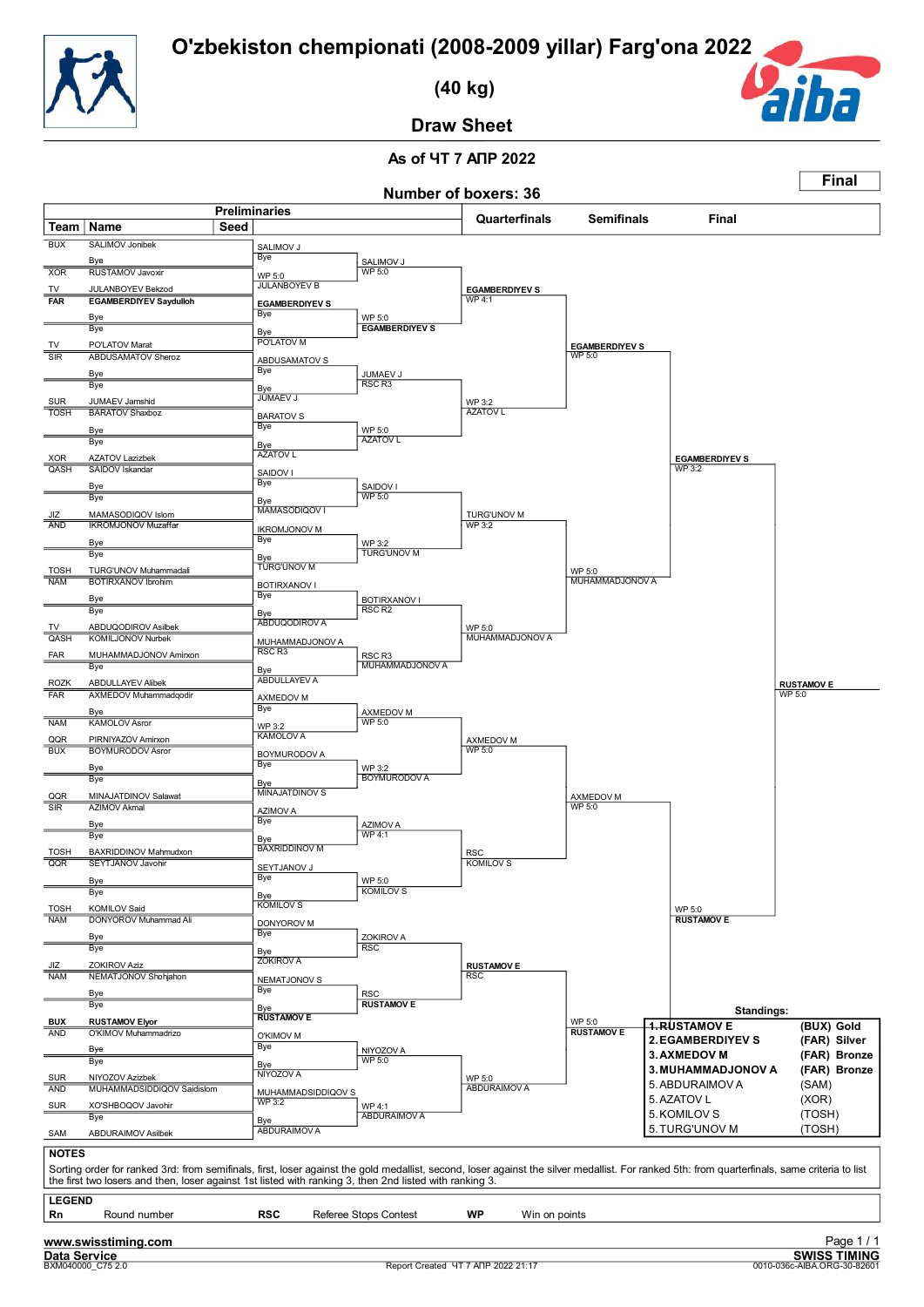![](_page_58_Picture_1.jpeg)

 **(40 kg)**

![](_page_58_Picture_3.jpeg)

 $\Box$ 

**Final**

**Draw Sheet**

|                                          |                                                                                                                                                                                                                                                                                                          |                              |                                      |                                          | Number of boxers: 36               |                                 |                                                  |                                                    |
|------------------------------------------|----------------------------------------------------------------------------------------------------------------------------------------------------------------------------------------------------------------------------------------------------------------------------------------------------------|------------------------------|--------------------------------------|------------------------------------------|------------------------------------|---------------------------------|--------------------------------------------------|----------------------------------------------------|
| Team   Name                              |                                                                                                                                                                                                                                                                                                          | <b>Preliminaries</b><br>Seed |                                      |                                          | Quarterfinals                      | <b>Semifinals</b>               | Final                                            |                                                    |
| <b>BUX</b>                               | <b>SALIMOV Jonibek</b>                                                                                                                                                                                                                                                                                   |                              | SALIMOV J                            |                                          |                                    |                                 |                                                  |                                                    |
|                                          | Bye                                                                                                                                                                                                                                                                                                      |                              | Bye                                  | SALIMOV J                                |                                    |                                 |                                                  |                                                    |
| <b>XOR</b>                               | <b>RUSTAMOV Javoxir</b>                                                                                                                                                                                                                                                                                  |                              | WP 5:0<br><b>JULANBOYEV B</b>        | <b>WP 5:0</b>                            |                                    |                                 |                                                  |                                                    |
| TV<br><b>FAR</b>                         | JULANBOYEV Bekzod<br><b>EGAMBERDIYEV Saydulloh</b>                                                                                                                                                                                                                                                       |                              | <b>EGAMBERDIYEV S</b>                |                                          | <b>EGAMBERDIYEV S</b><br>WP 4:1    |                                 |                                                  |                                                    |
|                                          | Bye                                                                                                                                                                                                                                                                                                      |                              | Bye                                  | WP 5:0                                   |                                    |                                 |                                                  |                                                    |
|                                          | Bye                                                                                                                                                                                                                                                                                                      |                              | Bye<br>PO'LATOV M                    | <b>EGAMBERDIYEV S</b>                    |                                    |                                 |                                                  |                                                    |
| TV<br>$\overline{\overline{\text{SIR}}}$ | PO'LATOV Marat<br><b>ABDUSAMATOV Sheroz</b>                                                                                                                                                                                                                                                              |                              | ABDUSAMATOV S                        |                                          |                                    | <b>EGAMBERDIYEV S</b><br>WP 5:0 |                                                  |                                                    |
|                                          | Bye                                                                                                                                                                                                                                                                                                      |                              | Bye                                  | JUMAEV J<br>RSC <sub>R3</sub>            |                                    |                                 |                                                  |                                                    |
| <b>SUR</b>                               | Bye<br>JUMAEV Jamshid                                                                                                                                                                                                                                                                                    |                              | <b>Bye</b><br>JÚMAEV J               |                                          | WP 3:2                             |                                 |                                                  |                                                    |
| <b>TOSH</b>                              | <b>BARATOV Shaxboz</b>                                                                                                                                                                                                                                                                                   |                              | <b>BARATOV S</b>                     |                                          | <b>AZATOV L</b>                    |                                 |                                                  |                                                    |
|                                          | Bye<br>Bye                                                                                                                                                                                                                                                                                               |                              | Bye                                  | WP 5:0<br><b>AZATOV L</b>                |                                    |                                 |                                                  |                                                    |
| <b>XOR</b>                               | <b>AZATOV Lazizbek</b>                                                                                                                                                                                                                                                                                   |                              | Bye<br><b>AZATOV L</b>               |                                          |                                    |                                 | <b>EGAMBERDIYEV S</b>                            |                                                    |
| QASH                                     | SAIDOV Iskandar                                                                                                                                                                                                                                                                                          |                              | SAIDOV I                             |                                          |                                    |                                 | WP 3:2                                           |                                                    |
|                                          | Bye<br>Bye                                                                                                                                                                                                                                                                                               |                              | Bye                                  | SAIDOV I<br><b>WP 5:0</b>                |                                    |                                 |                                                  |                                                    |
| JIZ                                      | MAMASODIQOV Islom                                                                                                                                                                                                                                                                                        |                              | Bye<br>MAMASODIQOV I                 |                                          | <b>TURG'UNOV M</b>                 |                                 |                                                  |                                                    |
| AND                                      | <b>IKROMJONOV Muzaffar</b>                                                                                                                                                                                                                                                                               |                              | <b>IKROMJONOV M</b>                  |                                          | WP 3:2                             |                                 |                                                  |                                                    |
|                                          | Bye<br>Bye                                                                                                                                                                                                                                                                                               |                              | Bye                                  | WP 3:2<br><b>TURG'UNOV M</b>             |                                    |                                 |                                                  |                                                    |
| <b>TOSH</b>                              | TURG'UNOV Muhammadali                                                                                                                                                                                                                                                                                    |                              | Bye<br>TURG'UNOV M                   |                                          |                                    | WP 5:0                          |                                                  |                                                    |
| <b>NAM</b>                               | <b>BOTIRXANOV Ibrohim</b>                                                                                                                                                                                                                                                                                |                              | <b>BOTIRXANOV I</b>                  |                                          |                                    | <b>MUHAMMADJONOV A</b>          |                                                  |                                                    |
|                                          | Bye<br>Bye                                                                                                                                                                                                                                                                                               |                              | Bye<br>Bye                           | <b>BOTIRXANOV I</b><br>RSC <sub>R2</sub> |                                    |                                 |                                                  |                                                    |
| <b>TV</b>                                | ABDUQODIROV Asilbek                                                                                                                                                                                                                                                                                      |                              | ABDUQODIROV A                        |                                          | WP 5:0                             |                                 |                                                  |                                                    |
| QASH                                     | <b>KOMILJONOV Nurbek</b>                                                                                                                                                                                                                                                                                 |                              | MUHAMMADJONOV A<br>RSC <sub>R3</sub> |                                          | MUHAMMADJONOV A                    |                                 |                                                  |                                                    |
| FAR                                      | MUHAMMADJONOV Amirxon<br>Bye                                                                                                                                                                                                                                                                             |                              | Bye                                  | RSC R3<br>MUHAMMADJONOV A                |                                    |                                 |                                                  |                                                    |
| <b>ROZK</b>                              | <b>ABDULLAYEV Alibek</b>                                                                                                                                                                                                                                                                                 |                              | ABDULLAYEV A                         |                                          |                                    |                                 |                                                  | <b>RUSTAMOVE</b>                                   |
| <b>FAR</b>                               | AXMEDOV Muhammadqodir                                                                                                                                                                                                                                                                                    |                              | AXMEDOV M<br><b>Bye</b>              |                                          |                                    |                                 |                                                  | WP 5:0                                             |
| <b>NAM</b>                               | Bye<br><b>KAMOLOV Asror</b>                                                                                                                                                                                                                                                                              |                              | WP 3:2                               | AXMEDOV M<br><b>WP 5:0</b>               |                                    |                                 |                                                  |                                                    |
| QQR                                      | PIRNIYAZOV Amirxon                                                                                                                                                                                                                                                                                       |                              | <b>KAMOLOV A</b>                     |                                          | AXMEDOV M                          |                                 |                                                  |                                                    |
| <b>BUX</b>                               | <b>BOYMURODOV Asror</b>                                                                                                                                                                                                                                                                                  |                              | <b>BOYMURODOV A</b><br><b>Bye</b>    |                                          | WP 5:0                             |                                 |                                                  |                                                    |
|                                          | Bye<br>Bye                                                                                                                                                                                                                                                                                               |                              | Bye                                  | WP 3:2<br><b>BOYMURODOV A</b>            |                                    |                                 |                                                  |                                                    |
| QQR                                      | MINAJATDINOV Salawat                                                                                                                                                                                                                                                                                     |                              | <b>MINAJATDINOV S</b>                |                                          |                                    | AXMEDOV M                       |                                                  |                                                    |
| SIR                                      | <b>AZIMOV Akmal</b><br>Bye                                                                                                                                                                                                                                                                               |                              | <b>AZIMOV A</b><br><b>Bye</b>        | <b>AZIMOVA</b>                           |                                    | <b>WP 5:0</b>                   |                                                  |                                                    |
|                                          | Bye                                                                                                                                                                                                                                                                                                      |                              | Bye                                  | <b>WP 4:1</b>                            |                                    |                                 |                                                  |                                                    |
| <b>TOSH</b>                              | BAXRIDDINOV Mahmudxon                                                                                                                                                                                                                                                                                    |                              | <b>BAXRIDDINOV M</b>                 |                                          | <b>RSC</b>                         |                                 |                                                  |                                                    |
| QQR                                      | <b>SEYTJANOV Javohir</b><br>Bye                                                                                                                                                                                                                                                                          |                              | SEYTJANOV J<br>Bye                   | WP 5:0                                   | <b>KOMILOVS</b>                    |                                 |                                                  |                                                    |
|                                          | Bye                                                                                                                                                                                                                                                                                                      |                              | Bye                                  | <b>KOMILOVS</b>                          |                                    |                                 |                                                  |                                                    |
| <b>TOSH</b><br><b>NAM</b>                | KOMILOV Said<br><b>DONYOROV Muhammad Ali</b>                                                                                                                                                                                                                                                             |                              | <b>KOMILOVS</b>                      |                                          |                                    |                                 | WP 5:0<br><b>RUSTAMOV E</b>                      |                                                    |
|                                          | Bye                                                                                                                                                                                                                                                                                                      |                              | <b>DONYOROV M</b><br>Bye             | ZOKIROV A                                |                                    |                                 |                                                  |                                                    |
|                                          | Bye                                                                                                                                                                                                                                                                                                      |                              | <b>Bye</b>                           | <b>RSC</b>                               |                                    |                                 |                                                  |                                                    |
| JIZ<br><b>NAM</b>                        | <b>ZOKIROV Aziz</b><br>NEMATJONOV Shohjahon                                                                                                                                                                                                                                                              |                              | <b>ZOKIROVA</b>                      |                                          | <b>RUSTAMOV E</b><br><b>RSC</b>    |                                 |                                                  |                                                    |
|                                          | <u>Bye</u>                                                                                                                                                                                                                                                                                               |                              | NEMATJONOV S<br>Bye                  | <b>RSC</b>                               |                                    |                                 |                                                  |                                                    |
|                                          | Bye                                                                                                                                                                                                                                                                                                      |                              | Bye                                  | <b>RUSTAMOVE</b>                         |                                    |                                 | Standings:                                       |                                                    |
| <b>BUX</b><br><b>AND</b>                 | <b>RUSTAMOV Elyor</b><br>O'KIMOV Muhammadrizo                                                                                                                                                                                                                                                            |                              | <b>RUSTAMOV E</b>                    |                                          |                                    | WP 5:0<br><b>RUSTAMOV E</b>     | <b>4.RUSTAMOV E</b>                              | (BUX) Gold                                         |
|                                          | Bye                                                                                                                                                                                                                                                                                                      |                              | O'KIMOV M<br>Bye                     | NIYOZOV A                                |                                    |                                 | <b>2. EGAMBERDIYEV S</b>                         | (FAR) Silver                                       |
|                                          | Bye                                                                                                                                                                                                                                                                                                      |                              | Bye                                  | WP 5:0                                   |                                    |                                 | <b>3. AXMEDOV M</b><br><b>3. MUHAMMADJONOV A</b> | (FAR) Bronze<br>(FAR) Bronze                       |
| SUR<br><b>AND</b>                        | NIYOZOV Azizbek<br>MUHAMMADSIDDIQOV Saidislom                                                                                                                                                                                                                                                            |                              | NIYOZOV A<br>MUHAMMADSIDDIQOV S      |                                          | WP 5:0<br>ABDURAIMOV A             |                                 | 5. ABDURAIMOV A                                  | (SAM)                                              |
| SUR                                      | XO'SHBOQOV Javohir                                                                                                                                                                                                                                                                                       |                              | <b>WP 3:2</b>                        | WP 4:1                                   |                                    |                                 | 5. AZATOV L                                      | (XOR)                                              |
|                                          | Bye                                                                                                                                                                                                                                                                                                      |                              | Bye<br><b>ABDURAIMOV A</b>           | <b>ABDURAIMOV A</b>                      |                                    |                                 | 5. KOMILOV S<br>5. TURG'UNOV M                   | (TOSH)<br>(TOSH)                                   |
| SAM                                      | ABDURAIMOV Asilbek                                                                                                                                                                                                                                                                                       |                              |                                      |                                          |                                    |                                 |                                                  |                                                    |
| <b>NOTES</b>                             | Sorting order for ranked 3rd: from semifinals, first, loser against the gold medallist, second, loser against the silver medallist. For ranked 5th: from quarterfinals, same criteria to list<br>the first two losers and then, loser against 1st listed with ranking 3, then 2nd listed with ranking 3. |                              |                                      |                                          |                                    |                                 |                                                  |                                                    |
| <b>LEGEND</b>                            |                                                                                                                                                                                                                                                                                                          |                              |                                      |                                          |                                    |                                 |                                                  |                                                    |
| Rn                                       | Round number                                                                                                                                                                                                                                                                                             |                              | <b>RSC</b>                           | Referee Stops Contest                    | <b>WP</b><br>Win on points         |                                 |                                                  |                                                    |
|                                          | www.swisstiming.com                                                                                                                                                                                                                                                                                      |                              |                                      |                                          |                                    |                                 |                                                  | Page 1/1                                           |
| Data Service                             | BXM040000_C75 2.0                                                                                                                                                                                                                                                                                        |                              |                                      |                                          | Report Created YT 7 ANP 2022 21:17 |                                 |                                                  | <b>SWISS TIMING</b><br>0010-036c-AIBA.ORG-30-82601 |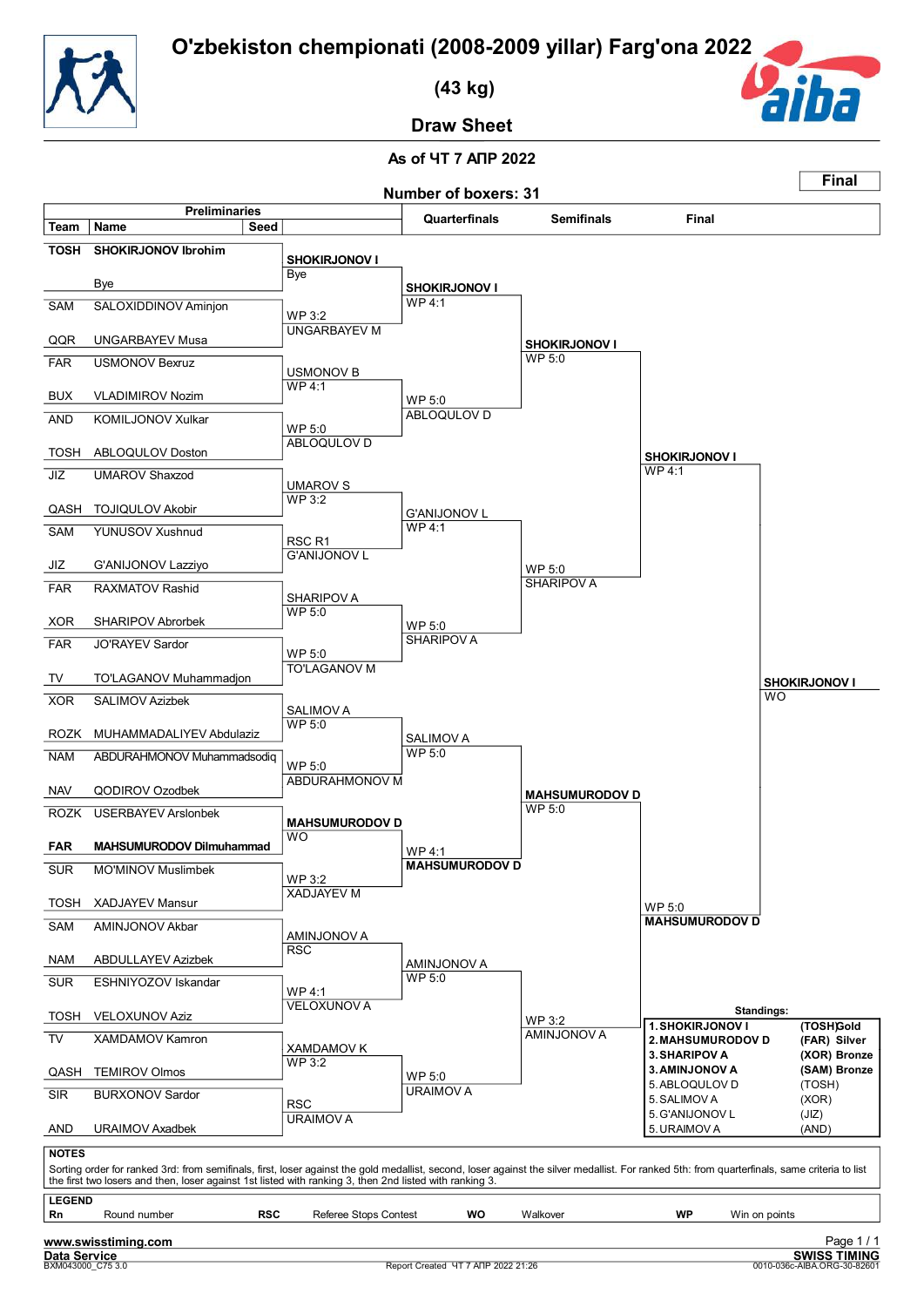![](_page_59_Picture_1.jpeg)

 **(43 kg)**

![](_page_59_Picture_3.jpeg)

**Final**

**Draw Sheet**

![](_page_59_Figure_6.jpeg)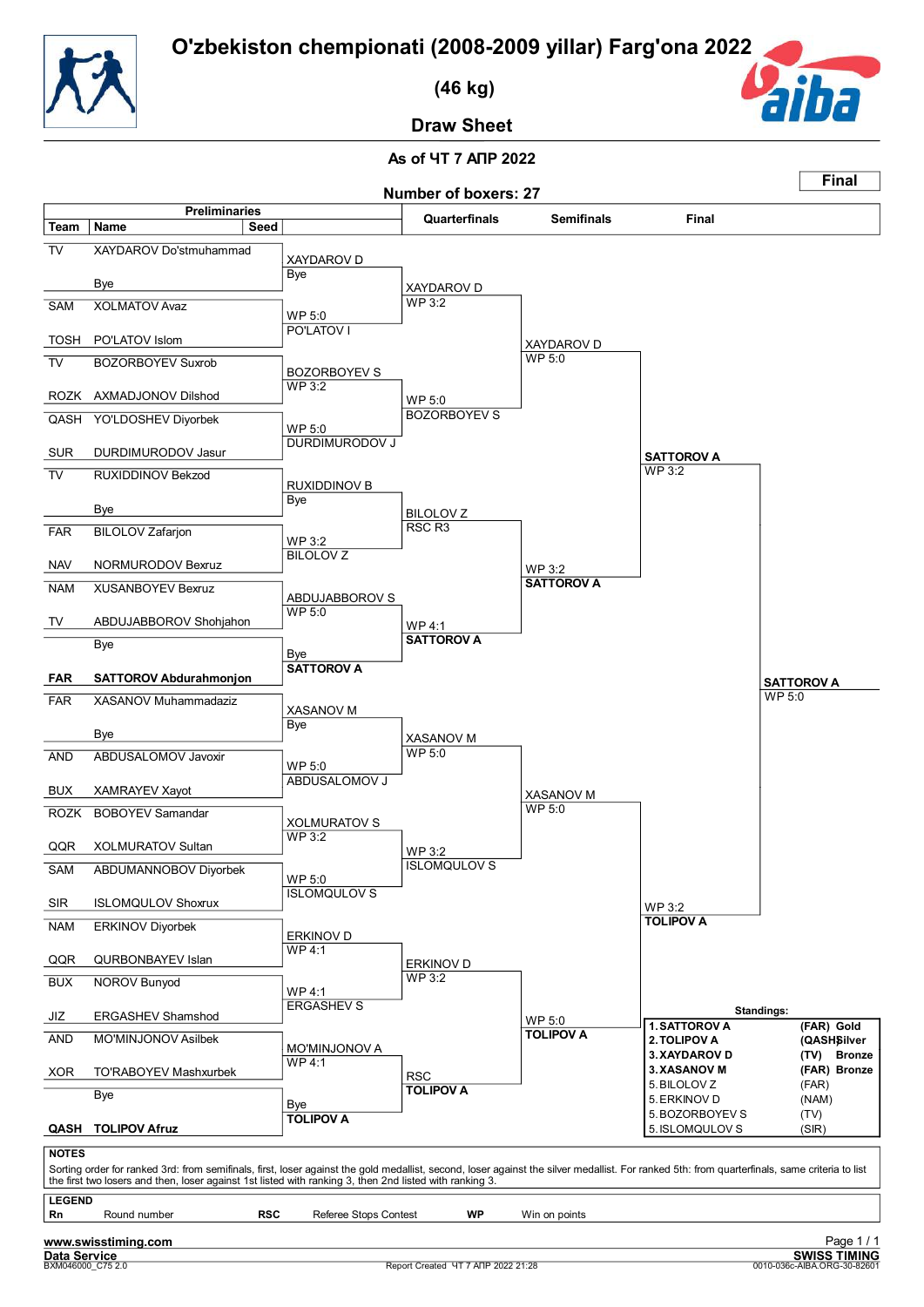![](_page_60_Picture_1.jpeg)

 **(46 kg)**

![](_page_60_Picture_3.jpeg)

**Draw Sheet**

![](_page_60_Figure_6.jpeg)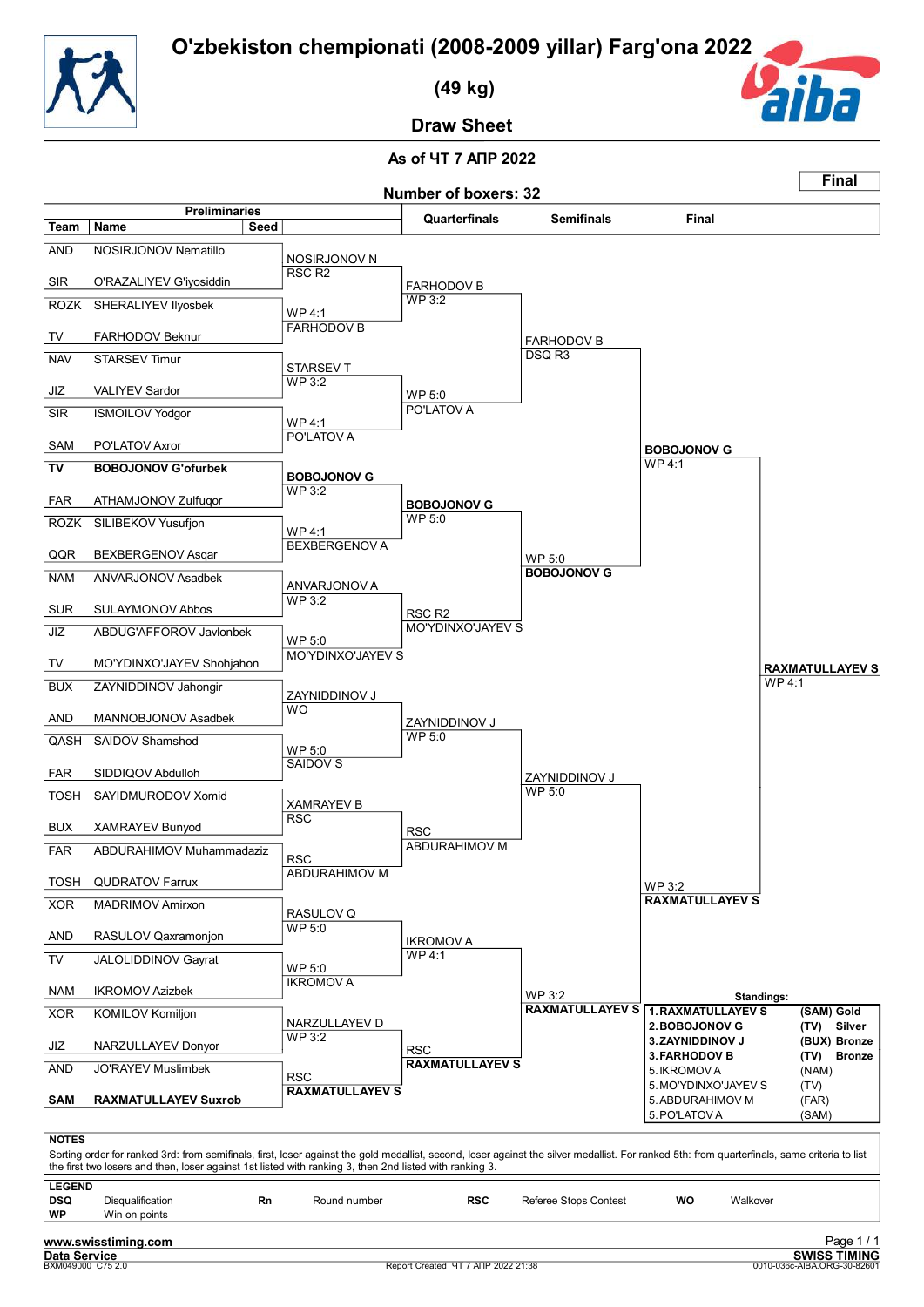![](_page_61_Picture_1.jpeg)

 **(49 kg)**

![](_page_61_Picture_3.jpeg)

**Draw Sheet**

#### **As of ЧТ 7 АПР 2022 Number of boxers: 32 Final Preliminaries Quarterfinals Semifinals Final Team Name Seed** AND NOSIRJONOV Nematillo NOSIRJONOV N<br>RSC R2 SIR O'RAZALIYEV G'iyosiddin ROZK SHERALIYEV IIyosbek WP 4:1 TV FARHODOV Beknur NAV STARSEV Timur WP 3:2 JIZ VALIYEV Sardor SIR ISMOILOV Yodgor WP 4:1 SAM PO'LATOV Axror **TV BOBOJONOV G'ofurbek** WP 3:2 FAR ATHAMJONOV Zulfuqor ROZK SILIBEKOV Yusufjon WP 3:2 FARHODOV B STARSEV T WP 5:0 PO'LATOV A **BOBOJONOV G** WP 5:0 FARHODOV B DSQ R3 PO'LATOV A **BOBOJONOV G** FARHODOV B WP 4:1 **BOBOJONOV G** WP 4:1 QQR BEXBERGENOV Asqar NAM ANVARJONOV Asadbek WP 3:2 SUR SULAYMONOV Abbos JIZ ABDUG'AFFOROV Javlonbek WP 5:0 TV MO'YDINXO'JAYEV Shohjahon BUX ZAYNIDDINOV Jahongir WO AND MANNOBJONOV Asadbek QASH SAIDOV Shamshod WP 5:0 FAR SIDDIQOV Abdulloh BEXBERGENOV A ANVARJONOV A RSC R2 MO'YDINXO'JAYEV S ZAYNIDDINOV J WP 5:0 SAIDOV S WP 5:0 MO'YDINXO'JAYEV S ZAYNIDDINOV J  $WP 5:0$ **BOBOJONOV G** ZAYNIDDINOV J WP 4:1 **RAXMATULLAYEV S** TOSH SAYIDMURODOV Xomid BUX XAMRAYEV Bunyod FAR ABDURAHIMOV Muhammadaziz RSC TOSH QUDRATOV Farrux XOR MADRIMOV Amirxon AND RASULOV Qaxramonjon TV JALOLIDDINOV Gayrat WP 5:0 NAM IKROMOV Azizbek XOR KOMILOV Komiljon WP 3:2 JIZ NARZULLAYEV Donyor XAMRAYEV B **RSC** ABDURAHIMOV M RASULOV Q WP 4:1 IKROMOV A NARZULLAYEV D **RSC** ABDURAHIMOV M IKROMOV A  $WP 3.2$ WP 3:2 **RAXMATULLAYEV S 1.RAXMATULLAYEV S (SAM) Gold RAXMATULLAYEV S Standings: 2.BOBOJONOV G (TV) Silver 3.ZAYNIDDINOV J** (BU)<br> **3.FARHODOV B** (TV) AND JO'RAYEV Muslimbek RSC **SAM RAXMATULLAYEV Suxrob RAXMATULLAYEV S RAXMATULLAYEV S 3.FARHODOV B (TV) Bronze** 5.IKROMOV A (NAM) 5. MO'YDINXO'JAYEV S (TV)<br>5. ABDURAHIMOV M (FAR) 5. ABDURAHIMOV M (FAR)<br>5. PO'LATOV A (SAM) 5. PO'LATOV A **NOTES** Sorting order for ranked 3rd: from semifinals, first, loser against the gold medallist, second, loser against the silver medallist. For ranked 5th: from quarterfinals, same criteria to list the first two losers and then, loser against 1st listed with ranking 3, then 2nd listed with ranking 3. **LEGEND DSQ** Disqualification **Rn** Round number **RSC** Referee Stops Contest **WO** Walkover **Win on points**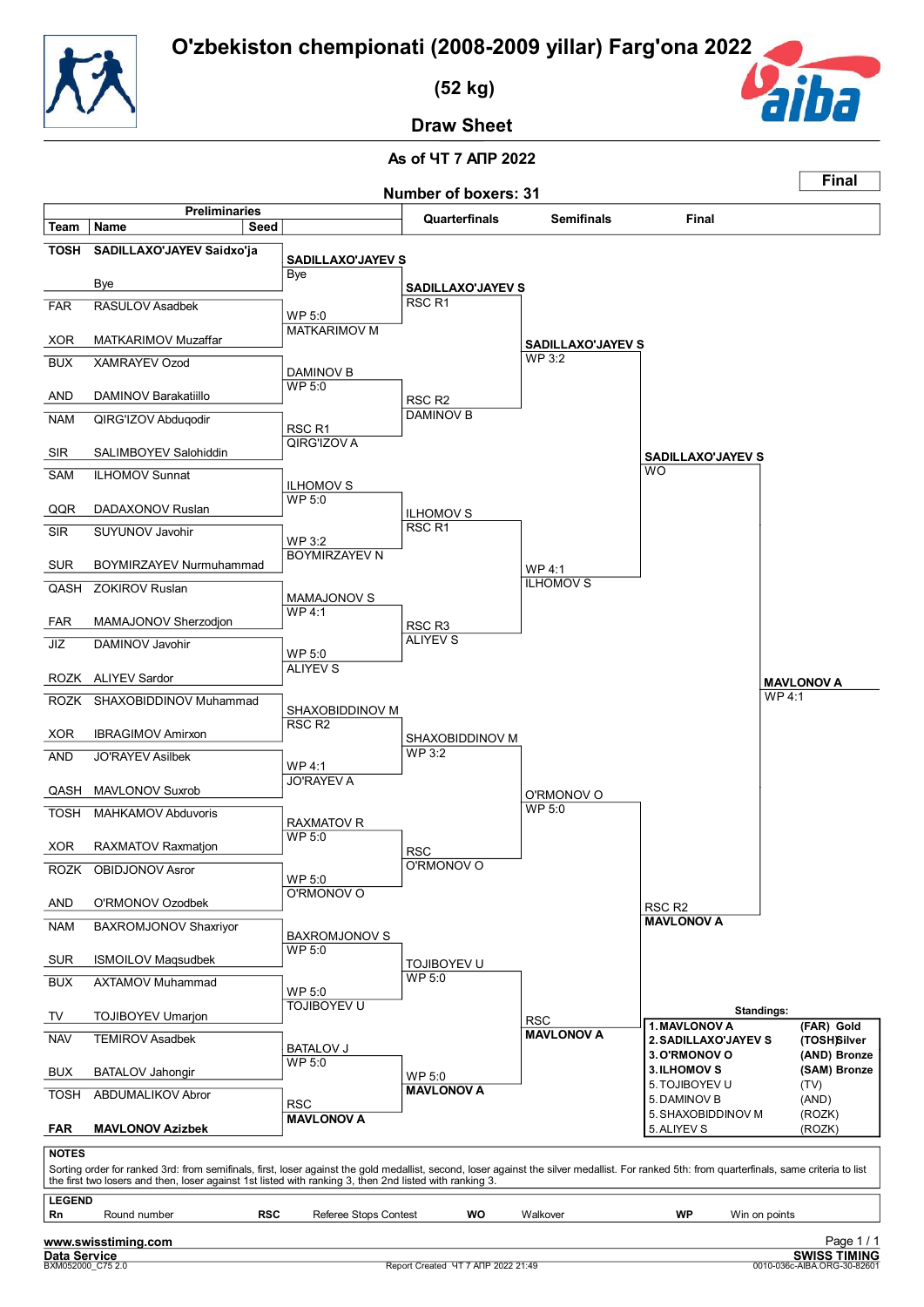![](_page_62_Picture_1.jpeg)

 **(52 kg)**

![](_page_62_Picture_3.jpeg)

**Draw Sheet**

![](_page_62_Figure_6.jpeg)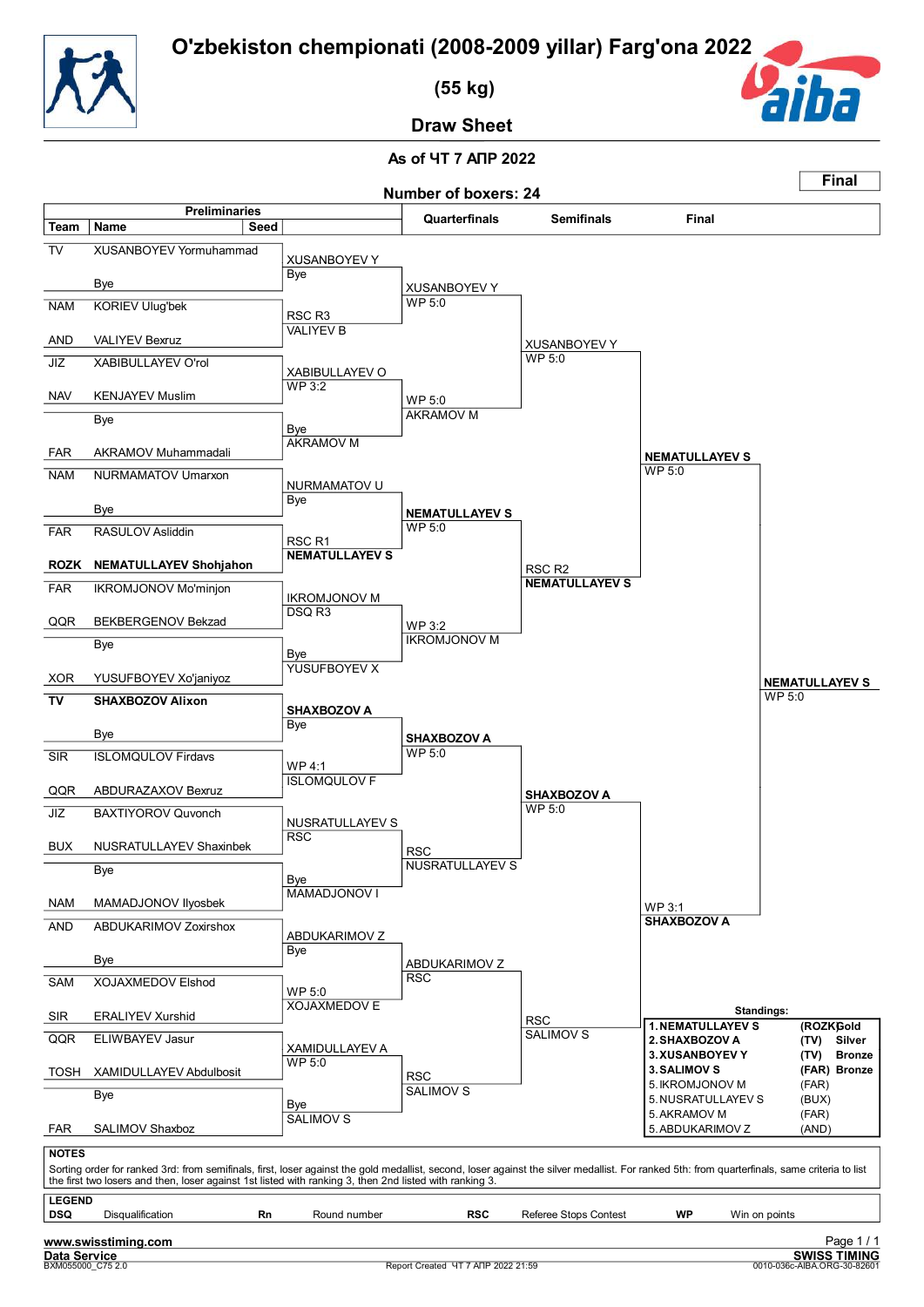![](_page_63_Picture_1.jpeg)

 **(55 kg)**

![](_page_63_Picture_3.jpeg)

**Draw Sheet**

![](_page_63_Figure_6.jpeg)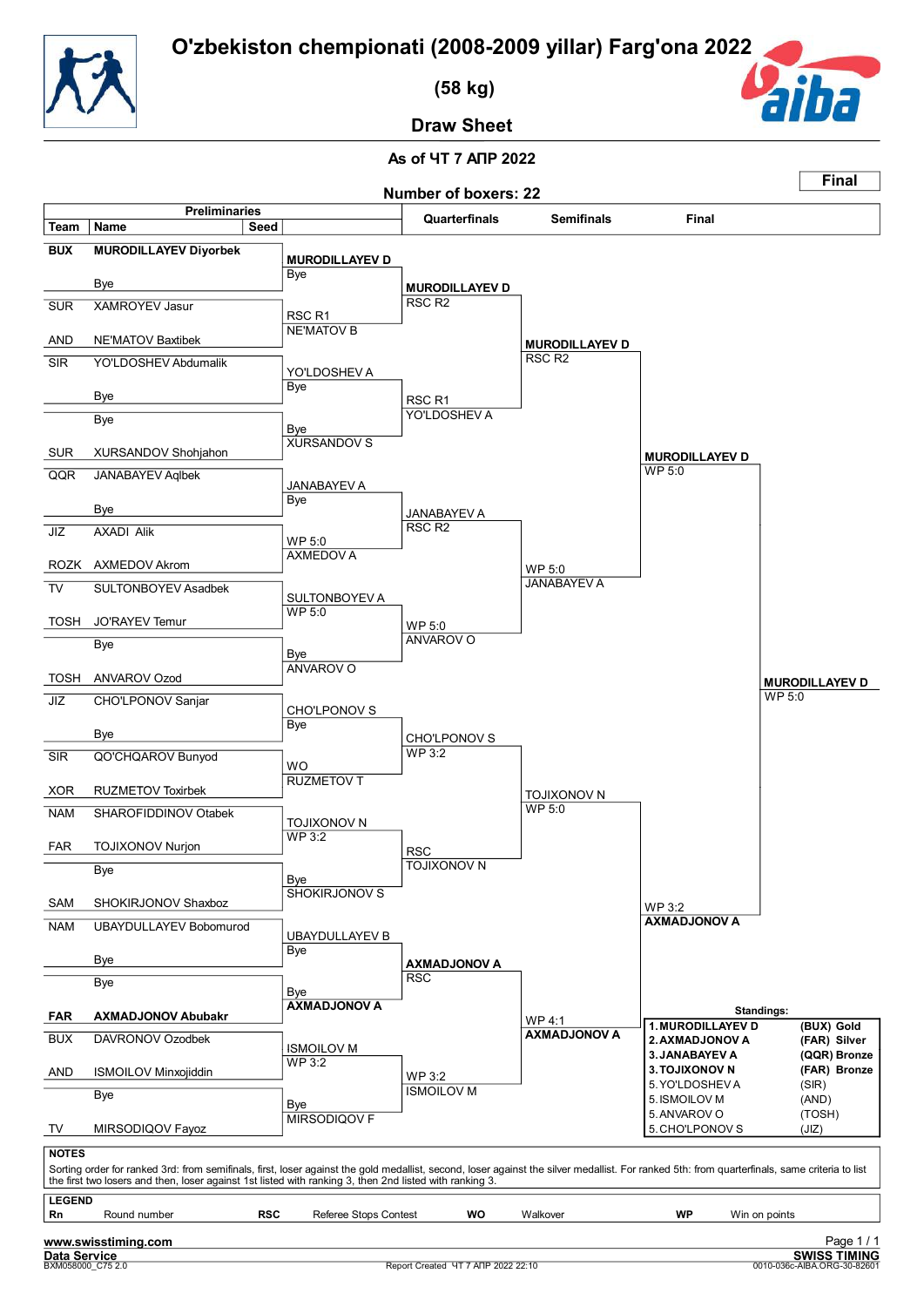![](_page_64_Picture_1.jpeg)

 **(58 kg)**

![](_page_64_Picture_3.jpeg)

**Draw Sheet**

#### **As of ЧТ 7 АПР 2022 Number of boxers: 22 Final Preliminaries Quarterfinals Semifinals Final Team Name Seed BUX MURODILLAYEV Diyorbek MURODILLAYEV D** Bye Bye SUR XAMROYEV Jasur RSC R1 AND NE'MATOV Baxtibek SIR YO'LDOSHEV Abdumalik Bye Bye Bye Bye SUR XURSANDOV Shohjahon QQR JANABAYEV Aqlbek Bye Bye RSC R2 NE'MATOV B YO'LDOSHEV A RSC R1 XURSANDOV S JANABAYEV A<br>Bye RSC R2 **MURODILLAYEV D** RSC R2 YO'LDOSHEV A JANABAYEV A **MURODILLAYEV D** WP 5:0 **MURODILLAYEV D** JIZ AXADI Alik WP 5:0 ROZK AXMEDOV Akrom TV SULTONBOYEV Asadbek WP 5:0 TOSH JO'RAYEV Temur Bye Bye TOSH ANVAROV Ozod JIZ CHO'LPONOV Sanjar Bye Bye SIR QO'CHQAROV Bunyod WO XOR RUZMETOV Toxirbek AXMEDOV A SULTONBOYEV A WP 5:0 ANVAROV O CHO'LPONOV S<br>Bye WP 3:2 RUZMETOV T WP 5:0 ANVAROV O CHO'LPONOV S JANABAYEV A WP 5:0 **MURODILLAYEV D** NAM SHAROFIDDINOV Otabek WP 3:2 FAR TOJIXONOV Nurjon Bye Bye SAM SHOKIRJONOV Shaxboz NAM UBAYDULLAYEV Bobomurod Bye Bye Bye Bye **FAR AXMADJONOV Abubakr** BUX DAVRONOV Ozodbek TOJIXONOV N RSC SHOKIRJONOV S UBAYDULLAYEV B RSC **AXMADJONOV A** ISMOILOV M WP 5:0 TOJIXONOV N **AXMADJONOV A** WP 4:1 TOJIXONOV N WP 3:2 **AXMADJONOV A AXMADJONOV A Standings: 1.MURODILLAYEV D (BUX) Gold 2.AXMADJONOV A (FAR) Silver 3.JANABAYEV A (QQR) Bronze** WP 3:2 AND ISMOILOV Minxojiddin Bye Bye TV MIRSODIQOV Fayoz WP 3:2 MIRSODIQOV F ISMOILOV M **3.TOJIXONOV N (FAR) Bronze** 5. YO'LDOSHEV A (SIR)<br>5. ISMOILOV M (AND) 5. ISMOILOV M 5.ANVAROV O (TOSH)<br>5.CHO'LPONOV S (JIZ) 5. CHO'LPONOV S **NOTES** Sorting order for ranked 3rd: from semifinals, first, loser against the gold medallist, second, loser against the silver medallist. For ranked 5th: from quarterfinals, same criteria to list<br>the first two losers and then, l **LEGEND**<br>**Rn** Round number **RSC** Referee Stops Contest **WO** Walkover **WP** Win on points

![](_page_64_Picture_8.jpeg)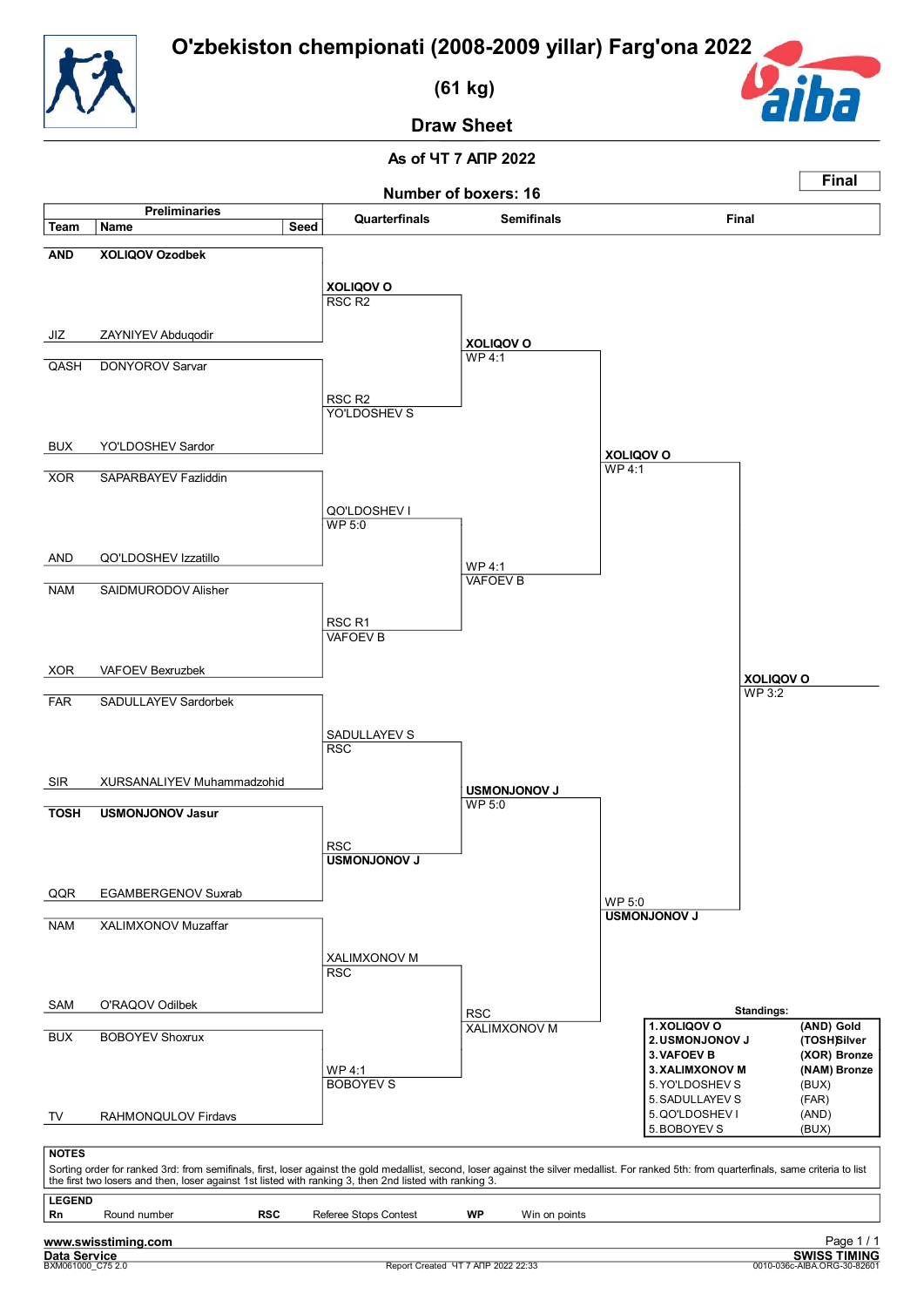![](_page_65_Picture_1.jpeg)

 **(61 kg)**

![](_page_65_Picture_3.jpeg)

**Draw Sheet**

![](_page_65_Figure_6.jpeg)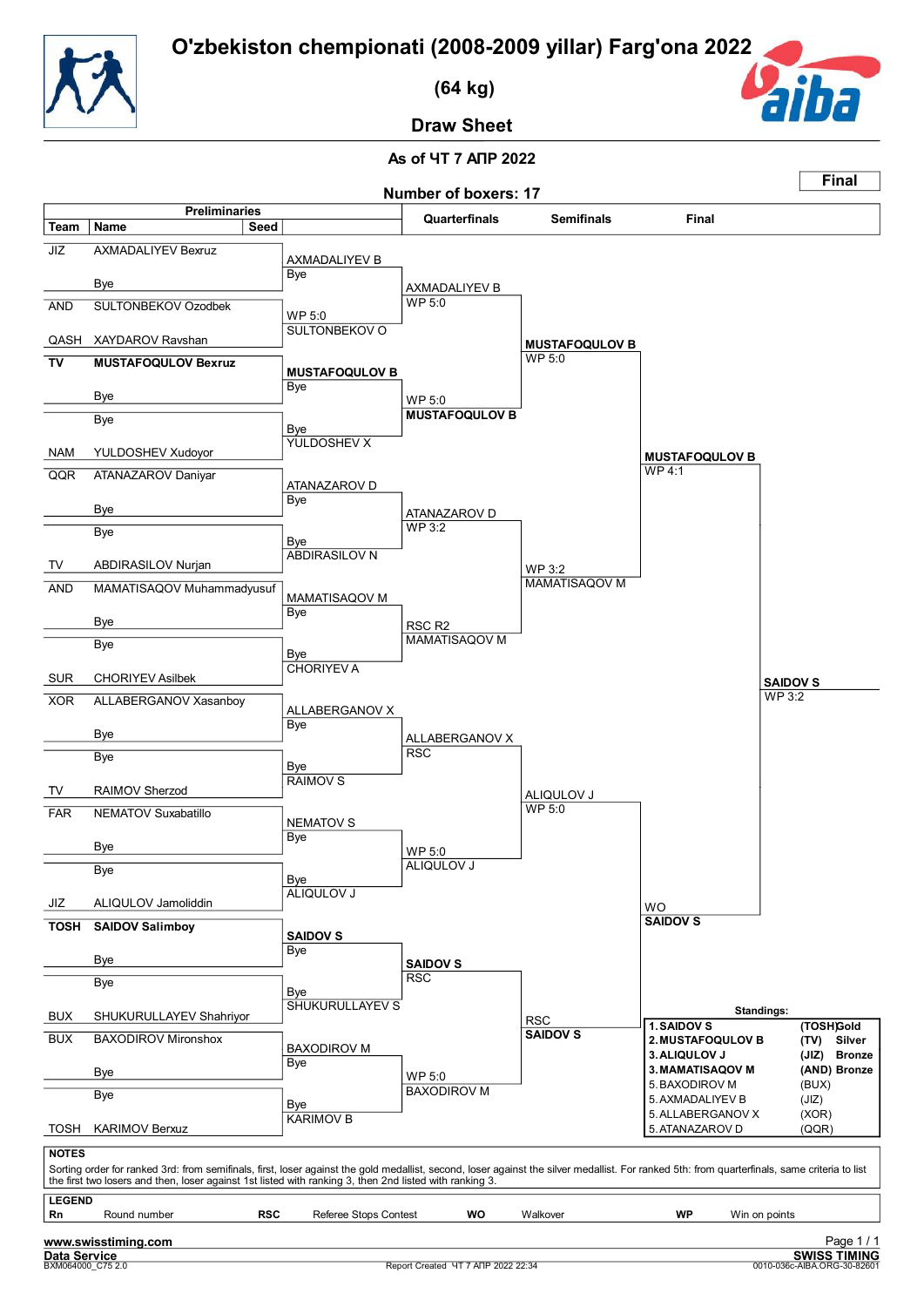![](_page_66_Picture_1.jpeg)

 **(64 kg)**

![](_page_66_Picture_3.jpeg)

**Draw Sheet**

![](_page_66_Figure_6.jpeg)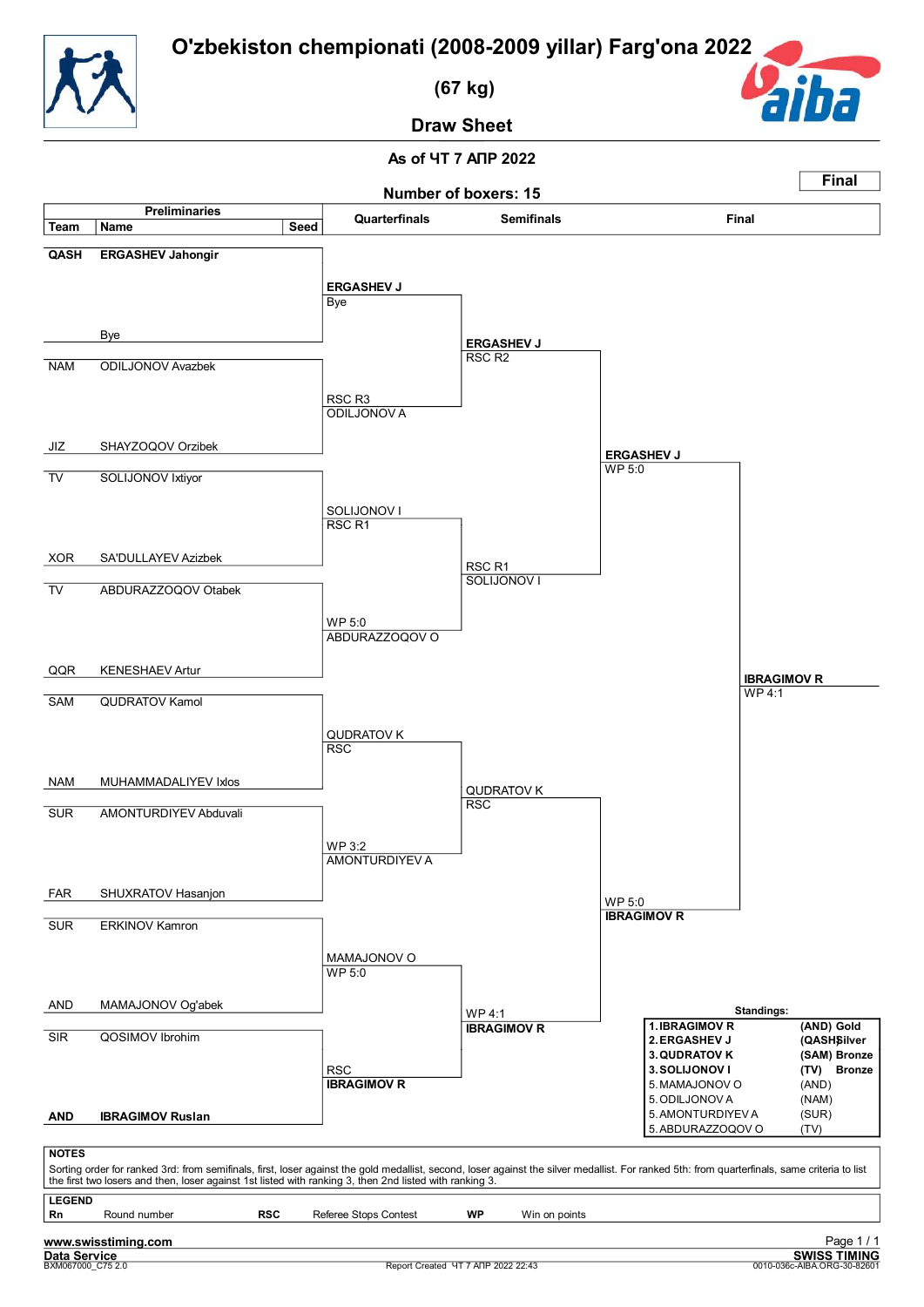![](_page_67_Picture_1.jpeg)

 **(67 kg)**

![](_page_67_Picture_3.jpeg)

**Draw Sheet**

![](_page_67_Figure_6.jpeg)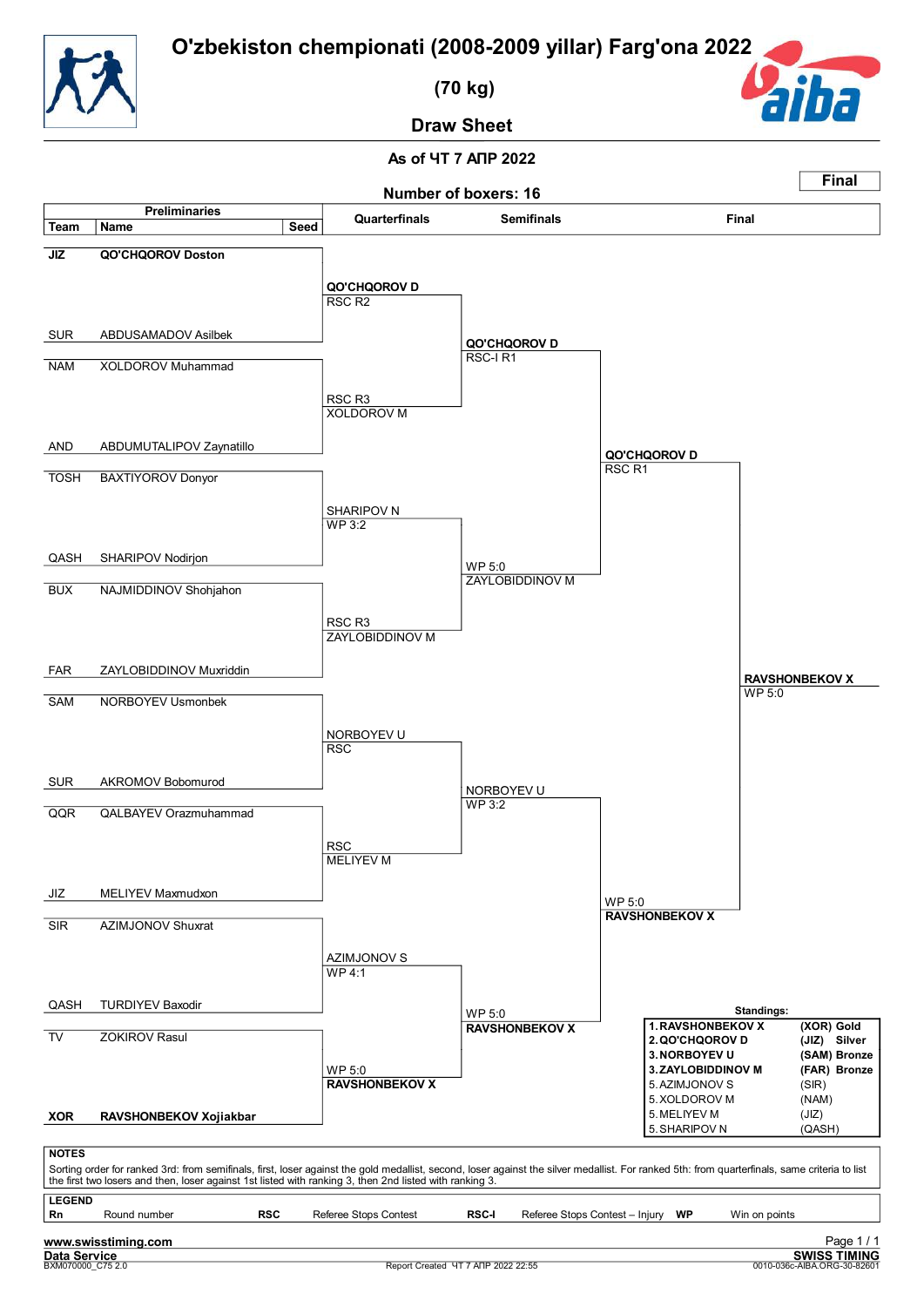![](_page_68_Picture_1.jpeg)

 **(70 kg)**

![](_page_68_Picture_3.jpeg)

**Draw Sheet**

![](_page_68_Figure_6.jpeg)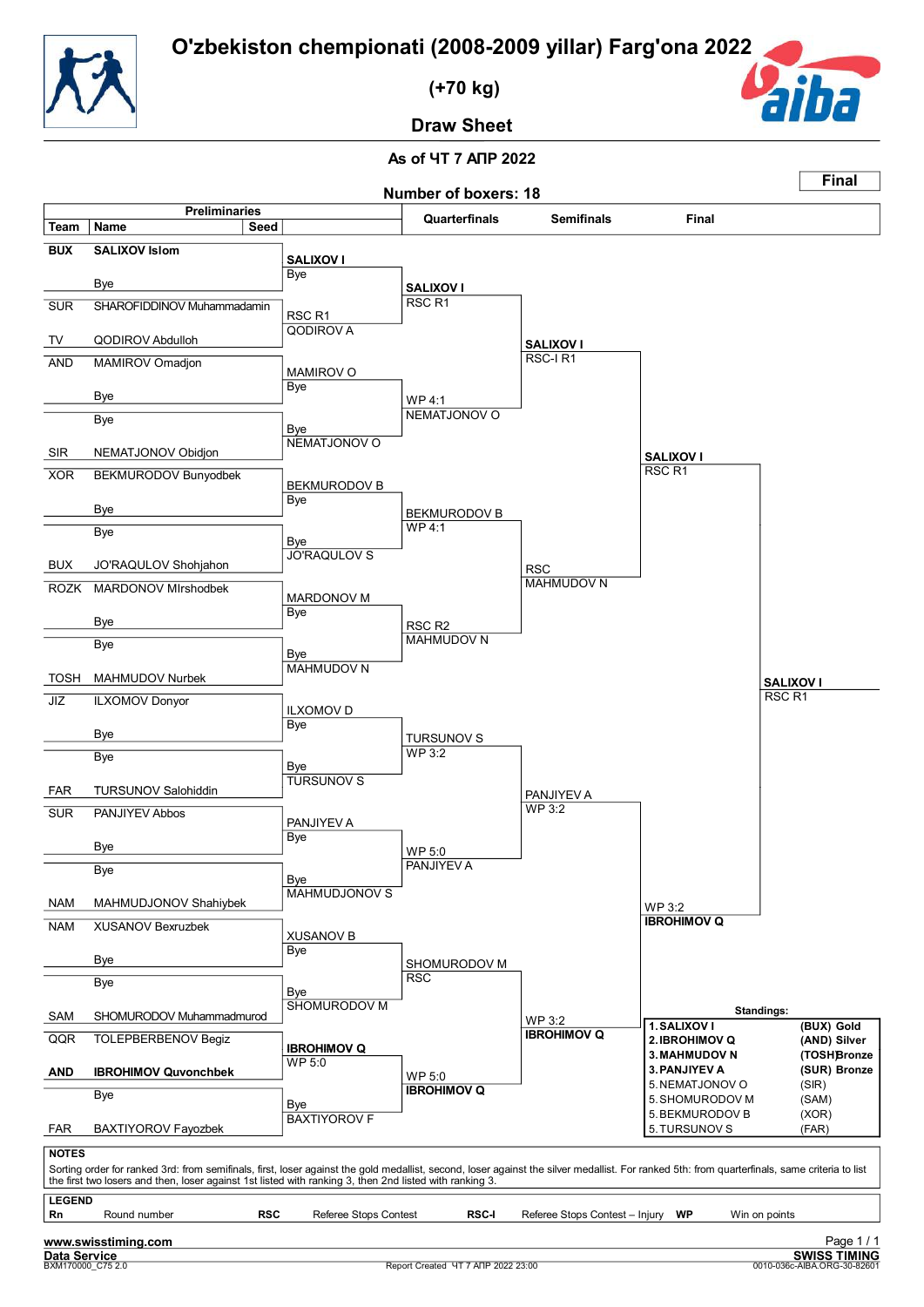![](_page_69_Picture_1.jpeg)

 **(+70 kg)**

![](_page_69_Picture_3.jpeg)

**Draw Sheet**

![](_page_69_Figure_6.jpeg)